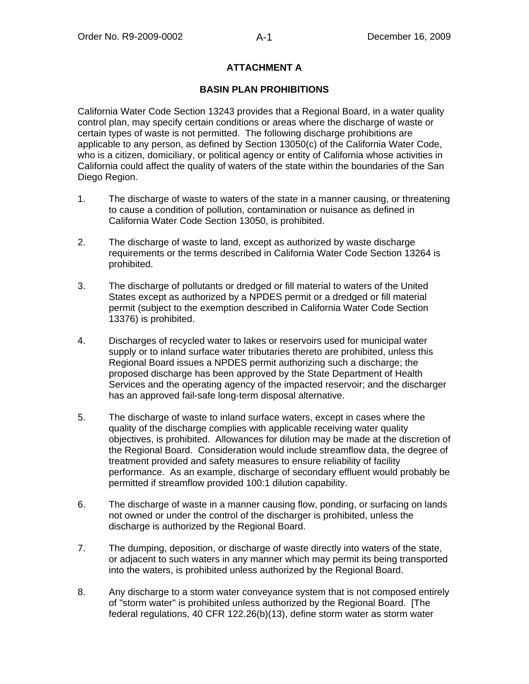## **ATTACHMENT A**

### **BASIN PLAN PROHIBITIONS**

California Water Code Section 13243 provides that a Regional Board, in a water quality control plan, may specify certain conditions or areas where the discharge of waste or certain types of waste is not permitted. The following discharge prohibitions are applicable to any person, as defined by Section 13050(c) of the California Water Code, who is a citizen, domiciliary, or political agency or entity of California whose activities in California could affect the quality of waters of the state within the boundaries of the San Diego Region.

- 1. The discharge of waste to waters of the state in a manner causing, or threatening to cause a condition of pollution, contamination or nuisance as defined in California Water Code Section 13050, is prohibited.
- 2. The discharge of waste to land, except as authorized by waste discharge requirements or the terms described in California Water Code Section 13264 is prohibited.
- 3. The discharge of pollutants or dredged or fill material to waters of the United States except as authorized by a NPDES permit or a dredged or fill material permit (subject to the exemption described in California Water Code Section 13376) is prohibited.
- 4. Discharges of recycled water to lakes or reservoirs used for municipal water supply or to inland surface water tributaries thereto are prohibited, unless this Regional Board issues a NPDES permit authorizing such a discharge; the proposed discharge has been approved by the State Department of Health Services and the operating agency of the impacted reservoir; and the discharger has an approved fail-safe long-term disposal alternative.
- 5. The discharge of waste to inland surface waters, except in cases where the quality of the discharge complies with applicable receiving water quality objectives, is prohibited. Allowances for dilution may be made at the discretion of the Regional Board. Consideration would include streamflow data, the degree of treatment provided and safety measures to ensure reliability of facility performance. As an example, discharge of secondary effluent would probably be permitted if streamflow provided 100:1 dilution capability.
- 6. The discharge of waste in a manner causing flow, ponding, or surfacing on lands not owned or under the control of the discharger is prohibited, unless the discharge is authorized by the Regional Board.
- 7. The dumping, deposition, or discharge of waste directly into waters of the state, or adjacent to such waters in any manner which may permit its being transported into the waters, is prohibited unless authorized by the Regional Board.
- 8. Any discharge to a storm water conveyance system that is not composed entirely of "storm water" is prohibited unless authorized by the Regional Board. [The federal regulations, 40 CFR 122.26(b)(13), define storm water as storm water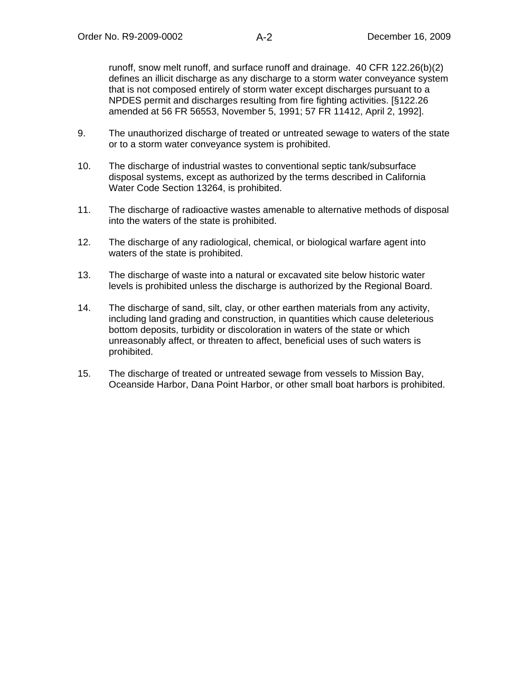runoff, snow melt runoff, and surface runoff and drainage. 40 CFR 122.26(b)(2) defines an illicit discharge as any discharge to a storm water conveyance system that is not composed entirely of storm water except discharges pursuant to a NPDES permit and discharges resulting from fire fighting activities. [§122.26 amended at 56 FR 56553, November 5, 1991; 57 FR 11412, April 2, 1992].

- 9. The unauthorized discharge of treated or untreated sewage to waters of the state or to a storm water conveyance system is prohibited.
- 10. The discharge of industrial wastes to conventional septic tank/subsurface disposal systems, except as authorized by the terms described in California Water Code Section 13264, is prohibited.
- 11. The discharge of radioactive wastes amenable to alternative methods of disposal into the waters of the state is prohibited.
- 12. The discharge of any radiological, chemical, or biological warfare agent into waters of the state is prohibited.
- 13. The discharge of waste into a natural or excavated site below historic water levels is prohibited unless the discharge is authorized by the Regional Board.
- 14. The discharge of sand, silt, clay, or other earthen materials from any activity, including land grading and construction, in quantities which cause deleterious bottom deposits, turbidity or discoloration in waters of the state or which unreasonably affect, or threaten to affect, beneficial uses of such waters is prohibited.
- 15. The discharge of treated or untreated sewage from vessels to Mission Bay, Oceanside Harbor, Dana Point Harbor, or other small boat harbors is prohibited.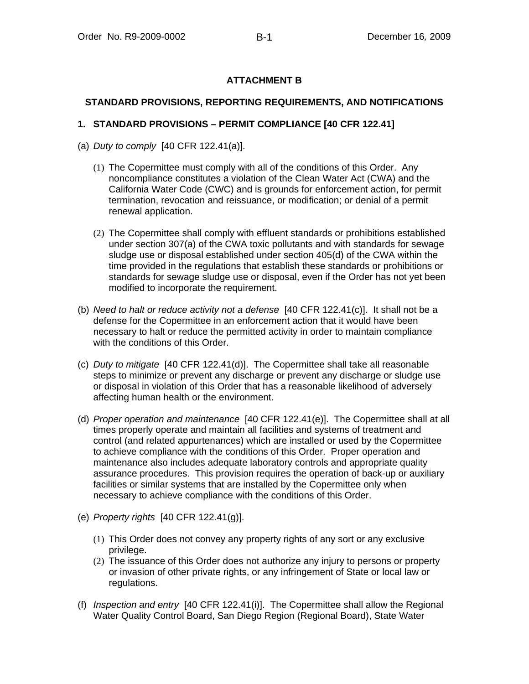# **ATTACHMENT B**

### **STANDARD PROVISIONS, REPORTING REQUIREMENTS, AND NOTIFICATIONS**

### **1. STANDARD PROVISIONS – PERMIT COMPLIANCE [40 CFR 122.41]**

- (a) *Duty to comply* [40 CFR 122.41(a)].
	- (1) The Copermittee must comply with all of the conditions of this Order. Any noncompliance constitutes a violation of the Clean Water Act (CWA) and the California Water Code (CWC) and is grounds for enforcement action, for permit termination, revocation and reissuance, or modification; or denial of a permit renewal application.
	- (2) The Copermittee shall comply with effluent standards or prohibitions established under section 307(a) of the CWA toxic pollutants and with standards for sewage sludge use or disposal established under section 405(d) of the CWA within the time provided in the regulations that establish these standards or prohibitions or standards for sewage sludge use or disposal, even if the Order has not yet been modified to incorporate the requirement.
- (b) *Need to halt or reduce activity not a defense* [40 CFR 122.41(c)]. It shall not be a defense for the Copermittee in an enforcement action that it would have been necessary to halt or reduce the permitted activity in order to maintain compliance with the conditions of this Order.
- (c) *Duty to mitigate* [40 CFR 122.41(d)]. The Copermittee shall take all reasonable steps to minimize or prevent any discharge or prevent any discharge or sludge use or disposal in violation of this Order that has a reasonable likelihood of adversely affecting human health or the environment.
- (d) *Proper operation and maintenance* [40 CFR 122.41(e)]. The Copermittee shall at all times properly operate and maintain all facilities and systems of treatment and control (and related appurtenances) which are installed or used by the Copermittee to achieve compliance with the conditions of this Order. Proper operation and maintenance also includes adequate laboratory controls and appropriate quality assurance procedures. This provision requires the operation of back-up or auxiliary facilities or similar systems that are installed by the Copermittee only when necessary to achieve compliance with the conditions of this Order.
- (e) *Property rights* [40 CFR 122.41(g)].
	- (1) This Order does not convey any property rights of any sort or any exclusive privilege.
	- (2) The issuance of this Order does not authorize any injury to persons or property or invasion of other private rights, or any infringement of State or local law or regulations.
- (f) *Inspection and entry* [40 CFR 122.41(i)]. The Copermittee shall allow the Regional Water Quality Control Board, San Diego Region (Regional Board), State Water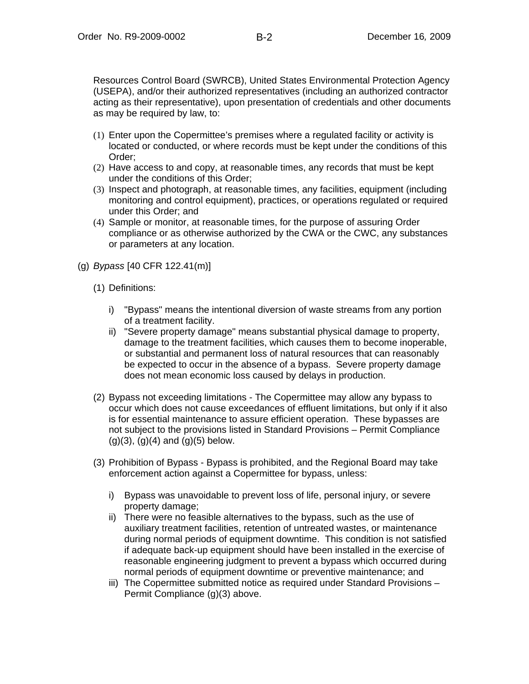Resources Control Board (SWRCB), United States Environmental Protection Agency (USEPA), and/or their authorized representatives (including an authorized contractor acting as their representative), upon presentation of credentials and other documents as may be required by law, to:

- (1) Enter upon the Copermittee's premises where a regulated facility or activity is located or conducted, or where records must be kept under the conditions of this Order;
- (2) Have access to and copy, at reasonable times, any records that must be kept under the conditions of this Order;
- (3) Inspect and photograph, at reasonable times, any facilities, equipment (including monitoring and control equipment), practices, or operations regulated or required under this Order; and
- (4) Sample or monitor, at reasonable times, for the purpose of assuring Order compliance or as otherwise authorized by the CWA or the CWC, any substances or parameters at any location.
- (g) *Bypass* [40 CFR 122.41(m)]
	- (1) Definitions:
		- i) "Bypass" means the intentional diversion of waste streams from any portion of a treatment facility.
		- ii) "Severe property damage" means substantial physical damage to property, damage to the treatment facilities, which causes them to become inoperable, or substantial and permanent loss of natural resources that can reasonably be expected to occur in the absence of a bypass. Severe property damage does not mean economic loss caused by delays in production.
	- (2) Bypass not exceeding limitations The Copermittee may allow any bypass to occur which does not cause exceedances of effluent limitations, but only if it also is for essential maintenance to assure efficient operation. These bypasses are not subject to the provisions listed in Standard Provisions – Permit Compliance  $(g)(3)$ ,  $(g)(4)$  and  $(g)(5)$  below.
	- (3) Prohibition of Bypass Bypass is prohibited, and the Regional Board may take enforcement action against a Copermittee for bypass, unless:
		- i) Bypass was unavoidable to prevent loss of life, personal injury, or severe property damage;
		- ii) There were no feasible alternatives to the bypass, such as the use of auxiliary treatment facilities, retention of untreated wastes, or maintenance during normal periods of equipment downtime. This condition is not satisfied if adequate back-up equipment should have been installed in the exercise of reasonable engineering judgment to prevent a bypass which occurred during normal periods of equipment downtime or preventive maintenance; and
		- iii) The Copermittee submitted notice as required under Standard Provisions Permit Compliance (g)(3) above.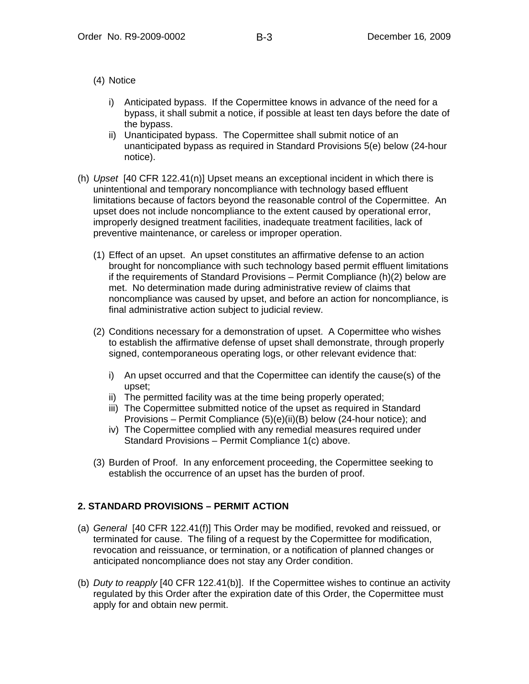- (4) Notice
	- i) Anticipated bypass. If the Copermittee knows in advance of the need for a bypass, it shall submit a notice, if possible at least ten days before the date of the bypass.
	- ii) Unanticipated bypass. The Copermittee shall submit notice of an unanticipated bypass as required in Standard Provisions 5(e) below (24-hour notice).
- (h) *Upset* [40 CFR 122.41(n)] Upset means an exceptional incident in which there is unintentional and temporary noncompliance with technology based effluent limitations because of factors beyond the reasonable control of the Copermittee. An upset does not include noncompliance to the extent caused by operational error, improperly designed treatment facilities, inadequate treatment facilities, lack of preventive maintenance, or careless or improper operation.
	- (1) Effect of an upset. An upset constitutes an affirmative defense to an action brought for noncompliance with such technology based permit effluent limitations if the requirements of Standard Provisions – Permit Compliance (h)(2) below are met. No determination made during administrative review of claims that noncompliance was caused by upset, and before an action for noncompliance, is final administrative action subject to judicial review.
	- (2) Conditions necessary for a demonstration of upset. A Copermittee who wishes to establish the affirmative defense of upset shall demonstrate, through properly signed, contemporaneous operating logs, or other relevant evidence that:
		- i) An upset occurred and that the Copermittee can identify the cause(s) of the upset;
		- ii) The permitted facility was at the time being properly operated;
		- iii) The Copermittee submitted notice of the upset as required in Standard Provisions – Permit Compliance (5)(e)(ii)(B) below (24-hour notice); and
		- iv) The Copermittee complied with any remedial measures required under Standard Provisions – Permit Compliance 1(c) above.
	- (3) Burden of Proof. In any enforcement proceeding, the Copermittee seeking to establish the occurrence of an upset has the burden of proof.

## **2. STANDARD PROVISIONS – PERMIT ACTION**

- (a) *General* [40 CFR 122.41(f)] This Order may be modified, revoked and reissued, or terminated for cause. The filing of a request by the Copermittee for modification, revocation and reissuance, or termination, or a notification of planned changes or anticipated noncompliance does not stay any Order condition.
- (b) *Duty to reapply* [40 CFR 122.41(b)]. If the Copermittee wishes to continue an activity regulated by this Order after the expiration date of this Order, the Copermittee must apply for and obtain new permit.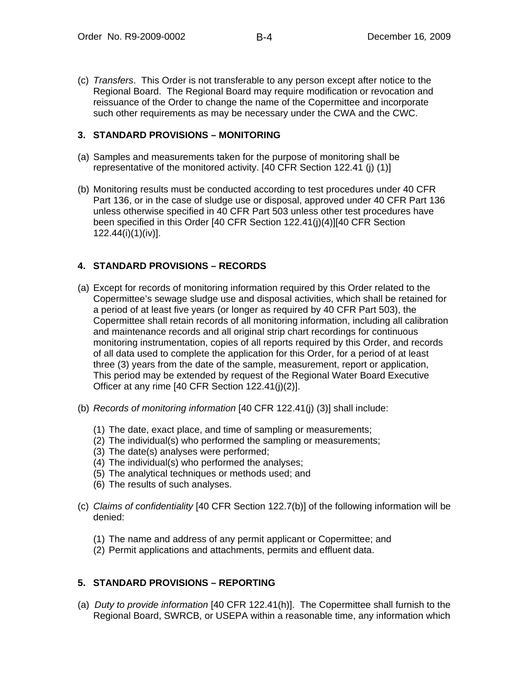(c) *Transfers*. This Order is not transferable to any person except after notice to the Regional Board. The Regional Board may require modification or revocation and reissuance of the Order to change the name of the Copermittee and incorporate such other requirements as may be necessary under the CWA and the CWC.

### **3. STANDARD PROVISIONS – MONITORING**

- (a) Samples and measurements taken for the purpose of monitoring shall be representative of the monitored activity. [40 CFR Section 122.41 (j) (1)]
- (b) Monitoring results must be conducted according to test procedures under 40 CFR Part 136, or in the case of sludge use or disposal, approved under 40 CFR Part 136 unless otherwise specified in 40 CFR Part 503 unless other test procedures have been specified in this Order [40 CFR Section 122.41(j)(4)][40 CFR Section 122.44(i)(1)(iv)].

## **4. STANDARD PROVISIONS – RECORDS**

- (a) Except for records of monitoring information required by this Order related to the Copermittee's sewage sludge use and disposal activities, which shall be retained for a period of at least five years (or longer as required by 40 CFR Part 503), the Copermittee shall retain records of all monitoring information, including all calibration and maintenance records and all original strip chart recordings for continuous monitoring instrumentation, copies of all reports required by this Order, and records of all data used to complete the application for this Order, for a period of at least three (3) years from the date of the sample, measurement, report or application, This period may be extended by request of the Regional Water Board Executive Officer at any rime [40 CFR Section 122.41(j)(2)].
- (b) *Records of monitoring information* [40 CFR 122.41(j) (3)] shall include:
	- (1) The date, exact place, and time of sampling or measurements;
	- (2) The individual(s) who performed the sampling or measurements;
	- (3) The date(s) analyses were performed;
	- (4) The individual(s) who performed the analyses;
	- (5) The analytical techniques or methods used; and
	- (6) The results of such analyses.
- (c) *Claims of confidentiality* [40 CFR Section 122.7(b)] of the following information will be denied:
	- (1) The name and address of any permit applicant or Copermittee; and
	- (2) Permit applications and attachments, permits and effluent data.

## **5. STANDARD PROVISIONS – REPORTING**

(a) *Duty to provide information* [40 CFR 122.41(h)]. The Copermittee shall furnish to the Regional Board, SWRCB, or USEPA within a reasonable time, any information which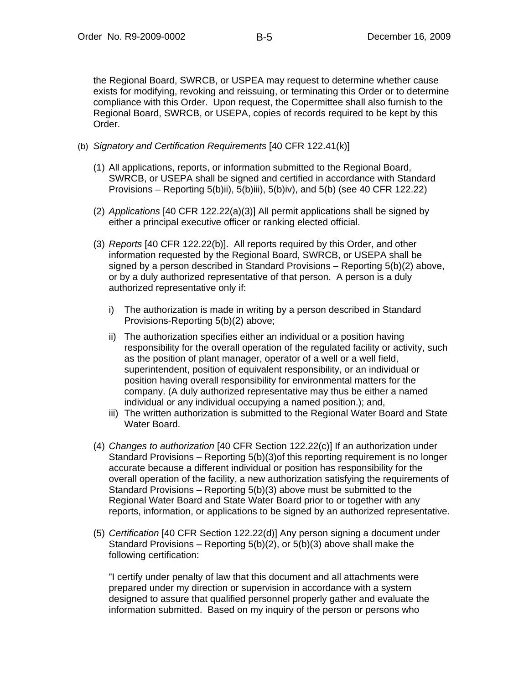the Regional Board, SWRCB, or USPEA may request to determine whether cause exists for modifying, revoking and reissuing, or terminating this Order or to determine compliance with this Order. Upon request, the Copermittee shall also furnish to the Regional Board, SWRCB, or USEPA, copies of records required to be kept by this Order.

- (b) *Signatory and Certification Requirements* [40 CFR 122.41(k)]
	- (1) All applications, reports, or information submitted to the Regional Board, SWRCB, or USEPA shall be signed and certified in accordance with Standard Provisions – Reporting 5(b)ii), 5(b)iii), 5(b)iv), and 5(b) (see 40 CFR 122.22)
	- (2) *Applications* [40 CFR 122.22(a)(3)] All permit applications shall be signed by either a principal executive officer or ranking elected official.
	- (3) *Reports* [40 CFR 122.22(b)]. All reports required by this Order, and other information requested by the Regional Board, SWRCB, or USEPA shall be signed by a person described in Standard Provisions – Reporting 5(b)(2) above, or by a duly authorized representative of that person. A person is a duly authorized representative only if:
		- i) The authorization is made in writing by a person described in Standard Provisions-Reporting 5(b)(2) above;
		- ii) The authorization specifies either an individual or a position having responsibility for the overall operation of the regulated facility or activity, such as the position of plant manager, operator of a well or a well field, superintendent, position of equivalent responsibility, or an individual or position having overall responsibility for environmental matters for the company. (A duly authorized representative may thus be either a named individual or any individual occupying a named position.); and,
		- iii) The written authorization is submitted to the Regional Water Board and State Water Board.
	- (4) *Changes to authorization* [40 CFR Section 122.22(c)] If an authorization under Standard Provisions – Reporting 5(b)(3)of this reporting requirement is no longer accurate because a different individual or position has responsibility for the overall operation of the facility, a new authorization satisfying the requirements of Standard Provisions – Reporting 5(b)(3) above must be submitted to the Regional Water Board and State Water Board prior to or together with any reports, information, or applications to be signed by an authorized representative.
	- (5) *Certification* [40 CFR Section 122.22(d)] Any person signing a document under Standard Provisions – Reporting 5(b)(2), or 5(b)(3) above shall make the following certification:

"I certify under penalty of law that this document and all attachments were prepared under my direction or supervision in accordance with a system designed to assure that qualified personnel properly gather and evaluate the information submitted. Based on my inquiry of the person or persons who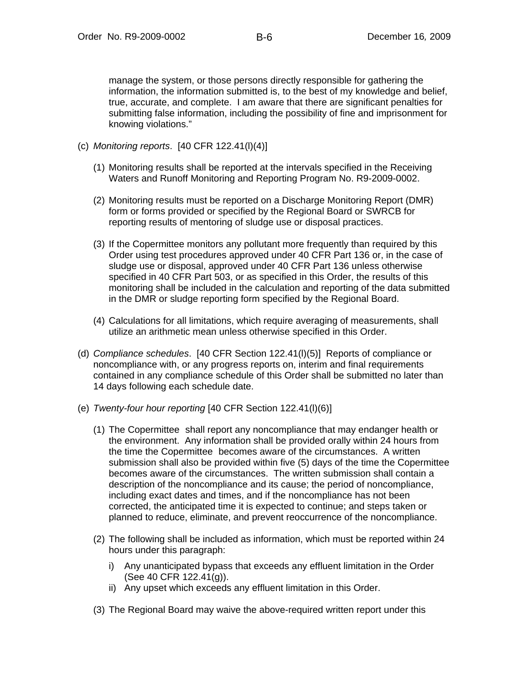manage the system, or those persons directly responsible for gathering the information, the information submitted is, to the best of my knowledge and belief, true, accurate, and complete. I am aware that there are significant penalties for submitting false information, including the possibility of fine and imprisonment for knowing violations."

- (c) *Monitoring reports*. [40 CFR 122.41(l)(4)]
	- (1) Monitoring results shall be reported at the intervals specified in the Receiving Waters and Runoff Monitoring and Reporting Program No. R9-2009-0002.
	- (2) Monitoring results must be reported on a Discharge Monitoring Report (DMR) form or forms provided or specified by the Regional Board or SWRCB for reporting results of mentoring of sludge use or disposal practices.
	- (3) If the Copermittee monitors any pollutant more frequently than required by this Order using test procedures approved under 40 CFR Part 136 or, in the case of sludge use or disposal, approved under 40 CFR Part 136 unless otherwise specified in 40 CFR Part 503, or as specified in this Order, the results of this monitoring shall be included in the calculation and reporting of the data submitted in the DMR or sludge reporting form specified by the Regional Board.
	- (4) Calculations for all limitations, which require averaging of measurements, shall utilize an arithmetic mean unless otherwise specified in this Order.
- (d) *Compliance schedules*. [40 CFR Section 122.41(l)(5)] Reports of compliance or noncompliance with, or any progress reports on, interim and final requirements contained in any compliance schedule of this Order shall be submitted no later than 14 days following each schedule date.
- (e) *Twenty-four hour reporting* [40 CFR Section 122.41(l)(6)]
	- (1) The Copermittee shall report any noncompliance that may endanger health or the environment. Any information shall be provided orally within 24 hours from the time the Copermittee becomes aware of the circumstances. A written submission shall also be provided within five (5) days of the time the Copermittee becomes aware of the circumstances. The written submission shall contain a description of the noncompliance and its cause; the period of noncompliance, including exact dates and times, and if the noncompliance has not been corrected, the anticipated time it is expected to continue; and steps taken or planned to reduce, eliminate, and prevent reoccurrence of the noncompliance.
	- (2) The following shall be included as information, which must be reported within 24 hours under this paragraph:
		- i) Any unanticipated bypass that exceeds any effluent limitation in the Order (See 40 CFR 122.41(g)).
		- ii) Any upset which exceeds any effluent limitation in this Order.
	- (3) The Regional Board may waive the above-required written report under this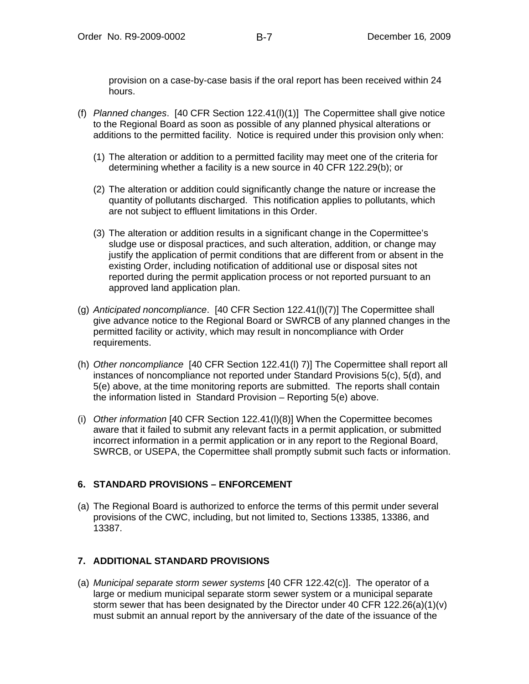provision on a case-by-case basis if the oral report has been received within 24 hours.

- (f) *Planned changes*. [40 CFR Section 122.41(l)(1)] The Copermittee shall give notice to the Regional Board as soon as possible of any planned physical alterations or additions to the permitted facility. Notice is required under this provision only when:
	- (1) The alteration or addition to a permitted facility may meet one of the criteria for determining whether a facility is a new source in 40 CFR 122.29(b); or
	- (2) The alteration or addition could significantly change the nature or increase the quantity of pollutants discharged. This notification applies to pollutants, which are not subject to effluent limitations in this Order.
	- (3) The alteration or addition results in a significant change in the Copermittee's sludge use or disposal practices, and such alteration, addition, or change may justify the application of permit conditions that are different from or absent in the existing Order, including notification of additional use or disposal sites not reported during the permit application process or not reported pursuant to an approved land application plan.
- (g) *Anticipated noncompliance*. [40 CFR Section 122.41(l)(7)] The Copermittee shall give advance notice to the Regional Board or SWRCB of any planned changes in the permitted facility or activity, which may result in noncompliance with Order requirements.
- (h) *Other noncompliance* [40 CFR Section 122.41(l) 7)] The Copermittee shall report all instances of noncompliance not reported under Standard Provisions 5(c), 5(d), and 5(e) above, at the time monitoring reports are submitted. The reports shall contain the information listed in Standard Provision – Reporting 5(e) above.
- (i) *Other information* [40 CFR Section 122.41(l)(8)] When the Copermittee becomes aware that it failed to submit any relevant facts in a permit application, or submitted incorrect information in a permit application or in any report to the Regional Board, SWRCB, or USEPA, the Copermittee shall promptly submit such facts or information.

# **6. STANDARD PROVISIONS – ENFORCEMENT**

(a) The Regional Board is authorized to enforce the terms of this permit under several provisions of the CWC, including, but not limited to, Sections 13385, 13386, and 13387.

# **7. ADDITIONAL STANDARD PROVISIONS**

(a) *Municipal separate storm sewer systems* [40 CFR 122.42(c)]. The operator of a large or medium municipal separate storm sewer system or a municipal separate storm sewer that has been designated by the Director under 40 CFR 122.26(a)(1)(v) must submit an annual report by the anniversary of the date of the issuance of the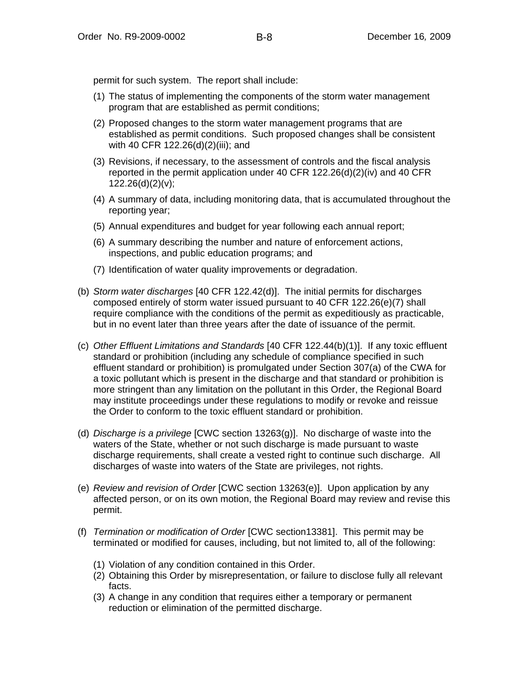permit for such system. The report shall include:

- (1) The status of implementing the components of the storm water management program that are established as permit conditions;
- (2) Proposed changes to the storm water management programs that are established as permit conditions. Such proposed changes shall be consistent with 40 CFR 122.26(d)(2)(iii); and
- (3) Revisions, if necessary, to the assessment of controls and the fiscal analysis reported in the permit application under 40 CFR 122.26(d)(2)(iv) and 40 CFR  $122.26(d)(2)(v)$ ;
- (4) A summary of data, including monitoring data, that is accumulated throughout the reporting year;
- (5) Annual expenditures and budget for year following each annual report;
- (6) A summary describing the number and nature of enforcement actions, inspections, and public education programs; and
- (7) Identification of water quality improvements or degradation.
- (b) *Storm water discharges* [40 CFR 122.42(d)]. The initial permits for discharges composed entirely of storm water issued pursuant to 40 CFR 122.26(e)(7) shall require compliance with the conditions of the permit as expeditiously as practicable, but in no event later than three years after the date of issuance of the permit.
- (c) *Other Effluent Limitations and Standards* [40 CFR 122.44(b)(1)]. If any toxic effluent standard or prohibition (including any schedule of compliance specified in such effluent standard or prohibition) is promulgated under Section 307(a) of the CWA for a toxic pollutant which is present in the discharge and that standard or prohibition is more stringent than any limitation on the pollutant in this Order, the Regional Board may institute proceedings under these regulations to modify or revoke and reissue the Order to conform to the toxic effluent standard or prohibition.
- (d) *Discharge is a privilege* [CWC section 13263(g)]. No discharge of waste into the waters of the State, whether or not such discharge is made pursuant to waste discharge requirements, shall create a vested right to continue such discharge. All discharges of waste into waters of the State are privileges, not rights.
- (e) *Review and revision of Order* [CWC section 13263(e)]. Upon application by any affected person, or on its own motion, the Regional Board may review and revise this permit.
- (f) *Termination or modification of Order* [CWC section13381]. This permit may be terminated or modified for causes, including, but not limited to, all of the following:
	- (1) Violation of any condition contained in this Order.
	- (2) Obtaining this Order by misrepresentation, or failure to disclose fully all relevant facts.
	- (3) A change in any condition that requires either a temporary or permanent reduction or elimination of the permitted discharge.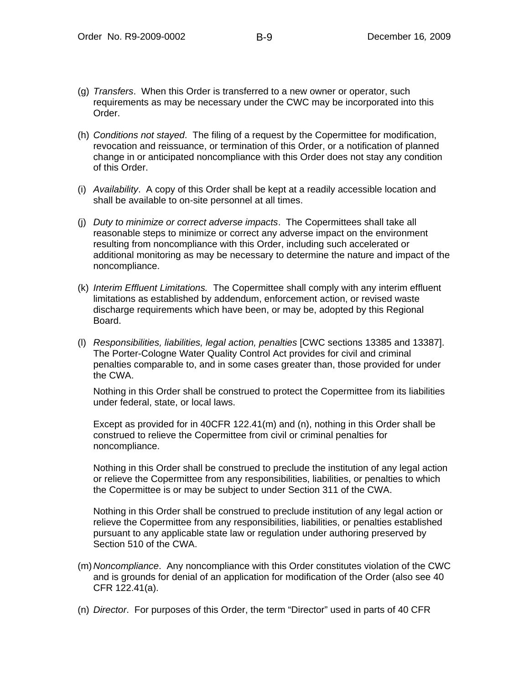- (g) *Transfers*. When this Order is transferred to a new owner or operator, such requirements as may be necessary under the CWC may be incorporated into this Order.
- (h) *Conditions not stayed*. The filing of a request by the Copermittee for modification, revocation and reissuance, or termination of this Order, or a notification of planned change in or anticipated noncompliance with this Order does not stay any condition of this Order.
- (i) *Availability*. A copy of this Order shall be kept at a readily accessible location and shall be available to on-site personnel at all times.
- (j) *Duty to minimize or correct adverse impacts*. The Copermittees shall take all reasonable steps to minimize or correct any adverse impact on the environment resulting from noncompliance with this Order, including such accelerated or additional monitoring as may be necessary to determine the nature and impact of the noncompliance.
- (k) *Interim Effluent Limitations.* The Copermittee shall comply with any interim effluent limitations as established by addendum, enforcement action, or revised waste discharge requirements which have been, or may be, adopted by this Regional Board.
- (l) *Responsibilities, liabilities, legal action, penalties* [CWC sections 13385 and 13387]. The Porter-Cologne Water Quality Control Act provides for civil and criminal penalties comparable to, and in some cases greater than, those provided for under the CWA.

Nothing in this Order shall be construed to protect the Copermittee from its liabilities under federal, state, or local laws.

Except as provided for in 40CFR 122.41(m) and (n), nothing in this Order shall be construed to relieve the Copermittee from civil or criminal penalties for noncompliance.

Nothing in this Order shall be construed to preclude the institution of any legal action or relieve the Copermittee from any responsibilities, liabilities, or penalties to which the Copermittee is or may be subject to under Section 311 of the CWA.

Nothing in this Order shall be construed to preclude institution of any legal action or relieve the Copermittee from any responsibilities, liabilities, or penalties established pursuant to any applicable state law or regulation under authoring preserved by Section 510 of the CWA.

- (m) *Noncompliance*. Any noncompliance with this Order constitutes violation of the CWC and is grounds for denial of an application for modification of the Order (also see 40 CFR 122.41(a).
- (n) *Director*. For purposes of this Order, the term "Director" used in parts of 40 CFR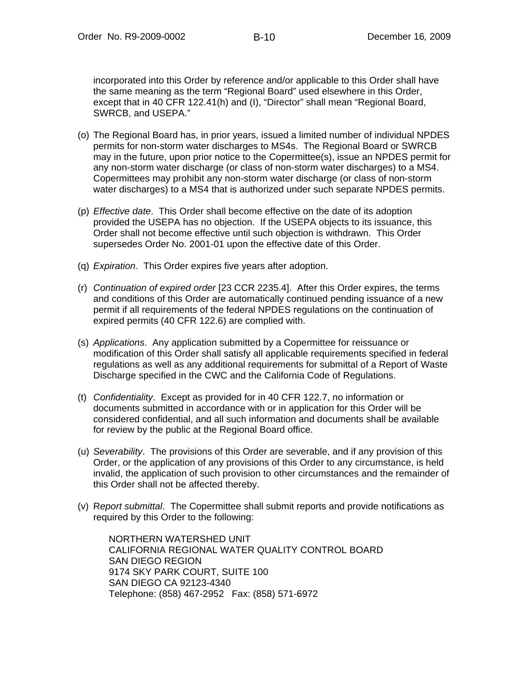incorporated into this Order by reference and/or applicable to this Order shall have the same meaning as the term "Regional Board" used elsewhere in this Order, except that in 40 CFR 122.41(h) and (I), "Director" shall mean "Regional Board, SWRCB, and USEPA."

- (o) The Regional Board has, in prior years, issued a limited number of individual NPDES permits for non-storm water discharges to MS4s. The Regional Board or SWRCB may in the future, upon prior notice to the Copermittee(s), issue an NPDES permit for any non-storm water discharge (or class of non-storm water discharges) to a MS4. Copermittees may prohibit any non-storm water discharge (or class of non-storm water discharges) to a MS4 that is authorized under such separate NPDES permits.
- (p) *Effective date*. This Order shall become effective on the date of its adoption provided the USEPA has no objection. If the USEPA objects to its issuance, this Order shall not become effective until such objection is withdrawn. This Order supersedes Order No. 2001-01 upon the effective date of this Order.
- (q) *Expiration*. This Order expires five years after adoption.
- (r) *Continuation of expired order* [23 CCR 2235.4]. After this Order expires, the terms and conditions of this Order are automatically continued pending issuance of a new permit if all requirements of the federal NPDES regulations on the continuation of expired permits (40 CFR 122.6) are complied with.
- (s) *Applications*. Any application submitted by a Copermittee for reissuance or modification of this Order shall satisfy all applicable requirements specified in federal regulations as well as any additional requirements for submittal of a Report of Waste Discharge specified in the CWC and the California Code of Regulations.
- (t) *Confidentiality*. Except as provided for in 40 CFR 122.7, no information or documents submitted in accordance with or in application for this Order will be considered confidential, and all such information and documents shall be available for review by the public at the Regional Board office.
- (u) *Severability*. The provisions of this Order are severable, and if any provision of this Order, or the application of any provisions of this Order to any circumstance, is held invalid, the application of such provision to other circumstances and the remainder of this Order shall not be affected thereby.
- (v) R*eport submittal*. The Copermittee shall submit reports and provide notifications as required by this Order to the following:

NORTHERN WATERSHED UNIT CALIFORNIA REGIONAL WATER QUALITY CONTROL BOARD SAN DIEGO REGION 9174 SKY PARK COURT, SUITE 100 SAN DIEGO CA 92123-4340 Telephone: (858) 467-2952 Fax: (858) 571-6972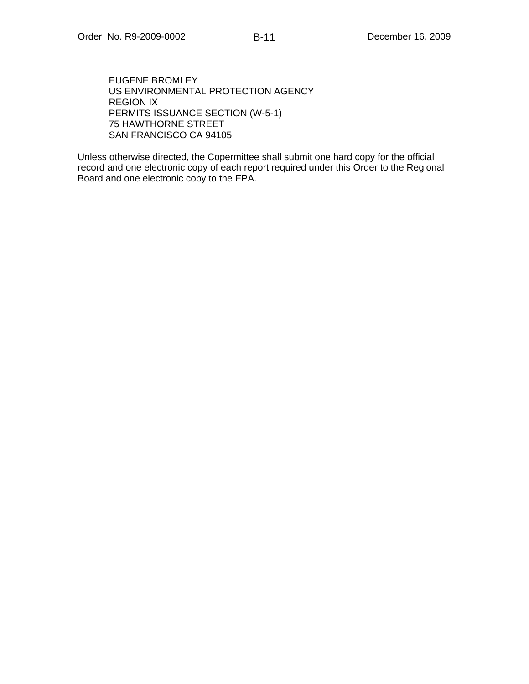EUGENE BROMLEY US ENVIRONMENTAL PROTECTION AGENCY REGION IX PERMITS ISSUANCE SECTION (W-5-1) 75 HAWTHORNE STREET SAN FRANCISCO CA 94105

Unless otherwise directed, the Copermittee shall submit one hard copy for the official record and one electronic copy of each report required under this Order to the Regional Board and one electronic copy to the EPA.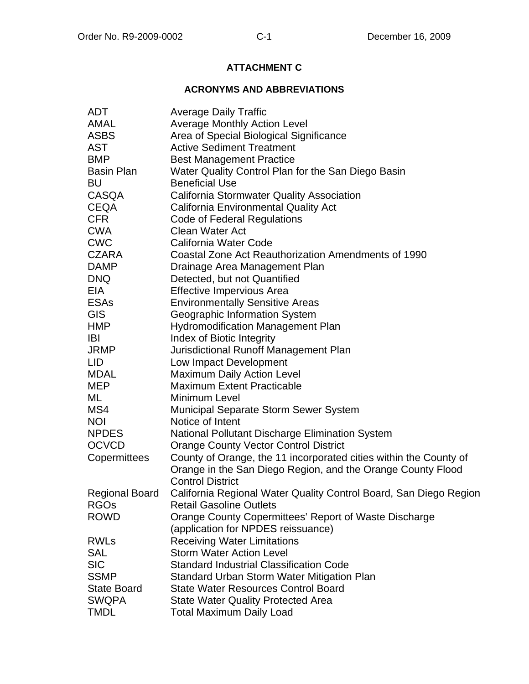# **ATTACHMENT C**

## **ACRONYMS AND ABBREVIATIONS**

| <b>ADT</b>         | <b>Average Daily Traffic</b>                                      |
|--------------------|-------------------------------------------------------------------|
| <b>AMAL</b>        | <b>Average Monthly Action Level</b>                               |
| <b>ASBS</b>        | Area of Special Biological Significance                           |
| <b>AST</b>         | <b>Active Sediment Treatment</b>                                  |
| <b>BMP</b>         | <b>Best Management Practice</b>                                   |
| <b>Basin Plan</b>  | Water Quality Control Plan for the San Diego Basin                |
| <b>BU</b>          | <b>Beneficial Use</b>                                             |
| <b>CASQA</b>       | <b>California Stormwater Quality Association</b>                  |
| <b>CEQA</b>        | <b>California Environmental Quality Act</b>                       |
| <b>CFR</b>         | <b>Code of Federal Regulations</b>                                |
| <b>CWA</b>         | <b>Clean Water Act</b>                                            |
| <b>CWC</b>         | California Water Code                                             |
| <b>CZARA</b>       | Coastal Zone Act Reauthorization Amendments of 1990               |
| <b>DAMP</b>        | Drainage Area Management Plan                                     |
| <b>DNQ</b>         | Detected, but not Quantified                                      |
| EIA                | <b>Effective Impervious Area</b>                                  |
| <b>ESAs</b>        | <b>Environmentally Sensitive Areas</b>                            |
| <b>GIS</b>         | Geographic Information System                                     |
| <b>HMP</b>         | <b>Hydromodification Management Plan</b>                          |
| <b>IBI</b>         | Index of Biotic Integrity                                         |
| <b>JRMP</b>        | Jurisdictional Runoff Management Plan                             |
| LID                | Low Impact Development                                            |
| <b>MDAL</b>        | <b>Maximum Daily Action Level</b>                                 |
| <b>MEP</b>         | <b>Maximum Extent Practicable</b>                                 |
| ML                 | Minimum Level                                                     |
| MS4                | Municipal Separate Storm Sewer System                             |
| <b>NOI</b>         | Notice of Intent                                                  |
| <b>NPDES</b>       | National Pollutant Discharge Elimination System                   |
| <b>OCVCD</b>       | <b>Orange County Vector Control District</b>                      |
| Copermittees       | County of Orange, the 11 incorporated cities within the County of |
|                    | Orange in the San Diego Region, and the Orange County Flood       |
|                    | <b>Control District</b>                                           |
| Regional Board     | California Regional Water Quality Control Board, San Diego Region |
| <b>RGOs</b>        | <b>Retail Gasoline Outlets</b>                                    |
| <b>ROWD</b>        | Orange County Copermittees' Report of Waste Discharge             |
|                    | (application for NPDES reissuance)                                |
| <b>RWLs</b>        | <b>Receiving Water Limitations</b>                                |
| <b>SAL</b>         | <b>Storm Water Action Level</b>                                   |
| <b>SIC</b>         | <b>Standard Industrial Classification Code</b>                    |
| <b>SSMP</b>        | Standard Urban Storm Water Mitigation Plan                        |
| <b>State Board</b> | <b>State Water Resources Control Board</b>                        |
| <b>SWQPA</b>       | <b>State Water Quality Protected Area</b>                         |
| <b>TMDL</b>        | <b>Total Maximum Daily Load</b>                                   |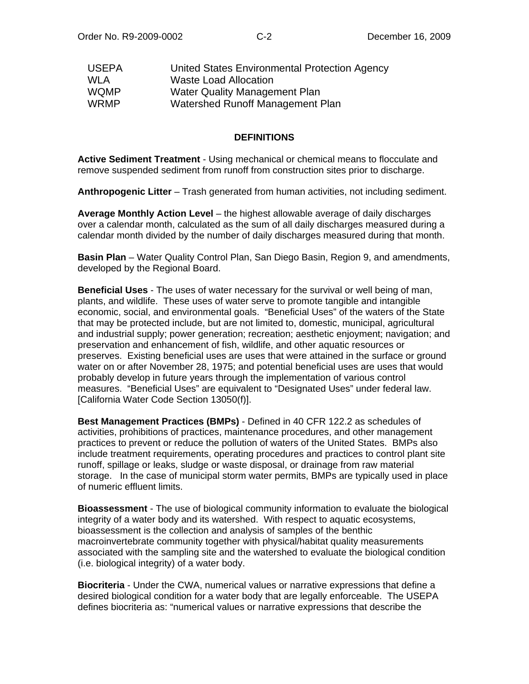| <b>USEPA</b> | United States Environmental Protection Agency |
|--------------|-----------------------------------------------|
| <b>WLA</b>   | <b>Waste Load Allocation</b>                  |
| <b>WQMP</b>  | Water Quality Management Plan                 |
| <b>WRMP</b>  | Watershed Runoff Management Plan              |

#### **DEFINITIONS**

**Active Sediment Treatment** - Using mechanical or chemical means to flocculate and remove suspended sediment from runoff from construction sites prior to discharge.

**Anthropogenic Litter** – Trash generated from human activities, not including sediment.

**Average Monthly Action Level** – the highest allowable average of daily discharges over a calendar month, calculated as the sum of all daily discharges measured during a calendar month divided by the number of daily discharges measured during that month.

**Basin Plan** – Water Quality Control Plan, San Diego Basin, Region 9, and amendments, developed by the Regional Board.

**Beneficial Uses** - The uses of water necessary for the survival or well being of man, plants, and wildlife. These uses of water serve to promote tangible and intangible economic, social, and environmental goals. "Beneficial Uses" of the waters of the State that may be protected include, but are not limited to, domestic, municipal, agricultural and industrial supply; power generation; recreation; aesthetic enjoyment; navigation; and preservation and enhancement of fish, wildlife, and other aquatic resources or preserves. Existing beneficial uses are uses that were attained in the surface or ground water on or after November 28, 1975; and potential beneficial uses are uses that would probably develop in future years through the implementation of various control measures. "Beneficial Uses" are equivalent to "Designated Uses" under federal law. [California Water Code Section 13050(f)].

**Best Management Practices (BMPs)** - Defined in 40 CFR 122.2 as schedules of activities, prohibitions of practices, maintenance procedures, and other management practices to prevent or reduce the pollution of waters of the United States. BMPs also include treatment requirements, operating procedures and practices to control plant site runoff, spillage or leaks, sludge or waste disposal, or drainage from raw material storage. In the case of municipal storm water permits, BMPs are typically used in place of numeric effluent limits.

**Bioassessment** - The use of biological community information to evaluate the biological integrity of a water body and its watershed. With respect to aquatic ecosystems, bioassessment is the collection and analysis of samples of the benthic macroinvertebrate community together with physical/habitat quality measurements associated with the sampling site and the watershed to evaluate the biological condition (i.e. biological integrity) of a water body.

**Biocriteria** - Under the CWA, numerical values or narrative expressions that define a desired biological condition for a water body that are legally enforceable. The USEPA defines biocriteria as: "numerical values or narrative expressions that describe the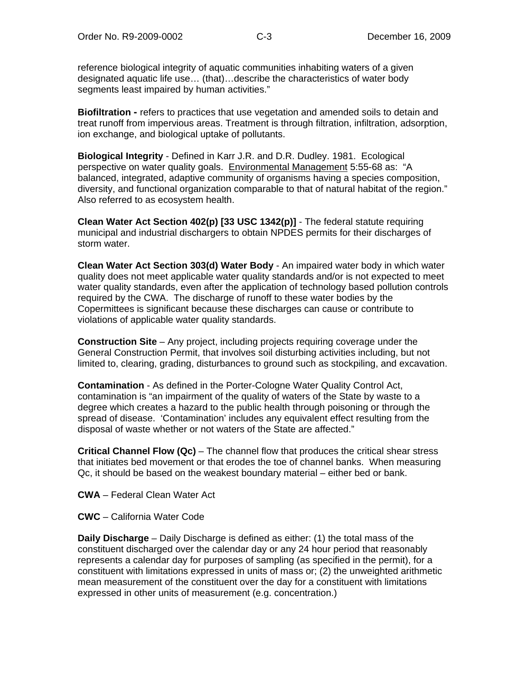reference biological integrity of aquatic communities inhabiting waters of a given designated aquatic life use… (that)…describe the characteristics of water body segments least impaired by human activities."

**Biofiltration -** refers to practices that use vegetation and amended soils to detain and treat runoff from impervious areas. Treatment is through filtration, infiltration, adsorption, ion exchange, and biological uptake of pollutants.

**Biological Integrity** - Defined in Karr J.R. and D.R. Dudley. 1981. Ecological perspective on water quality goals. Environmental Management 5:55-68 as: "A balanced, integrated, adaptive community of organisms having a species composition, diversity, and functional organization comparable to that of natural habitat of the region." Also referred to as ecosystem health.

**Clean Water Act Section 402(p) [33 USC 1342(p)]** - The federal statute requiring municipal and industrial dischargers to obtain NPDES permits for their discharges of storm water.

**Clean Water Act Section 303(d) Water Body** - An impaired water body in which water quality does not meet applicable water quality standards and/or is not expected to meet water quality standards, even after the application of technology based pollution controls required by the CWA. The discharge of runoff to these water bodies by the Copermittees is significant because these discharges can cause or contribute to violations of applicable water quality standards.

**Construction Site** – Any project, including projects requiring coverage under the General Construction Permit, that involves soil disturbing activities including, but not limited to, clearing, grading, disturbances to ground such as stockpiling, and excavation.

**Contamination** - As defined in the Porter-Cologne Water Quality Control Act, contamination is "an impairment of the quality of waters of the State by waste to a degree which creates a hazard to the public health through poisoning or through the spread of disease. 'Contamination' includes any equivalent effect resulting from the disposal of waste whether or not waters of the State are affected."

**Critical Channel Flow (Qc)** – The channel flow that produces the critical shear stress that initiates bed movement or that erodes the toe of channel banks. When measuring Qc, it should be based on the weakest boundary material – either bed or bank.

**CWA** – Federal Clean Water Act

**CWC** – California Water Code

**Daily Discharge** – Daily Discharge is defined as either: (1) the total mass of the constituent discharged over the calendar day or any 24 hour period that reasonably represents a calendar day for purposes of sampling (as specified in the permit), for a constituent with limitations expressed in units of mass or; (2) the unweighted arithmetic mean measurement of the constituent over the day for a constituent with limitations expressed in other units of measurement (e.g. concentration.)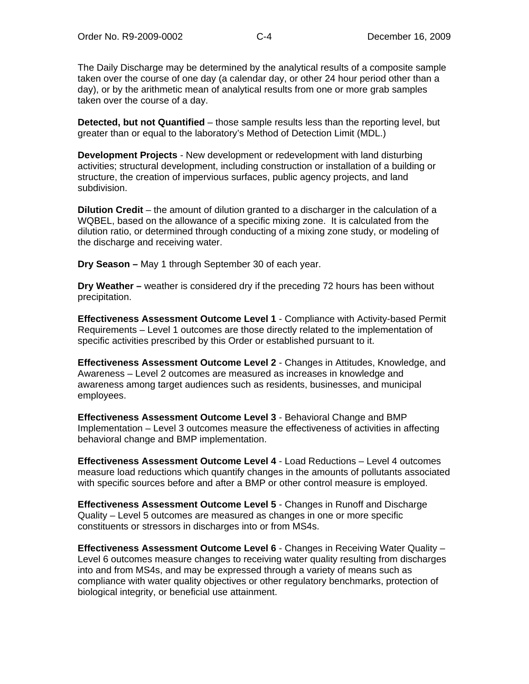The Daily Discharge may be determined by the analytical results of a composite sample taken over the course of one day (a calendar day, or other 24 hour period other than a day), or by the arithmetic mean of analytical results from one or more grab samples taken over the course of a day.

**Detected, but not Quantified** – those sample results less than the reporting level, but greater than or equal to the laboratory's Method of Detection Limit (MDL.)

**Development Projects** - New development or redevelopment with land disturbing activities; structural development, including construction or installation of a building or structure, the creation of impervious surfaces, public agency projects, and land subdivision.

**Dilution Credit** – the amount of dilution granted to a discharger in the calculation of a WQBEL, based on the allowance of a specific mixing zone. It is calculated from the dilution ratio, or determined through conducting of a mixing zone study, or modeling of the discharge and receiving water.

**Dry Season –** May 1 through September 30 of each year.

**Dry Weather –** weather is considered dry if the preceding 72 hours has been without precipitation.

**Effectiveness Assessment Outcome Level 1** - Compliance with Activity-based Permit Requirements – Level 1 outcomes are those directly related to the implementation of specific activities prescribed by this Order or established pursuant to it.

**Effectiveness Assessment Outcome Level 2** - Changes in Attitudes, Knowledge, and Awareness – Level 2 outcomes are measured as increases in knowledge and awareness among target audiences such as residents, businesses, and municipal employees.

**Effectiveness Assessment Outcome Level 3** - Behavioral Change and BMP Implementation – Level 3 outcomes measure the effectiveness of activities in affecting behavioral change and BMP implementation.

**Effectiveness Assessment Outcome Level 4** - Load Reductions – Level 4 outcomes measure load reductions which quantify changes in the amounts of pollutants associated with specific sources before and after a BMP or other control measure is employed.

**Effectiveness Assessment Outcome Level 5** - Changes in Runoff and Discharge Quality – Level 5 outcomes are measured as changes in one or more specific constituents or stressors in discharges into or from MS4s.

**Effectiveness Assessment Outcome Level 6** - Changes in Receiving Water Quality – Level 6 outcomes measure changes to receiving water quality resulting from discharges into and from MS4s, and may be expressed through a variety of means such as compliance with water quality objectives or other regulatory benchmarks, protection of biological integrity, or beneficial use attainment.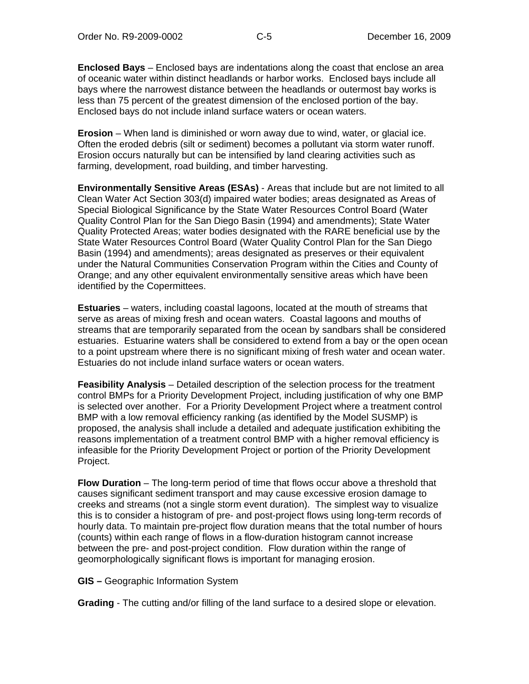**Enclosed Bays** – Enclosed bays are indentations along the coast that enclose an area of oceanic water within distinct headlands or harbor works. Enclosed bays include all bays where the narrowest distance between the headlands or outermost bay works is less than 75 percent of the greatest dimension of the enclosed portion of the bay. Enclosed bays do not include inland surface waters or ocean waters.

**Erosion** – When land is diminished or worn away due to wind, water, or glacial ice. Often the eroded debris (silt or sediment) becomes a pollutant via storm water runoff. Erosion occurs naturally but can be intensified by land clearing activities such as farming, development, road building, and timber harvesting.

**Environmentally Sensitive Areas (ESAs)** - Areas that include but are not limited to all Clean Water Act Section 303(d) impaired water bodies; areas designated as Areas of Special Biological Significance by the State Water Resources Control Board (Water Quality Control Plan for the San Diego Basin (1994) and amendments); State Water Quality Protected Areas; water bodies designated with the RARE beneficial use by the State Water Resources Control Board (Water Quality Control Plan for the San Diego Basin (1994) and amendments); areas designated as preserves or their equivalent under the Natural Communities Conservation Program within the Cities and County of Orange; and any other equivalent environmentally sensitive areas which have been identified by the Copermittees.

**Estuaries** – waters, including coastal lagoons, located at the mouth of streams that serve as areas of mixing fresh and ocean waters. Coastal lagoons and mouths of streams that are temporarily separated from the ocean by sandbars shall be considered estuaries. Estuarine waters shall be considered to extend from a bay or the open ocean to a point upstream where there is no significant mixing of fresh water and ocean water. Estuaries do not include inland surface waters or ocean waters.

**Feasibility Analysis** – Detailed description of the selection process for the treatment control BMPs for a Priority Development Project, including justification of why one BMP is selected over another. For a Priority Development Project where a treatment control BMP with a low removal efficiency ranking (as identified by the Model SUSMP) is proposed, the analysis shall include a detailed and adequate justification exhibiting the reasons implementation of a treatment control BMP with a higher removal efficiency is infeasible for the Priority Development Project or portion of the Priority Development Project.

**Flow Duration** – The long-term period of time that flows occur above a threshold that causes significant sediment transport and may cause excessive erosion damage to creeks and streams (not a single storm event duration). The simplest way to visualize this is to consider a histogram of pre- and post-project flows using long-term records of hourly data. To maintain pre-project flow duration means that the total number of hours (counts) within each range of flows in a flow-duration histogram cannot increase between the pre- and post-project condition. Flow duration within the range of geomorphologically significant flows is important for managing erosion.

**GIS –** Geographic Information System

**Grading** - The cutting and/or filling of the land surface to a desired slope or elevation.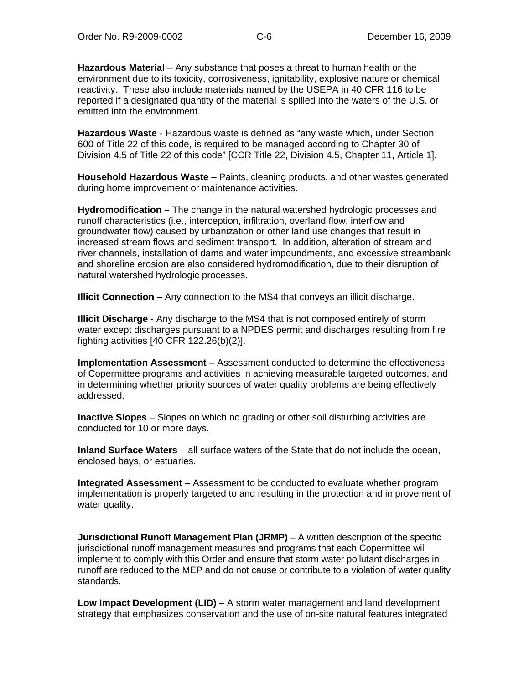**Hazardous Material** – Any substance that poses a threat to human health or the environment due to its toxicity, corrosiveness, ignitability, explosive nature or chemical reactivity. These also include materials named by the USEPA in 40 CFR 116 to be reported if a designated quantity of the material is spilled into the waters of the U.S. or emitted into the environment.

**Hazardous Waste** - Hazardous waste is defined as "any waste which, under Section 600 of Title 22 of this code, is required to be managed according to Chapter 30 of Division 4.5 of Title 22 of this code" [CCR Title 22, Division 4.5, Chapter 11, Article 1].

**Household Hazardous Waste** – Paints, cleaning products, and other wastes generated during home improvement or maintenance activities.

**Hydromodification –** The change in the natural watershed hydrologic processes and runoff characteristics (i.e., interception, infiltration, overland flow, interflow and groundwater flow) caused by urbanization or other land use changes that result in increased stream flows and sediment transport. In addition, alteration of stream and river channels, installation of dams and water impoundments, and excessive streambank and shoreline erosion are also considered hydromodification, due to their disruption of natural watershed hydrologic processes.

**Illicit Connection** – Any connection to the MS4 that conveys an illicit discharge.

**Illicit Discharge** - Any discharge to the MS4 that is not composed entirely of storm water except discharges pursuant to a NPDES permit and discharges resulting from fire fighting activities [40 CFR 122.26(b)(2)].

**Implementation Assessment** – Assessment conducted to determine the effectiveness of Copermittee programs and activities in achieving measurable targeted outcomes, and in determining whether priority sources of water quality problems are being effectively addressed.

**Inactive Slopes** – Slopes on which no grading or other soil disturbing activities are conducted for 10 or more days.

**Inland Surface Waters** – all surface waters of the State that do not include the ocean, enclosed bays, or estuaries.

**Integrated Assessment** – Assessment to be conducted to evaluate whether program implementation is properly targeted to and resulting in the protection and improvement of water quality.

**Jurisdictional Runoff Management Plan (JRMP)** – A written description of the specific jurisdictional runoff management measures and programs that each Copermittee will implement to comply with this Order and ensure that storm water pollutant discharges in runoff are reduced to the MEP and do not cause or contribute to a violation of water quality standards.

**Low Impact Development (LID)** – A storm water management and land development strategy that emphasizes conservation and the use of on-site natural features integrated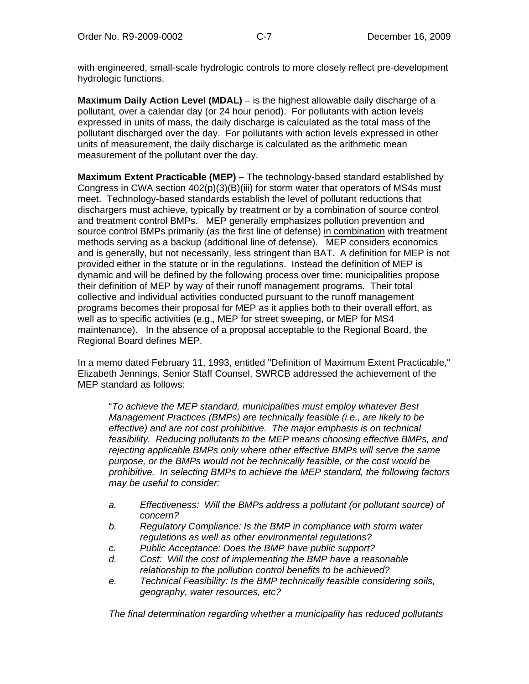with engineered, small-scale hydrologic controls to more closely reflect pre-development hydrologic functions.

**Maximum Daily Action Level (MDAL)** – is the highest allowable daily discharge of a pollutant, over a calendar day (or 24 hour period). For pollutants with action levels expressed in units of mass, the daily discharge is calculated as the total mass of the pollutant discharged over the day. For pollutants with action levels expressed in other units of measurement, the daily discharge is calculated as the arithmetic mean measurement of the pollutant over the day.

**Maximum Extent Practicable (MEP)** – The technology-based standard established by Congress in CWA section  $402(p)(3)(B)(iii)$  for storm water that operators of MS4s must meet. Technology-based standards establish the level of pollutant reductions that dischargers must achieve, typically by treatment or by a combination of source control and treatment control BMPs. MEP generally emphasizes pollution prevention and source control BMPs primarily (as the first line of defense) in combination with treatment methods serving as a backup (additional line of defense). MEP considers economics and is generally, but not necessarily, less stringent than BAT. A definition for MEP is not provided either in the statute or in the regulations. Instead the definition of MEP is dynamic and will be defined by the following process over time: municipalities propose their definition of MEP by way of their runoff management programs. Their total collective and individual activities conducted pursuant to the runoff management programs becomes their proposal for MEP as it applies both to their overall effort, as well as to specific activities (e.g., MEP for street sweeping, or MEP for MS4 maintenance). In the absence of a proposal acceptable to the Regional Board, the Regional Board defines MEP.

In a memo dated February 11, 1993, entitled "Definition of Maximum Extent Practicable," Elizabeth Jennings, Senior Staff Counsel, SWRCB addressed the achievement of the MEP standard as follows:

"*To achieve the MEP standard, municipalities must employ whatever Best Management Practices (BMPs) are technically feasible (i.e., are likely to be effective) and are not cost prohibitive. The major emphasis is on technical feasibility. Reducing pollutants to the MEP means choosing effective BMPs, and rejecting applicable BMPs only where other effective BMPs will serve the same purpose, or the BMPs would not be technically feasible, or the cost would be prohibitive. In selecting BMPs to achieve the MEP standard, the following factors may be useful to consider:* 

- *a. Effectiveness: Will the BMPs address a pollutant (or pollutant source) of concern?*
- *b. Regulatory Compliance: Is the BMP in compliance with storm water regulations as well as other environmental regulations?*
- *c. Public Acceptance: Does the BMP have public support?*
- *d. Cost: Will the cost of implementing the BMP have a reasonable relationship to the pollution control benefits to be achieved?*
- *e. Technical Feasibility: Is the BMP technically feasible considering soils, geography, water resources, etc?*

*The final determination regarding whether a municipality has reduced pollutants*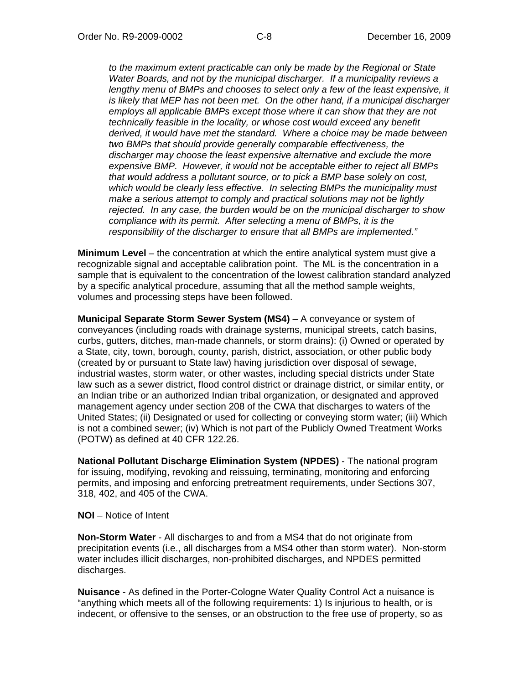*to the maximum extent practicable can only be made by the Regional or State Water Boards, and not by the municipal discharger. If a municipality reviews a*  lengthy menu of BMPs and chooses to select only a few of the least expensive, it *is likely that MEP has not been met. On the other hand, if a municipal discharger employs all applicable BMPs except those where it can show that they are not technically feasible in the locality, or whose cost would exceed any benefit derived, it would have met the standard. Where a choice may be made between two BMPs that should provide generally comparable effectiveness, the discharger may choose the least expensive alternative and exclude the more expensive BMP. However, it would not be acceptable either to reject all BMPs that would address a pollutant source, or to pick a BMP base solely on cost, which would be clearly less effective. In selecting BMPs the municipality must make a serious attempt to comply and practical solutions may not be lightly rejected. In any case, the burden would be on the municipal discharger to show compliance with its permit. After selecting a menu of BMPs, it is the responsibility of the discharger to ensure that all BMPs are implemented."* 

**Minimum Level** – the concentration at which the entire analytical system must give a recognizable signal and acceptable calibration point. The ML is the concentration in a sample that is equivalent to the concentration of the lowest calibration standard analyzed by a specific analytical procedure, assuming that all the method sample weights, volumes and processing steps have been followed.

**Municipal Separate Storm Sewer System (MS4)** – A conveyance or system of conveyances (including roads with drainage systems, municipal streets, catch basins, curbs, gutters, ditches, man-made channels, or storm drains): (i) Owned or operated by a State, city, town, borough, county, parish, district, association, or other public body (created by or pursuant to State law) having jurisdiction over disposal of sewage, industrial wastes, storm water, or other wastes, including special districts under State law such as a sewer district, flood control district or drainage district, or similar entity, or an Indian tribe or an authorized Indian tribal organization, or designated and approved management agency under section 208 of the CWA that discharges to waters of the United States; (ii) Designated or used for collecting or conveying storm water; (iii) Which is not a combined sewer; (iv) Which is not part of the Publicly Owned Treatment Works (POTW) as defined at 40 CFR 122.26.

**National Pollutant Discharge Elimination System (NPDES)** - The national program for issuing, modifying, revoking and reissuing, terminating, monitoring and enforcing permits, and imposing and enforcing pretreatment requirements, under Sections 307, 318, 402, and 405 of the CWA.

**NOI** – Notice of Intent

**Non-Storm Water** - All discharges to and from a MS4 that do not originate from precipitation events (i.e., all discharges from a MS4 other than storm water). Non-storm water includes illicit discharges, non-prohibited discharges, and NPDES permitted discharges.

**Nuisance** - As defined in the Porter-Cologne Water Quality Control Act a nuisance is "anything which meets all of the following requirements: 1) Is injurious to health, or is indecent, or offensive to the senses, or an obstruction to the free use of property, so as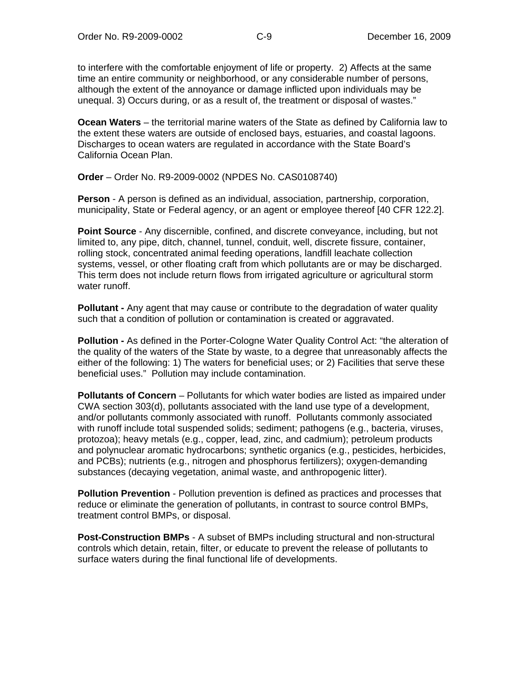to interfere with the comfortable enjoyment of life or property. 2) Affects at the same time an entire community or neighborhood, or any considerable number of persons, although the extent of the annoyance or damage inflicted upon individuals may be unequal. 3) Occurs during, or as a result of, the treatment or disposal of wastes."

**Ocean Waters** – the territorial marine waters of the State as defined by California law to the extent these waters are outside of enclosed bays, estuaries, and coastal lagoons. Discharges to ocean waters are regulated in accordance with the State Board's California Ocean Plan.

**Order** – Order No. R9-2009-0002 (NPDES No. CAS0108740)

**Person** - A person is defined as an individual, association, partnership, corporation, municipality, State or Federal agency, or an agent or employee thereof [40 CFR 122.2].

**Point Source** - Any discernible, confined, and discrete conveyance, including, but not limited to, any pipe, ditch, channel, tunnel, conduit, well, discrete fissure, container, rolling stock, concentrated animal feeding operations, landfill leachate collection systems, vessel, or other floating craft from which pollutants are or may be discharged. This term does not include return flows from irrigated agriculture or agricultural storm water runoff.

**Pollutant -** Any agent that may cause or contribute to the degradation of water quality such that a condition of pollution or contamination is created or aggravated.

**Pollution -** As defined in the Porter-Cologne Water Quality Control Act: "the alteration of the quality of the waters of the State by waste, to a degree that unreasonably affects the either of the following: 1) The waters for beneficial uses; or 2) Facilities that serve these beneficial uses." Pollution may include contamination.

**Pollutants of Concern** – Pollutants for which water bodies are listed as impaired under CWA section 303(d), pollutants associated with the land use type of a development, and/or pollutants commonly associated with runoff. Pollutants commonly associated with runoff include total suspended solids; sediment; pathogens (e.g., bacteria, viruses, protozoa); heavy metals (e.g., copper, lead, zinc, and cadmium); petroleum products and polynuclear aromatic hydrocarbons; synthetic organics (e.g., pesticides, herbicides, and PCBs); nutrients (e.g., nitrogen and phosphorus fertilizers); oxygen-demanding substances (decaying vegetation, animal waste, and anthropogenic litter).

**Pollution Prevention** - Pollution prevention is defined as practices and processes that reduce or eliminate the generation of pollutants, in contrast to source control BMPs, treatment control BMPs, or disposal.

**Post-Construction BMPs** - A subset of BMPs including structural and non-structural controls which detain, retain, filter, or educate to prevent the release of pollutants to surface waters during the final functional life of developments.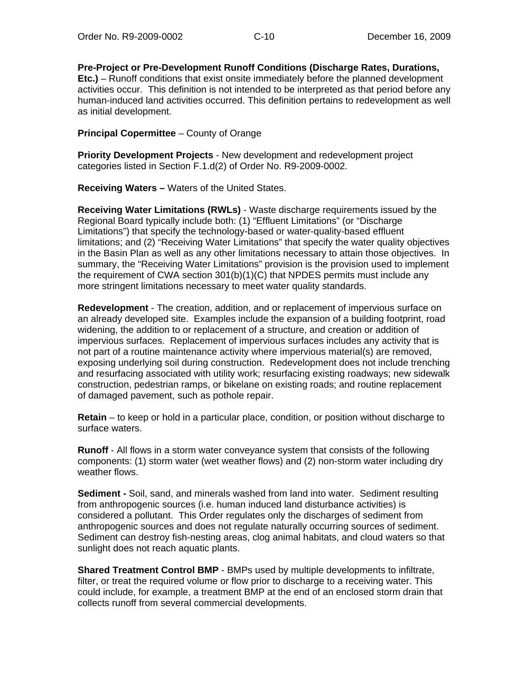**Pre-Project or Pre-Development Runoff Conditions (Discharge Rates, Durations, Etc.)** – Runoff conditions that exist onsite immediately before the planned development activities occur. This definition is not intended to be interpreted as that period before any human-induced land activities occurred. This definition pertains to redevelopment as well as initial development.

#### **Principal Copermittee** – County of Orange

**Priority Development Projects** - New development and redevelopment project categories listed in Section F.1.d(2) of Order No. R9-2009-0002.

**Receiving Waters –** Waters of the United States.

**Receiving Water Limitations (RWLs)** - Waste discharge requirements issued by the Regional Board typically include both: (1) "Effluent Limitations" (or "Discharge Limitations") that specify the technology-based or water-quality-based effluent limitations; and (2) "Receiving Water Limitations" that specify the water quality objectives in the Basin Plan as well as any other limitations necessary to attain those objectives. In summary, the "Receiving Water Limitations" provision is the provision used to implement the requirement of CWA section  $301(b)(1)(C)$  that NPDES permits must include any more stringent limitations necessary to meet water quality standards.

**Redevelopment** - The creation, addition, and or replacement of impervious surface on an already developed site. Examples include the expansion of a building footprint, road widening, the addition to or replacement of a structure, and creation or addition of impervious surfaces. Replacement of impervious surfaces includes any activity that is not part of a routine maintenance activity where impervious material(s) are removed, exposing underlying soil during construction. Redevelopment does not include trenching and resurfacing associated with utility work; resurfacing existing roadways; new sidewalk construction, pedestrian ramps, or bikelane on existing roads; and routine replacement of damaged pavement, such as pothole repair.

**Retain** – to keep or hold in a particular place, condition, or position without discharge to surface waters.

**Runoff** - All flows in a storm water conveyance system that consists of the following components: (1) storm water (wet weather flows) and (2) non-storm water including dry weather flows.

**Sediment -** Soil, sand, and minerals washed from land into water. Sediment resulting from anthropogenic sources (i.e. human induced land disturbance activities) is considered a pollutant. This Order regulates only the discharges of sediment from anthropogenic sources and does not regulate naturally occurring sources of sediment. Sediment can destroy fish-nesting areas, clog animal habitats, and cloud waters so that sunlight does not reach aquatic plants.

**Shared Treatment Control BMP** - BMPs used by multiple developments to infiltrate, filter, or treat the required volume or flow prior to discharge to a receiving water. This could include, for example, a treatment BMP at the end of an enclosed storm drain that collects runoff from several commercial developments.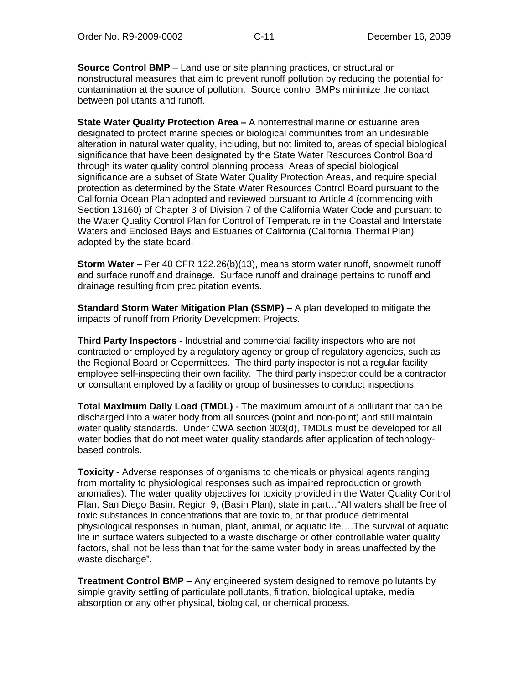**Source Control BMP** – Land use or site planning practices, or structural or nonstructural measures that aim to prevent runoff pollution by reducing the potential for contamination at the source of pollution. Source control BMPs minimize the contact between pollutants and runoff.

**State Water Quality Protection Area –** A nonterrestrial marine or estuarine area designated to protect marine species or biological communities from an undesirable alteration in natural water quality, including, but not limited to, areas of special biological significance that have been designated by the State Water Resources Control Board through its water quality control planning process. Areas of special biological significance are a subset of State Water Quality Protection Areas, and require special protection as determined by the State Water Resources Control Board pursuant to the California Ocean Plan adopted and reviewed pursuant to Article 4 (commencing with Section 13160) of Chapter 3 of Division 7 of the California Water Code and pursuant to the Water Quality Control Plan for Control of Temperature in the Coastal and Interstate Waters and Enclosed Bays and Estuaries of California (California Thermal Plan) adopted by the state board.

**Storm Water** – Per 40 CFR 122.26(b)(13), means storm water runoff, snowmelt runoff and surface runoff and drainage. Surface runoff and drainage pertains to runoff and drainage resulting from precipitation events.

**Standard Storm Water Mitigation Plan (SSMP)** – A plan developed to mitigate the impacts of runoff from Priority Development Projects.

**Third Party Inspectors -** Industrial and commercial facility inspectors who are not contracted or employed by a regulatory agency or group of regulatory agencies, such as the Regional Board or Copermittees. The third party inspector is not a regular facility employee self-inspecting their own facility. The third party inspector could be a contractor or consultant employed by a facility or group of businesses to conduct inspections.

**Total Maximum Daily Load (TMDL)** - The maximum amount of a pollutant that can be discharged into a water body from all sources (point and non-point) and still maintain water quality standards. Under CWA section 303(d), TMDLs must be developed for all water bodies that do not meet water quality standards after application of technologybased controls.

**Toxicity** - Adverse responses of organisms to chemicals or physical agents ranging from mortality to physiological responses such as impaired reproduction or growth anomalies). The water quality objectives for toxicity provided in the Water Quality Control Plan, San Diego Basin, Region 9, (Basin Plan), state in part…"All waters shall be free of toxic substances in concentrations that are toxic to, or that produce detrimental physiological responses in human, plant, animal, or aquatic life….The survival of aquatic life in surface waters subjected to a waste discharge or other controllable water quality factors, shall not be less than that for the same water body in areas unaffected by the waste discharge".

**Treatment Control BMP** – Any engineered system designed to remove pollutants by simple gravity settling of particulate pollutants, filtration, biological uptake, media absorption or any other physical, biological, or chemical process.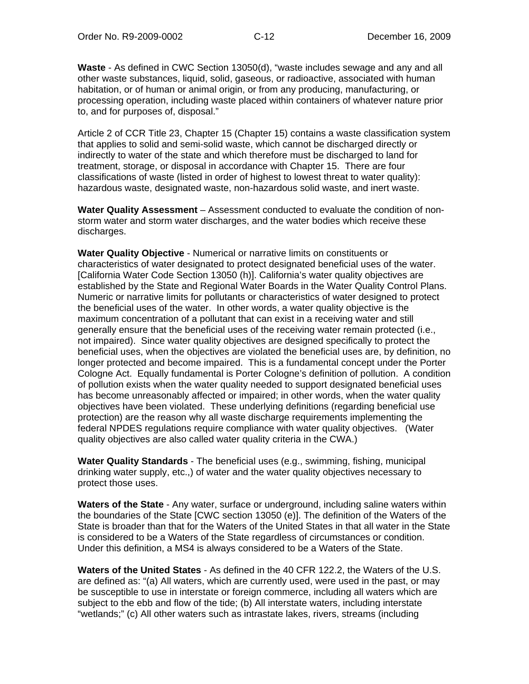**Waste** - As defined in CWC Section 13050(d), "waste includes sewage and any and all other waste substances, liquid, solid, gaseous, or radioactive, associated with human habitation, or of human or animal origin, or from any producing, manufacturing, or processing operation, including waste placed within containers of whatever nature prior to, and for purposes of, disposal."

Article 2 of CCR Title 23, Chapter 15 (Chapter 15) contains a waste classification system that applies to solid and semi-solid waste, which cannot be discharged directly or indirectly to water of the state and which therefore must be discharged to land for treatment, storage, or disposal in accordance with Chapter 15. There are four classifications of waste (listed in order of highest to lowest threat to water quality): hazardous waste, designated waste, non-hazardous solid waste, and inert waste.

**Water Quality Assessment** – Assessment conducted to evaluate the condition of nonstorm water and storm water discharges, and the water bodies which receive these discharges.

**Water Quality Objective** - Numerical or narrative limits on constituents or characteristics of water designated to protect designated beneficial uses of the water. [California Water Code Section 13050 (h)]. California's water quality objectives are established by the State and Regional Water Boards in the Water Quality Control Plans. Numeric or narrative limits for pollutants or characteristics of water designed to protect the beneficial uses of the water. In other words, a water quality objective is the maximum concentration of a pollutant that can exist in a receiving water and still generally ensure that the beneficial uses of the receiving water remain protected (i.e., not impaired). Since water quality objectives are designed specifically to protect the beneficial uses, when the objectives are violated the beneficial uses are, by definition, no longer protected and become impaired. This is a fundamental concept under the Porter Cologne Act. Equally fundamental is Porter Cologne's definition of pollution. A condition of pollution exists when the water quality needed to support designated beneficial uses has become unreasonably affected or impaired; in other words, when the water quality objectives have been violated. These underlying definitions (regarding beneficial use protection) are the reason why all waste discharge requirements implementing the federal NPDES regulations require compliance with water quality objectives. (Water quality objectives are also called water quality criteria in the CWA.)

**Water Quality Standards** - The beneficial uses (e.g., swimming, fishing, municipal drinking water supply, etc.,) of water and the water quality objectives necessary to protect those uses.

**Waters of the State** - Any water, surface or underground, including saline waters within the boundaries of the State [CWC section 13050 (e)]. The definition of the Waters of the State is broader than that for the Waters of the United States in that all water in the State is considered to be a Waters of the State regardless of circumstances or condition. Under this definition, a MS4 is always considered to be a Waters of the State.

**Waters of the United States** - As defined in the 40 CFR 122.2, the Waters of the U.S. are defined as: "(a) All waters, which are currently used, were used in the past, or may be susceptible to use in interstate or foreign commerce, including all waters which are subject to the ebb and flow of the tide; (b) All interstate waters, including interstate "wetlands;" (c) All other waters such as intrastate lakes, rivers, streams (including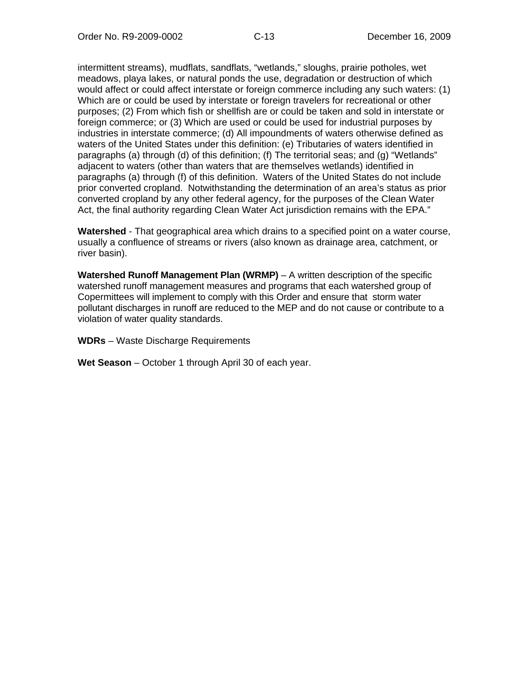intermittent streams), mudflats, sandflats, "wetlands," sloughs, prairie potholes, wet meadows, playa lakes, or natural ponds the use, degradation or destruction of which would affect or could affect interstate or foreign commerce including any such waters: (1) Which are or could be used by interstate or foreign travelers for recreational or other purposes; (2) From which fish or shellfish are or could be taken and sold in interstate or foreign commerce; or (3) Which are used or could be used for industrial purposes by industries in interstate commerce; (d) All impoundments of waters otherwise defined as waters of the United States under this definition: (e) Tributaries of waters identified in paragraphs (a) through (d) of this definition; (f) The territorial seas; and (g) "Wetlands" adjacent to waters (other than waters that are themselves wetlands) identified in paragraphs (a) through (f) of this definition. Waters of the United States do not include prior converted cropland. Notwithstanding the determination of an area's status as prior converted cropland by any other federal agency, for the purposes of the Clean Water Act, the final authority regarding Clean Water Act jurisdiction remains with the EPA."

**Watershed** - That geographical area which drains to a specified point on a water course, usually a confluence of streams or rivers (also known as drainage area, catchment, or river basin).

**Watershed Runoff Management Plan (WRMP)** – A written description of the specific watershed runoff management measures and programs that each watershed group of Copermittees will implement to comply with this Order and ensure that storm water pollutant discharges in runoff are reduced to the MEP and do not cause or contribute to a violation of water quality standards.

**WDRs** – Waste Discharge Requirements

**Wet Season** – October 1 through April 30 of each year.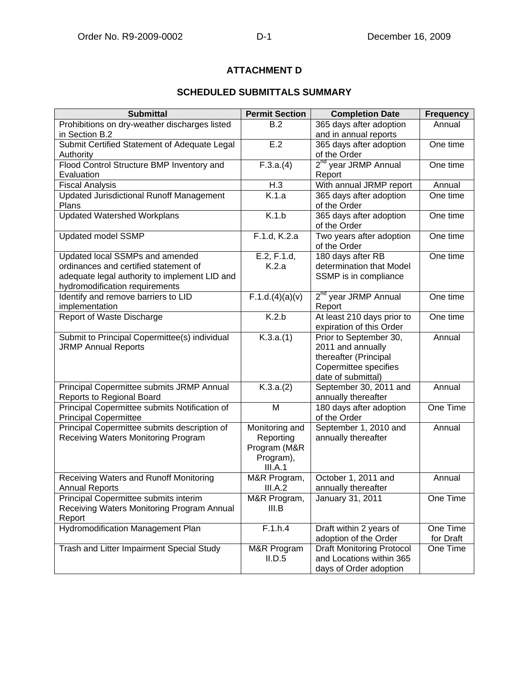# **ATTACHMENT D**

## **SCHEDULED SUBMITTALS SUMMARY**

| <b>Submittal</b>                                   | <b>Permit Section</b>      | <b>Completion Date</b>                                    | <b>Frequency</b>      |
|----------------------------------------------------|----------------------------|-----------------------------------------------------------|-----------------------|
| Prohibitions on dry-weather discharges listed      | B.2                        | 365 days after adoption                                   | Annual                |
| in Section B.2                                     |                            | and in annual reports                                     |                       |
| Submit Certified Statement of Adequate Legal       | E.2                        | 365 days after adoption                                   | One time              |
| Authority                                          |                            | of the Order                                              |                       |
| Flood Control Structure BMP Inventory and          | $\overline{F.3.}a.(4)$     | 2 <sup>nd</sup> year JRMP Annual                          | One time              |
| Evaluation                                         |                            | Report                                                    |                       |
| <b>Fiscal Analysis</b>                             | H.3                        | With annual JRMP report                                   | Annual                |
| <b>Updated Jurisdictional Runoff Management</b>    | K.1.a                      | 365 days after adoption                                   | One time              |
| Plans                                              |                            | of the Order                                              |                       |
| <b>Updated Watershed Workplans</b>                 | K.1.b                      | 365 days after adoption<br>of the Order                   | One time              |
| <b>Updated model SSMP</b>                          | F.1.d, K.2.a               | Two years after adoption<br>of the Order                  | One time              |
| Updated local SSMPs and amended                    | E.2, F.1.d,                | 180 days after RB                                         | One time              |
| ordinances and certified statement of              | K.2.a                      | determination that Model                                  |                       |
| adequate legal authority to implement LID and      |                            | SSMP is in compliance                                     |                       |
| hydromodification requirements                     |                            |                                                           |                       |
| Identify and remove barriers to LID                | F.1.d.(4)(a)(v)            | 2 <sup>nd</sup> year JRMP Annual                          | One time              |
| implementation                                     |                            | Report                                                    |                       |
| Report of Waste Discharge                          | K.2.b                      | At least 210 days prior to                                | One time              |
|                                                    |                            | expiration of this Order                                  |                       |
| Submit to Principal Copermittee(s) individual      | $\overline{K.3}$ .a. $(1)$ | Prior to September 30,                                    | Annual                |
| <b>JRMP Annual Reports</b>                         |                            | 2011 and annually<br>thereafter (Principal                |                       |
|                                                    |                            | Copermittee specifies                                     |                       |
|                                                    |                            | date of submittal)                                        |                       |
| Principal Copermittee submits JRMP Annual          | K.3.a.(2)                  | September 30, 2011 and                                    | Annual                |
| Reports to Regional Board                          |                            | annually thereafter                                       |                       |
| Principal Copermittee submits Notification of      | M                          | 180 days after adoption                                   | One Time              |
| <b>Principal Copermittee</b>                       |                            | of the Order                                              |                       |
| Principal Copermittee submits description of       | Monitoring and             | September 1, 2010 and                                     | Annual                |
| Receiving Waters Monitoring Program                | Reporting                  | annually thereafter                                       |                       |
|                                                    | Program (M&R               |                                                           |                       |
|                                                    | Program),                  |                                                           |                       |
|                                                    | III.A.1                    |                                                           |                       |
| Receiving Waters and Runoff Monitoring             | M&R Program,               | October 1, 2011 and                                       | Annual                |
| <b>Annual Reports</b>                              | III.A.2                    | annually thereafter                                       |                       |
| Principal Copermittee submits interim              | M&R Program,               | January 31, 2011                                          | One Time              |
| Receiving Waters Monitoring Program Annual         | III.B                      |                                                           |                       |
| Report<br><b>Hydromodification Management Plan</b> |                            |                                                           |                       |
|                                                    | F.1.h.4                    | Draft within 2 years of                                   | One Time<br>for Draft |
| Trash and Litter Impairment Special Study          | M&R Program                | adoption of the Order<br><b>Draft Monitoring Protocol</b> | One Time              |
|                                                    | II.D.5                     | and Locations within 365                                  |                       |
|                                                    |                            | days of Order adoption                                    |                       |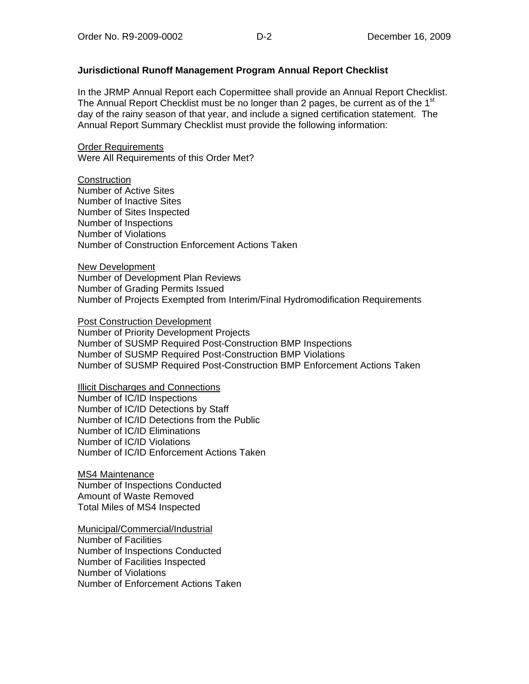#### **Jurisdictional Runoff Management Program Annual Report Checklist**

In the JRMP Annual Report each Copermittee shall provide an Annual Report Checklist. The Annual Report Checklist must be no longer than 2 pages, be current as of the 1<sup>st</sup> day of the rainy season of that year, and include a signed certification statement. The Annual Report Summary Checklist must provide the following information:

#### **Order Requirements** Were All Requirements of this Order Met?

**Construction** 

Number of Active Sites Number of Inactive Sites Number of Sites Inspected Number of Inspections Number of Violations Number of Construction Enforcement Actions Taken

New Development Number of Development Plan Reviews Number of Grading Permits Issued Number of Projects Exempted from Interim/Final Hydromodification Requirements

#### Post Construction Development

Number of Priority Development Projects Number of SUSMP Required Post-Construction BMP Inspections Number of SUSMP Required Post-Construction BMP Violations Number of SUSMP Required Post-Construction BMP Enforcement Actions Taken

Illicit Discharges and Connections

Number of IC/ID Inspections Number of IC/ID Detections by Staff Number of IC/ID Detections from the Public Number of IC/ID Eliminations Number of IC/ID Violations Number of IC/ID Enforcement Actions Taken

MS4 Maintenance Number of Inspections Conducted Amount of Waste Removed Total Miles of MS4 Inspected

Municipal/Commercial/Industrial Number of Facilities Number of Inspections Conducted Number of Facilities Inspected Number of Violations Number of Enforcement Actions Taken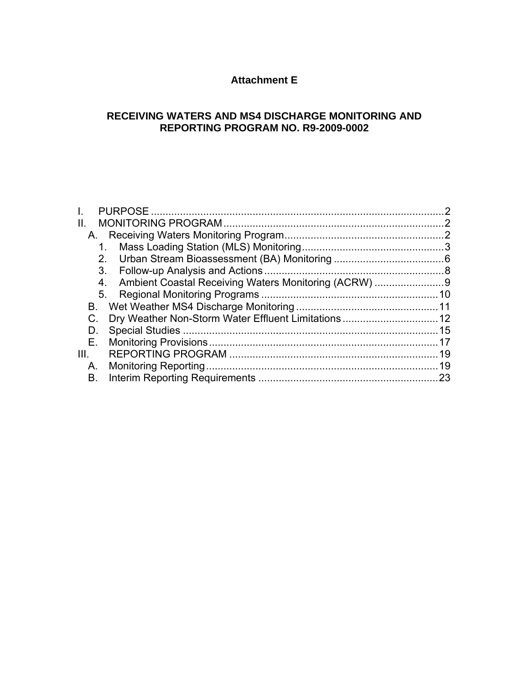# **Attachment E**

# **RECEIVING WATERS AND MS4 DISCHARGE MONITORING AND REPORTING PROGRAM NO. R9-2009-0002**

|      |    | $\mathcal{P}$ |
|------|----|---------------|
| Ш.   |    |               |
|      |    |               |
|      |    |               |
|      | 2. |               |
|      | 3. |               |
|      | 4. |               |
|      | 5. |               |
| В.   |    |               |
|      |    |               |
| D.   |    |               |
| Е.   |    |               |
| III. |    | 19            |
| А.   |    |               |
| В.   |    | 23            |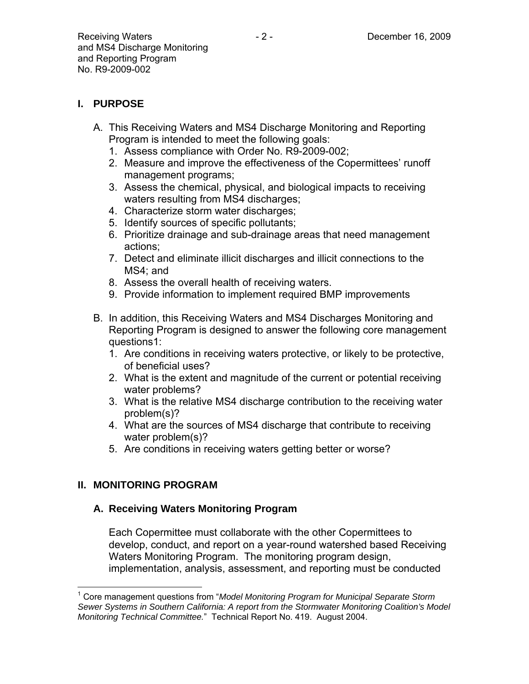# **I. PURPOSE**

- A. This Receiving Waters and MS4 Discharge Monitoring and Reporting Program is intended to meet the following goals:
	- 1. Assess compliance with Order No. R9-2009-002;
	- 2. Measure and improve the effectiveness of the Copermittees' runoff management programs;
	- 3. Assess the chemical, physical, and biological impacts to receiving waters resulting from MS4 discharges;
	- 4. Characterize storm water discharges;
	- 5. Identify sources of specific pollutants;
	- 6. Prioritize drainage and sub-drainage areas that need management actions;
	- 7. Detect and eliminate illicit discharges and illicit connections to the MS4; and
	- 8. Assess the overall health of receiving waters.
	- 9. Provide information to implement required BMP improvements
- B. In addition, this Receiving Waters and MS4 Discharges Monitoring and Reporting Program is designed to answer the following core management questions1:
	- 1. Are conditions in receiving waters protective, or likely to be protective, of beneficial uses?
	- 2. What is the extent and magnitude of the current or potential receiving water problems?
	- 3. What is the relative MS4 discharge contribution to the receiving water problem(s)?
	- 4. What are the sources of MS4 discharge that contribute to receiving water problem(s)?
	- 5. Are conditions in receiving waters getting better or worse?

# **II. MONITORING PROGRAM**

# **A. Receiving Waters Monitoring Program**

Each Copermittee must collaborate with the other Copermittees to develop, conduct, and report on a year-round watershed based Receiving Waters Monitoring Program. The monitoring program design, implementation, analysis, assessment, and reporting must be conducted

<sup>1</sup> <sup>1</sup> Core management questions from "*Model Monitoring Program for Municipal Separate Storm Sewer Systems in Southern California: A report from the Stormwater Monitoring Coalition's Model Monitoring Technical Committee.*" Technical Report No. 419. August 2004.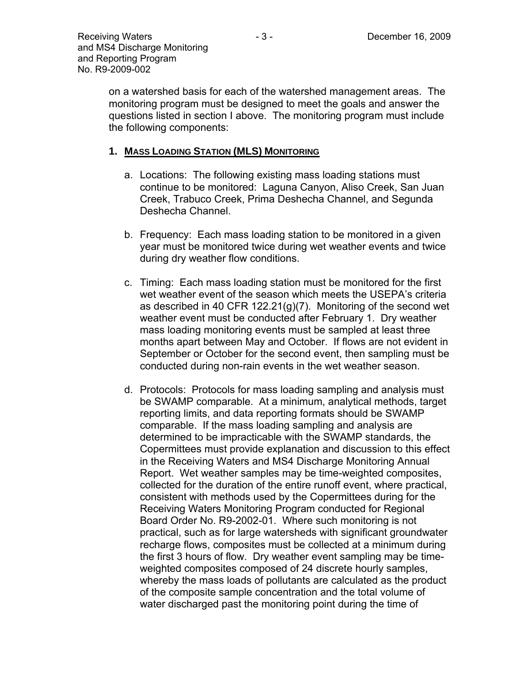on a watershed basis for each of the watershed management areas. The monitoring program must be designed to meet the goals and answer the questions listed in section I above. The monitoring program must include the following components:

## **1. MASS LOADING STATION (MLS) MONITORING**

- a. Locations: The following existing mass loading stations must continue to be monitored: Laguna Canyon, Aliso Creek, San Juan Creek, Trabuco Creek, Prima Deshecha Channel, and Segunda Deshecha Channel.
- b. Frequency: Each mass loading station to be monitored in a given year must be monitored twice during wet weather events and twice during dry weather flow conditions.
- c. Timing: Each mass loading station must be monitored for the first wet weather event of the season which meets the USEPA's criteria as described in 40 CFR 122.21(g)(7). Monitoring of the second wet weather event must be conducted after February 1. Dry weather mass loading monitoring events must be sampled at least three months apart between May and October. If flows are not evident in September or October for the second event, then sampling must be conducted during non-rain events in the wet weather season.
- d. Protocols: Protocols for mass loading sampling and analysis must be SWAMP comparable. At a minimum, analytical methods, target reporting limits, and data reporting formats should be SWAMP comparable. If the mass loading sampling and analysis are determined to be impracticable with the SWAMP standards, the Copermittees must provide explanation and discussion to this effect in the Receiving Waters and MS4 Discharge Monitoring Annual Report. Wet weather samples may be time-weighted composites, collected for the duration of the entire runoff event, where practical, consistent with methods used by the Copermittees during for the Receiving Waters Monitoring Program conducted for Regional Board Order No. R9-2002-01. Where such monitoring is not practical, such as for large watersheds with significant groundwater recharge flows, composites must be collected at a minimum during the first 3 hours of flow. Dry weather event sampling may be timeweighted composites composed of 24 discrete hourly samples, whereby the mass loads of pollutants are calculated as the product of the composite sample concentration and the total volume of water discharged past the monitoring point during the time of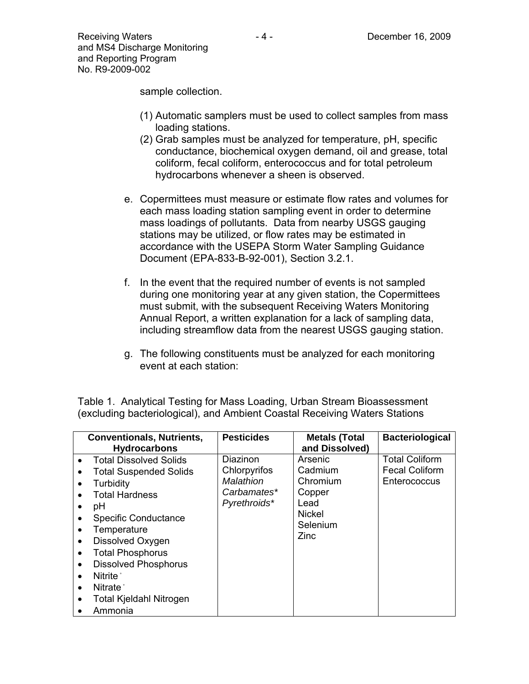sample collection.

- (1) Automatic samplers must be used to collect samples from mass loading stations.
- (2) Grab samples must be analyzed for temperature, pH, specific conductance, biochemical oxygen demand, oil and grease, total coliform, fecal coliform, enterococcus and for total petroleum hydrocarbons whenever a sheen is observed.
- e. Copermittees must measure or estimate flow rates and volumes for each mass loading station sampling event in order to determine mass loadings of pollutants. Data from nearby USGS gauging stations may be utilized, or flow rates may be estimated in accordance with the USEPA Storm Water Sampling Guidance Document (EPA-833-B-92-001), Section 3.2.1.
- f. In the event that the required number of events is not sampled during one monitoring year at any given station, the Copermittees must submit, with the subsequent Receiving Waters Monitoring Annual Report, a written explanation for a lack of sampling data, including streamflow data from the nearest USGS gauging station.
- g. The following constituents must be analyzed for each monitoring event at each station:

| <b>Conventionals, Nutrients,</b><br><b>Hydrocarbons</b>                                                                                                                                                                                                                                                                                                                                                                                                        | <b>Pesticides</b>                                                    | <b>Metals (Total</b><br>and Dissolved)                                                | <b>Bacteriological</b>                                         |
|----------------------------------------------------------------------------------------------------------------------------------------------------------------------------------------------------------------------------------------------------------------------------------------------------------------------------------------------------------------------------------------------------------------------------------------------------------------|----------------------------------------------------------------------|---------------------------------------------------------------------------------------|----------------------------------------------------------------|
| <b>Total Dissolved Solids</b><br>$\bullet$<br><b>Total Suspended Solids</b><br>Turbidity<br>$\bullet$<br><b>Total Hardness</b><br>рH<br>$\bullet$<br><b>Specific Conductance</b><br>$\bullet$<br>Temperature<br>$\bullet$<br>Dissolved Oxygen<br>$\bullet$<br><b>Total Phosphorus</b><br>$\bullet$<br><b>Dissolved Phosphorus</b><br>$\bullet$<br>Nitrite <sup>*</sup><br>Nitrate <sup>*</sup><br>$\bullet$<br>Total Kjeldahl Nitrogen<br>$\bullet$<br>Ammonia | Diazinon<br>Chlorpyrifos<br>Malathion<br>Carbamates*<br>Pyrethroids* | Arsenic<br>Cadmium<br>Chromium<br>Copper<br>Lead<br><b>Nickel</b><br>Selenium<br>Zinc | <b>Total Coliform</b><br><b>Fecal Coliform</b><br>Enterococcus |

Table 1. Analytical Testing for Mass Loading, Urban Stream Bioassessment (excluding bacteriological), and Ambient Coastal Receiving Waters Stations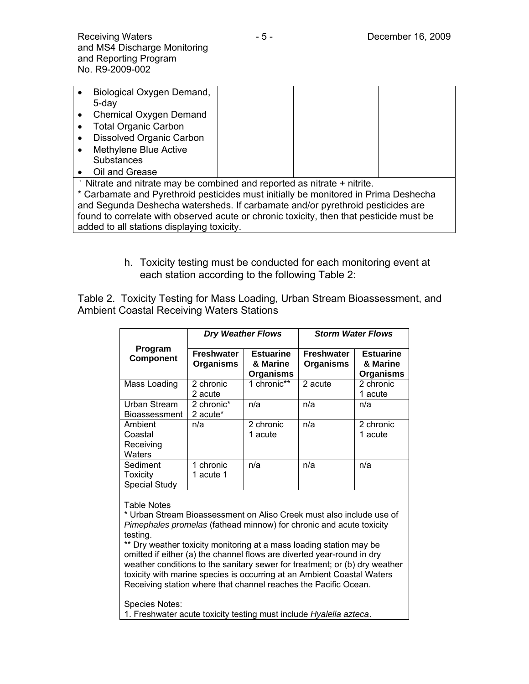|                                                                                     | Biological Oxygen Demand,                                                      |  |  |  |
|-------------------------------------------------------------------------------------|--------------------------------------------------------------------------------|--|--|--|
|                                                                                     | $5 - day$                                                                      |  |  |  |
|                                                                                     | Chemical Oxygen Demand                                                         |  |  |  |
|                                                                                     | <b>Total Organic Carbon</b>                                                    |  |  |  |
|                                                                                     | <b>Dissolved Organic Carbon</b>                                                |  |  |  |
|                                                                                     | Methylene Blue Active                                                          |  |  |  |
|                                                                                     | <b>Substances</b>                                                              |  |  |  |
|                                                                                     | Oil and Grease                                                                 |  |  |  |
| * Nitrate and nitrate may be combined and reported as nitrate + nitrite.            |                                                                                |  |  |  |
| * Carbamate and Pyrethroid pesticides must initially be monitored in Prima Deshecha |                                                                                |  |  |  |
|                                                                                     | and Segunda Deshecha watersheds. If carbamate and/or pyrethroid pesticides are |  |  |  |

found to correlate with observed acute or chronic toxicity, then that pesticide must be added to all stations displaying toxicity.

> h. Toxicity testing must be conducted for each monitoring event at each station according to the following Table 2:

Table 2. Toxicity Testing for Mass Loading, Urban Stream Bioassessment, and Ambient Coastal Receiving Waters Stations

|                                              | <b>Dry Weather Flows</b>              |                                                  | <b>Storm Water Flows</b>              |                                           |
|----------------------------------------------|---------------------------------------|--------------------------------------------------|---------------------------------------|-------------------------------------------|
| Program<br><b>Component</b>                  | <b>Freshwater</b><br><b>Organisms</b> | <b>Estuarine</b><br>& Marine<br><b>Organisms</b> | <b>Freshwater</b><br><b>Organisms</b> | <b>Estuarine</b><br>& Marine<br>Organisms |
| Mass Loading                                 | 2 chronic<br>2 acute                  | 1 chronic**                                      | 2 acute                               | 2 chronic<br>1 acute                      |
| Urban Stream<br><b>Bioassessment</b>         | 2 chronic*<br>2 acute*                | n/a                                              | n/a                                   | n/a                                       |
| Ambient<br>Coastal<br>Receiving<br>Waters    | n/a                                   | 2 chronic<br>1 acute                             | n/a                                   | 2 chronic<br>1 acute                      |
| Sediment<br>Toxicity<br><b>Special Study</b> | 1 chronic<br>1 acute 1                | n/a                                              | n/a                                   | n/a                                       |

Table Notes

\* Urban Stream Bioassessment on Aliso Creek must also include use of *Pimephales promelas* (fathead minnow) for chronic and acute toxicity testing.

\*\* Dry weather toxicity monitoring at a mass loading station may be omitted if either (a) the channel flows are diverted year-round in dry weather conditions to the sanitary sewer for treatment; or (b) dry weather toxicity with marine species is occurring at an Ambient Coastal Waters Receiving station where that channel reaches the Pacific Ocean.

Species Notes:

1. Freshwater acute toxicity testing must include *Hyalella azteca*.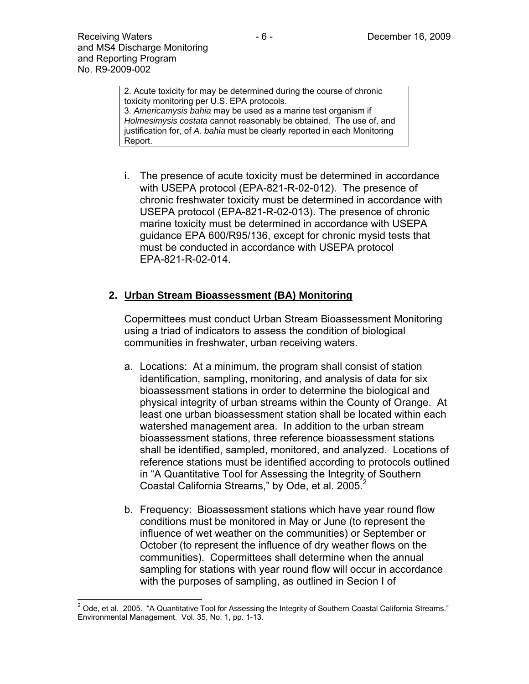2. Acute toxicity for may be determined during the course of chronic toxicity monitoring per U.S. EPA protocols. 3. *Americamysis bahia* may be used as a marine test organism if *Holmesimysis costata* cannot reasonably be obtained. The use of, and justification for, of *A. bahia* must be clearly reported in each Monitoring Report.

i. The presence of acute toxicity must be determined in accordance with USEPA protocol (EPA-821-R-02-012). The presence of chronic freshwater toxicity must be determined in accordance with USEPA protocol (EPA-821-R-02-013). The presence of chronic marine toxicity must be determined in accordance with USEPA guidance EPA 600/R95/136, except for chronic mysid tests that must be conducted in accordance with USEPA protocol EPA-821-R-02-014.

## **2. Urban Stream Bioassessment (BA) Monitoring**

Copermittees must conduct Urban Stream Bioassessment Monitoring using a triad of indicators to assess the condition of biological communities in freshwater, urban receiving waters.

- a. Locations: At a minimum, the program shall consist of station identification, sampling, monitoring, and analysis of data for six bioassessment stations in order to determine the biological and physical integrity of urban streams within the County of Orange. At least one urban bioassessment station shall be located within each watershed management area. In addition to the urban stream bioassessment stations, three reference bioassessment stations shall be identified, sampled, monitored, and analyzed. Locations of reference stations must be identified according to protocols outlined in "A Quantitative Tool for Assessing the Integrity of Southern Coastal California Streams," by Ode, et al. 2005. $2$
- b. Frequency: Bioassessment stations which have year round flow conditions must be monitored in May or June (to represent the influence of wet weather on the communities) or September or October (to represent the influence of dry weather flows on the communities). Copermittees shall determine when the annual sampling for stations with year round flow will occur in accordance with the purposes of sampling, as outlined in Secion I of

 2 Ode, et al. 2005. "A Quantitative Tool for Assessing the Integrity of Southern Coastal California Streams." Environmental Management. Vol. 35, No. 1, pp. 1-13.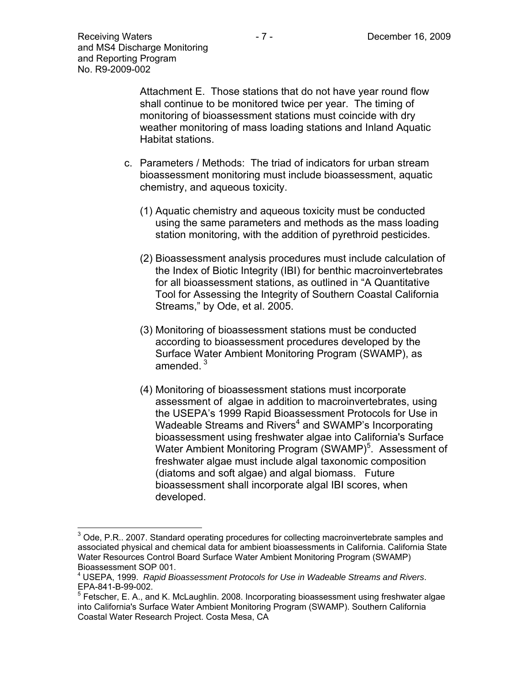Attachment E. Those stations that do not have year round flow shall continue to be monitored twice per year. The timing of monitoring of bioassessment stations must coincide with dry weather monitoring of mass loading stations and Inland Aquatic Habitat stations.

- c. Parameters / Methods: The triad of indicators for urban stream bioassessment monitoring must include bioassessment, aquatic chemistry, and aqueous toxicity.
	- (1) Aquatic chemistry and aqueous toxicity must be conducted using the same parameters and methods as the mass loading station monitoring, with the addition of pyrethroid pesticides.
	- (2) Bioassessment analysis procedures must include calculation of the Index of Biotic Integrity (IBI) for benthic macroinvertebrates for all bioassessment stations, as outlined in "A Quantitative Tool for Assessing the Integrity of Southern Coastal California Streams," by Ode, et al. 2005.
	- (3) Monitoring of bioassessment stations must be conducted according to bioassessment procedures developed by the Surface Water Ambient Monitoring Program (SWAMP), as amended  $3$
	- (4) Monitoring of bioassessment stations must incorporate assessment of algae in addition to macroinvertebrates, using the USEPA's 1999 Rapid Bioassessment Protocols for Use in Wadeable Streams and Rivers<sup>4</sup> and SWAMP's Incorporating bioassessment using freshwater algae into California's Surface Water Ambient Monitoring Program (SWAMP)<sup>5</sup>. Assessment of freshwater algae must include algal taxonomic composition (diatoms and soft algae) and algal biomass. Future bioassessment shall incorporate algal IBI scores, when developed.

 $\overline{a}$  $3$  Ode, P.R.. 2007. Standard operating procedures for collecting macroinvertebrate samples and associated physical and chemical data for ambient bioassessments in California. California State Water Resources Control Board Surface Water Ambient Monitoring Program (SWAMP) Bioassessment SOP 001.

<sup>4</sup> USEPA, 1999. *Rapid Bioassessment Protocols for Use in Wadeable Streams and Rivers*. EPA-841-B-99-002.

 $<sup>5</sup>$  Fetscher, E. A., and K. McLaughlin. 2008. Incorporating bioassessment using freshwater algae</sup> into California's Surface Water Ambient Monitoring Program (SWAMP). Southern California Coastal Water Research Project. Costa Mesa, CA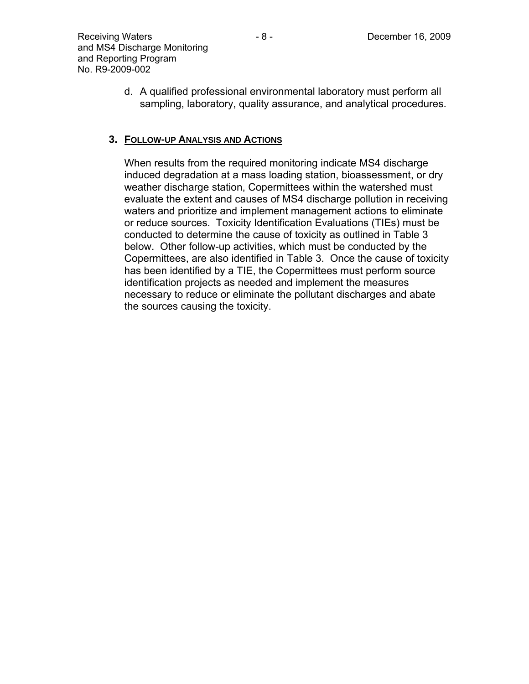d. A qualified professional environmental laboratory must perform all sampling, laboratory, quality assurance, and analytical procedures.

# **3. FOLLOW-UP ANALYSIS AND ACTIONS**

When results from the required monitoring indicate MS4 discharge induced degradation at a mass loading station, bioassessment, or dry weather discharge station, Copermittees within the watershed must evaluate the extent and causes of MS4 discharge pollution in receiving waters and prioritize and implement management actions to eliminate or reduce sources. Toxicity Identification Evaluations (TIEs) must be conducted to determine the cause of toxicity as outlined in Table 3 below. Other follow-up activities, which must be conducted by the Copermittees, are also identified in Table 3. Once the cause of toxicity has been identified by a TIE, the Copermittees must perform source identification projects as needed and implement the measures necessary to reduce or eliminate the pollutant discharges and abate the sources causing the toxicity.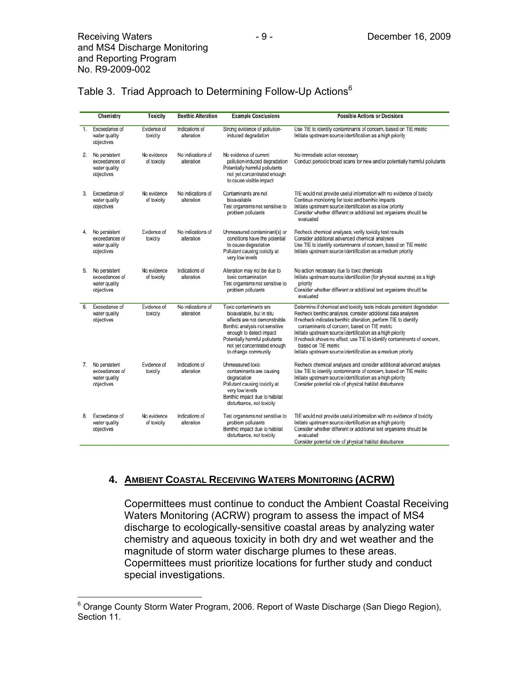| Table 3. Triad Approach to Determining Follow-Up Actions <sup>6</sup> |  |  |
|-----------------------------------------------------------------------|--|--|
|                                                                       |  |  |

|              | Chemistry                                                      | <b>Toxicity</b>            | <b>Benthic Alteration</b>       | <b>Example Conclusions</b>                                                                                                                                                                                                               | <b>Possible Actions or Decisions</b>                                                                                                                                                                                                                                                                                                                                                                                                                                                         |
|--------------|----------------------------------------------------------------|----------------------------|---------------------------------|------------------------------------------------------------------------------------------------------------------------------------------------------------------------------------------------------------------------------------------|----------------------------------------------------------------------------------------------------------------------------------------------------------------------------------------------------------------------------------------------------------------------------------------------------------------------------------------------------------------------------------------------------------------------------------------------------------------------------------------------|
| $\mathbf{1}$ | Exceedance of<br>water quality<br>objectives                   | Evidence of<br>toxicity    | Indications of<br>alteration    | Strong evidence of pollution-<br>induced degradation                                                                                                                                                                                     | Use TIE to identify contaminants of concern, based on TIE metric<br>Initiate upstream source identification as a high priority                                                                                                                                                                                                                                                                                                                                                               |
| 2.           | No persistent<br>exceedances of<br>water quality<br>objectives | No evidence<br>of toxicity | No indications of<br>alteration | No evidence of current<br>pollution-induced degradation<br>Potentially harmful pollutants<br>not yet concentrated enough<br>to cause visible impact                                                                                      | No immediate action necessary<br>Conduct periodic broad scans for new and/or potentially harmful pollutants                                                                                                                                                                                                                                                                                                                                                                                  |
| 3.           | Exceedance of<br>water quality<br>objectives                   | No evidence<br>of toxicity | No indications of<br>alteration | Contaminants are not<br>bioavailable<br>Test organisms not sensitive to<br>problem pollutants                                                                                                                                            | TIE would not provide useful information with no evidence of toxicity<br>Continue monitoring for toxic and benthic impacts<br>Initiate upstream source identification as a low priority<br>Consider whether different or additional test organisms should be<br>evaluated                                                                                                                                                                                                                    |
| 4.           | No persistent<br>exceedances of<br>water quality<br>objectives | Evidence of<br>toxicity    | No indications of<br>alteration | Unmeasured contaminant(s) or<br>conditions have the potential<br>to cause degradation<br>Pollutant causing toxicity at<br>very low levels                                                                                                | Recheck chemical analyses; verify toxicity test results<br>Consider additional advanced chemical analyses<br>Use TIE to identify contaminants of concern, based on TIE metric<br>Initiate upstream source identification as a medium priority                                                                                                                                                                                                                                                |
| 5.           | No persistent<br>exceedances of<br>water quality<br>objectives | No evidence<br>of toxicity | Indications of<br>alteration    | Alteration may not be due to<br>toxic contamination<br>Test organisms not sensitive to<br>problem pollutants                                                                                                                             | No action necessary due to toxic chemicals<br>Initiate upstream source identification (for physical sources) as a high<br>priority<br>Consider whether different or additional test organisms should be<br>evaluated                                                                                                                                                                                                                                                                         |
| 6.           | Exceedance of<br>water quality<br>objectives                   | Evidence of<br>toxicity    | No indications of<br>alteration | Toxic contaminants are<br>bioavailable, but in situ<br>effects are not demonstrable<br>Benthic analysis not sensitive<br>enough to detect impact<br>Potentially harmful pollutants<br>not yet concentrated enough<br>to change community | Determine if chemical and toxicity tests indicate persistent degradation<br>Recheck benthic analyses; consider additional data analyses<br>If recheck indicates benthic alteration, perform TIE to identify<br>contaminants of concern, based on TIE metric<br>Initiate upstream source identification as a high priority<br>If recheck shows no effect, use TIE to identify contaminants of concern,<br>based on TIE metric<br>Initiate upstream source identification as a medium priority |
| 7.           | No persistent<br>exceedances of<br>water quality<br>objectives | Evidence of<br>toxicity    | Indications of<br>alteration    | Unmeasured toxic<br>contaminants are causing<br>degradation<br>Pollutant causing toxicity at<br>very low levels<br>Benthic impact due to habitat<br>disturbance, not toxicity                                                            | Recheck chemical analyses and consider additional advanced analyses<br>Use TIE to identify contaminants of concern, based on TIE metric<br>Initiate upstream source identification as a high priority<br>Consider potential role of physical habitat disturbance                                                                                                                                                                                                                             |
| 8.           | Exceedance of<br>water quality<br>objectives                   | No evidence<br>of toxicity | Indications of<br>alteration    | Test organisms not sensitive to<br>problem pollutants<br>Benthic impact due to habitat<br>disturbance, not toxicity                                                                                                                      | TIE would not provide useful information with no evidence of toxicity<br>Initiate upstream source identification as a high priority<br>Consider whether different or additional test organisms should be<br>evaluated<br>Consider potential role of physical habitat disturbance                                                                                                                                                                                                             |

### **4. AMBIENT COASTAL RECEIVING WATERS MONITORING (ACRW)**

Copermittees must continue to conduct the Ambient Coastal Receiving Waters Monitoring (ACRW) program to assess the impact of MS4 discharge to ecologically-sensitive coastal areas by analyzing water chemistry and aqueous toxicity in both dry and wet weather and the magnitude of storm water discharge plumes to these areas. Copermittees must prioritize locations for further study and conduct special investigations.

 6 Orange County Storm Water Program, 2006. Report of Waste Discharge (San Diego Region), Section 11.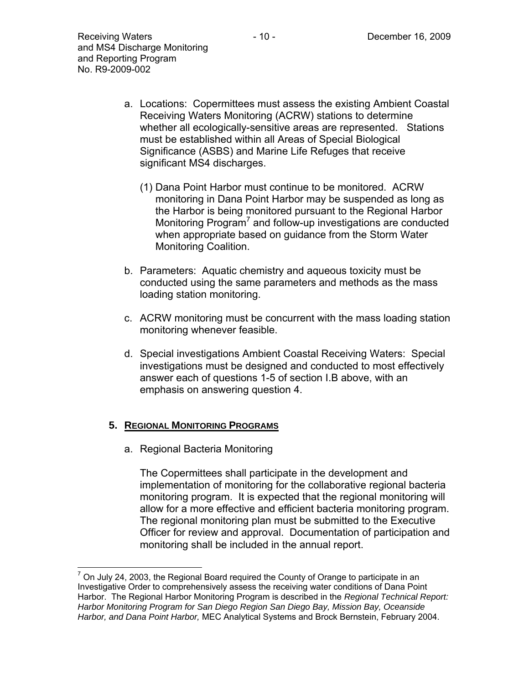- a. Locations: Copermittees must assess the existing Ambient Coastal Receiving Waters Monitoring (ACRW) stations to determine whether all ecologically-sensitive areas are represented. Stations must be established within all Areas of Special Biological Significance (ASBS) and Marine Life Refuges that receive significant MS4 discharges.
	- (1) Dana Point Harbor must continue to be monitored. ACRW monitoring in Dana Point Harbor may be suspended as long as the Harbor is being monitored pursuant to the Regional Harbor Monitoring Program<sup>7</sup> and follow-up investigations are conducted when appropriate based on guidance from the Storm Water Monitoring Coalition.
- b. Parameters: Aquatic chemistry and aqueous toxicity must be conducted using the same parameters and methods as the mass loading station monitoring.
- c. ACRW monitoring must be concurrent with the mass loading station monitoring whenever feasible.
- d. Special investigations Ambient Coastal Receiving Waters: Special investigations must be designed and conducted to most effectively answer each of questions 1-5 of section I.B above, with an emphasis on answering question 4.

### **5. REGIONAL MONITORING PROGRAMS**

a. Regional Bacteria Monitoring

The Copermittees shall participate in the development and implementation of monitoring for the collaborative regional bacteria monitoring program. It is expected that the regional monitoring will allow for a more effective and efficient bacteria monitoring program. The regional monitoring plan must be submitted to the Executive Officer for review and approval. Documentation of participation and monitoring shall be included in the annual report.

 7 On July 24, 2003, the Regional Board required the County of Orange to participate in an Investigative Order to comprehensively assess the receiving water conditions of Dana Point Harbor. The Regional Harbor Monitoring Program is described in the *Regional Technical Report: Harbor Monitoring Program for San Diego Region San Diego Bay, Mission Bay, Oceanside Harbor, and Dana Point Harbor,* MEC Analytical Systems and Brock Bernstein, February 2004.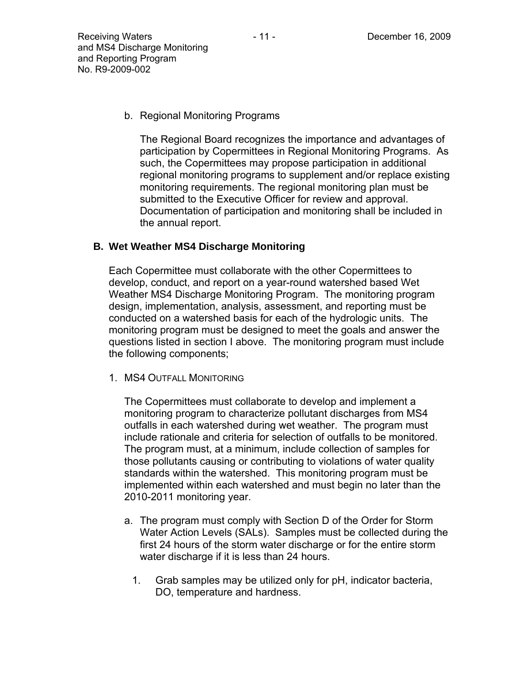b. Regional Monitoring Programs

The Regional Board recognizes the importance and advantages of participation by Copermittees in Regional Monitoring Programs. As such, the Copermittees may propose participation in additional regional monitoring programs to supplement and/or replace existing monitoring requirements. The regional monitoring plan must be submitted to the Executive Officer for review and approval. Documentation of participation and monitoring shall be included in the annual report.

### **B. Wet Weather MS4 Discharge Monitoring**

Each Copermittee must collaborate with the other Copermittees to develop, conduct, and report on a year-round watershed based Wet Weather MS4 Discharge Monitoring Program. The monitoring program design, implementation, analysis, assessment, and reporting must be conducted on a watershed basis for each of the hydrologic units. The monitoring program must be designed to meet the goals and answer the questions listed in section I above. The monitoring program must include the following components;

1. MS4 OUTFALL MONITORING

The Copermittees must collaborate to develop and implement a monitoring program to characterize pollutant discharges from MS4 outfalls in each watershed during wet weather. The program must include rationale and criteria for selection of outfalls to be monitored. The program must, at a minimum, include collection of samples for those pollutants causing or contributing to violations of water quality standards within the watershed. This monitoring program must be implemented within each watershed and must begin no later than the 2010-2011 monitoring year.

- a. The program must comply with Section D of the Order for Storm Water Action Levels (SALs). Samples must be collected during the first 24 hours of the storm water discharge or for the entire storm water discharge if it is less than 24 hours.
	- 1. Grab samples may be utilized only for pH, indicator bacteria, DO, temperature and hardness.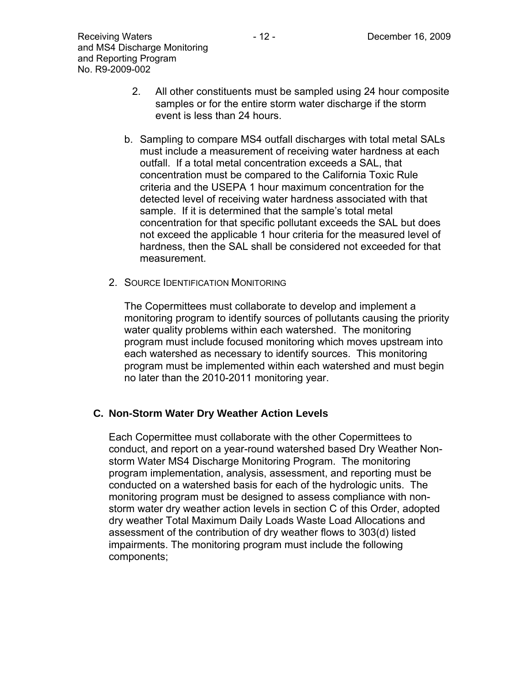- 2. All other constituents must be sampled using 24 hour composite samples or for the entire storm water discharge if the storm event is less than 24 hours.
- b. Sampling to compare MS4 outfall discharges with total metal SALs must include a measurement of receiving water hardness at each outfall. If a total metal concentration exceeds a SAL, that concentration must be compared to the California Toxic Rule criteria and the USEPA 1 hour maximum concentration for the detected level of receiving water hardness associated with that sample. If it is determined that the sample's total metal concentration for that specific pollutant exceeds the SAL but does not exceed the applicable 1 hour criteria for the measured level of hardness, then the SAL shall be considered not exceeded for that measurement.
- 2. SOURCE IDENTIFICATION MONITORING

The Copermittees must collaborate to develop and implement a monitoring program to identify sources of pollutants causing the priority water quality problems within each watershed. The monitoring program must include focused monitoring which moves upstream into each watershed as necessary to identify sources. This monitoring program must be implemented within each watershed and must begin no later than the 2010-2011 monitoring year.

### **C. Non-Storm Water Dry Weather Action Levels**

Each Copermittee must collaborate with the other Copermittees to conduct, and report on a year-round watershed based Dry Weather Nonstorm Water MS4 Discharge Monitoring Program. The monitoring program implementation, analysis, assessment, and reporting must be conducted on a watershed basis for each of the hydrologic units. The monitoring program must be designed to assess compliance with nonstorm water dry weather action levels in section C of this Order, adopted dry weather Total Maximum Daily Loads Waste Load Allocations and assessment of the contribution of dry weather flows to 303(d) listed impairments. The monitoring program must include the following components;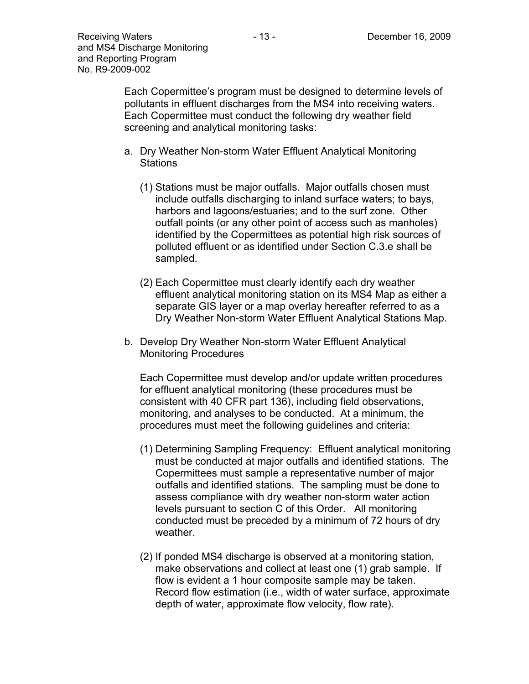Each Copermittee's program must be designed to determine levels of pollutants in effluent discharges from the MS4 into receiving waters. Each Copermittee must conduct the following dry weather field screening and analytical monitoring tasks:

- a. Dry Weather Non-storm Water Effluent Analytical Monitoring **Stations** 
	- (1) Stations must be major outfalls. Major outfalls chosen must include outfalls discharging to inland surface waters; to bays, harbors and lagoons/estuaries; and to the surf zone. Other outfall points (or any other point of access such as manholes) identified by the Copermittees as potential high risk sources of polluted effluent or as identified under Section C.3.e shall be sampled.
	- (2) Each Copermittee must clearly identify each dry weather effluent analytical monitoring station on its MS4 Map as either a separate GIS layer or a map overlay hereafter referred to as a Dry Weather Non-storm Water Effluent Analytical Stations Map.
- b. Develop Dry Weather Non-storm Water Effluent Analytical Monitoring Procedures

Each Copermittee must develop and/or update written procedures for effluent analytical monitoring (these procedures must be consistent with 40 CFR part 136), including field observations, monitoring, and analyses to be conducted. At a minimum, the procedures must meet the following guidelines and criteria:

- (1) Determining Sampling Frequency: Effluent analytical monitoring must be conducted at major outfalls and identified stations. The Copermittees must sample a representative number of major outfalls and identified stations. The sampling must be done to assess compliance with dry weather non-storm water action levels pursuant to section C of this Order. All monitoring conducted must be preceded by a minimum of 72 hours of dry weather.
- (2) If ponded MS4 discharge is observed at a monitoring station, make observations and collect at least one (1) grab sample. If flow is evident a 1 hour composite sample may be taken. Record flow estimation (i.e., width of water surface, approximate depth of water, approximate flow velocity, flow rate).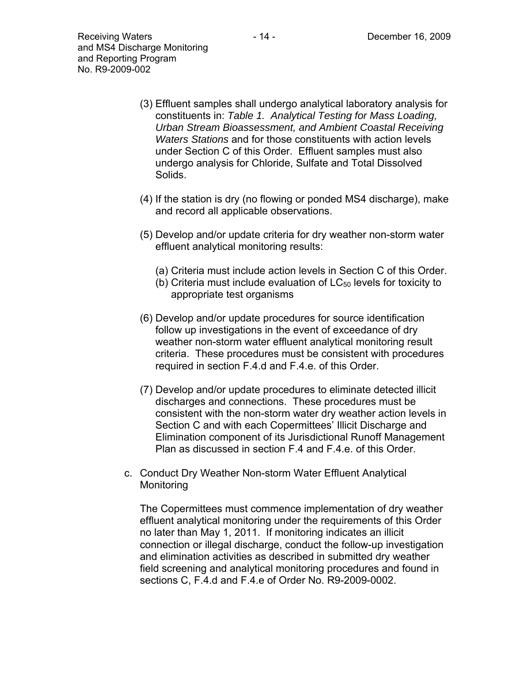- (3) Effluent samples shall undergo analytical laboratory analysis for constituents in: *Table 1. Analytical Testing for Mass Loading, Urban Stream Bioassessment, and Ambient Coastal Receiving Waters Stations* and for those constituents with action levels under Section C of this Order. Effluent samples must also undergo analysis for Chloride, Sulfate and Total Dissolved Solids.
- (4) If the station is dry (no flowing or ponded MS4 discharge), make and record all applicable observations.
- (5) Develop and/or update criteria for dry weather non-storm water effluent analytical monitoring results:
	- (a) Criteria must include action levels in Section C of this Order.
	- (b) Criteria must include evaluation of  $LC_{50}$  levels for toxicity to appropriate test organisms
- (6) Develop and/or update procedures for source identification follow up investigations in the event of exceedance of dry weather non-storm water effluent analytical monitoring result criteria. These procedures must be consistent with procedures required in section F.4.d and F.4.e. of this Order.
- (7) Develop and/or update procedures to eliminate detected illicit discharges and connections. These procedures must be consistent with the non-storm water dry weather action levels in Section C and with each Copermittees' Illicit Discharge and Elimination component of its Jurisdictional Runoff Management Plan as discussed in section F.4 and F.4.e. of this Order.
- c. Conduct Dry Weather Non-storm Water Effluent Analytical Monitoring

The Copermittees must commence implementation of dry weather effluent analytical monitoring under the requirements of this Order no later than May 1, 2011. If monitoring indicates an illicit connection or illegal discharge, conduct the follow-up investigation and elimination activities as described in submitted dry weather field screening and analytical monitoring procedures and found in sections C, F.4.d and F.4.e of Order No. R9-2009-0002.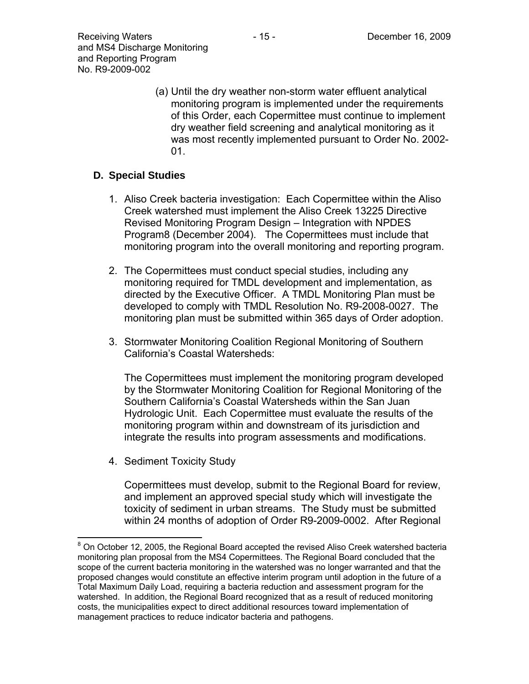(a) Until the dry weather non-storm water effluent analytical monitoring program is implemented under the requirements of this Order, each Copermittee must continue to implement dry weather field screening and analytical monitoring as it was most recently implemented pursuant to Order No. 2002-  $01<sub>1</sub>$ 

### **D. Special Studies**

- 1. Aliso Creek bacteria investigation: Each Copermittee within the Aliso Creek watershed must implement the Aliso Creek 13225 Directive Revised Monitoring Program Design – Integration with NPDES Program8 (December 2004). The Copermittees must include that monitoring program into the overall monitoring and reporting program.
- 2. The Copermittees must conduct special studies, including any monitoring required for TMDL development and implementation, as directed by the Executive Officer. A TMDL Monitoring Plan must be developed to comply with TMDL Resolution No. R9-2008-0027. The monitoring plan must be submitted within 365 days of Order adoption.
- 3. Stormwater Monitoring Coalition Regional Monitoring of Southern California's Coastal Watersheds:

The Copermittees must implement the monitoring program developed by the Stormwater Monitoring Coalition for Regional Monitoring of the Southern California's Coastal Watersheds within the San Juan Hydrologic Unit. Each Copermittee must evaluate the results of the monitoring program within and downstream of its jurisdiction and integrate the results into program assessments and modifications.

4. Sediment Toxicity Study

1

Copermittees must develop, submit to the Regional Board for review, and implement an approved special study which will investigate the toxicity of sediment in urban streams. The Study must be submitted within 24 months of adoption of Order R9-2009-0002. After Regional

 $8$  On October 12, 2005, the Regional Board accepted the revised Aliso Creek watershed bacteria monitoring plan proposal from the MS4 Copermittees. The Regional Board concluded that the scope of the current bacteria monitoring in the watershed was no longer warranted and that the proposed changes would constitute an effective interim program until adoption in the future of a Total Maximum Daily Load, requiring a bacteria reduction and assessment program for the watershed. In addition, the Regional Board recognized that as a result of reduced monitoring costs, the municipalities expect to direct additional resources toward implementation of management practices to reduce indicator bacteria and pathogens.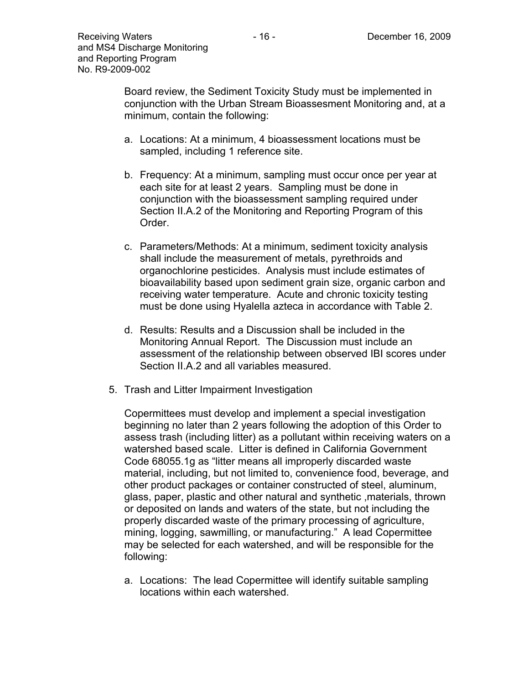Board review, the Sediment Toxicity Study must be implemented in conjunction with the Urban Stream Bioassesment Monitoring and, at a minimum, contain the following:

- a. Locations: At a minimum, 4 bioassessment locations must be sampled, including 1 reference site.
- b. Frequency: At a minimum, sampling must occur once per year at each site for at least 2 years. Sampling must be done in conjunction with the bioassessment sampling required under Section II.A.2 of the Monitoring and Reporting Program of this Order.
- c. Parameters/Methods: At a minimum, sediment toxicity analysis shall include the measurement of metals, pyrethroids and organochlorine pesticides. Analysis must include estimates of bioavailability based upon sediment grain size, organic carbon and receiving water temperature. Acute and chronic toxicity testing must be done using Hyalella azteca in accordance with Table 2.
- d. Results: Results and a Discussion shall be included in the Monitoring Annual Report. The Discussion must include an assessment of the relationship between observed IBI scores under Section II.A.2 and all variables measured.
- 5. Trash and Litter Impairment Investigation

Copermittees must develop and implement a special investigation beginning no later than 2 years following the adoption of this Order to assess trash (including litter) as a pollutant within receiving waters on a watershed based scale. Litter is defined in California Government Code 68055.1g as "litter means all improperly discarded waste material, including, but not limited to, convenience food, beverage, and other product packages or container constructed of steel, aluminum, glass, paper, plastic and other natural and synthetic ,materials, thrown or deposited on lands and waters of the state, but not including the properly discarded waste of the primary processing of agriculture, mining, logging, sawmilling, or manufacturing." A lead Copermittee may be selected for each watershed, and will be responsible for the following:

a. Locations: The lead Copermittee will identify suitable sampling locations within each watershed.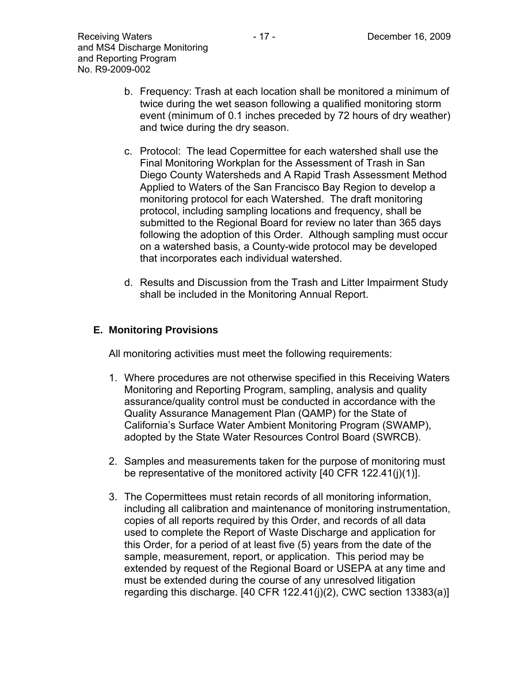- c. Protocol: The lead Copermittee for each watershed shall use the Final Monitoring Workplan for the Assessment of Trash in San Diego County Watersheds and A Rapid Trash Assessment Method Applied to Waters of the San Francisco Bay Region to develop a monitoring protocol for each Watershed. The draft monitoring protocol, including sampling locations and frequency, shall be submitted to the Regional Board for review no later than 365 days following the adoption of this Order. Although sampling must occur on a watershed basis, a County-wide protocol may be developed that incorporates each individual watershed.
- d. Results and Discussion from the Trash and Litter Impairment Study shall be included in the Monitoring Annual Report.

### **E. Monitoring Provisions**

All monitoring activities must meet the following requirements:

- 1. Where procedures are not otherwise specified in this Receiving Waters Monitoring and Reporting Program, sampling, analysis and quality assurance/quality control must be conducted in accordance with the Quality Assurance Management Plan (QAMP) for the State of California's Surface Water Ambient Monitoring Program (SWAMP), adopted by the State Water Resources Control Board (SWRCB).
- 2. Samples and measurements taken for the purpose of monitoring must be representative of the monitored activity [40 CFR 122.41(j)(1)].
- 3. The Copermittees must retain records of all monitoring information, including all calibration and maintenance of monitoring instrumentation, copies of all reports required by this Order, and records of all data used to complete the Report of Waste Discharge and application for this Order, for a period of at least five (5) years from the date of the sample, measurement, report, or application. This period may be extended by request of the Regional Board or USEPA at any time and must be extended during the course of any unresolved litigation regarding this discharge. [40 CFR 122.41(j)(2), CWC section 13383(a)]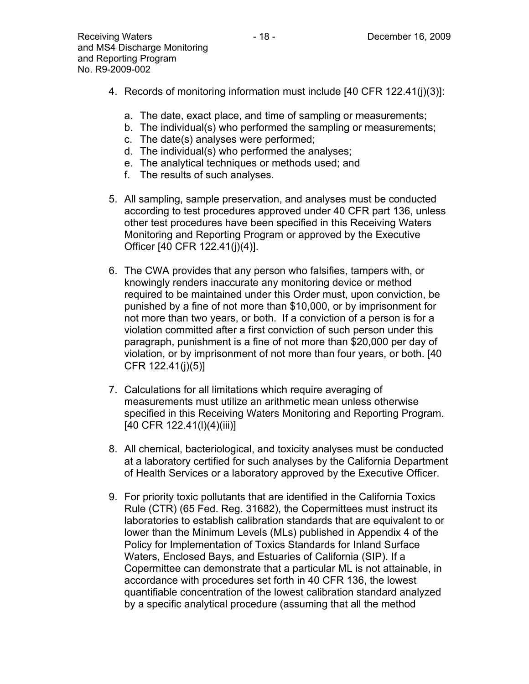- 4. Records of monitoring information must include [40 CFR 122.41(j)(3)]:
	- a. The date, exact place, and time of sampling or measurements;
	- b. The individual(s) who performed the sampling or measurements;
	- c. The date(s) analyses were performed;
	- d. The individual(s) who performed the analyses;
	- e. The analytical techniques or methods used; and
	- f. The results of such analyses.
- 5. All sampling, sample preservation, and analyses must be conducted according to test procedures approved under 40 CFR part 136, unless other test procedures have been specified in this Receiving Waters Monitoring and Reporting Program or approved by the Executive Officer [40 CFR 122.41(j)(4)].
- 6. The CWA provides that any person who falsifies, tampers with, or knowingly renders inaccurate any monitoring device or method required to be maintained under this Order must, upon conviction, be punished by a fine of not more than \$10,000, or by imprisonment for not more than two years, or both. If a conviction of a person is for a violation committed after a first conviction of such person under this paragraph, punishment is a fine of not more than \$20,000 per day of violation, or by imprisonment of not more than four years, or both. [40 CFR 122.41(j)(5)]
- 7. Calculations for all limitations which require averaging of measurements must utilize an arithmetic mean unless otherwise specified in this Receiving Waters Monitoring and Reporting Program. [40 CFR 122.41(I)(4)(iii)]
- 8. All chemical, bacteriological, and toxicity analyses must be conducted at a laboratory certified for such analyses by the California Department of Health Services or a laboratory approved by the Executive Officer.
- 9. For priority toxic pollutants that are identified in the California Toxics Rule (CTR) (65 Fed. Reg. 31682), the Copermittees must instruct its laboratories to establish calibration standards that are equivalent to or lower than the Minimum Levels (MLs) published in Appendix 4 of the Policy for Implementation of Toxics Standards for Inland Surface Waters, Enclosed Bays, and Estuaries of California (SIP). If a Copermittee can demonstrate that a particular ML is not attainable, in accordance with procedures set forth in 40 CFR 136, the lowest quantifiable concentration of the lowest calibration standard analyzed by a specific analytical procedure (assuming that all the method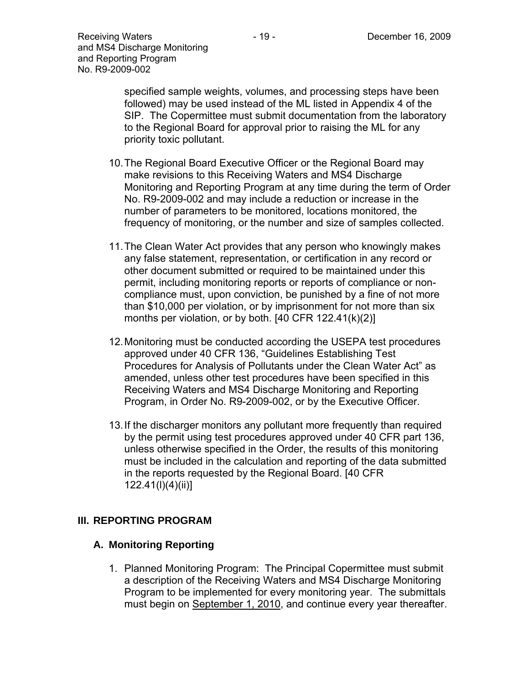specified sample weights, volumes, and processing steps have been followed) may be used instead of the ML listed in Appendix 4 of the SIP. The Copermittee must submit documentation from the laboratory to the Regional Board for approval prior to raising the ML for any priority toxic pollutant.

- 10. The Regional Board Executive Officer or the Regional Board may make revisions to this Receiving Waters and MS4 Discharge Monitoring and Reporting Program at any time during the term of Order No. R9-2009-002 and may include a reduction or increase in the number of parameters to be monitored, locations monitored, the frequency of monitoring, or the number and size of samples collected.
- 11. The Clean Water Act provides that any person who knowingly makes any false statement, representation, or certification in any record or other document submitted or required to be maintained under this permit, including monitoring reports or reports of compliance or noncompliance must, upon conviction, be punished by a fine of not more than \$10,000 per violation, or by imprisonment for not more than six months per violation, or by both. [40 CFR 122.41(k)(2)]
- 12. Monitoring must be conducted according the USEPA test procedures approved under 40 CFR 136, "Guidelines Establishing Test Procedures for Analysis of Pollutants under the Clean Water Act" as amended, unless other test procedures have been specified in this Receiving Waters and MS4 Discharge Monitoring and Reporting Program, in Order No. R9-2009-002, or by the Executive Officer.
- 13. If the discharger monitors any pollutant more frequently than required by the permit using test procedures approved under 40 CFR part 136, unless otherwise specified in the Order, the results of this monitoring must be included in the calculation and reporting of the data submitted in the reports requested by the Regional Board. [40 CFR 122.41(l)(4)(ii)]

### **III. REPORTING PROGRAM**

### **A. Monitoring Reporting**

1. Planned Monitoring Program: The Principal Copermittee must submit a description of the Receiving Waters and MS4 Discharge Monitoring Program to be implemented for every monitoring year. The submittals must begin on September 1, 2010, and continue every year thereafter.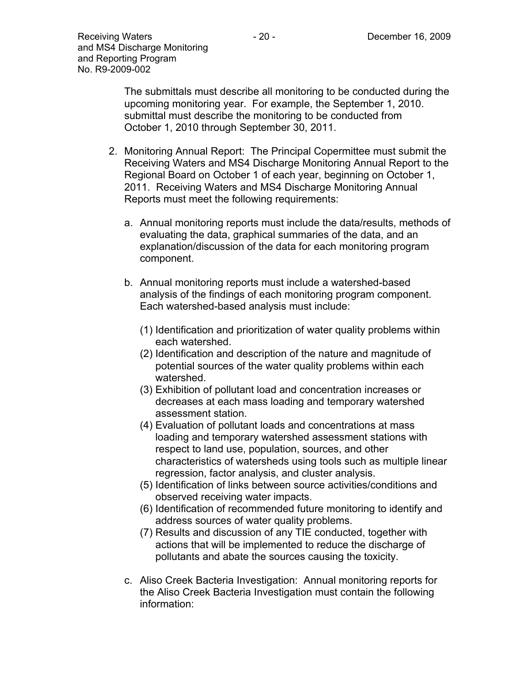The submittals must describe all monitoring to be conducted during the upcoming monitoring year. For example, the September 1, 2010. submittal must describe the monitoring to be conducted from October 1, 2010 through September 30, 2011.

- 2. Monitoring Annual Report: The Principal Copermittee must submit the Receiving Waters and MS4 Discharge Monitoring Annual Report to the Regional Board on October 1 of each year, beginning on October 1, 2011. Receiving Waters and MS4 Discharge Monitoring Annual Reports must meet the following requirements:
	- a. Annual monitoring reports must include the data/results, methods of evaluating the data, graphical summaries of the data, and an explanation/discussion of the data for each monitoring program component.
	- b. Annual monitoring reports must include a watershed-based analysis of the findings of each monitoring program component. Each watershed-based analysis must include:
		- (1) Identification and prioritization of water quality problems within each watershed.
		- (2) Identification and description of the nature and magnitude of potential sources of the water quality problems within each watershed.
		- (3) Exhibition of pollutant load and concentration increases or decreases at each mass loading and temporary watershed assessment station.
		- (4) Evaluation of pollutant loads and concentrations at mass loading and temporary watershed assessment stations with respect to land use, population, sources, and other characteristics of watersheds using tools such as multiple linear regression, factor analysis, and cluster analysis.
		- (5) Identification of links between source activities/conditions and observed receiving water impacts.
		- (6) Identification of recommended future monitoring to identify and address sources of water quality problems.
		- (7) Results and discussion of any TIE conducted, together with actions that will be implemented to reduce the discharge of pollutants and abate the sources causing the toxicity.
	- c. Aliso Creek Bacteria Investigation: Annual monitoring reports for the Aliso Creek Bacteria Investigation must contain the following information: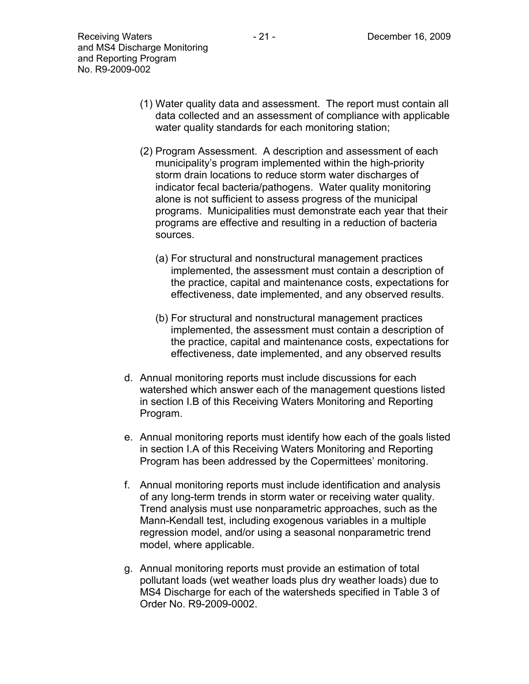- (1) Water quality data and assessment. The report must contain all data collected and an assessment of compliance with applicable water quality standards for each monitoring station;
- (2) Program Assessment. A description and assessment of each municipality's program implemented within the high-priority storm drain locations to reduce storm water discharges of indicator fecal bacteria/pathogens. Water quality monitoring alone is not sufficient to assess progress of the municipal programs. Municipalities must demonstrate each year that their programs are effective and resulting in a reduction of bacteria sources.
	- (a) For structural and nonstructural management practices implemented, the assessment must contain a description of the practice, capital and maintenance costs, expectations for effectiveness, date implemented, and any observed results.
	- (b) For structural and nonstructural management practices implemented, the assessment must contain a description of the practice, capital and maintenance costs, expectations for effectiveness, date implemented, and any observed results
- d. Annual monitoring reports must include discussions for each watershed which answer each of the management questions listed in section I.B of this Receiving Waters Monitoring and Reporting Program.
- e. Annual monitoring reports must identify how each of the goals listed in section I.A of this Receiving Waters Monitoring and Reporting Program has been addressed by the Copermittees' monitoring.
- f. Annual monitoring reports must include identification and analysis of any long-term trends in storm water or receiving water quality. Trend analysis must use nonparametric approaches, such as the Mann-Kendall test, including exogenous variables in a multiple regression model, and/or using a seasonal nonparametric trend model, where applicable.
- g. Annual monitoring reports must provide an estimation of total pollutant loads (wet weather loads plus dry weather loads) due to MS4 Discharge for each of the watersheds specified in Table 3 of Order No. R9-2009-0002.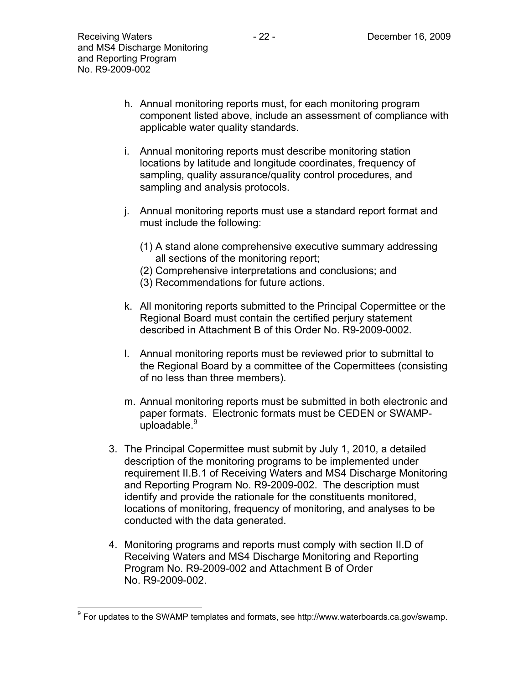$\overline{a}$ 

- i. Annual monitoring reports must describe monitoring station locations by latitude and longitude coordinates, frequency of sampling, quality assurance/quality control procedures, and sampling and analysis protocols.
- j. Annual monitoring reports must use a standard report format and must include the following:
	- (1) A stand alone comprehensive executive summary addressing all sections of the monitoring report;
	- (2) Comprehensive interpretations and conclusions; and
	- (3) Recommendations for future actions.

applicable water quality standards.

- k. All monitoring reports submitted to the Principal Copermittee or the Regional Board must contain the certified perjury statement described in Attachment B of this Order No. R9-2009-0002.
- l. Annual monitoring reports must be reviewed prior to submittal to the Regional Board by a committee of the Copermittees (consisting of no less than three members).
- m. Annual monitoring reports must be submitted in both electronic and paper formats. Electronic formats must be CEDEN or SWAMPuploadable.<sup>9</sup>
- 3. The Principal Copermittee must submit by July 1, 2010, a detailed description of the monitoring programs to be implemented under requirement II.B.1 of Receiving Waters and MS4 Discharge Monitoring and Reporting Program No. R9-2009-002. The description must identify and provide the rationale for the constituents monitored, locations of monitoring, frequency of monitoring, and analyses to be conducted with the data generated.
- 4. Monitoring programs and reports must comply with section II.D of Receiving Waters and MS4 Discharge Monitoring and Reporting Program No. R9-2009-002 and Attachment B of Order No. R9-2009-002.

 $9$  For updates to the SWAMP templates and formats, see http://www.waterboards.ca.gov/swamp.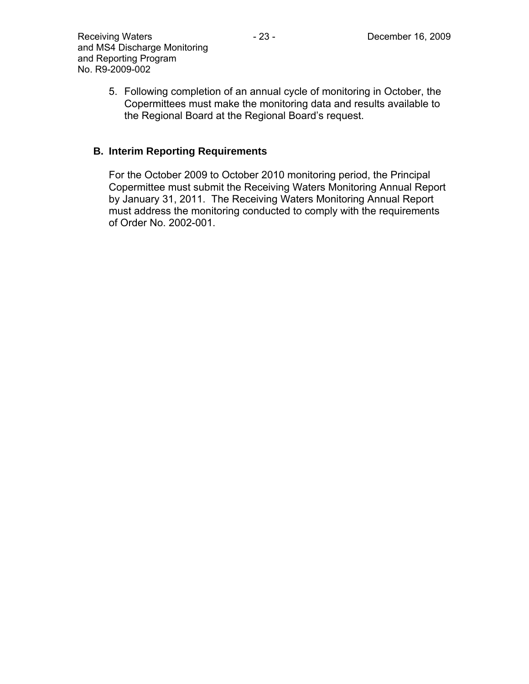5. Following completion of an annual cycle of monitoring in October, the Copermittees must make the monitoring data and results available to the Regional Board at the Regional Board's request.

### **B. Interim Reporting Requirements**

For the October 2009 to October 2010 monitoring period, the Principal Copermittee must submit the Receiving Waters Monitoring Annual Report by January 31, 2011. The Receiving Waters Monitoring Annual Report must address the monitoring conducted to comply with the requirements of Order No. 2002-001.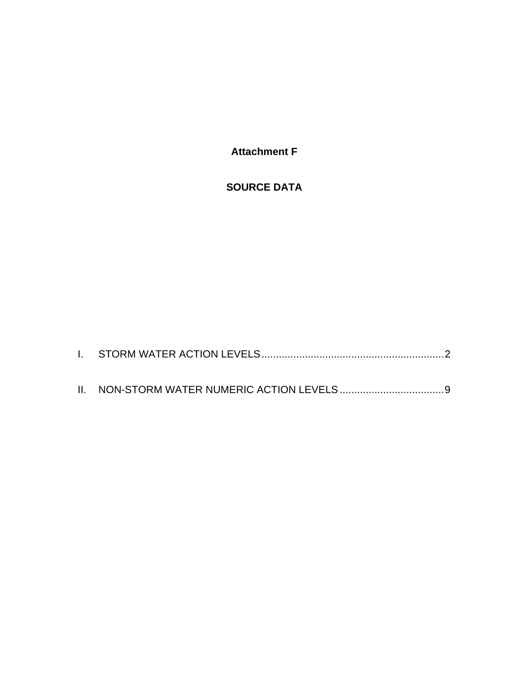**Attachment F** 

### **SOURCE DATA**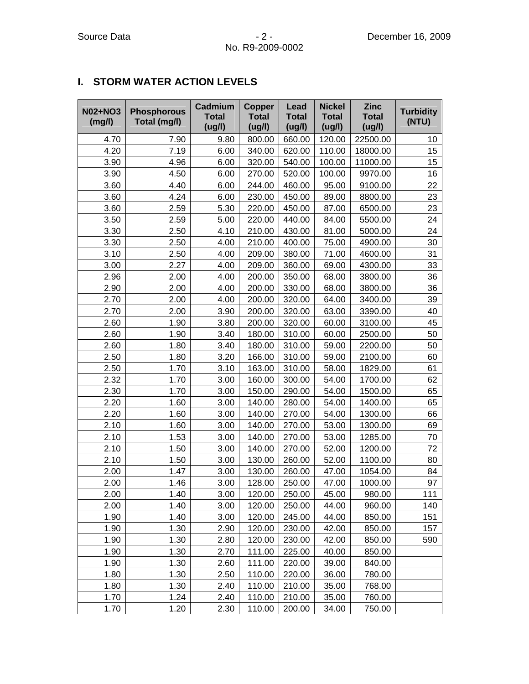### **I. STORM WATER ACTION LEVELS**

| <b>N02+NO3</b><br>(mg/l) | <b>Phosphorous</b><br>Total (mg/l) | Cadmium<br><b>Total</b><br>(ug/l) | <b>Copper</b><br><b>Total</b><br>(ug/l) | Lead<br><b>Total</b><br>(ug/l) | <b>Nickel</b><br><b>Total</b><br>(ug/l) | <b>Zinc</b><br><b>Total</b><br>(ug/l) | <b>Turbidity</b><br>(NTU) |
|--------------------------|------------------------------------|-----------------------------------|-----------------------------------------|--------------------------------|-----------------------------------------|---------------------------------------|---------------------------|
| 4.70                     | 7.90                               | 9.80                              | 800.00                                  | 660.00                         | 120.00                                  | 22500.00                              | 10                        |
| 4.20                     | 7.19                               | 6.00                              | 340.00                                  | 620.00                         | 110.00                                  | 18000.00                              | 15                        |
| 3.90                     | 4.96                               | 6.00                              | 320.00                                  | 540.00                         | 100.00                                  | 11000.00                              | 15                        |
| 3.90                     | 4.50                               | 6.00                              | 270.00                                  | 520.00                         | 100.00                                  | 9970.00                               | 16                        |
| 3.60                     | 4.40                               | 6.00                              | 244.00                                  | 460.00                         | 95.00                                   | 9100.00                               | 22                        |
| 3.60                     | 4.24                               | 6.00                              | 230.00                                  | 450.00                         | 89.00                                   | 8800.00                               | 23                        |
| 3.60                     | 2.59                               | 5.30                              | 220.00                                  | 450.00                         | 87.00                                   | 6500.00                               | 23                        |
| 3.50                     | 2.59                               | 5.00                              | 220.00                                  | 440.00                         | 84.00                                   | 5500.00                               | 24                        |
| 3.30                     | 2.50                               | 4.10                              | 210.00                                  | 430.00                         | 81.00                                   | 5000.00                               | 24                        |
| 3.30                     | 2.50                               | 4.00                              | 210.00                                  | 400.00                         | 75.00                                   | 4900.00                               | 30                        |
| 3.10                     | 2.50                               | 4.00                              | 209.00                                  | 380.00                         | 71.00                                   | 4600.00                               | 31                        |
| 3.00                     | 2.27                               | 4.00                              | 209.00                                  | 360.00                         | 69.00                                   | 4300.00                               | 33                        |
| 2.96                     | 2.00                               | 4.00                              | 200.00                                  | 350.00                         | 68.00                                   | 3800.00                               | 36                        |
| 2.90                     | 2.00                               | 4.00                              | 200.00                                  | 330.00                         | 68.00                                   | 3800.00                               | 36                        |
| 2.70                     | 2.00                               | 4.00                              | 200.00                                  | 320.00                         | 64.00                                   | 3400.00                               | 39                        |
| 2.70                     | 2.00                               | 3.90                              | 200.00                                  | 320.00                         | 63.00                                   | 3390.00                               | 40                        |
| 2.60                     | 1.90                               | 3.80                              | 200.00                                  | 320.00                         | 60.00                                   | 3100.00                               | 45                        |
| 2.60                     | 1.90                               | 3.40                              | 180.00                                  | 310.00                         | 60.00                                   | 2500.00                               | 50                        |
| 2.60                     | 1.80                               | 3.40                              | 180.00                                  | 310.00                         | 59.00                                   | 2200.00                               | 50                        |
| 2.50                     | 1.80                               | 3.20                              | 166.00                                  | 310.00                         | 59.00                                   | 2100.00                               | 60                        |
| 2.50                     | 1.70                               | 3.10                              | 163.00                                  | 310.00                         | 58.00                                   | 1829.00                               | 61                        |
| 2.32                     | 1.70                               | 3.00                              | 160.00                                  | 300.00                         | 54.00                                   | 1700.00                               | 62                        |
| 2.30                     | 1.70                               | 3.00                              | 150.00                                  | 290.00                         | 54.00                                   | 1500.00                               | 65                        |
| 2.20                     | 1.60                               | 3.00                              | 140.00                                  | 280.00                         | 54.00                                   | 1400.00                               | 65                        |
| 2.20                     | 1.60                               | 3.00                              | 140.00                                  | 270.00                         | 54.00                                   | 1300.00                               | 66                        |
| 2.10                     | 1.60                               | 3.00                              | 140.00                                  | 270.00                         | 53.00                                   | 1300.00                               | 69                        |
| 2.10                     | 1.53                               | 3.00                              | 140.00                                  | 270.00                         | 53.00                                   | 1285.00                               | 70                        |
| 2.10                     | 1.50                               | 3.00                              | 140.00                                  | 270.00                         | 52.00                                   | 1200.00                               | 72                        |
| 2.10                     | 1.50                               | 3.00                              | 130.00                                  | 260.00                         | 52.00                                   | 1100.00                               | 80                        |
| 2.00                     | 1.47                               | 3.00                              | 130.00                                  | 260.00                         | 47.00                                   | 1054.00                               | 84                        |
| 2.00                     | 1.46                               | 3.00                              | 128.00                                  | 250.00                         | 47.00                                   | 1000.00                               | 97                        |
| 2.00                     | 1.40                               | 3.00                              | 120.00                                  | 250.00                         | 45.00                                   | 980.00                                | 111                       |
| 2.00                     | 1.40                               | 3.00                              | 120.00                                  | 250.00                         | 44.00                                   | 960.00                                | 140                       |
| 1.90                     | 1.40                               | 3.00                              | 120.00                                  | 245.00                         | 44.00                                   | 850.00                                | 151                       |
| 1.90                     | 1.30                               | 2.90                              | 120.00                                  | 230.00                         | 42.00                                   | 850.00                                | 157                       |
| 1.90                     | 1.30                               | 2.80                              | 120.00                                  | 230.00                         | 42.00                                   | 850.00                                | 590                       |
| 1.90                     | 1.30                               | 2.70                              | 111.00                                  | 225.00                         | 40.00                                   | 850.00                                |                           |
| 1.90                     | 1.30                               | 2.60                              | 111.00                                  | 220.00                         | 39.00                                   | 840.00                                |                           |
| 1.80                     | 1.30                               | 2.50                              | 110.00                                  | 220.00                         | 36.00                                   | 780.00                                |                           |
| 1.80                     | 1.30                               | 2.40                              | 110.00                                  | 210.00                         | 35.00                                   | 768.00                                |                           |
| 1.70                     | 1.24                               | 2.40                              | 110.00                                  | 210.00                         | 35.00                                   | 760.00                                |                           |
| 1.70                     | 1.20                               | 2.30                              | 110.00                                  | 200.00                         | 34.00                                   | 750.00                                |                           |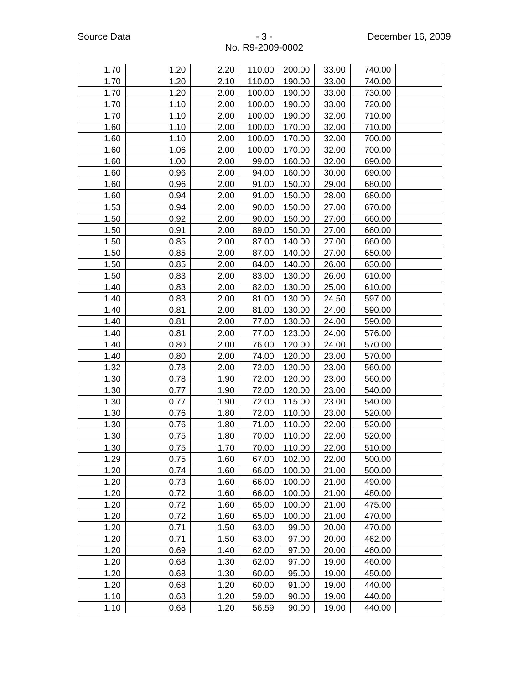| 1.70 | 1.20 | 2.20 | 110.00 | 200.00 | 33.00 | 740.00 |  |
|------|------|------|--------|--------|-------|--------|--|
| 1.70 | 1.20 | 2.10 | 110.00 | 190.00 | 33.00 | 740.00 |  |
| 1.70 | 1.20 | 2.00 | 100.00 | 190.00 | 33.00 | 730.00 |  |
| 1.70 | 1.10 | 2.00 | 100.00 | 190.00 | 33.00 | 720.00 |  |
| 1.70 | 1.10 | 2.00 | 100.00 | 190.00 | 32.00 | 710.00 |  |
| 1.60 | 1.10 | 2.00 | 100.00 | 170.00 | 32.00 | 710.00 |  |
| 1.60 | 1.10 | 2.00 | 100.00 | 170.00 | 32.00 | 700.00 |  |
| 1.60 | 1.06 | 2.00 | 100.00 | 170.00 | 32.00 | 700.00 |  |
| 1.60 | 1.00 | 2.00 | 99.00  | 160.00 | 32.00 | 690.00 |  |
| 1.60 | 0.96 | 2.00 | 94.00  | 160.00 | 30.00 | 690.00 |  |
| 1.60 | 0.96 | 2.00 | 91.00  | 150.00 | 29.00 | 680.00 |  |
| 1.60 | 0.94 | 2.00 | 91.00  | 150.00 | 28.00 | 680.00 |  |
| 1.53 | 0.94 | 2.00 | 90.00  | 150.00 | 27.00 | 670.00 |  |
| 1.50 | 0.92 | 2.00 | 90.00  | 150.00 | 27.00 | 660.00 |  |
| 1.50 | 0.91 | 2.00 | 89.00  | 150.00 | 27.00 | 660.00 |  |
| 1.50 | 0.85 | 2.00 | 87.00  | 140.00 | 27.00 | 660.00 |  |
| 1.50 | 0.85 | 2.00 | 87.00  | 140.00 | 27.00 | 650.00 |  |
| 1.50 | 0.85 | 2.00 | 84.00  | 140.00 | 26.00 | 630.00 |  |
| 1.50 | 0.83 | 2.00 | 83.00  | 130.00 | 26.00 | 610.00 |  |
| 1.40 | 0.83 | 2.00 | 82.00  | 130.00 | 25.00 | 610.00 |  |
| 1.40 | 0.83 | 2.00 | 81.00  | 130.00 | 24.50 | 597.00 |  |
| 1.40 | 0.81 | 2.00 | 81.00  | 130.00 | 24.00 | 590.00 |  |
| 1.40 | 0.81 | 2.00 | 77.00  | 130.00 | 24.00 | 590.00 |  |
| 1.40 | 0.81 | 2.00 | 77.00  | 123.00 | 24.00 | 576.00 |  |
| 1.40 | 0.80 | 2.00 | 76.00  | 120.00 | 24.00 | 570.00 |  |
| 1.40 | 0.80 | 2.00 | 74.00  | 120.00 | 23.00 | 570.00 |  |
| 1.32 | 0.78 | 2.00 | 72.00  | 120.00 | 23.00 | 560.00 |  |
| 1.30 | 0.78 | 1.90 | 72.00  | 120.00 | 23.00 | 560.00 |  |
| 1.30 | 0.77 | 1.90 | 72.00  | 120.00 | 23.00 | 540.00 |  |
| 1.30 | 0.77 | 1.90 | 72.00  | 115.00 | 23.00 | 540.00 |  |
| 1.30 | 0.76 | 1.80 | 72.00  | 110.00 | 23.00 | 520.00 |  |
| 1.30 | 0.76 | 1.80 | 71.00  | 110.00 | 22.00 | 520.00 |  |
| 1.30 | 0.75 | 1.80 | 70.00  | 110.00 | 22.00 | 520.00 |  |
| 1.30 | 0.75 | 1.70 | 70.00  | 110.00 | 22.00 | 510.00 |  |
| 1.29 | 0.75 | 1.60 | 67.00  | 102.00 | 22.00 | 500.00 |  |
| 1.20 | 0.74 | 1.60 | 66.00  | 100.00 | 21.00 | 500.00 |  |
| 1.20 | 0.73 | 1.60 | 66.00  | 100.00 | 21.00 | 490.00 |  |
| 1.20 | 0.72 | 1.60 | 66.00  | 100.00 | 21.00 | 480.00 |  |
| 1.20 | 0.72 | 1.60 | 65.00  | 100.00 | 21.00 | 475.00 |  |
| 1.20 | 0.72 | 1.60 | 65.00  | 100.00 | 21.00 | 470.00 |  |
| 1.20 | 0.71 | 1.50 | 63.00  | 99.00  | 20.00 | 470.00 |  |
| 1.20 | 0.71 | 1.50 | 63.00  | 97.00  | 20.00 | 462.00 |  |
| 1.20 | 0.69 | 1.40 | 62.00  | 97.00  | 20.00 | 460.00 |  |
| 1.20 | 0.68 | 1.30 | 62.00  | 97.00  | 19.00 | 460.00 |  |
| 1.20 | 0.68 | 1.30 | 60.00  | 95.00  | 19.00 | 450.00 |  |
| 1.20 | 0.68 | 1.20 | 60.00  | 91.00  | 19.00 | 440.00 |  |
| 1.10 | 0.68 | 1.20 | 59.00  | 90.00  | 19.00 | 440.00 |  |
| 1.10 | 0.68 | 1.20 | 56.59  | 90.00  | 19.00 | 440.00 |  |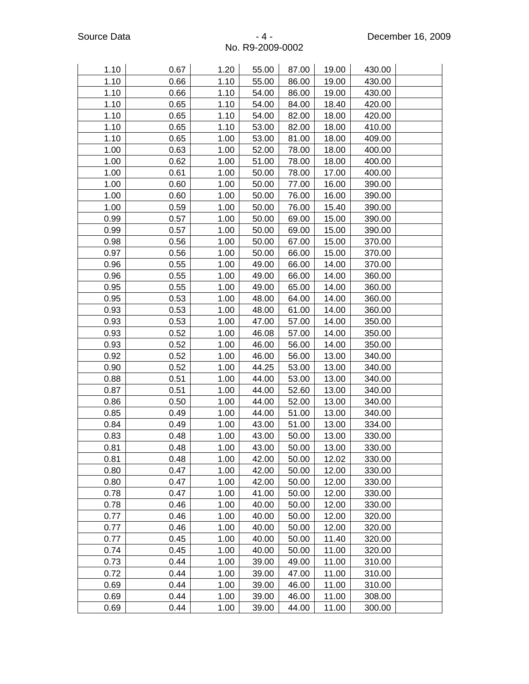| 1.10 | 0.67 | 1.20 | 55.00 | 87.00 | 19.00 | 430.00 |  |
|------|------|------|-------|-------|-------|--------|--|
| 1.10 | 0.66 | 1.10 | 55.00 | 86.00 | 19.00 | 430.00 |  |
| 1.10 | 0.66 | 1.10 | 54.00 | 86.00 | 19.00 | 430.00 |  |
| 1.10 | 0.65 | 1.10 | 54.00 | 84.00 | 18.40 | 420.00 |  |
| 1.10 | 0.65 | 1.10 | 54.00 | 82.00 | 18.00 | 420.00 |  |
| 1.10 | 0.65 | 1.10 | 53.00 | 82.00 | 18.00 | 410.00 |  |
| 1.10 | 0.65 | 1.00 | 53.00 | 81.00 | 18.00 | 409.00 |  |
| 1.00 | 0.63 | 1.00 | 52.00 | 78.00 | 18.00 | 400.00 |  |
| 1.00 | 0.62 | 1.00 | 51.00 | 78.00 | 18.00 | 400.00 |  |
| 1.00 | 0.61 | 1.00 | 50.00 | 78.00 | 17.00 | 400.00 |  |
| 1.00 | 0.60 | 1.00 | 50.00 | 77.00 | 16.00 | 390.00 |  |
| 1.00 | 0.60 | 1.00 | 50.00 | 76.00 | 16.00 | 390.00 |  |
| 1.00 | 0.59 | 1.00 | 50.00 | 76.00 | 15.40 | 390.00 |  |
| 0.99 | 0.57 | 1.00 | 50.00 | 69.00 | 15.00 | 390.00 |  |
| 0.99 | 0.57 | 1.00 | 50.00 | 69.00 | 15.00 | 390.00 |  |
| 0.98 | 0.56 | 1.00 | 50.00 | 67.00 | 15.00 | 370.00 |  |
| 0.97 | 0.56 | 1.00 | 50.00 | 66.00 | 15.00 | 370.00 |  |
| 0.96 | 0.55 | 1.00 | 49.00 | 66.00 | 14.00 | 370.00 |  |
| 0.96 | 0.55 | 1.00 | 49.00 | 66.00 | 14.00 | 360.00 |  |
| 0.95 | 0.55 | 1.00 | 49.00 | 65.00 | 14.00 | 360.00 |  |
| 0.95 | 0.53 | 1.00 | 48.00 | 64.00 | 14.00 | 360.00 |  |
| 0.93 | 0.53 | 1.00 | 48.00 | 61.00 | 14.00 | 360.00 |  |
| 0.93 | 0.53 | 1.00 | 47.00 | 57.00 | 14.00 | 350.00 |  |
| 0.93 | 0.52 | 1.00 | 46.08 | 57.00 | 14.00 | 350.00 |  |
| 0.93 | 0.52 | 1.00 | 46.00 | 56.00 | 14.00 | 350.00 |  |
| 0.92 | 0.52 | 1.00 | 46.00 | 56.00 | 13.00 | 340.00 |  |
| 0.90 | 0.52 | 1.00 | 44.25 | 53.00 | 13.00 | 340.00 |  |
| 0.88 | 0.51 | 1.00 | 44.00 | 53.00 | 13.00 | 340.00 |  |
| 0.87 | 0.51 | 1.00 | 44.00 | 52.60 | 13.00 | 340.00 |  |
| 0.86 | 0.50 | 1.00 | 44.00 | 52.00 | 13.00 | 340.00 |  |
| 0.85 | 0.49 | 1.00 | 44.00 | 51.00 | 13.00 | 340.00 |  |
| 0.84 | 0.49 | 1.00 | 43.00 | 51.00 | 13.00 | 334.00 |  |
| 0.83 | 0.48 | 1.00 | 43.00 | 50.00 | 13.00 | 330.00 |  |
| 0.81 | 0.48 | 1.00 | 43.00 | 50.00 | 13.00 | 330.00 |  |
| 0.81 | 0.48 | 1.00 | 42.00 | 50.00 | 12.02 | 330.00 |  |
| 0.80 | 0.47 | 1.00 | 42.00 | 50.00 | 12.00 | 330.00 |  |
| 0.80 | 0.47 | 1.00 | 42.00 | 50.00 | 12.00 | 330.00 |  |
| 0.78 | 0.47 | 1.00 | 41.00 | 50.00 | 12.00 | 330.00 |  |
| 0.78 | 0.46 | 1.00 | 40.00 | 50.00 | 12.00 | 330.00 |  |
| 0.77 | 0.46 | 1.00 | 40.00 | 50.00 | 12.00 | 320.00 |  |
| 0.77 | 0.46 | 1.00 | 40.00 | 50.00 | 12.00 | 320.00 |  |
| 0.77 | 0.45 | 1.00 | 40.00 | 50.00 | 11.40 | 320.00 |  |
| 0.74 | 0.45 | 1.00 | 40.00 | 50.00 | 11.00 | 320.00 |  |
| 0.73 | 0.44 | 1.00 | 39.00 | 49.00 | 11.00 | 310.00 |  |
| 0.72 | 0.44 | 1.00 | 39.00 | 47.00 | 11.00 | 310.00 |  |
| 0.69 | 0.44 | 1.00 | 39.00 | 46.00 | 11.00 | 310.00 |  |
| 0.69 | 0.44 | 1.00 | 39.00 | 46.00 | 11.00 | 308.00 |  |
| 0.69 | 0.44 | 1.00 | 39.00 | 44.00 | 11.00 | 300.00 |  |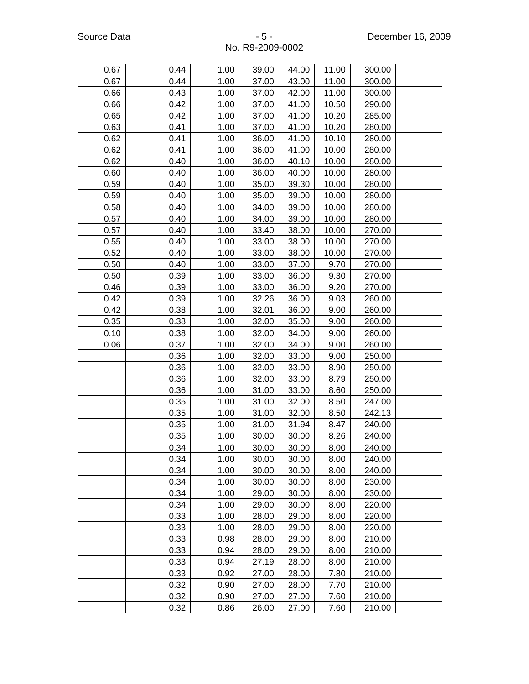| 0.67 | 0.44 | 1.00 | 39.00 | 44.00 | 11.00 | 300.00 |  |
|------|------|------|-------|-------|-------|--------|--|
| 0.67 | 0.44 | 1.00 | 37.00 | 43.00 | 11.00 | 300.00 |  |
| 0.66 | 0.43 | 1.00 | 37.00 | 42.00 | 11.00 | 300.00 |  |
| 0.66 | 0.42 | 1.00 | 37.00 | 41.00 | 10.50 | 290.00 |  |
| 0.65 | 0.42 | 1.00 | 37.00 | 41.00 | 10.20 | 285.00 |  |
| 0.63 | 0.41 | 1.00 | 37.00 | 41.00 | 10.20 | 280.00 |  |
| 0.62 | 0.41 | 1.00 | 36.00 | 41.00 | 10.10 | 280.00 |  |
| 0.62 | 0.41 | 1.00 | 36.00 | 41.00 | 10.00 | 280.00 |  |
| 0.62 | 0.40 | 1.00 | 36.00 | 40.10 | 10.00 | 280.00 |  |
| 0.60 | 0.40 | 1.00 | 36.00 | 40.00 | 10.00 | 280.00 |  |
| 0.59 | 0.40 | 1.00 | 35.00 | 39.30 | 10.00 | 280.00 |  |
| 0.59 | 0.40 | 1.00 | 35.00 | 39.00 | 10.00 | 280.00 |  |
| 0.58 | 0.40 | 1.00 | 34.00 | 39.00 | 10.00 | 280.00 |  |
| 0.57 | 0.40 | 1.00 | 34.00 | 39.00 | 10.00 | 280.00 |  |
| 0.57 | 0.40 | 1.00 | 33.40 | 38.00 | 10.00 | 270.00 |  |
| 0.55 | 0.40 | 1.00 | 33.00 | 38.00 | 10.00 | 270.00 |  |
| 0.52 | 0.40 | 1.00 | 33.00 | 38.00 | 10.00 | 270.00 |  |
| 0.50 | 0.40 | 1.00 | 33.00 | 37.00 | 9.70  | 270.00 |  |
| 0.50 | 0.39 | 1.00 | 33.00 | 36.00 | 9.30  | 270.00 |  |
| 0.46 | 0.39 | 1.00 | 33.00 | 36.00 | 9.20  | 270.00 |  |
| 0.42 | 0.39 | 1.00 | 32.26 | 36.00 | 9.03  | 260.00 |  |
| 0.42 | 0.38 | 1.00 | 32.01 | 36.00 | 9.00  | 260.00 |  |
| 0.35 | 0.38 | 1.00 | 32.00 | 35.00 | 9.00  | 260.00 |  |
| 0.10 | 0.38 | 1.00 | 32.00 | 34.00 | 9.00  | 260.00 |  |
| 0.06 | 0.37 | 1.00 | 32.00 | 34.00 | 9.00  | 260.00 |  |
|      | 0.36 | 1.00 | 32.00 | 33.00 | 9.00  | 250.00 |  |
|      | 0.36 | 1.00 | 32.00 | 33.00 | 8.90  | 250.00 |  |
|      | 0.36 | 1.00 | 32.00 | 33.00 | 8.79  | 250.00 |  |
|      | 0.36 | 1.00 | 31.00 | 33.00 | 8.60  | 250.00 |  |
|      | 0.35 | 1.00 | 31.00 | 32.00 | 8.50  | 247.00 |  |
|      | 0.35 | 1.00 | 31.00 | 32.00 | 8.50  | 242.13 |  |
|      | 0.35 | 1.00 | 31.00 | 31.94 | 8.47  | 240.00 |  |
|      | 0.35 | 1.00 | 30.00 | 30.00 | 8.26  | 240.00 |  |
|      | 0.34 | 1.00 | 30.00 | 30.00 | 8.00  | 240.00 |  |
|      | 0.34 | 1.00 | 30.00 | 30.00 | 8.00  | 240.00 |  |
|      | 0.34 | 1.00 | 30.00 | 30.00 | 8.00  | 240.00 |  |
|      | 0.34 | 1.00 | 30.00 | 30.00 | 8.00  | 230.00 |  |
|      | 0.34 | 1.00 | 29.00 | 30.00 | 8.00  | 230.00 |  |
|      | 0.34 | 1.00 | 29.00 | 30.00 | 8.00  | 220.00 |  |
|      | 0.33 | 1.00 | 28.00 | 29.00 | 8.00  | 220.00 |  |
|      | 0.33 | 1.00 | 28.00 | 29.00 | 8.00  | 220.00 |  |
|      | 0.33 | 0.98 | 28.00 | 29.00 | 8.00  | 210.00 |  |
|      | 0.33 | 0.94 | 28.00 | 29.00 | 8.00  | 210.00 |  |
|      | 0.33 | 0.94 | 27.19 | 28.00 | 8.00  | 210.00 |  |
|      | 0.33 | 0.92 | 27.00 | 28.00 | 7.80  | 210.00 |  |
|      | 0.32 | 0.90 | 27.00 | 28.00 | 7.70  | 210.00 |  |
|      | 0.32 | 0.90 | 27.00 | 27.00 | 7.60  | 210.00 |  |
|      | 0.32 | 0.86 | 26.00 | 27.00 | 7.60  | 210.00 |  |
|      |      |      |       |       |       |        |  |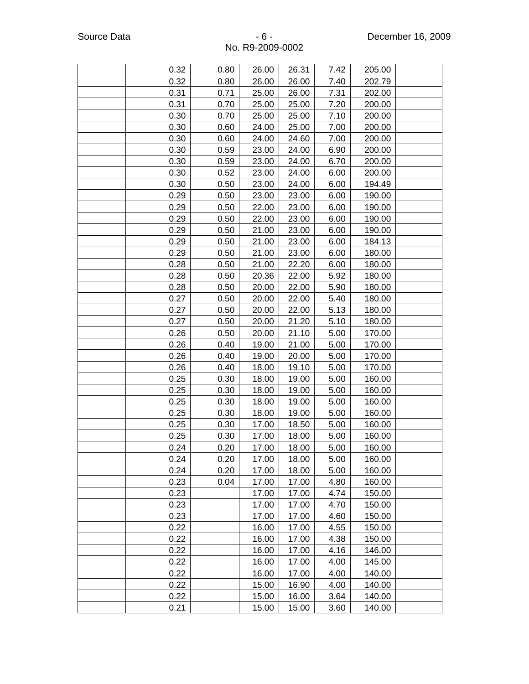| 0.32 | 0.80 | 26.00 | 26.31 | 7.42 | 205.00 |  |
|------|------|-------|-------|------|--------|--|
| 0.32 | 0.80 | 26.00 | 26.00 | 7.40 | 202.79 |  |
| 0.31 | 0.71 | 25.00 | 26.00 | 7.31 | 202.00 |  |
| 0.31 | 0.70 | 25.00 | 25.00 | 7.20 | 200.00 |  |
| 0.30 | 0.70 | 25.00 | 25.00 | 7.10 | 200.00 |  |
| 0.30 | 0.60 | 24.00 | 25.00 | 7.00 | 200.00 |  |
| 0.30 | 0.60 | 24.00 | 24.60 | 7.00 | 200.00 |  |
| 0.30 | 0.59 | 23.00 | 24.00 | 6.90 | 200.00 |  |
| 0.30 | 0.59 | 23.00 | 24.00 | 6.70 | 200.00 |  |
| 0.30 | 0.52 | 23.00 | 24.00 | 6.00 | 200.00 |  |
| 0.30 | 0.50 | 23.00 | 24.00 | 6.00 | 194.49 |  |
| 0.29 | 0.50 | 23.00 | 23.00 | 6.00 | 190.00 |  |
| 0.29 | 0.50 | 22.00 | 23.00 | 6.00 | 190.00 |  |
| 0.29 | 0.50 | 22.00 | 23.00 | 6.00 | 190.00 |  |
| 0.29 | 0.50 | 21.00 | 23.00 | 6.00 | 190.00 |  |
| 0.29 | 0.50 | 21.00 | 23.00 | 6.00 | 184.13 |  |
| 0.29 | 0.50 | 21.00 | 23.00 | 6.00 | 180.00 |  |
| 0.28 | 0.50 | 21.00 | 22.20 | 6.00 | 180.00 |  |
| 0.28 | 0.50 | 20.36 | 22.00 | 5.92 | 180.00 |  |
| 0.28 | 0.50 | 20.00 | 22.00 | 5.90 | 180.00 |  |
| 0.27 | 0.50 | 20.00 | 22.00 | 5.40 | 180.00 |  |
| 0.27 | 0.50 | 20.00 | 22.00 | 5.13 | 180.00 |  |
| 0.27 | 0.50 | 20.00 | 21.20 | 5.10 | 180.00 |  |
| 0.26 | 0.50 | 20.00 | 21.10 | 5.00 | 170.00 |  |
| 0.26 | 0.40 | 19.00 | 21.00 | 5.00 | 170.00 |  |
| 0.26 | 0.40 | 19.00 | 20.00 | 5.00 | 170.00 |  |
| 0.26 | 0.40 | 18.00 | 19.10 | 5.00 | 170.00 |  |
| 0.25 | 0.30 | 18.00 | 19.00 | 5.00 | 160.00 |  |
| 0.25 | 0.30 | 18.00 | 19.00 | 5.00 | 160.00 |  |
| 0.25 | 0.30 | 18.00 | 19.00 | 5.00 | 160.00 |  |
| 0.25 | 0.30 | 18.00 | 19.00 | 5.00 | 160.00 |  |
| 0.25 | 0.30 | 17.00 | 18.50 | 5.00 | 160.00 |  |
| 0.25 | 0.30 | 17.00 | 18.00 | 5.00 | 160.00 |  |
| 0.24 | 0.20 | 17.00 | 18.00 | 5.00 | 160.00 |  |
| 0.24 | 0.20 | 17.00 | 18.00 | 5.00 | 160.00 |  |
| 0.24 | 0.20 | 17.00 | 18.00 | 5.00 | 160.00 |  |
| 0.23 | 0.04 | 17.00 | 17.00 | 4.80 | 160.00 |  |
| 0.23 |      | 17.00 | 17.00 | 4.74 | 150.00 |  |
| 0.23 |      | 17.00 | 17.00 | 4.70 | 150.00 |  |
| 0.23 |      | 17.00 | 17.00 | 4.60 | 150.00 |  |
| 0.22 |      | 16.00 | 17.00 | 4.55 | 150.00 |  |
| 0.22 |      | 16.00 | 17.00 | 4.38 | 150.00 |  |
| 0.22 |      | 16.00 | 17.00 | 4.16 | 146.00 |  |
| 0.22 |      | 16.00 | 17.00 | 4.00 | 145.00 |  |
| 0.22 |      | 16.00 | 17.00 | 4.00 | 140.00 |  |
| 0.22 |      | 15.00 | 16.90 | 4.00 | 140.00 |  |
| 0.22 |      | 15.00 | 16.00 | 3.64 | 140.00 |  |
| 0.21 |      | 15.00 | 15.00 | 3.60 | 140.00 |  |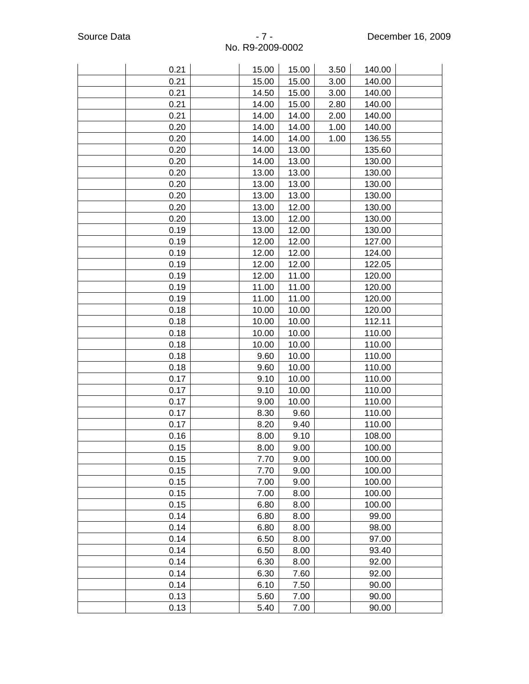| 3.50<br>0.21<br>15.00<br>15.00<br>140.00<br>0.21<br>15.00<br>15.00<br>3.00<br>140.00<br>0.21<br>14.50<br>15.00<br>3.00<br>140.00<br>0.21<br>14.00<br>15.00<br>2.80<br>140.00<br>0.21<br>14.00<br>14.00<br>2.00<br>140.00<br>0.20<br>14.00<br>1.00<br>14.00<br>140.00<br>0.20<br>14.00<br>14.00<br>1.00<br>136.55<br>0.20<br>14.00<br>13.00<br>135.60<br>0.20<br>14.00<br>13.00<br>130.00<br>13.00<br>0.20<br>13.00<br>130.00<br>0.20<br>13.00<br>13.00<br>130.00<br>0.20<br>13.00<br>13.00<br>130.00<br>0.20<br>13.00<br>12.00<br>130.00<br>0.20<br>13.00<br>12.00<br>130.00<br>13.00<br>0.19<br>12.00<br>130.00<br>12.00<br>0.19<br>12.00<br>127.00<br>0.19<br>12.00<br>12.00<br>124.00<br>0.19<br>12.00<br>12.00<br>122.05<br>0.19<br>12.00<br>11.00<br>120.00<br>0.19<br>11.00<br>11.00<br>120.00<br>11.00<br>0.19<br>11.00<br>120.00<br>0.18<br>10.00<br>10.00<br>120.00<br>0.18<br>10.00<br>10.00<br>112.11<br>10.00<br>0.18<br>10.00<br>110.00<br>0.18<br>10.00<br>10.00<br>110.00<br>0.18<br>9.60<br>10.00<br>110.00<br>0.18<br>9.60<br>10.00<br>110.00<br>0.17<br>9.10<br>10.00<br>110.00<br>0.17<br>9.10<br>10.00<br>110.00<br>0.17<br>9.00<br>10.00<br>110.00<br>0.17<br>8.30<br>9.60<br>110.00<br>0.17<br>8.20<br>9.40<br>110.00<br>0.16<br>8.00<br>9.10<br>108.00<br>0.15<br>8.00<br>9.00<br>100.00<br>7.70<br>0.15<br>9.00<br>100.00<br>0.15<br>7.70<br>100.00<br>9.00<br>0.15<br>7.00<br>9.00<br>100.00<br>0.15<br>7.00<br>8.00<br>100.00<br>0.15<br>6.80<br>8.00<br>100.00<br>0.14<br>6.80<br>8.00<br>99.00<br>0.14<br>6.80<br>8.00<br>98.00<br>0.14<br>6.50<br>8.00<br>97.00<br>93.40<br>0.14<br>6.50<br>8.00<br>0.14<br>6.30<br>92.00<br>8.00<br>0.14<br>6.30<br>7.60<br>92.00 |      |      |      |       |  |
|-------------------------------------------------------------------------------------------------------------------------------------------------------------------------------------------------------------------------------------------------------------------------------------------------------------------------------------------------------------------------------------------------------------------------------------------------------------------------------------------------------------------------------------------------------------------------------------------------------------------------------------------------------------------------------------------------------------------------------------------------------------------------------------------------------------------------------------------------------------------------------------------------------------------------------------------------------------------------------------------------------------------------------------------------------------------------------------------------------------------------------------------------------------------------------------------------------------------------------------------------------------------------------------------------------------------------------------------------------------------------------------------------------------------------------------------------------------------------------------------------------------------------------------------------------------------------------------------------------------------------------------------------------------------------------------------------|------|------|------|-------|--|
|                                                                                                                                                                                                                                                                                                                                                                                                                                                                                                                                                                                                                                                                                                                                                                                                                                                                                                                                                                                                                                                                                                                                                                                                                                                                                                                                                                                                                                                                                                                                                                                                                                                                                                 |      |      |      |       |  |
|                                                                                                                                                                                                                                                                                                                                                                                                                                                                                                                                                                                                                                                                                                                                                                                                                                                                                                                                                                                                                                                                                                                                                                                                                                                                                                                                                                                                                                                                                                                                                                                                                                                                                                 |      |      |      |       |  |
|                                                                                                                                                                                                                                                                                                                                                                                                                                                                                                                                                                                                                                                                                                                                                                                                                                                                                                                                                                                                                                                                                                                                                                                                                                                                                                                                                                                                                                                                                                                                                                                                                                                                                                 |      |      |      |       |  |
|                                                                                                                                                                                                                                                                                                                                                                                                                                                                                                                                                                                                                                                                                                                                                                                                                                                                                                                                                                                                                                                                                                                                                                                                                                                                                                                                                                                                                                                                                                                                                                                                                                                                                                 |      |      |      |       |  |
|                                                                                                                                                                                                                                                                                                                                                                                                                                                                                                                                                                                                                                                                                                                                                                                                                                                                                                                                                                                                                                                                                                                                                                                                                                                                                                                                                                                                                                                                                                                                                                                                                                                                                                 |      |      |      |       |  |
|                                                                                                                                                                                                                                                                                                                                                                                                                                                                                                                                                                                                                                                                                                                                                                                                                                                                                                                                                                                                                                                                                                                                                                                                                                                                                                                                                                                                                                                                                                                                                                                                                                                                                                 |      |      |      |       |  |
|                                                                                                                                                                                                                                                                                                                                                                                                                                                                                                                                                                                                                                                                                                                                                                                                                                                                                                                                                                                                                                                                                                                                                                                                                                                                                                                                                                                                                                                                                                                                                                                                                                                                                                 |      |      |      |       |  |
|                                                                                                                                                                                                                                                                                                                                                                                                                                                                                                                                                                                                                                                                                                                                                                                                                                                                                                                                                                                                                                                                                                                                                                                                                                                                                                                                                                                                                                                                                                                                                                                                                                                                                                 |      |      |      |       |  |
|                                                                                                                                                                                                                                                                                                                                                                                                                                                                                                                                                                                                                                                                                                                                                                                                                                                                                                                                                                                                                                                                                                                                                                                                                                                                                                                                                                                                                                                                                                                                                                                                                                                                                                 |      |      |      |       |  |
|                                                                                                                                                                                                                                                                                                                                                                                                                                                                                                                                                                                                                                                                                                                                                                                                                                                                                                                                                                                                                                                                                                                                                                                                                                                                                                                                                                                                                                                                                                                                                                                                                                                                                                 |      |      |      |       |  |
|                                                                                                                                                                                                                                                                                                                                                                                                                                                                                                                                                                                                                                                                                                                                                                                                                                                                                                                                                                                                                                                                                                                                                                                                                                                                                                                                                                                                                                                                                                                                                                                                                                                                                                 |      |      |      |       |  |
|                                                                                                                                                                                                                                                                                                                                                                                                                                                                                                                                                                                                                                                                                                                                                                                                                                                                                                                                                                                                                                                                                                                                                                                                                                                                                                                                                                                                                                                                                                                                                                                                                                                                                                 |      |      |      |       |  |
|                                                                                                                                                                                                                                                                                                                                                                                                                                                                                                                                                                                                                                                                                                                                                                                                                                                                                                                                                                                                                                                                                                                                                                                                                                                                                                                                                                                                                                                                                                                                                                                                                                                                                                 |      |      |      |       |  |
|                                                                                                                                                                                                                                                                                                                                                                                                                                                                                                                                                                                                                                                                                                                                                                                                                                                                                                                                                                                                                                                                                                                                                                                                                                                                                                                                                                                                                                                                                                                                                                                                                                                                                                 |      |      |      |       |  |
|                                                                                                                                                                                                                                                                                                                                                                                                                                                                                                                                                                                                                                                                                                                                                                                                                                                                                                                                                                                                                                                                                                                                                                                                                                                                                                                                                                                                                                                                                                                                                                                                                                                                                                 |      |      |      |       |  |
|                                                                                                                                                                                                                                                                                                                                                                                                                                                                                                                                                                                                                                                                                                                                                                                                                                                                                                                                                                                                                                                                                                                                                                                                                                                                                                                                                                                                                                                                                                                                                                                                                                                                                                 |      |      |      |       |  |
|                                                                                                                                                                                                                                                                                                                                                                                                                                                                                                                                                                                                                                                                                                                                                                                                                                                                                                                                                                                                                                                                                                                                                                                                                                                                                                                                                                                                                                                                                                                                                                                                                                                                                                 |      |      |      |       |  |
|                                                                                                                                                                                                                                                                                                                                                                                                                                                                                                                                                                                                                                                                                                                                                                                                                                                                                                                                                                                                                                                                                                                                                                                                                                                                                                                                                                                                                                                                                                                                                                                                                                                                                                 |      |      |      |       |  |
|                                                                                                                                                                                                                                                                                                                                                                                                                                                                                                                                                                                                                                                                                                                                                                                                                                                                                                                                                                                                                                                                                                                                                                                                                                                                                                                                                                                                                                                                                                                                                                                                                                                                                                 |      |      |      |       |  |
|                                                                                                                                                                                                                                                                                                                                                                                                                                                                                                                                                                                                                                                                                                                                                                                                                                                                                                                                                                                                                                                                                                                                                                                                                                                                                                                                                                                                                                                                                                                                                                                                                                                                                                 |      |      |      |       |  |
|                                                                                                                                                                                                                                                                                                                                                                                                                                                                                                                                                                                                                                                                                                                                                                                                                                                                                                                                                                                                                                                                                                                                                                                                                                                                                                                                                                                                                                                                                                                                                                                                                                                                                                 |      |      |      |       |  |
|                                                                                                                                                                                                                                                                                                                                                                                                                                                                                                                                                                                                                                                                                                                                                                                                                                                                                                                                                                                                                                                                                                                                                                                                                                                                                                                                                                                                                                                                                                                                                                                                                                                                                                 |      |      |      |       |  |
|                                                                                                                                                                                                                                                                                                                                                                                                                                                                                                                                                                                                                                                                                                                                                                                                                                                                                                                                                                                                                                                                                                                                                                                                                                                                                                                                                                                                                                                                                                                                                                                                                                                                                                 |      |      |      |       |  |
|                                                                                                                                                                                                                                                                                                                                                                                                                                                                                                                                                                                                                                                                                                                                                                                                                                                                                                                                                                                                                                                                                                                                                                                                                                                                                                                                                                                                                                                                                                                                                                                                                                                                                                 |      |      |      |       |  |
|                                                                                                                                                                                                                                                                                                                                                                                                                                                                                                                                                                                                                                                                                                                                                                                                                                                                                                                                                                                                                                                                                                                                                                                                                                                                                                                                                                                                                                                                                                                                                                                                                                                                                                 |      |      |      |       |  |
|                                                                                                                                                                                                                                                                                                                                                                                                                                                                                                                                                                                                                                                                                                                                                                                                                                                                                                                                                                                                                                                                                                                                                                                                                                                                                                                                                                                                                                                                                                                                                                                                                                                                                                 |      |      |      |       |  |
|                                                                                                                                                                                                                                                                                                                                                                                                                                                                                                                                                                                                                                                                                                                                                                                                                                                                                                                                                                                                                                                                                                                                                                                                                                                                                                                                                                                                                                                                                                                                                                                                                                                                                                 |      |      |      |       |  |
|                                                                                                                                                                                                                                                                                                                                                                                                                                                                                                                                                                                                                                                                                                                                                                                                                                                                                                                                                                                                                                                                                                                                                                                                                                                                                                                                                                                                                                                                                                                                                                                                                                                                                                 |      |      |      |       |  |
|                                                                                                                                                                                                                                                                                                                                                                                                                                                                                                                                                                                                                                                                                                                                                                                                                                                                                                                                                                                                                                                                                                                                                                                                                                                                                                                                                                                                                                                                                                                                                                                                                                                                                                 |      |      |      |       |  |
|                                                                                                                                                                                                                                                                                                                                                                                                                                                                                                                                                                                                                                                                                                                                                                                                                                                                                                                                                                                                                                                                                                                                                                                                                                                                                                                                                                                                                                                                                                                                                                                                                                                                                                 |      |      |      |       |  |
|                                                                                                                                                                                                                                                                                                                                                                                                                                                                                                                                                                                                                                                                                                                                                                                                                                                                                                                                                                                                                                                                                                                                                                                                                                                                                                                                                                                                                                                                                                                                                                                                                                                                                                 |      |      |      |       |  |
|                                                                                                                                                                                                                                                                                                                                                                                                                                                                                                                                                                                                                                                                                                                                                                                                                                                                                                                                                                                                                                                                                                                                                                                                                                                                                                                                                                                                                                                                                                                                                                                                                                                                                                 |      |      |      |       |  |
|                                                                                                                                                                                                                                                                                                                                                                                                                                                                                                                                                                                                                                                                                                                                                                                                                                                                                                                                                                                                                                                                                                                                                                                                                                                                                                                                                                                                                                                                                                                                                                                                                                                                                                 |      |      |      |       |  |
|                                                                                                                                                                                                                                                                                                                                                                                                                                                                                                                                                                                                                                                                                                                                                                                                                                                                                                                                                                                                                                                                                                                                                                                                                                                                                                                                                                                                                                                                                                                                                                                                                                                                                                 |      |      |      |       |  |
|                                                                                                                                                                                                                                                                                                                                                                                                                                                                                                                                                                                                                                                                                                                                                                                                                                                                                                                                                                                                                                                                                                                                                                                                                                                                                                                                                                                                                                                                                                                                                                                                                                                                                                 |      |      |      |       |  |
|                                                                                                                                                                                                                                                                                                                                                                                                                                                                                                                                                                                                                                                                                                                                                                                                                                                                                                                                                                                                                                                                                                                                                                                                                                                                                                                                                                                                                                                                                                                                                                                                                                                                                                 |      |      |      |       |  |
|                                                                                                                                                                                                                                                                                                                                                                                                                                                                                                                                                                                                                                                                                                                                                                                                                                                                                                                                                                                                                                                                                                                                                                                                                                                                                                                                                                                                                                                                                                                                                                                                                                                                                                 |      |      |      |       |  |
|                                                                                                                                                                                                                                                                                                                                                                                                                                                                                                                                                                                                                                                                                                                                                                                                                                                                                                                                                                                                                                                                                                                                                                                                                                                                                                                                                                                                                                                                                                                                                                                                                                                                                                 |      |      |      |       |  |
|                                                                                                                                                                                                                                                                                                                                                                                                                                                                                                                                                                                                                                                                                                                                                                                                                                                                                                                                                                                                                                                                                                                                                                                                                                                                                                                                                                                                                                                                                                                                                                                                                                                                                                 |      |      |      |       |  |
|                                                                                                                                                                                                                                                                                                                                                                                                                                                                                                                                                                                                                                                                                                                                                                                                                                                                                                                                                                                                                                                                                                                                                                                                                                                                                                                                                                                                                                                                                                                                                                                                                                                                                                 |      |      |      |       |  |
|                                                                                                                                                                                                                                                                                                                                                                                                                                                                                                                                                                                                                                                                                                                                                                                                                                                                                                                                                                                                                                                                                                                                                                                                                                                                                                                                                                                                                                                                                                                                                                                                                                                                                                 |      |      |      |       |  |
|                                                                                                                                                                                                                                                                                                                                                                                                                                                                                                                                                                                                                                                                                                                                                                                                                                                                                                                                                                                                                                                                                                                                                                                                                                                                                                                                                                                                                                                                                                                                                                                                                                                                                                 |      |      |      |       |  |
|                                                                                                                                                                                                                                                                                                                                                                                                                                                                                                                                                                                                                                                                                                                                                                                                                                                                                                                                                                                                                                                                                                                                                                                                                                                                                                                                                                                                                                                                                                                                                                                                                                                                                                 |      |      |      |       |  |
|                                                                                                                                                                                                                                                                                                                                                                                                                                                                                                                                                                                                                                                                                                                                                                                                                                                                                                                                                                                                                                                                                                                                                                                                                                                                                                                                                                                                                                                                                                                                                                                                                                                                                                 |      |      |      |       |  |
|                                                                                                                                                                                                                                                                                                                                                                                                                                                                                                                                                                                                                                                                                                                                                                                                                                                                                                                                                                                                                                                                                                                                                                                                                                                                                                                                                                                                                                                                                                                                                                                                                                                                                                 |      |      |      |       |  |
| 0.14<br>6.10<br>7.50<br>90.00                                                                                                                                                                                                                                                                                                                                                                                                                                                                                                                                                                                                                                                                                                                                                                                                                                                                                                                                                                                                                                                                                                                                                                                                                                                                                                                                                                                                                                                                                                                                                                                                                                                                   |      |      |      |       |  |
|                                                                                                                                                                                                                                                                                                                                                                                                                                                                                                                                                                                                                                                                                                                                                                                                                                                                                                                                                                                                                                                                                                                                                                                                                                                                                                                                                                                                                                                                                                                                                                                                                                                                                                 | 0.13 | 5.60 | 7.00 | 90.00 |  |
|                                                                                                                                                                                                                                                                                                                                                                                                                                                                                                                                                                                                                                                                                                                                                                                                                                                                                                                                                                                                                                                                                                                                                                                                                                                                                                                                                                                                                                                                                                                                                                                                                                                                                                 | 0.13 | 5.40 | 7.00 | 90.00 |  |
|                                                                                                                                                                                                                                                                                                                                                                                                                                                                                                                                                                                                                                                                                                                                                                                                                                                                                                                                                                                                                                                                                                                                                                                                                                                                                                                                                                                                                                                                                                                                                                                                                                                                                                 |      |      |      |       |  |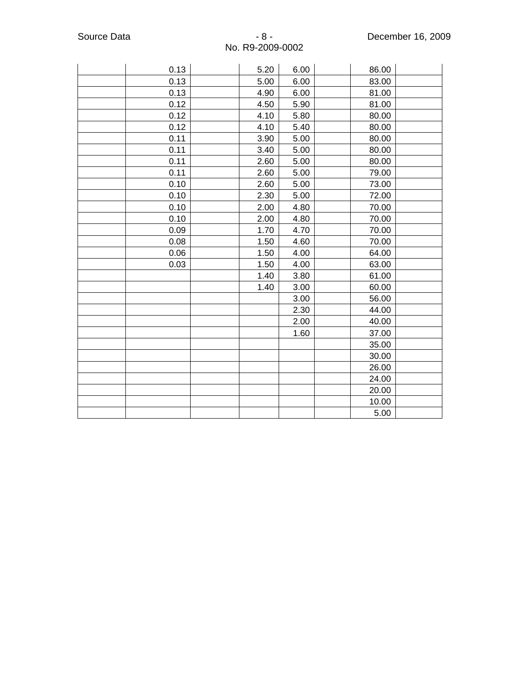| 0.13 | 5.20 | 6.00 | 86.00 |  |
|------|------|------|-------|--|
| 0.13 | 5.00 | 6.00 | 83.00 |  |
| 0.13 | 4.90 | 6.00 | 81.00 |  |
| 0.12 | 4.50 | 5.90 | 81.00 |  |
| 0.12 | 4.10 | 5.80 | 80.00 |  |
| 0.12 | 4.10 | 5.40 | 80.00 |  |
| 0.11 | 3.90 | 5.00 | 80.00 |  |
| 0.11 | 3.40 | 5.00 | 80.00 |  |
| 0.11 | 2.60 | 5.00 | 80.00 |  |
| 0.11 | 2.60 | 5.00 | 79.00 |  |
| 0.10 | 2.60 | 5.00 | 73.00 |  |
| 0.10 | 2.30 | 5.00 | 72.00 |  |
| 0.10 | 2.00 | 4.80 | 70.00 |  |
| 0.10 | 2.00 | 4.80 | 70.00 |  |
| 0.09 | 1.70 | 4.70 | 70.00 |  |
| 0.08 | 1.50 | 4.60 | 70.00 |  |
| 0.06 | 1.50 | 4.00 | 64.00 |  |
| 0.03 | 1.50 | 4.00 | 63.00 |  |
|      | 1.40 | 3.80 | 61.00 |  |
|      | 1.40 | 3.00 | 60.00 |  |
|      |      | 3.00 | 56.00 |  |
|      |      | 2.30 | 44.00 |  |
|      |      | 2.00 | 40.00 |  |
|      |      | 1.60 | 37.00 |  |
|      |      |      | 35.00 |  |
|      |      |      | 30.00 |  |
|      |      |      | 26.00 |  |
|      |      |      | 24.00 |  |
|      |      |      | 20.00 |  |
|      |      |      | 10.00 |  |
|      |      |      | 5.00  |  |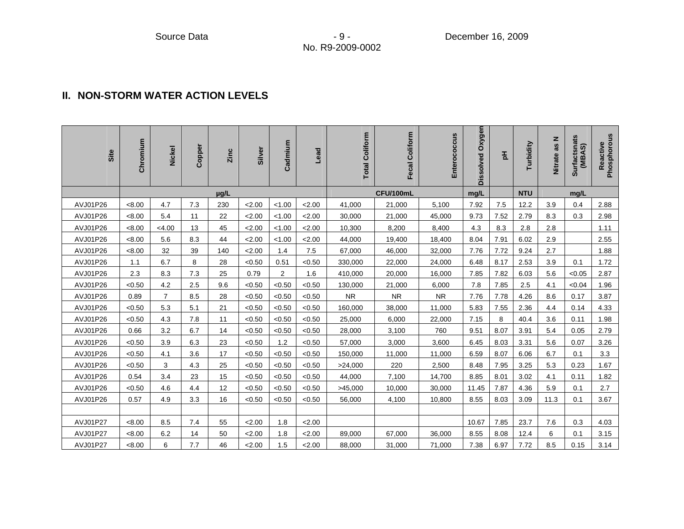#### **II. NON-STORM WATER ACTION LEVELS**

| Site     | Chromium | <b>Nickel</b>  | Copper | Zinc | Silver | Cadmium | Lead   | <b>Total Coliform</b> | Fecal Coliform | Enterococcus | Dissolved Oxygen | 玉    | Turbidity  | as N<br><b>Nitrate</b> | Surfactsnats<br>(MBAS) | Reactive<br>Phosphorous |
|----------|----------|----------------|--------|------|--------|---------|--------|-----------------------|----------------|--------------|------------------|------|------------|------------------------|------------------------|-------------------------|
|          |          |                |        | µg/L |        |         |        |                       | CFU/100mL      |              | mg/L             |      | <b>NTU</b> |                        | mg/L                   |                         |
| AVJ01P26 | < 8.00   | 4.7            | 7.3    | 230  | 2.00   | < 1.00  | 2.00   | 41,000                | 21,000         | 5,100        | 7.92             | 7.5  | 12.2       | 3.9                    | 0.4                    | 2.88                    |
| AVJ01P26 | < 8.00   | 5.4            | 11     | 22   | 2.00   | < 1.00  | 2.00   | 30,000                | 21,000         | 45,000       | 9.73             | 7.52 | 2.79       | 8.3                    | 0.3                    | 2.98                    |
| AVJ01P26 | < 8.00   | < 4.00         | 13     | 45   | 2.00   | < 1.00  | 2.00   | 10,300                | 8,200          | 8,400        | 4.3              | 8.3  | 2.8        | 2.8                    |                        | 1.11                    |
| AVJ01P26 | < 8.00   | 5.6            | 8.3    | 44   | 2.00   | < 1.00  | 2.00   | 44,000                | 19,400         | 18,400       | 8.04             | 7.91 | 6.02       | 2.9                    |                        | 2.55                    |
| AVJ01P26 | < 8.00   | 32             | 39     | 140  | 2.00   | 1.4     | 7.5    | 67,000                | 46,000         | 32,000       | 7.76             | 7.72 | 9.24       | 2.7                    |                        | 1.88                    |
| AVJ01P26 | 1.1      | 6.7            | 8      | 28   | < 0.50 | 0.51    | < 0.50 | 330,000               | 22,000         | 24,000       | 6.48             | 8.17 | 2.53       | 3.9                    | 0.1                    | 1.72                    |
| AVJ01P26 | 2.3      | 8.3            | 7.3    | 25   | 0.79   | 2       | 1.6    | 410,000               | 20,000         | 16,000       | 7.85             | 7.82 | 6.03       | 5.6                    | < 0.05                 | 2.87                    |
| AVJ01P26 | < 0.50   | 4.2            | 2.5    | 9.6  | < 0.50 | < 0.50  | < 0.50 | 130,000               | 21,000         | 6,000        | 7.8              | 7.85 | 2.5        | 4.1                    | < 0.04                 | 1.96                    |
| AVJ01P26 | 0.89     | $\overline{7}$ | 8.5    | 28   | < 0.50 | < 0.50  | < 0.50 | <b>NR</b>             | ${\sf NR}$     | <b>NR</b>    | 7.76             | 7.78 | 4.26       | 8.6                    | 0.17                   | 3.87                    |
| AVJ01P26 | < 0.50   | 5.3            | 5.1    | 21   | < 0.50 | < 0.50  | < 0.50 | 160,000               | 38,000         | 11,000       | 5.83             | 7.55 | 2.36       | 4.4                    | 0.14                   | 4.33                    |
| AVJ01P26 | < 0.50   | 4.3            | 7.8    | 11   | < 0.50 | < 0.50  | < 0.50 | 25,000                | 6,000          | 22,000       | 7.15             | 8    | 40.4       | 3.6                    | 0.11                   | 1.98                    |
| AVJ01P26 | 0.66     | 3.2            | 6.7    | 14   | < 0.50 | < 0.50  | < 0.50 | 28,000                | 3,100          | 760          | 9.51             | 8.07 | 3.91       | 5.4                    | 0.05                   | 2.79                    |
| AVJ01P26 | < 0.50   | 3.9            | 6.3    | 23   | < 0.50 | 1.2     | < 0.50 | 57,000                | 3,000          | 3,600        | 6.45             | 8.03 | 3.31       | 5.6                    | 0.07                   | 3.26                    |
| AVJ01P26 | < 0.50   | 4.1            | 3.6    | 17   | < 0.50 | < 0.50  | < 0.50 | 150,000               | 11,000         | 11,000       | 6.59             | 8.07 | 6.06       | 6.7                    | 0.1                    | 3.3                     |
| AVJ01P26 | < 0.50   | 3              | 4.3    | 25   | < 0.50 | < 0.50  | < 0.50 | >24,000               | 220            | 2,500        | 8.48             | 7.95 | 3.25       | 5.3                    | 0.23                   | 1.67                    |
| AVJ01P26 | 0.54     | 3.4            | 23     | 15   | < 0.50 | < 0.50  | < 0.50 | 44,000                | 7,100          | 14,700       | 8.85             | 8.01 | 3.02       | 4.1                    | 0.11                   | 1.82                    |
| AVJ01P26 | < 0.50   | 4.6            | 4.4    | 12   | < 0.50 | < 0.50  | < 0.50 | >45,000               | 10,000         | 30,000       | 11.45            | 7.87 | 4.36       | 5.9                    | 0.1                    | 2.7                     |
| AVJ01P26 | 0.57     | 4.9            | 3.3    | 16   | < 0.50 | < 0.50  | < 0.50 | 56,000                | 4,100          | 10,800       | 8.55             | 8.03 | 3.09       | 11.3                   | 0.1                    | 3.67                    |
|          |          |                |        |      |        |         |        |                       |                |              |                  |      |            |                        |                        |                         |
| AVJ01P27 | < 8.00   | 8.5            | 7.4    | 55   | 2.00   | 1.8     | 2.00   |                       |                |              | 10.67            | 7.85 | 23.7       | 7.6                    | 0.3                    | 4.03                    |
| AVJ01P27 | < 8.00   | 6.2            | 14     | 50   | 2.00   | 1.8     | 2.00   | 89,000                | 67,000         | 36,000       | 8.55             | 8.08 | 12.4       | 6                      | 0.1                    | 3.15                    |
| AVJ01P27 | < 8.00   | 6              | 7.7    | 46   | 2.00   | 1.5     | 2.00   | 88,000                | 31,000         | 71,000       | 7.38             | 6.97 | 7.72       | 8.5                    | 0.15                   | 3.14                    |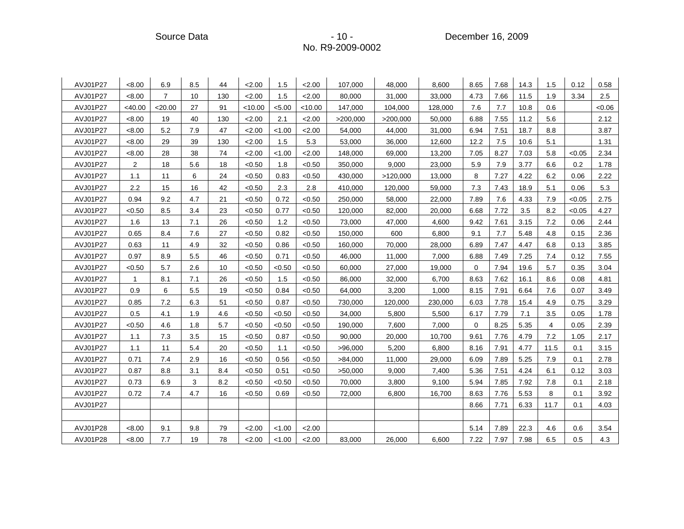Source Data - 10 - 10 - 10 - December 16, 2009

| AVJ01P27 | < 8.00         | 6.9            | 8.5 | 44  | 2.00    | 1.5    | 2.00    | 107,000  | 48,000   | 8,600   | 8.65        | 7.68 | 14.3 | 1.5            | 0.12   | 0.58  |
|----------|----------------|----------------|-----|-----|---------|--------|---------|----------|----------|---------|-------------|------|------|----------------|--------|-------|
| AVJ01P27 | < 8.00         | $\overline{7}$ | 10  | 130 | 2.00    | 1.5    | 2.00    | 80,000   | 31,000   | 33,000  | 4.73        | 7.66 | 11.5 | 1.9            | 3.34   | 2.5   |
| AVJ01P27 | $<$ 40.00      | $<$ 20.00      | 27  | 91  | < 10.00 | < 5.00 | < 10.00 | 147,000  | 104,000  | 128,000 | 7.6         | 7.7  | 10.8 | 0.6            |        | <0.06 |
| AVJ01P27 | < 8.00         | 19             | 40  | 130 | 2.00    | 2.1    | 2.00    | >200,000 | >200,000 | 50,000  | 6.88        | 7.55 | 11.2 | 5.6            |        | 2.12  |
| AVJ01P27 | < 8.00         | 5.2            | 7.9 | 47  | 2.00    | < 1.00 | 2.00    | 54,000   | 44,000   | 31,000  | 6.94        | 7.51 | 18.7 | 8.8            |        | 3.87  |
| AVJ01P27 | < 8.00         | 29             | 39  | 130 | 2.00    | 1.5    | 5.3     | 53,000   | 36,000   | 12,600  | 12.2        | 7.5  | 10.6 | 5.1            |        | 1.31  |
| AVJ01P27 | < 8.00         | 28             | 38  | 74  | 2.00    | < 1.00 | 2.00    | 148,000  | 69,000   | 13,200  | 7.05        | 8.27 | 7.03 | 5.8            | < 0.05 | 2.34  |
| AVJ01P27 | $\overline{2}$ | 18             | 5.6 | 18  | < 0.50  | 1.8    | < 0.50  | 350,000  | 9,000    | 23,000  | 5.9         | 7.9  | 3.77 | 6.6            | 0.2    | 1.78  |
| AVJ01P27 | 1.1            | 11             | 6   | 24  | < 0.50  | 0.83   | < 0.50  | 430,000  | >120,000 | 13,000  | 8           | 7.27 | 4.22 | 6.2            | 0.06   | 2.22  |
| AVJ01P27 | 2.2            | 15             | 16  | 42  | < 0.50  | 2.3    | 2.8     | 410,000  | 120,000  | 59,000  | 7.3         | 7.43 | 18.9 | 5.1            | 0.06   | 5.3   |
| AVJ01P27 | 0.94           | 9.2            | 4.7 | 21  | < 0.50  | 0.72   | < 0.50  | 250,000  | 58,000   | 22,000  | 7.89        | 7.6  | 4.33 | 7.9            | < 0.05 | 2.75  |
| AVJ01P27 | < 0.50         | 8.5            | 3.4 | 23  | < 0.50  | 0.77   | < 0.50  | 120,000  | 82,000   | 20,000  | 6.68        | 7.72 | 3.5  | 8.2            | < 0.05 | 4.27  |
| AVJ01P27 | 1.6            | 13             | 7.1 | 26  | < 0.50  | 1.2    | < 0.50  | 73,000   | 47,000   | 4,600   | 9.42        | 7.61 | 3.15 | 7.2            | 0.06   | 2.44  |
| AVJ01P27 | 0.65           | 8.4            | 7.6 | 27  | < 0.50  | 0.82   | < 0.50  | 150,000  | 600      | 6,800   | 9.1         | 7.7  | 5.48 | 4.8            | 0.15   | 2.36  |
| AVJ01P27 | 0.63           | 11             | 4.9 | 32  | < 0.50  | 0.86   | < 0.50  | 160,000  | 70,000   | 28,000  | 6.89        | 7.47 | 4.47 | 6.8            | 0.13   | 3.85  |
| AVJ01P27 | 0.97           | 8.9            | 5.5 | 46  | < 0.50  | 0.71   | < 0.50  | 46,000   | 11,000   | 7,000   | 6.88        | 7.49 | 7.25 | 7.4            | 0.12   | 7.55  |
| AVJ01P27 | < 0.50         | 5.7            | 2.6 | 10  | < 0.50  | < 0.50 | < 0.50  | 60,000   | 27,000   | 19,000  | $\mathbf 0$ | 7.94 | 19.6 | 5.7            | 0.35   | 3.04  |
| AVJ01P27 | $\mathbf{1}$   | 8.1            | 7.1 | 26  | < 0.50  | 1.5    | < 0.50  | 86,000   | 32,000   | 6,700   | 8.63        | 7.62 | 16.1 | 8.6            | 0.08   | 4.81  |
| AVJ01P27 | 0.9            | 6              | 5.5 | 19  | < 0.50  | 0.84   | < 0.50  | 64,000   | 3,200    | 1,000   | 8.15        | 7.91 | 6.64 | 7.6            | 0.07   | 3.49  |
| AVJ01P27 | 0.85           | 7.2            | 6.3 | 51  | < 0.50  | 0.87   | < 0.50  | 730,000  | 120,000  | 230,000 | 6.03        | 7.78 | 15.4 | 4.9            | 0.75   | 3.29  |
| AVJ01P27 | 0.5            | 4.1            | 1.9 | 4.6 | < 0.50  | < 0.50 | < 0.50  | 34,000   | 5,800    | 5,500   | 6.17        | 7.79 | 7.1  | 3.5            | 0.05   | 1.78  |
| AVJ01P27 | < 0.50         | 4.6            | 1.8 | 5.7 | < 0.50  | < 0.50 | < 0.50  | 190,000  | 7,600    | 7,000   | $\mathbf 0$ | 8.25 | 5.35 | $\overline{4}$ | 0.05   | 2.39  |
| AVJ01P27 | 1.1            | 7.3            | 3.5 | 15  | < 0.50  | 0.87   | < 0.50  | 90,000   | 20,000   | 10,700  | 9.61        | 7.76 | 4.79 | 7.2            | 1.05   | 2.17  |
| AVJ01P27 | 1.1            | 11             | 5.4 | 20  | < 0.50  | 1.1    | < 0.50  | >96,000  | 5,200    | 6,800   | 8.16        | 7.91 | 4.77 | 11.5           | 0.1    | 3.15  |
| AVJ01P27 | 0.71           | 7.4            | 2.9 | 16  | < 0.50  | 0.56   | < 0.50  | >84,000  | 11,000   | 29,000  | 6.09        | 7.89 | 5.25 | 7.9            | 0.1    | 2.78  |
| AVJ01P27 | 0.87           | 8.8            | 3.1 | 8.4 | < 0.50  | 0.51   | < 0.50  | >50,000  | 9,000    | 7,400   | 5.36        | 7.51 | 4.24 | 6.1            | 0.12   | 3.03  |
| AVJ01P27 | 0.73           | 6.9            | 3   | 8.2 | < 0.50  | < 0.50 | < 0.50  | 70,000   | 3,800    | 9,100   | 5.94        | 7.85 | 7.92 | 7.8            | 0.1    | 2.18  |
| AVJ01P27 | 0.72           | 7.4            | 4.7 | 16  | < 0.50  | 0.69   | < 0.50  | 72,000   | 6,800    | 16,700  | 8.63        | 7.76 | 5.53 | 8              | 0.1    | 3.92  |
| AVJ01P27 |                |                |     |     |         |        |         |          |          |         | 8.66        | 7.71 | 6.33 | 11.7           | 0.1    | 4.03  |
|          |                |                |     |     |         |        |         |          |          |         |             |      |      |                |        |       |
| AVJ01P28 | < 8.00         | 9.1            | 9.8 | 79  | 2.00    | < 1.00 | 2.00    |          |          |         | 5.14        | 7.89 | 22.3 | 4.6            | 0.6    | 3.54  |
| AVJ01P28 | < 8.00         | 7.7            | 19  | 78  | 2.00    | < 1.00 | 2.00    | 83,000   | 26,000   | 6,600   | 7.22        | 7.97 | 7.98 | 6.5            | 0.5    | 4.3   |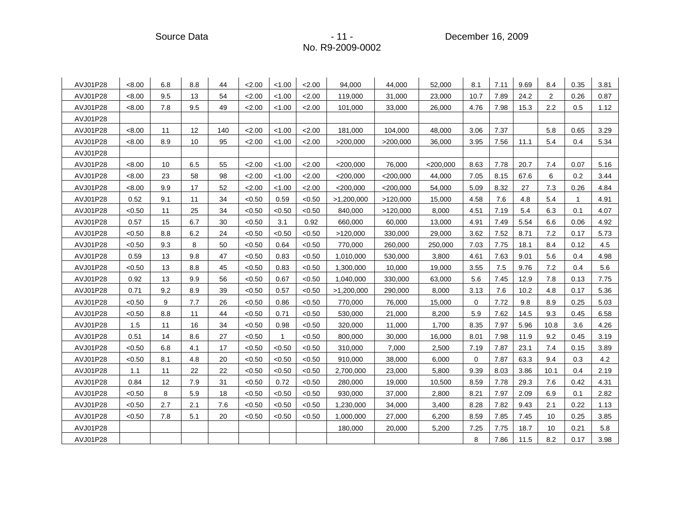Source Data - 11 - 11 - December 16, 2009 - 2009

| AVJ01P28 | < 8.00 | 6.8 | 8.8 | 44  | 2.00   | < 1.00       | 2.00   | 94,000      | 44,000      | 52,000      | 8.1         | 7.11 | 9.69 | 8.4            | 0.35         | 3.81 |
|----------|--------|-----|-----|-----|--------|--------------|--------|-------------|-------------|-------------|-------------|------|------|----------------|--------------|------|
| AVJ01P28 | < 8.00 | 9.5 | 13  | 54  | 2.00   | < 1.00       | 2.00   | 119,000     | 31,000      | 23,000      | 10.7        | 7.89 | 24.2 | $\overline{2}$ | 0.26         | 0.87 |
| AVJ01P28 | < 8.00 | 7.8 | 9.5 | 49  | 2.00   | < 1.00       | 2.00   | 101,000     | 33,000      | 26,000      | 4.76        | 7.98 | 15.3 | 2.2            | 0.5          | 1.12 |
| AVJ01P28 |        |     |     |     |        |              |        |             |             |             |             |      |      |                |              |      |
| AVJ01P28 | < 8.00 | 11  | 12  | 140 | 2.00   | < 1.00       | 2.00   | 181,000     | 104,000     | 48,000      | 3.06        | 7.37 |      | 5.8            | 0.65         | 3.29 |
| AVJ01P28 | < 8.00 | 8.9 | 10  | 95  | 2.00   | < 1.00       | 2.00   | >200,000    | >200,000    | 36,000      | 3.95        | 7.56 | 11.1 | 5.4            | 0.4          | 5.34 |
| AVJ01P28 |        |     |     |     |        |              |        |             |             |             |             |      |      |                |              |      |
| AVJ01P28 | < 8.00 | 10  | 6.5 | 55  | 2.00   | < 1.00       | 2.00   | $<$ 200,000 | 76,000      | $<$ 200,000 | 8.63        | 7.78 | 20.7 | 7.4            | 0.07         | 5.16 |
| AVJ01P28 | < 8.00 | 23  | 58  | 98  | 2.00   | < 1.00       | 2.00   | $<$ 200,000 | $<$ 200,000 | 44,000      | 7.05        | 8.15 | 67.6 | 6              | 0.2          | 3.44 |
| AVJ01P28 | < 8.00 | 9.9 | 17  | 52  | 2.00   | < 1.00       | 2.00   | $<$ 200,000 | $<$ 200,000 | 54,000      | 5.09        | 8.32 | 27   | 7.3            | 0.26         | 4.84 |
| AVJ01P28 | 0.52   | 9.1 | 11  | 34  | < 0.50 | 0.59         | < 0.50 | >1,200,000  | >120,000    | 15,000      | 4.58        | 7.6  | 4.8  | 5.4            | $\mathbf{1}$ | 4.91 |
| AVJ01P28 | < 0.50 | 11  | 25  | 34  | < 0.50 | < 0.50       | < 0.50 | 840,000     | >120,000    | 8,000       | 4.51        | 7.19 | 5.4  | 6.3            | 0.1          | 4.07 |
| AVJ01P28 | 0.57   | 15  | 6.7 | 30  | < 0.50 | 3.1          | 0.92   | 660,000     | 60,000      | 13,000      | 4.91        | 7.49 | 5.54 | 6.6            | 0.06         | 4.92 |
| AVJ01P28 | < 0.50 | 8.8 | 6.2 | 24  | < 0.50 | < 0.50       | < 0.50 | >120,000    | 330,000     | 29,000      | 3.62        | 7.52 | 8.71 | 7.2            | 0.17         | 5.73 |
| AVJ01P28 | < 0.50 | 9.3 | 8   | 50  | < 0.50 | 0.64         | < 0.50 | 770,000     | 260,000     | 250,000     | 7.03        | 7.75 | 18.1 | 8.4            | 0.12         | 4.5  |
| AVJ01P28 | 0.59   | 13  | 9.8 | 47  | < 0.50 | 0.83         | < 0.50 | 1,010,000   | 530,000     | 3,800       | 4.61        | 7.63 | 9.01 | 5.6            | 0.4          | 4.98 |
| AVJ01P28 | < 0.50 | 13  | 8.8 | 45  | < 0.50 | 0.83         | < 0.50 | 1,300,000   | 10,000      | 19,000      | 3.55        | 7.5  | 9.76 | 7.2            | 0.4          | 5.6  |
| AVJ01P28 | 0.92   | 13  | 9.9 | 56  | < 0.50 | 0.67         | < 0.50 | 1,040,000   | 330,000     | 63,000      | 5.6         | 7.45 | 12.9 | 7.8            | 0.13         | 7.75 |
| AVJ01P28 | 0.71   | 9.2 | 8.9 | 39  | < 0.50 | 0.57         | < 0.50 | >1,200,000  | 290,000     | 8,000       | 3.13        | 7.6  | 10.2 | 4.8            | 0.17         | 5.36 |
| AVJ01P28 | < 0.50 | 9   | 7.7 | 26  | < 0.50 | 0.86         | < 0.50 | 770,000     | 76,000      | 15,000      | $\mathbf 0$ | 7.72 | 9.8  | 8.9            | 0.25         | 5.03 |
| AVJ01P28 | < 0.50 | 8.8 | 11  | 44  | < 0.50 | 0.71         | < 0.50 | 530,000     | 21,000      | 8,200       | 5.9         | 7.62 | 14.5 | 9.3            | 0.45         | 6.58 |
| AVJ01P28 | 1.5    | 11  | 16  | 34  | < 0.50 | 0.98         | < 0.50 | 320,000     | 11,000      | 1,700       | 8.35        | 7.97 | 5.96 | 10.8           | 3.6          | 4.26 |
| AVJ01P28 | 0.51   | 14  | 8.6 | 27  | < 0.50 | $\mathbf{1}$ | < 0.50 | 800,000     | 30,000      | 16,000      | 8.01        | 7.98 | 11.9 | 9.2            | 0.45         | 3.19 |
| AVJ01P28 | < 0.50 | 6.8 | 4.1 | 17  | < 0.50 | < 0.50       | < 0.50 | 310,000     | 7,000       | 2,500       | 7.19        | 7.87 | 23.1 | 7.4            | 0.15         | 3.89 |
| AVJ01P28 | < 0.50 | 8.1 | 4.8 | 20  | < 0.50 | < 0.50       | < 0.50 | 910,000     | 38,000      | 6,000       | $\mathbf 0$ | 7.87 | 63.3 | 9.4            | 0.3          | 4.2  |
| AVJ01P28 | 1.1    | 11  | 22  | 22  | < 0.50 | < 0.50       | < 0.50 | 2,700,000   | 23,000      | 5,800       | 9.39        | 8.03 | 3.86 | 10.1           | 0.4          | 2.19 |
| AVJ01P28 | 0.84   | 12  | 7.9 | 31  | < 0.50 | 0.72         | < 0.50 | 280,000     | 19,000      | 10,500      | 8.59        | 7.78 | 29.3 | 7.6            | 0.42         | 4.31 |
| AVJ01P28 | < 0.50 | 8   | 5.9 | 18  | < 0.50 | < 0.50       | < 0.50 | 930,000     | 37,000      | 2,800       | 8.21        | 7.97 | 2.09 | 6.9            | 0.1          | 2.82 |
| AVJ01P28 | < 0.50 | 2.7 | 2.1 | 7.6 | < 0.50 | < 0.50       | < 0.50 | 1,230,000   | 34,000      | 3,400       | 8.28        | 7.82 | 9.43 | 2.1            | 0.22         | 1.13 |
| AVJ01P28 | < 0.50 | 7.8 | 5.1 | 20  | < 0.50 | < 0.50       | < 0.50 | 1,000,000   | 27,000      | 6,200       | 8.59        | 7.85 | 7.45 | 10             | 0.25         | 3.85 |
| AVJ01P28 |        |     |     |     |        |              |        | 180,000     | 20,000      | 5,200       | 7.25        | 7.75 | 18.7 | 10             | 0.21         | 5.8  |
| AVJ01P28 |        |     |     |     |        |              |        |             |             |             | 8           | 7.86 | 11.5 | 8.2            | 0.17         | 3.98 |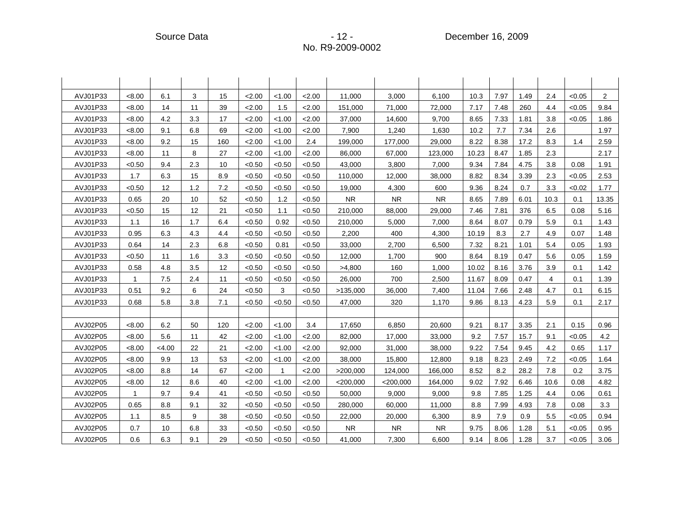| AVJ01P33 | < 8.00       | 6.1   | 3   | 15  | 2.00   | < 1.00 | 2.00   | 11,000      | 3,000       | 6,100     | 10.3  | 7.97 | 1.49 | 2.4  | < 0.05 | $\overline{a}$ |
|----------|--------------|-------|-----|-----|--------|--------|--------|-------------|-------------|-----------|-------|------|------|------|--------|----------------|
| AVJ01P33 | < 8.00       | 14    | 11  | 39  | 2.00   | 1.5    | 2.00   | 151,000     | 71,000      | 72,000    | 7.17  | 7.48 | 260  | 4.4  | < 0.05 | 9.84           |
| AVJ01P33 | < 8.00       | 4.2   | 3.3 | 17  | 2.00   | < 1.00 | 2.00   | 37,000      | 14,600      | 9,700     | 8.65  | 7.33 | 1.81 | 3.8  | < 0.05 | 1.86           |
| AVJ01P33 | < 8.00       | 9.1   | 6.8 | 69  | 2.00   | < 1.00 | < 2.00 | 7,900       | 1,240       | 1.630     | 10.2  | 7.7  | 7.34 | 2.6  |        | 1.97           |
| AVJ01P33 | < 8.00       | 9.2   | 15  | 160 | 2.00   | < 1.00 | 2.4    | 199,000     | 177,000     | 29,000    | 8.22  | 8.38 | 17.2 | 8.3  | 1.4    | 2.59           |
| AVJ01P33 | < 8.00       | 11    | 8   | 27  | 2.00   | < 1.00 | 2.00   | 86,000      | 67,000      | 123,000   | 10.23 | 8.47 | 1.85 | 2.3  |        | 2.17           |
| AVJ01P33 | < 0.50       | 9.4   | 2.3 | 10  | < 0.50 | < 0.50 | < 0.50 | 43,000      | 3,800       | 7,000     | 9.34  | 7.84 | 4.75 | 3.8  | 0.08   | 1.91           |
| AVJ01P33 | 1.7          | 6.3   | 15  | 8.9 | < 0.50 | < 0.50 | < 0.50 | 110,000     | 12,000      | 38,000    | 8.82  | 8.34 | 3.39 | 2.3  | < 0.05 | 2.53           |
| AVJ01P33 | < 0.50       | 12    | 1.2 | 7.2 | < 0.50 | < 0.50 | < 0.50 | 19,000      | 4,300       | 600       | 9.36  | 8.24 | 0.7  | 3.3  | < 0.02 | 1.77           |
| AVJ01P33 | 0.65         | 20    | 10  | 52  | < 0.50 | 1.2    | < 0.50 | <b>NR</b>   | ${\sf NR}$  | <b>NR</b> | 8.65  | 7.89 | 6.01 | 10.3 | 0.1    | 13.35          |
| AVJ01P33 | < 0.50       | 15    | 12  | 21  | < 0.50 | 1.1    | < 0.50 | 210,000     | 88,000      | 29,000    | 7.46  | 7.81 | 376  | 6.5  | 0.08   | 5.16           |
| AVJ01P33 | 1.1          | 16    | 1.7 | 6.4 | < 0.50 | 0.92   | < 0.50 | 210,000     | 5,000       | 7,000     | 8.64  | 8.07 | 0.79 | 5.9  | 0.1    | 1.43           |
| AVJ01P33 | 0.95         | 6.3   | 4.3 | 4.4 | < 0.50 | < 0.50 | < 0.50 | 2,200       | 400         | 4,300     | 10.19 | 8.3  | 2.7  | 4.9  | 0.07   | 1.48           |
| AVJ01P33 | 0.64         | 14    | 2.3 | 6.8 | < 0.50 | 0.81   | < 0.50 | 33,000      | 2,700       | 6,500     | 7.32  | 8.21 | 1.01 | 5.4  | 0.05   | 1.93           |
| AVJ01P33 | < 0.50       | 11    | 1.6 | 3.3 | < 0.50 | < 0.50 | < 0.50 | 12,000      | 1,700       | 900       | 8.64  | 8.19 | 0.47 | 5.6  | 0.05   | 1.59           |
| AVJ01P33 | 0.58         | 4.8   | 3.5 | 12  | < 0.50 | < 0.50 | < 0.50 | >4,800      | 160         | 1,000     | 10.02 | 8.16 | 3.76 | 3.9  | 0.1    | 1.42           |
| AVJ01P33 | $\mathbf{1}$ | 7.5   | 2.4 | 11  | < 0.50 | < 0.50 | < 0.50 | 26,000      | 700         | 2,500     | 11.67 | 8.09 | 0.47 | 4    | 0.1    | 1.39           |
| AVJ01P33 | 0.51         | 9.2   | 6   | 24  | < 0.50 | 3      | < 0.50 | >135,000    | 36,000      | 7,400     | 11.04 | 7.66 | 2.48 | 4.7  | 0.1    | 6.15           |
| AVJ01P33 | 0.68         | 5.8   | 3.8 | 7.1 | < 0.50 | < 0.50 | < 0.50 | 47,000      | 320         | 1,170     | 9.86  | 8.13 | 4.23 | 5.9  | 0.1    | 2.17           |
|          |              |       |     |     |        |        |        |             |             |           |       |      |      |      |        |                |
| AVJ02P05 | < 8.00       | 6.2   | 50  | 120 | 2.00   | < 1.00 | 3.4    | 17,650      | 6,850       | 20,600    | 9.21  | 8.17 | 3.35 | 2.1  | 0.15   | 0.96           |
| AVJ02P05 | < 8.00       | 5.6   | 11  | 42  | 2.00   | < 1.00 | 2.00   | 82,000      | 17,000      | 33,000    | 9.2   | 7.57 | 15.7 | 9.1  | < 0.05 | 4.2            |
| AVJ02P05 | < 8.00       | <4.00 | 22  | 21  | 2.00   | < 1.00 | 2.00   | 92,000      | 31,000      | 38,000    | 9.22  | 7.54 | 9.45 | 4.2  | 0.65   | 1.17           |
| AVJ02P05 | < 8.00       | 9.9   | 13  | 53  | 2.00   | < 1.00 | 2.00   | 38,000      | 15,800      | 12,800    | 9.18  | 8.23 | 2.49 | 7.2  | < 0.05 | 1.64           |
| AVJ02P05 | < 8.00       | 8.8   | 14  | 67  | 2.00   |        | 2.00   | >200,000    | 124,000     | 166,000   | 8.52  | 8.2  | 28.2 | 7.8  | 0.2    | 3.75           |
| AVJ02P05 | < 8.00       | 12    | 8.6 | 40  | 2.00   | < 1.00 | 2.00   | $<$ 200,000 | $<$ 200,000 | 164,000   | 9.02  | 7.92 | 6.46 | 10.6 | 0.08   | 4.82           |
| AVJ02P05 | $\mathbf{1}$ | 9.7   | 9.4 | 41  | < 0.50 | < 0.50 | < 0.50 | 50,000      | 9,000       | 9.000     | 9.8   | 7.85 | 1.25 | 4.4  | 0.06   | 0.61           |
| AVJ02P05 | 0.65         | 8.8   | 9.1 | 32  | < 0.50 | < 0.50 | < 0.50 | 280,000     | 60,000      | 11,000    | 8.8   | 7.99 | 4.93 | 7.8  | 0.08   | 3.3            |
| AVJ02P05 | 1.1          | 8.5   | 9   | 38  | < 0.50 | < 0.50 | < 0.50 | 22,000      | 20,000      | 6,300     | 8.9   | 7.9  | 0.9  | 5.5  | < 0.05 | 0.94           |
| AVJ02P05 | 0.7          | 10    | 6.8 | 33  | < 0.50 | < 0.50 | < 0.50 | <b>NR</b>   | <b>NR</b>   | <b>NR</b> | 9.75  | 8.06 | 1.28 | 5.1  | < 0.05 | 0.95           |
| AVJ02P05 | 0.6          | 6.3   | 9.1 | 29  | < 0.50 | < 0.50 | < 0.50 | 41,000      | 7,300       | 6,600     | 9.14  | 8.06 | 1.28 | 3.7  | < 0.05 | 3.06           |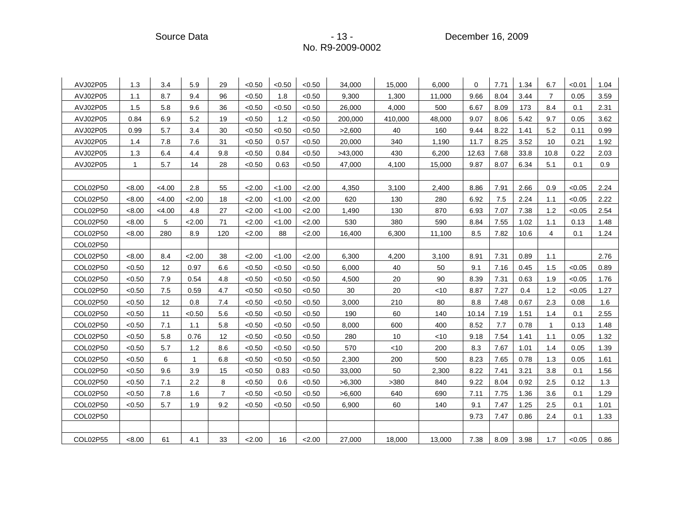Source Data - 13 - 13 - 13 - December 16, 2009

| AVJ02P05 | 1.3          | 3.4      | 5.9    | 29             | < 0.50 | <0.50  | < 0.50 | 34,000  | 15,000  | 6,000  | $\Omega$ | 7.71 | 1.34 | 6.7            | < 0.01 | 1.04 |
|----------|--------------|----------|--------|----------------|--------|--------|--------|---------|---------|--------|----------|------|------|----------------|--------|------|
| AVJ02P05 | 1.1          | 8.7      | 9.4    | 96             | < 0.50 | 1.8    | < 0.50 | 9,300   | 1,300   | 11,000 | 9.66     | 8.04 | 3.44 | $\overline{7}$ | 0.05   | 3.59 |
| AVJ02P05 | 1.5          | 5.8      | 9.6    | 36             | < 0.50 | < 0.50 | < 0.50 | 26,000  | 4,000   | 500    | 6.67     | 8.09 | 173  | 8.4            | 0.1    | 2.31 |
| AVJ02P05 | 0.84         | 6.9      | 5.2    | 19             | < 0.50 | 1.2    | < 0.50 | 200,000 | 410,000 | 48,000 | 9.07     | 8.06 | 5.42 | 9.7            | 0.05   | 3.62 |
| AVJ02P05 | 0.99         | 5.7      | 3.4    | 30             | < 0.50 | < 0.50 | < 0.50 | >2,600  | 40      | 160    | 9.44     | 8.22 | 1.41 | 5.2            | 0.11   | 0.99 |
| AVJ02P05 | 1.4          | 7.8      | 7.6    | 31             | < 0.50 | 0.57   | < 0.50 | 20,000  | 340     | 1,190  | 11.7     | 8.25 | 3.52 | 10             | 0.21   | 1.92 |
| AVJ02P05 | 1.3          | 6.4      | 4.4    | 9.8            | < 0.50 | 0.84   | < 0.50 | >43,000 | 430     | 6,200  | 12.63    | 7.68 | 33.8 | 10.8           | 0.22   | 2.03 |
| AVJ02P05 | $\mathbf{1}$ | 5.7      | 14     | 28             | < 0.50 | 0.63   | < 0.50 | 47,000  | 4,100   | 15,000 | 9.87     | 8.07 | 6.34 | 5.1            | 0.1    | 0.9  |
|          |              |          |        |                |        |        |        |         |         |        |          |      |      |                |        |      |
| COL02P50 | < 8.00       | $<$ 4.00 | 2.8    | 55             | 2.00   | < 1.00 | 2.00   | 4,350   | 3,100   | 2,400  | 8.86     | 7.91 | 2.66 | 0.9            | < 0.05 | 2.24 |
| COL02P50 | < 8.00       | $<$ 4.00 | 2.00   | 18             | 2.00   | < 1.00 | 2.00   | 620     | 130     | 280    | 6.92     | 7.5  | 2.24 | 1.1            | < 0.05 | 2.22 |
| COL02P50 | < 8.00       | < 4.00   | 4.8    | 27             | 2.00   | < 1.00 | 2.00   | 1,490   | 130     | 870    | 6.93     | 7.07 | 7.38 | 1.2            | < 0.05 | 2.54 |
| COL02P50 | < 8.00       | 5        | 2.00   | 71             | 2.00   | < 1.00 | 2.00   | 530     | 380     | 590    | 8.84     | 7.55 | 1.02 | 1.1            | 0.13   | 1.48 |
| COL02P50 | <8.00        | 280      | 8.9    | 120            | 2.00   | 88     | 2.00   | 16,400  | 6,300   | 11,100 | 8.5      | 7.82 | 10.6 | 4              | 0.1    | 1.24 |
| COL02P50 |              |          |        |                |        |        |        |         |         |        |          |      |      |                |        |      |
| COL02P50 | < 8.00       | 8.4      | 2.00   | 38             | 2.00   | < 1.00 | 2.00   | 6.300   | 4,200   | 3,100  | 8.91     | 7.31 | 0.89 | 1.1            |        | 2.76 |
| COL02P50 | < 0.50       | 12       | 0.97   | 6.6            | < 0.50 | < 0.50 | < 0.50 | 6,000   | 40      | 50     | 9.1      | 7.16 | 0.45 | 1.5            | < 0.05 | 0.89 |
| COL02P50 | < 0.50       | 7.9      | 0.54   | 4.8            | < 0.50 | < 0.50 | < 0.50 | 4,500   | 20      | 90     | 8.39     | 7.31 | 0.63 | 1.9            | < 0.05 | 1.76 |
| COL02P50 | < 0.50       | 7.5      | 0.59   | 4.7            | < 0.50 | < 0.50 | < 0.50 | 30      | 20      | < 10   | 8.87     | 7.27 | 0.4  | 1.2            | < 0.05 | 1.27 |
| COL02P50 | < 0.50       | 12       | 0.8    | 7.4            | < 0.50 | < 0.50 | < 0.50 | 3,000   | 210     | 80     | 8.8      | 7.48 | 0.67 | 2.3            | 0.08   | 1.6  |
| COL02P50 | < 0.50       | 11       | < 0.50 | 5.6            | < 0.50 | < 0.50 | < 0.50 | 190     | 60      | 140    | 10.14    | 7.19 | 1.51 | 1.4            | 0.1    | 2.55 |
| COL02P50 | < 0.50       | 7.1      | 1.1    | 5.8            | < 0.50 | < 0.50 | < 0.50 | 8,000   | 600     | 400    | 8.52     | 7.7  | 0.78 | $\mathbf{1}$   | 0.13   | 1.48 |
| COL02P50 | < 0.50       | 5.8      | 0.76   | 12             | < 0.50 | < 0.50 | < 0.50 | 280     | 10      | <10    | 9.18     | 7.54 | 1.41 | 1.1            | 0.05   | 1.32 |
| COL02P50 | < 0.50       | 5.7      | 1.2    | 8.6            | < 0.50 | < 0.50 | < 0.50 | 570     | ~10     | 200    | 8.3      | 7.67 | 1.01 | 1.4            | 0.05   | 1.39 |
| COL02P50 | < 0.50       | 6        | 1      | 6.8            | < 0.50 | < 0.50 | < 0.50 | 2,300   | 200     | 500    | 8.23     | 7.65 | 0.78 | 1.3            | 0.05   | 1.61 |
| COL02P50 | < 0.50       | 9.6      | 3.9    | 15             | < 0.50 | 0.83   | < 0.50 | 33,000  | 50      | 2,300  | 8.22     | 7.41 | 3.21 | 3.8            | 0.1    | 1.56 |
| COL02P50 | < 0.50       | 7.1      | 2.2    | 8              | < 0.50 | 0.6    | < 0.50 | >6,300  | >380    | 840    | 9.22     | 8.04 | 0.92 | 2.5            | 0.12   | 1.3  |
| COL02P50 | < 0.50       | 7.8      | 1.6    | $\overline{7}$ | < 0.50 | < 0.50 | < 0.50 | >6,600  | 640     | 690    | 7.11     | 7.75 | 1.36 | 3.6            | 0.1    | 1.29 |
| COL02P50 | < 0.50       | 5.7      | 1.9    | 9.2            | < 0.50 | < 0.50 | < 0.50 | 6,900   | 60      | 140    | 9.1      | 7.47 | 1.25 | 2.5            | 0.1    | 1.01 |
| COL02P50 |              |          |        |                |        |        |        |         |         |        | 9.73     | 7.47 | 0.86 | 2.4            | 0.1    | 1.33 |
|          |              |          |        |                |        |        |        |         |         |        |          |      |      |                |        |      |
| COL02P55 | < 8.00       | 61       | 4.1    | 33             | 2.00   | 16     | 2.00   | 27,000  | 18,000  | 13,000 | 7.38     | 8.09 | 3.98 | 1.7            | < 0.05 | 0.86 |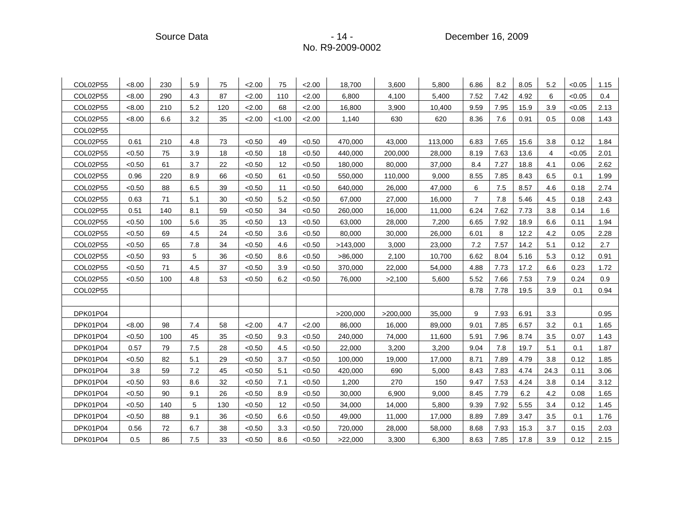Source Data - 14 - 14 - December 16, 2009 - 2009

| COL02P55 | < 8.00 | 230 | 5.9 | 75  | 2.00   | 75     | 2.00   | 18,700   | 3,600    | 5,800   | 6.86           | 8.2  | 8.05 | 5.2  | < 0.05 | 1.15 |
|----------|--------|-----|-----|-----|--------|--------|--------|----------|----------|---------|----------------|------|------|------|--------|------|
| COL02P55 | < 8.00 | 290 | 4.3 | 87  | 2.00   | 110    | 2.00   | 6,800    | 4,100    | 5,400   | 7.52           | 7.42 | 4.92 | 6    | < 0.05 | 0.4  |
| COL02P55 | < 8.00 | 210 | 5.2 | 120 | 2.00   | 68     | 2.00   | 16,800   | 3,900    | 10,400  | 9.59           | 7.95 | 15.9 | 3.9  | < 0.05 | 2.13 |
| COL02P55 | < 8.00 | 6.6 | 3.2 | 35  | 2.00   | < 1.00 | 2.00   | 1,140    | 630      | 620     | 8.36           | 7.6  | 0.91 | 0.5  | 0.08   | 1.43 |
| COL02P55 |        |     |     |     |        |        |        |          |          |         |                |      |      |      |        |      |
| COL02P55 | 0.61   | 210 | 4.8 | 73  | < 0.50 | 49     | < 0.50 | 470,000  | 43,000   | 113,000 | 6.83           | 7.65 | 15.6 | 3.8  | 0.12   | 1.84 |
| COL02P55 | < 0.50 | 75  | 3.9 | 18  | < 0.50 | 18     | < 0.50 | 440,000  | 200,000  | 28,000  | 8.19           | 7.63 | 13.6 | 4    | < 0.05 | 2.01 |
| COL02P55 | < 0.50 | 61  | 3.7 | 22  | < 0.50 | 12     | < 0.50 | 180,000  | 80,000   | 37,000  | 8.4            | 7.27 | 18.8 | 4.1  | 0.06   | 2.62 |
| COL02P55 | 0.96   | 220 | 8.9 | 66  | < 0.50 | 61     | < 0.50 | 550,000  | 110,000  | 9,000   | 8.55           | 7.85 | 8.43 | 6.5  | 0.1    | 1.99 |
| COL02P55 | < 0.50 | 88  | 6.5 | 39  | < 0.50 | 11     | < 0.50 | 640,000  | 26,000   | 47,000  | 6              | 7.5  | 8.57 | 4.6  | 0.18   | 2.74 |
| COL02P55 | 0.63   | 71  | 5.1 | 30  | < 0.50 | 5.2    | < 0.50 | 67,000   | 27,000   | 16,000  | $\overline{7}$ | 7.8  | 5.46 | 4.5  | 0.18   | 2.43 |
| COL02P55 | 0.51   | 140 | 8.1 | 59  | < 0.50 | 34     | < 0.50 | 260,000  | 16,000   | 11,000  | 6.24           | 7.62 | 7.73 | 3.8  | 0.14   | 1.6  |
| COL02P55 | < 0.50 | 100 | 5.6 | 35  | < 0.50 | 13     | < 0.50 | 63,000   | 28,000   | 7,200   | 6.65           | 7.92 | 18.9 | 6.6  | 0.11   | 1.94 |
| COL02P55 | < 0.50 | 69  | 4.5 | 24  | < 0.50 | 3.6    | < 0.50 | 80,000   | 30,000   | 26,000  | 6.01           | 8    | 12.2 | 4.2  | 0.05   | 2.28 |
| COL02P55 | < 0.50 | 65  | 7.8 | 34  | < 0.50 | 4.6    | < 0.50 | >143,000 | 3,000    | 23,000  | 7.2            | 7.57 | 14.2 | 5.1  | 0.12   | 2.7  |
| COL02P55 | < 0.50 | 93  | 5   | 36  | < 0.50 | 8.6    | < 0.50 | >86,000  | 2,100    | 10,700  | 6.62           | 8.04 | 5.16 | 5.3  | 0.12   | 0.91 |
| COL02P55 | < 0.50 | 71  | 4.5 | 37  | < 0.50 | 3.9    | < 0.50 | 370,000  | 22,000   | 54,000  | 4.88           | 7.73 | 17.2 | 6.6  | 0.23   | 1.72 |
| COL02P55 | < 0.50 | 100 | 4.8 | 53  | < 0.50 | 6.2    | < 0.50 | 76,000   | >2,100   | 5,600   | 5.52           | 7.66 | 7.53 | 7.9  | 0.24   | 0.9  |
| COL02P55 |        |     |     |     |        |        |        |          |          |         | 8.78           | 7.78 | 19.5 | 3.9  | 0.1    | 0.94 |
|          |        |     |     |     |        |        |        |          |          |         |                |      |      |      |        |      |
| DPK01P04 |        |     |     |     |        |        |        | >200,000 | >200,000 | 35,000  | 9              | 7.93 | 6.91 | 3.3  |        | 0.95 |
| DPK01P04 | <8.00  | 98  | 7.4 | 58  | 2.00   | 4.7    | 2.00   | 86,000   | 16,000   | 89,000  | 9.01           | 7.85 | 6.57 | 3.2  | 0.1    | 1.65 |
| DPK01P04 | < 0.50 | 100 | 45  | 35  | < 0.50 | 9.3    | < 0.50 | 240,000  | 74,000   | 11,600  | 5.91           | 7.96 | 8.74 | 3.5  | 0.07   | 1.43 |
| DPK01P04 | 0.57   | 79  | 7.5 | 28  | < 0.50 | 4.5    | < 0.50 | 22,000   | 3,200    | 3,200   | 9.04           | 7.8  | 19.7 | 5.1  | 0.1    | 1.87 |
| DPK01P04 | < 0.50 | 82  | 5.1 | 29  | < 0.50 | 3.7    | < 0.50 | 100,000  | 19,000   | 17,000  | 8.71           | 7.89 | 4.79 | 3.8  | 0.12   | 1.85 |
| DPK01P04 | 3.8    | 59  | 7.2 | 45  | < 0.50 | 5.1    | < 0.50 | 420,000  | 690      | 5,000   | 8.43           | 7.83 | 4.74 | 24.3 | 0.11   | 3.06 |
| DPK01P04 | < 0.50 | 93  | 8.6 | 32  | < 0.50 | 7.1    | < 0.50 | 1,200    | 270      | 150     | 9.47           | 7.53 | 4.24 | 3.8  | 0.14   | 3.12 |
| DPK01P04 | < 0.50 | 90  | 9.1 | 26  | < 0.50 | 8.9    | < 0.50 | 30,000   | 6,900    | 9,000   | 8.45           | 7.79 | 6.2  | 4.2  | 0.08   | 1.65 |
| DPK01P04 | < 0.50 | 140 | 5   | 130 | < 0.50 | 12     | < 0.50 | 34,000   | 14,000   | 5,800   | 9.39           | 7.92 | 5.55 | 3.4  | 0.12   | 1.45 |
| DPK01P04 | < 0.50 | 88  | 9.1 | 36  | < 0.50 | 6.6    | < 0.50 | 49,000   | 11,000   | 17,000  | 8.89           | 7.89 | 3.47 | 3.5  | 0.1    | 1.76 |
| DPK01P04 | 0.56   | 72  | 6.7 | 38  | < 0.50 | 3.3    | < 0.50 | 720,000  | 28,000   | 58,000  | 8.68           | 7.93 | 15.3 | 3.7  | 0.15   | 2.03 |
| DPK01P04 | 0.5    | 86  | 7.5 | 33  | < 0.50 | 8.6    | < 0.50 | >22,000  | 3,300    | 6,300   | 8.63           | 7.85 | 17.8 | 3.9  | 0.12   | 2.15 |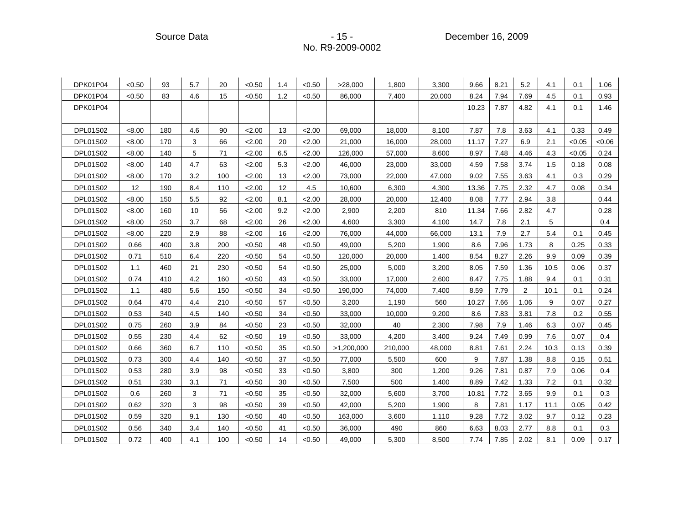Source Data - 15 - 15 - 15 - December 16, 2009

| DPK01P04        | < 0.50 | 93  | 5.7 | 20  | < 0.50 | 1.4 | < 0.50 | >28,000    | 1,800   | 3,300  | 9.66  | 8.21 | 5.2            | 4.1  | 0.1    | 1.06  |
|-----------------|--------|-----|-----|-----|--------|-----|--------|------------|---------|--------|-------|------|----------------|------|--------|-------|
| DPK01P04        | < 0.50 | 83  | 4.6 | 15  | < 0.50 | 1.2 | < 0.50 | 86,000     | 7,400   | 20,000 | 8.24  | 7.94 | 7.69           | 4.5  | 0.1    | 0.93  |
| DPK01P04        |        |     |     |     |        |     |        |            |         |        | 10.23 | 7.87 | 4.82           | 4.1  | 0.1    | 1.46  |
|                 |        |     |     |     |        |     |        |            |         |        |       |      |                |      |        |       |
| <b>DPL01S02</b> | < 8.00 | 180 | 4.6 | 90  | 2.00   | 13  | 2.00   | 69,000     | 18,000  | 8,100  | 7.87  | 7.8  | 3.63           | 4.1  | 0.33   | 0.49  |
| <b>DPL01S02</b> | < 8.00 | 170 | 3   | 66  | 2.00   | 20  | 2.00   | 21,000     | 16,000  | 28,000 | 11.17 | 7.27 | 6.9            | 2.1  | < 0.05 | <0.06 |
| <b>DPL01S02</b> | <8.00  | 140 | 5   | 71  | 2.00   | 6.5 | 2.00   | 126,000    | 57,000  | 8,600  | 8.97  | 7.48 | 4.46           | 4.3  | < 0.05 | 0.24  |
| <b>DPL01S02</b> | < 8.00 | 140 | 4.7 | 63  | 2.00   | 5.3 | 2.00   | 46,000     | 23,000  | 33,000 | 4.59  | 7.58 | 3.74           | 1.5  | 0.18   | 0.08  |
| <b>DPL01S02</b> | < 8.00 | 170 | 3.2 | 100 | 2.00   | 13  | 2.00   | 73,000     | 22,000  | 47,000 | 9.02  | 7.55 | 3.63           | 4.1  | 0.3    | 0.29  |
| <b>DPL01S02</b> | 12     | 190 | 8.4 | 110 | 2.00   | 12  | 4.5    | 10,600     | 6,300   | 4,300  | 13.36 | 7.75 | 2.32           | 4.7  | 0.08   | 0.34  |
| <b>DPL01S02</b> | < 8.00 | 150 | 5.5 | 92  | 2.00   | 8.1 | 2.00   | 28,000     | 20,000  | 12,400 | 8.08  | 7.77 | 2.94           | 3.8  |        | 0.44  |
| <b>DPL01S02</b> | < 8.00 | 160 | 10  | 56  | 2.00   | 9.2 | 2.00   | 2,900      | 2,200   | 810    | 11.34 | 7.66 | 2.82           | 4.7  |        | 0.28  |
| <b>DPL01S02</b> | < 8.00 | 250 | 3.7 | 68  | 2.00   | 26  | 2.00   | 4,600      | 3,300   | 4,100  | 14.7  | 7.8  | 2.1            | 5    |        | 0.4   |
| <b>DPL01S02</b> | < 8.00 | 220 | 2.9 | 88  | 2.00   | 16  | 2.00   | 76,000     | 44,000  | 66,000 | 13.1  | 7.9  | 2.7            | 5.4  | 0.1    | 0.45  |
| DPL01S02        | 0.66   | 400 | 3.8 | 200 | < 0.50 | 48  | < 0.50 | 49,000     | 5,200   | 1,900  | 8.6   | 7.96 | 1.73           | 8    | 0.25   | 0.33  |
| <b>DPL01S02</b> | 0.71   | 510 | 6.4 | 220 | < 0.50 | 54  | < 0.50 | 120,000    | 20,000  | 1,400  | 8.54  | 8.27 | 2.26           | 9.9  | 0.09   | 0.39  |
| <b>DPL01S02</b> | 1.1    | 460 | 21  | 230 | < 0.50 | 54  | < 0.50 | 25,000     | 5,000   | 3,200  | 8.05  | 7.59 | 1.36           | 10.5 | 0.06   | 0.37  |
| <b>DPL01S02</b> | 0.74   | 410 | 4.2 | 160 | < 0.50 | 43  | < 0.50 | 33,000     | 17,000  | 2,600  | 8.47  | 7.75 | 1.88           | 9.4  | 0.1    | 0.31  |
| DPL01S02        | 1.1    | 480 | 5.6 | 150 | < 0.50 | 34  | < 0.50 | 190,000    | 74,000  | 7,400  | 8.59  | 7.79 | $\overline{2}$ | 10.1 | 0.1    | 0.24  |
| <b>DPL01S02</b> | 0.64   | 470 | 4.4 | 210 | < 0.50 | 57  | < 0.50 | 3,200      | 1,190   | 560    | 10.27 | 7.66 | 1.06           | 9    | 0.07   | 0.27  |
| <b>DPL01S02</b> | 0.53   | 340 | 4.5 | 140 | < 0.50 | 34  | < 0.50 | 33,000     | 10,000  | 9,200  | 8.6   | 7.83 | 3.81           | 7.8  | 0.2    | 0.55  |
| DPL01S02        | 0.75   | 260 | 3.9 | 84  | < 0.50 | 23  | < 0.50 | 32,000     | 40      | 2,300  | 7.98  | 7.9  | 1.46           | 6.3  | 0.07   | 0.45  |
| <b>DPL01S02</b> | 0.55   | 230 | 4.4 | 62  | < 0.50 | 19  | < 0.50 | 33,000     | 4,200   | 3,400  | 9.24  | 7.49 | 0.99           | 7.6  | 0.07   | 0.4   |
| <b>DPL01S02</b> | 0.66   | 360 | 6.7 | 110 | < 0.50 | 35  | < 0.50 | >1,200,000 | 210,000 | 48,000 | 8.81  | 7.61 | 2.24           | 10.3 | 0.13   | 0.39  |
| <b>DPL01S02</b> | 0.73   | 300 | 4.4 | 140 | < 0.50 | 37  | < 0.50 | 77,000     | 5,500   | 600    | 9     | 7.87 | 1.38           | 8.8  | 0.15   | 0.51  |
| <b>DPL01S02</b> | 0.53   | 280 | 3.9 | 98  | < 0.50 | 33  | < 0.50 | 3,800      | 300     | 1,200  | 9.26  | 7.81 | 0.87           | 7.9  | 0.06   | 0.4   |
| <b>DPL01S02</b> | 0.51   | 230 | 3.1 | 71  | < 0.50 | 30  | < 0.50 | 7,500      | 500     | 1,400  | 8.89  | 7.42 | 1.33           | 7.2  | 0.1    | 0.32  |
| <b>DPL01S02</b> | 0.6    | 260 | 3   | 71  | < 0.50 | 35  | < 0.50 | 32,000     | 5,600   | 3,700  | 10.81 | 7.72 | 3.65           | 9.9  | 0.1    | 0.3   |
| <b>DPL01S02</b> | 0.62   | 320 | 3   | 98  | < 0.50 | 39  | < 0.50 | 42,000     | 5,200   | 1,900  | 8     | 7.81 | 1.17           | 11.1 | 0.05   | 0.42  |
| <b>DPL01S02</b> | 0.59   | 320 | 9.1 | 130 | < 0.50 | 40  | < 0.50 | 163,000    | 3,600   | 1,110  | 9.28  | 7.72 | 3.02           | 9.7  | 0.12   | 0.23  |
| <b>DPL01S02</b> | 0.56   | 340 | 3.4 | 140 | < 0.50 | 41  | < 0.50 | 36,000     | 490     | 860    | 6.63  | 8.03 | 2.77           | 8.8  | 0.1    | 0.3   |
| <b>DPL01S02</b> | 0.72   | 400 | 4.1 | 100 | < 0.50 | 14  | < 0.50 | 49,000     | 5,300   | 8,500  | 7.74  | 7.85 | 2.02           | 8.1  | 0.09   | 0.17  |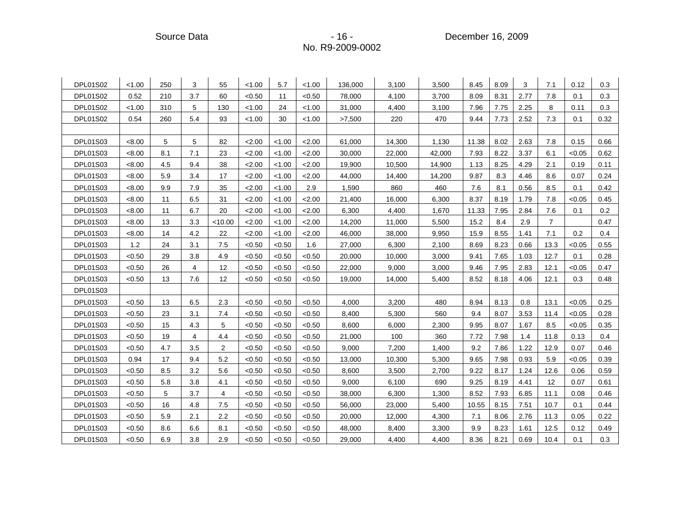Source Data **- 16 - Participate Source Data** - 16 - Participate December 16, 2009

| <b>DPL01S02</b> | < 1.00 | 250 | 3              | 55             | < 1.00 | 5.7    | < 1.00 | 136,000 | 3,100  | 3,500  | 8.45  | 8.09 | 3    | 7.1            | 0.12   | 0.3     |
|-----------------|--------|-----|----------------|----------------|--------|--------|--------|---------|--------|--------|-------|------|------|----------------|--------|---------|
| <b>DPL01S02</b> | 0.52   | 210 | 3.7            | 60             | < 0.50 | 11     | < 0.50 | 78,000  | 4,100  | 3,700  | 8.09  | 8.31 | 2.77 | 7.8            | 0.1    | 0.3     |
| <b>DPL01S02</b> | < 1.00 | 310 | 5              | 130            | < 1.00 | 24     | < 1.00 | 31,000  | 4,400  | 3,100  | 7.96  | 7.75 | 2.25 | 8              | 0.11   | 0.3     |
| <b>DPL01S02</b> | 0.54   | 260 | 5.4            | 93             | < 1.00 | 30     | < 1.00 | >7,500  | 220    | 470    | 9.44  | 7.73 | 2.52 | 7.3            | 0.1    | 0.32    |
|                 |        |     |                |                |        |        |        |         |        |        |       |      |      |                |        |         |
| DPL01S03        | <8.00  | 5   | 5              | 82             | 2.00   | < 1.00 | 2.00   | 61,000  | 14,300 | 1,130  | 11.38 | 8.02 | 2.63 | 7.8            | 0.15   | 0.66    |
| DPL01S03        | <8.00  | 8.1 | 7.1            | 23             | 2.00   | < 1.00 | 2.00   | 30,000  | 22,000 | 42,000 | 7.93  | 8.22 | 3.37 | 6.1            | < 0.05 | 0.62    |
| DPL01S03        | <8.00  | 4.5 | 9.4            | 38             | 2.00   | < 1.00 | 2.00   | 19,900  | 10,500 | 14,900 | 1.13  | 8.25 | 4.29 | 2.1            | 0.19   | 0.11    |
| DPL01S03        | < 8.00 | 5.9 | 3.4            | 17             | 2.00   | < 1.00 | 2.00   | 44,000  | 14,400 | 14,200 | 9.87  | 8.3  | 4.46 | 8.6            | 0.07   | 0.24    |
| DPL01S03        | < 8.00 | 9.9 | 7.9            | 35             | 2.00   | < 1.00 | 2.9    | 1,590   | 860    | 460    | 7.6   | 8.1  | 0.56 | 8.5            | 0.1    | 0.42    |
| DPL01S03        | <8.00  | 11  | 6.5            | 31             | 2.00   | < 1.00 | 2.00   | 21,400  | 16,000 | 6,300  | 8.37  | 8.19 | 1.79 | 7.8            | < 0.05 | 0.45    |
| DPL01S03        | < 8.00 | 11  | 6.7            | 20             | 2.00   | < 1.00 | 2.00   | 6,300   | 4,400  | 1,670  | 11.33 | 7.95 | 2.84 | 7.6            | 0.1    | $0.2\,$ |
| DPL01S03        | < 8.00 | 13  | 3.3            | < 10.00        | 2.00   | < 1.00 | 2.00   | 14,200  | 11,000 | 5,500  | 15.2  | 8.4  | 2.9  | $\overline{7}$ |        | 0.47    |
| DPL01S03        | < 8.00 | 14  | 4.2            | 22             | 2.00   | < 1.00 | 2.00   | 46,000  | 38,000 | 9,950  | 15.9  | 8.55 | 1.41 | 7.1            | 0.2    | 0.4     |
| DPL01S03        | 1.2    | 24  | 3.1            | 7.5            | < 0.50 | < 0.50 | 1.6    | 27,000  | 6,300  | 2,100  | 8.69  | 8.23 | 0.66 | 13.3           | < 0.05 | 0.55    |
| <b>DPL01S03</b> | < 0.50 | 29  | 3.8            | 4.9            | < 0.50 | < 0.50 | < 0.50 | 20,000  | 10,000 | 3,000  | 9.41  | 7.65 | 1.03 | 12.7           | 0.1    | 0.28    |
| DPL01S03        | < 0.50 | 26  | $\overline{4}$ | 12             | < 0.50 | < 0.50 | < 0.50 | 22,000  | 9,000  | 3,000  | 9.46  | 7.95 | 2.83 | 12.1           | < 0.05 | 0.47    |
| DPL01S03        | < 0.50 | 13  | 7.6            | 12             | < 0.50 | < 0.50 | < 0.50 | 19,000  | 14,000 | 5,400  | 8.52  | 8.18 | 4.06 | 12.1           | 0.3    | 0.48    |
| DPL01S03        |        |     |                |                |        |        |        |         |        |        |       |      |      |                |        |         |
| DPL01S03        | < 0.50 | 13  | 6.5            | 2.3            | < 0.50 | < 0.50 | < 0.50 | 4,000   | 3,200  | 480    | 8.94  | 8.13 | 0.8  | 13.1           | < 0.05 | 0.25    |
| DPL01S03        | < 0.50 | 23  | 3.1            | 7.4            | < 0.50 | < 0.50 | < 0.50 | 8,400   | 5,300  | 560    | 9.4   | 8.07 | 3.53 | 11.4           | < 0.05 | 0.28    |
| <b>DPL01S03</b> | < 0.50 | 15  | 4.3            | 5              | < 0.50 | < 0.50 | < 0.50 | 8,600   | 6,000  | 2,300  | 9.95  | 8.07 | 1.67 | 8.5            | < 0.05 | 0.35    |
| DPL01S03        | < 0.50 | 19  | 4              | 4.4            | < 0.50 | < 0.50 | < 0.50 | 21,000  | 100    | 360    | 7.72  | 7.98 | 1.4  | 11.8           | 0.13   | 0.4     |
| DPL01S03        | < 0.50 | 4.7 | 3.5            | $\overline{c}$ | < 0.50 | < 0.50 | < 0.50 | 9,000   | 7,200  | 1,400  | 9.2   | 7.86 | 1.22 | 12.9           | 0.07   | 0.46    |
| <b>DPL01S03</b> | 0.94   | 17  | 9.4            | 5.2            | < 0.50 | < 0.50 | < 0.50 | 13,000  | 10,300 | 5,300  | 9.65  | 7.98 | 0.93 | 5.9            | < 0.05 | 0.39    |
| DPL01S03        | < 0.50 | 8.5 | 3.2            | 5.6            | < 0.50 | < 0.50 | < 0.50 | 8,600   | 3,500  | 2,700  | 9.22  | 8.17 | 1.24 | 12.6           | 0.06   | 0.59    |
| <b>DPL01S03</b> | < 0.50 | 5.8 | 3.8            | 4.1            | < 0.50 | < 0.50 | < 0.50 | 9,000   | 6,100  | 690    | 9.25  | 8.19 | 4.41 | 12             | 0.07   | 0.61    |
| <b>DPL01S03</b> | < 0.50 | 5   | 3.7            | 4              | < 0.50 | < 0.50 | < 0.50 | 38,000  | 6,300  | 1,300  | 8.52  | 7.93 | 6.85 | 11.1           | 0.08   | 0.46    |
| DPL01S03        | < 0.50 | 16  | 4.8            | 7.5            | < 0.50 | < 0.50 | < 0.50 | 56,000  | 23,000 | 5,400  | 10.55 | 8.15 | 7.51 | 10.7           | 0.1    | 0.44    |
| DPL01S03        | < 0.50 | 5.9 | 2.1            | 2.2            | < 0.50 | < 0.50 | < 0.50 | 20,000  | 12,000 | 4,300  | 7.1   | 8.06 | 2.76 | 11.3           | 0.05   | 0.22    |
| DPL01S03        | < 0.50 | 8.6 | 6.6            | 8.1            | < 0.50 | < 0.50 | < 0.50 | 48,000  | 8,400  | 3,300  | 9.9   | 8.23 | 1.61 | 12.5           | 0.12   | 0.49    |
| DPL01S03        | < 0.50 | 6.9 | 3.8            | 2.9            | < 0.50 | <0.50  | < 0.50 | 29,000  | 4,400  | 4,400  | 8.36  | 8.21 | 0.69 | 10.4           | 0.1    | 0.3     |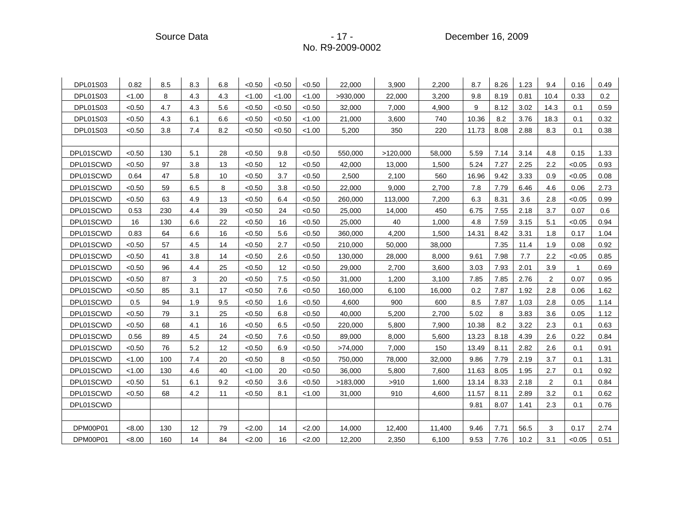Source Data - 17 - 17 - December 16, 2009 - 2009

| <b>DPL01S03</b> | 0.82   | 8.5 | 8.3 | 6.8 | < 0.50 | < 0.50 | < 0.50 | 22,000   | 3,900    | 2,200  | 8.7   | 8.26 | 1.23 | 9.4  | 0.16         | 0.49 |
|-----------------|--------|-----|-----|-----|--------|--------|--------|----------|----------|--------|-------|------|------|------|--------------|------|
| <b>DPL01S03</b> | < 1.00 | 8   | 4.3 | 4.3 | < 1.00 | < 1.00 | < 1.00 | >930,000 | 22,000   | 3,200  | 9.8   | 8.19 | 0.81 | 10.4 | 0.33         | 0.2  |
| <b>DPL01S03</b> | < 0.50 | 4.7 | 4.3 | 5.6 | < 0.50 | < 0.50 | < 0.50 | 32,000   | 7,000    | 4,900  | 9     | 8.12 | 3.02 | 14.3 | 0.1          | 0.59 |
| <b>DPL01S03</b> | < 0.50 | 4.3 | 6.1 | 6.6 | < 0.50 | < 0.50 | < 1.00 | 21,000   | 3,600    | 740    | 10.36 | 8.2  | 3.76 | 18.3 | 0.1          | 0.32 |
| <b>DPL01S03</b> | < 0.50 | 3.8 | 7.4 | 8.2 | < 0.50 | < 0.50 | < 1.00 | 5,200    | 350      | 220    | 11.73 | 8.08 | 2.88 | 8.3  | 0.1          | 0.38 |
|                 |        |     |     |     |        |        |        |          |          |        |       |      |      |      |              |      |
| DPL01SCWD       | < 0.50 | 130 | 5.1 | 28  | < 0.50 | 9.8    | < 0.50 | 550,000  | >120,000 | 58,000 | 5.59  | 7.14 | 3.14 | 4.8  | 0.15         | 1.33 |
| DPL01SCWD       | < 0.50 | 97  | 3.8 | 13  | < 0.50 | 12     | < 0.50 | 42,000   | 13,000   | 1,500  | 5.24  | 7.27 | 2.25 | 2.2  | < 0.05       | 0.93 |
| DPL01SCWD       | 0.64   | 47  | 5.8 | 10  | < 0.50 | 3.7    | < 0.50 | 2,500    | 2,100    | 560    | 16.96 | 9.42 | 3.33 | 0.9  | < 0.05       | 0.08 |
| DPL01SCWD       | < 0.50 | 59  | 6.5 | 8   | < 0.50 | 3.8    | < 0.50 | 22,000   | 9,000    | 2,700  | 7.8   | 7.79 | 6.46 | 4.6  | 0.06         | 2.73 |
| DPL01SCWD       | < 0.50 | 63  | 4.9 | 13  | < 0.50 | 6.4    | < 0.50 | 260,000  | 113,000  | 7,200  | 6.3   | 8.31 | 3.6  | 2.8  | < 0.05       | 0.99 |
| DPL01SCWD       | 0.53   | 230 | 4.4 | 39  | < 0.50 | 24     | < 0.50 | 25,000   | 14,000   | 450    | 6.75  | 7.55 | 2.18 | 3.7  | 0.07         | 0.6  |
| DPL01SCWD       | 16     | 130 | 6.6 | 22  | < 0.50 | 16     | < 0.50 | 25,000   | 40       | 1,000  | 4.8   | 7.59 | 3.15 | 5.1  | < 0.05       | 0.94 |
| DPL01SCWD       | 0.83   | 64  | 6.6 | 16  | < 0.50 | 5.6    | < 0.50 | 360,000  | 4,200    | 1,500  | 14.31 | 8.42 | 3.31 | 1.8  | 0.17         | 1.04 |
| DPL01SCWD       | < 0.50 | 57  | 4.5 | 14  | < 0.50 | 2.7    | < 0.50 | 210,000  | 50,000   | 38,000 |       | 7.35 | 11.4 | 1.9  | 0.08         | 0.92 |
| DPL01SCWD       | < 0.50 | 41  | 3.8 | 14  | < 0.50 | 2.6    | < 0.50 | 130,000  | 28,000   | 8,000  | 9.61  | 7.98 | 7.7  | 2.2  | < 0.05       | 0.85 |
| DPL01SCWD       | < 0.50 | 96  | 4.4 | 25  | < 0.50 | 12     | < 0.50 | 29,000   | 2,700    | 3,600  | 3.03  | 7.93 | 2.01 | 3.9  | $\mathbf{1}$ | 0.69 |
| DPL01SCWD       | < 0.50 | 87  | 3   | 20  | < 0.50 | 7.5    | < 0.50 | 31,000   | 1,200    | 3,100  | 7.85  | 7.85 | 2.76 | 2    | 0.07         | 0.95 |
| DPL01SCWD       | < 0.50 | 85  | 3.1 | 17  | < 0.50 | 7.6    | < 0.50 | 160,000  | 6,100    | 16,000 | 0.2   | 7.87 | 1.92 | 2.8  | 0.06         | 1.62 |
| DPL01SCWD       | 0.5    | 94  | 1.9 | 9.5 | < 0.50 | 1.6    | < 0.50 | 4,600    | 900      | 600    | 8.5   | 7.87 | 1.03 | 2.8  | 0.05         | 1.14 |
| DPL01SCWD       | < 0.50 | 79  | 3.1 | 25  | < 0.50 | 6.8    | < 0.50 | 40,000   | 5,200    | 2,700  | 5.02  | 8    | 3.83 | 3.6  | 0.05         | 1.12 |
| DPL01SCWD       | < 0.50 | 68  | 4.1 | 16  | < 0.50 | 6.5    | < 0.50 | 220,000  | 5,800    | 7,900  | 10.38 | 8.2  | 3.22 | 2.3  | 0.1          | 0.63 |
| DPL01SCWD       | 0.56   | 89  | 4.5 | 24  | < 0.50 | 7.6    | < 0.50 | 89,000   | 8,000    | 5,600  | 13.23 | 8.18 | 4.39 | 2.6  | 0.22         | 0.84 |
| DPL01SCWD       | < 0.50 | 76  | 5.2 | 12  | < 0.50 | 6.9    | < 0.50 | >74,000  | 7,000    | 150    | 13.49 | 8.11 | 2.82 | 2.6  | 0.1          | 0.91 |
| DPL01SCWD       | < 1.00 | 100 | 7.4 | 20  | < 0.50 | 8      | < 0.50 | 750,000  | 78,000   | 32,000 | 9.86  | 7.79 | 2.19 | 3.7  | 0.1          | 1.31 |
| DPL01SCWD       | < 1.00 | 130 | 4.6 | 40  | < 1.00 | 20     | < 0.50 | 36,000   | 5,800    | 7,600  | 11.63 | 8.05 | 1.95 | 2.7  | 0.1          | 0.92 |
| DPL01SCWD       | < 0.50 | 51  | 6.1 | 9.2 | < 0.50 | 3.6    | < 0.50 | >183,000 | >910     | 1,600  | 13.14 | 8.33 | 2.18 | 2    | 0.1          | 0.84 |
| DPL01SCWD       | < 0.50 | 68  | 4.2 | 11  | < 0.50 | 8.1    | < 1.00 | 31,000   | 910      | 4,600  | 11.57 | 8.11 | 2.89 | 3.2  | 0.1          | 0.62 |
| DPL01SCWD       |        |     |     |     |        |        |        |          |          |        | 9.81  | 8.07 | 1.41 | 2.3  | 0.1          | 0.76 |
|                 |        |     |     |     |        |        |        |          |          |        |       |      |      |      |              |      |
| DPM00P01        | < 8.00 | 130 | 12  | 79  | 2.00   | 14     | 2.00   | 14,000   | 12,400   | 11,400 | 9.46  | 7.71 | 56.5 | 3    | 0.17         | 2.74 |
| DPM00P01        | < 8.00 | 160 | 14  | 84  | 2.00   | 16     | 2.00   | 12,200   | 2,350    | 6,100  | 9.53  | 7.76 | 10.2 | 3.1  | < 0.05       | 0.51 |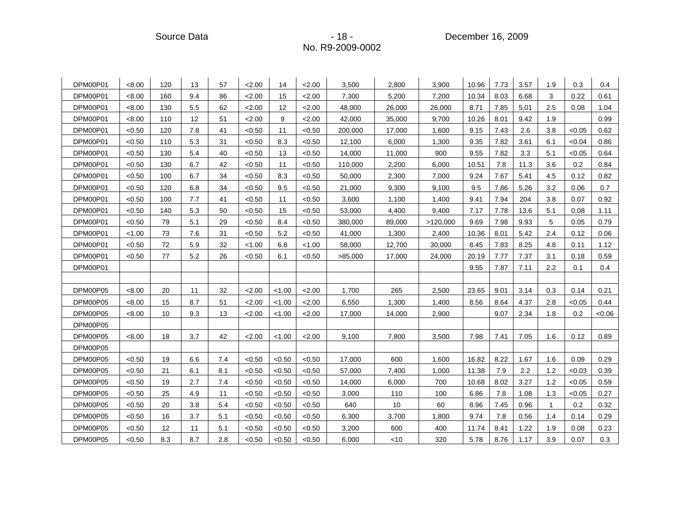Source Data **Contact Contact Contact Contact Contact Contact Contact Contact Contact Contact Contact Contact Contact Contact Contact Contact Contact Contact Contact Contact Contact Contact Contact Contact Contact Contact C** 

| DPM00P01 | <8.00  | 120 | 13  | 57  | 2.00   | 14     | 2.00   | 3,500   | 2,800  | 3,900    | 10.96 | 7.73 | 3.57 | 1.9 | 0.3    | 0.4   |
|----------|--------|-----|-----|-----|--------|--------|--------|---------|--------|----------|-------|------|------|-----|--------|-------|
| DPM00P01 | <8.00  | 160 | 9.4 | 86  | 2.00   | 15     | 2.00   | 7,300   | 5,200  | 7,200    | 10.34 | 8.03 | 6.68 | 3   | 0.22   | 0.61  |
| DPM00P01 | < 8.00 | 130 | 5.5 | 62  | 2.00   | 12     | 2.00   | 48,000  | 26,000 | 26,000   | 8.71  | 7.85 | 5.01 | 2.5 | 0.08   | 1.04  |
| DPM00P01 | < 8.00 | 110 | 12  | 51  | 2.00   | 9      | 2.00   | 42,000  | 35,000 | 9,700    | 10.26 | 8.01 | 9.42 | 1.9 |        | 0.99  |
| DPM00P01 | < 0.50 | 120 | 7.8 | 41  | < 0.50 | 11     | < 0.50 | 200,000 | 17,000 | 1,600    | 9.15  | 7.43 | 2.6  | 3.8 | < 0.05 | 0.62  |
| DPM00P01 | < 0.50 | 110 | 5.3 | 31  | < 0.50 | 8.3    | < 0.50 | 12,100  | 6,000  | 1,300    | 9.35  | 7.82 | 3.61 | 6.1 | <0.04  | 0.86  |
| DPM00P01 | < 0.50 | 130 | 5.4 | 40  | < 0.50 | 13     | < 0.50 | 14,000  | 11,000 | 900      | 9.55  | 7.82 | 3.3  | 5.1 | < 0.05 | 0.64  |
| DPM00P01 | < 0.50 | 130 | 6.7 | 42  | < 0.50 | 11     | < 0.50 | 110,000 | 2,200  | 6,000    | 10.51 | 7.8  | 11.3 | 3.6 | 0.2    | 0.84  |
| DPM00P01 | < 0.50 | 100 | 6.7 | 34  | < 0.50 | 8.3    | < 0.50 | 50,000  | 2,300  | 7,000    | 9.24  | 7.67 | 5.41 | 4.5 | 0.12   | 0.82  |
| DPM00P01 | < 0.50 | 120 | 6.8 | 34  | < 0.50 | 9.5    | < 0.50 | 21,000  | 9,300  | 9,100    | 9.5   | 7.86 | 5.26 | 3.2 | 0.06   | 0.7   |
| DPM00P01 | < 0.50 | 100 | 7.7 | 41  | < 0.50 | 11     | < 0.50 | 3,600   | 1,100  | 1,400    | 9.41  | 7.94 | 204  | 3.8 | 0.07   | 0.92  |
| DPM00P01 | < 0.50 | 140 | 5.3 | 50  | < 0.50 | 15     | < 0.50 | 53,000  | 4,400  | 9,400    | 7.17  | 7.78 | 13.6 | 5.1 | 0.08   | 1.11  |
| DPM00P01 | < 0.50 | 79  | 5.1 | 29  | < 0.50 | 8.4    | < 0.50 | 380,000 | 89,000 | >120,000 | 9.69  | 7.98 | 9.93 | 5   | 0.05   | 0.79  |
| DPM00P01 | < 1.00 | 73  | 7.6 | 31  | < 0.50 | 5.2    | < 0.50 | 41,000  | 1,300  | 2,400    | 10.36 | 8.01 | 5.42 | 2.4 | 0.12   | 0.06  |
| DPM00P01 | < 0.50 | 72  | 5.9 | 32  | < 1.00 | 6.8    | < 1.00 | 58,000  | 12,700 | 30,000   | 8.45  | 7.83 | 8.25 | 4.8 | 0.11   | 1.12  |
| DPM00P01 | < 0.50 | 77  | 5.2 | 26  | < 0.50 | 6.1    | < 0.50 | >85,000 | 17,000 | 24,000   | 20.19 | 7.77 | 7.37 | 3.1 | 0.18   | 0.59  |
| DPM00P01 |        |     |     |     |        |        |        |         |        |          | 9.55  | 7.87 | 7.11 | 2.2 | 0.1    | 0.4   |
|          |        |     |     |     |        |        |        |         |        |          |       |      |      |     |        |       |
| DPM00P05 | <8.00  | 20  | 11  | 32  | 2.00   | < 1.00 | 2.00   | 1,700   | 265    | 2,500    | 23.65 | 9.01 | 3.14 | 0.3 | 0.14   | 0.21  |
| DPM00P05 | <8.00  | 15  | 8.7 | 51  | 2.00   | < 1.00 | 2.00   | 6,550   | 1,300  | 1,400    | 8.56  | 8.64 | 4.37 | 2.8 | < 0.05 | 0.44  |
| DPM00P05 | < 8.00 | 10  | 9.3 | 13  | 2.00   | < 1.00 | 2.00   | 17,000  | 14,000 | 2,900    |       | 9.07 | 2.34 | 1.8 | 0.2    | <0.06 |
| DPM00P05 |        |     |     |     |        |        |        |         |        |          |       |      |      |     |        |       |
| DPM00P05 | < 8.00 | 18  | 3.7 | 42  | 2.00   | < 1.00 | < 2.00 | 9,100   | 7,800  | 3,500    | 7.98  | 7.41 | 7.05 | 1.6 | 0.12   | 0.89  |
| DPM00P05 |        |     |     |     |        |        |        |         |        |          |       |      |      |     |        |       |
| DPM00P05 | < 0.50 | 19  | 6.6 | 7.4 | < 0.50 | < 0.50 | < 0.50 | 17,000  | 600    | 1,600    | 16.82 | 8.22 | 1.67 | 1.6 | 0.09   | 0.29  |
| DPM00P05 | < 0.50 | 21  | 6.1 | 8.1 | < 0.50 | < 0.50 | < 0.50 | 57,000  | 7,400  | 1,000    | 11.38 | 7.9  | 2.2  | 1.2 | < 0.03 | 0.39  |
| DPM00P05 | < 0.50 | 19  | 2.7 | 7.4 | < 0.50 | < 0.50 | < 0.50 | 14,000  | 6,000  | 700      | 10.68 | 8.02 | 3.27 | 1.2 | < 0.05 | 0.59  |
| DPM00P05 | < 0.50 | 25  | 4.9 | 11  | < 0.50 | < 0.50 | < 0.50 | 3,000   | 110    | 100      | 6.86  | 7.8  | 1.08 | 1.3 | < 0.05 | 0.27  |
| DPM00P05 | < 0.50 | 20  | 3.8 | 5.4 | < 0.50 | < 0.50 | < 0.50 | 640     | 10     | 60       | 8.96  | 7.45 | 0.96 | 1   | 0.2    | 0.32  |
| DPM00P05 | < 0.50 | 16  | 3.7 | 5.1 | < 0.50 | < 0.50 | < 0.50 | 6,300   | 3,700  | 1,800    | 9.74  | 7.8  | 0.56 | 1.4 | 0.14   | 0.29  |
| DPM00P05 | < 0.50 | 12  | 11  | 5.1 | < 0.50 | < 0.50 | < 0.50 | 3,200   | 600    | 400      | 11.74 | 8.41 | 1.22 | 1.9 | 0.08   | 0.23  |
| DPM00P05 | < 0.50 | 8.3 | 8.7 | 2.8 | < 0.50 | <0.50  | < 0.50 | 6,000   | $<$ 10 | 320      | 5.78  | 8.76 | 1.17 | 3.9 | 0.07   | 0.3   |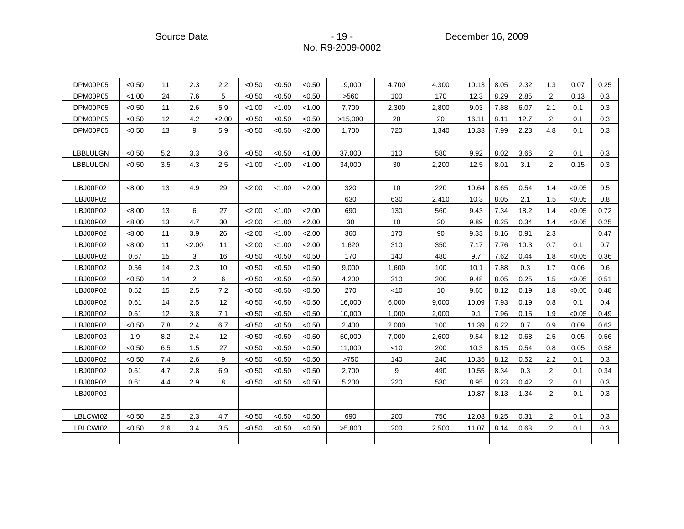Source Data **Contact Contact Contact Contact Contact Contact Contact Contact Contact Contact Contact Contact Contact Contact Contact Contact Contact Contact Contact Contact Contact Contact Contact Contact Contact Contact C** 

| DPM00P05        | < 0.50 | 11  | 2.3  | 2.2  | < 0.50 | < 0.50 | < 0.50 | 19,000  | 4,700  | 4,300 | 10.13 | 8.05 | 2.32 | 1.3            | 0.07   | 0.25 |
|-----------------|--------|-----|------|------|--------|--------|--------|---------|--------|-------|-------|------|------|----------------|--------|------|
| DPM00P05        | < 1.00 | 24  | 7.6  | 5    | <0.50  | < 0.50 | < 0.50 | >560    | 100    | 170   | 12.3  | 8.29 | 2.85 | 2              | 0.13   | 0.3  |
| DPM00P05        | < 0.50 | 11  | 2.6  | 5.9  | < 1.00 | < 1.00 | < 1.00 | 7,700   | 2,300  | 2,800 | 9.03  | 7.88 | 6.07 | 2.1            | 0.1    | 0.3  |
| DPM00P05        | < 0.50 | 12  | 4.2  | 2.00 | < 0.50 | < 0.50 | < 0.50 | >15,000 | 20     | 20    | 16.11 | 8.11 | 12.7 | 2              | 0.1    | 0.3  |
| DPM00P05        | < 0.50 | 13  | 9    | 5.9  | < 0.50 | < 0.50 | 2.00   | 1,700   | 720    | 1,340 | 10.33 | 7.99 | 2.23 | 4.8            | 0.1    | 0.3  |
|                 |        |     |      |      |        |        |        |         |        |       |       |      |      |                |        |      |
| <b>LBBLULGN</b> | < 0.50 | 5.2 | 3.3  | 3.6  | < 0.50 | < 0.50 | < 1.00 | 37,000  | 110    | 580   | 9.92  | 8.02 | 3.66 | 2              | 0.1    | 0.3  |
| LBBLULGN        | < 0.50 | 3.5 | 4.3  | 2.5  | < 1.00 | < 1.00 | < 1.00 | 34,000  | 30     | 2,200 | 12.5  | 8.01 | 3.1  | $\overline{2}$ | 0.15   | 0.3  |
|                 |        |     |      |      |        |        |        |         |        |       |       |      |      |                |        |      |
| LBJ00P02        | < 8.00 | 13  | 4.9  | 29   | 2.00   | < 1.00 | 2.00   | 320     | 10     | 220   | 10.64 | 8.65 | 0.54 | 1.4            | < 0.05 | 0.5  |
| LBJ00P02        |        |     |      |      |        |        |        | 630     | 630    | 2,410 | 10.3  | 8.05 | 2.1  | 1.5            | < 0.05 | 0.8  |
| LBJ00P02        | < 8.00 | 13  | 6    | 27   | 2.00   | < 1.00 | 2.00   | 690     | 130    | 560   | 9.43  | 7.34 | 18.2 | 1.4            | < 0.05 | 0.72 |
| LBJ00P02        | < 8.00 | 13  | 4.7  | 30   | 2.00   | < 1.00 | 2.00   | 30      | 10     | 20    | 9.89  | 8.25 | 0.34 | 1.4            | < 0.05 | 0.25 |
| LBJ00P02        | < 8.00 | 11  | 3.9  | 26   | 2.00   | < 1.00 | 2.00   | 360     | 170    | 90    | 9.33  | 8.16 | 0.91 | 2.3            |        | 0.47 |
| LBJ00P02        | < 8.00 | 11  | 2.00 | 11   | 2.00   | < 1.00 | 2.00   | 1,620   | 310    | 350   | 7.17  | 7.76 | 10.3 | 0.7            | 0.1    | 0.7  |
| LBJ00P02        | 0.67   | 15  | 3    | 16   | <0.50  | < 0.50 | <0.50  | 170     | 140    | 480   | 9.7   | 7.62 | 0.44 | 1.8            | < 0.05 | 0.36 |
| LBJ00P02        | 0.56   | 14  | 2.3  | 10   | <0.50  | < 0.50 | < 0.50 | 9,000   | 1,600  | 100   | 10.1  | 7.88 | 0.3  | 1.7            | 0.06   | 0.6  |
| LBJ00P02        | < 0.50 | 14  | 2    | 6    | < 0.50 | < 0.50 | < 0.50 | 4,200   | 310    | 200   | 9.48  | 8.05 | 0.25 | 1.5            | < 0.05 | 0.51 |
| LBJ00P02        | 0.52   | 15  | 2.5  | 7.2  | < 0.50 | < 0.50 | <0.50  | 270     | $<$ 10 | 10    | 9.65  | 8.12 | 0.19 | 1.8            | < 0.05 | 0.48 |
| LBJ00P02        | 0.61   | 14  | 2.5  | 12   | < 0.50 | < 0.50 | < 0.50 | 16,000  | 6,000  | 9,000 | 10.09 | 7.93 | 0.19 | 0.8            | 0.1    | 0.4  |
| LBJ00P02        | 0.61   | 12  | 3.8  | 7.1  | < 0.50 | < 0.50 | < 0.50 | 10,000  | 1,000  | 2,000 | 9.1   | 7.96 | 0.15 | 1.9            | < 0.05 | 0.49 |
| LBJ00P02        | < 0.50 | 7.8 | 2.4  | 6.7  | < 0.50 | < 0.50 | < 0.50 | 2,400   | 2,000  | 100   | 11.39 | 8.22 | 0.7  | 0.9            | 0.09   | 0.63 |
| LBJ00P02        | 1.9    | 8.2 | 2.4  | 12   | < 0.50 | < 0.50 | < 0.50 | 50,000  | 7,000  | 2,600 | 9.54  | 8.12 | 0.68 | 2.5            | 0.05   | 0.56 |
| LBJ00P02        | < 0.50 | 6.5 | 1.5  | 27   | < 0.50 | < 0.50 | < 0.50 | 11,000  | $<$ 10 | 200   | 10.3  | 8.15 | 0.54 | 0.8            | 0.05   | 0.58 |
| LBJ00P02        | < 0.50 | 7.4 | 2.6  | 9    | < 0.50 | < 0.50 | < 0.50 | >750    | 140    | 240   | 10.35 | 8.12 | 0.52 | 2.2            | 0.1    | 0.3  |
| LBJ00P02        | 0.61   | 4.7 | 2.8  | 6.9  | < 0.50 | < 0.50 | < 0.50 | 2,700   | 9      | 490   | 10.55 | 8.34 | 0.3  | $\overline{2}$ | 0.1    | 0.34 |
| LBJ00P02        | 0.61   | 4.4 | 2.9  | 8    | < 0.50 | < 0.50 | < 0.50 | 5,200   | 220    | 530   | 8.95  | 8.23 | 0.42 | $\overline{2}$ | 0.1    | 0.3  |
| LBJ00P02        |        |     |      |      |        |        |        |         |        |       | 10.87 | 8.13 | 1.34 | 2              | 0.1    | 0.3  |
|                 |        |     |      |      |        |        |        |         |        |       |       |      |      |                |        |      |
| LBLCWI02        | < 0.50 | 2.5 | 2.3  | 4.7  | < 0.50 | < 0.50 | < 0.50 | 690     | 200    | 750   | 12.03 | 8.25 | 0.31 | $\overline{2}$ | 0.1    | 0.3  |
| LBLCWI02        | < 0.50 | 2.6 | 3.4  | 3.5  | < 0.50 | < 0.50 | < 0.50 | >5,800  | 200    | 2,500 | 11.07 | 8.14 | 0.63 | $\overline{2}$ | 0.1    | 0.3  |
|                 |        |     |      |      |        |        |        |         |        |       |       |      |      |                |        |      |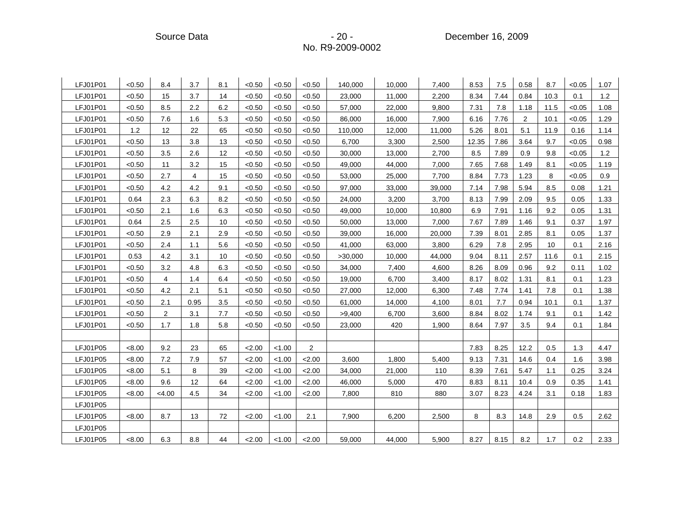Source Data **- 20 - Property Contract Contract Contract Contract Contract Contract Contract Contract Contract Contract Contract Contract Contract Contract Contract Contract Contract Contract Contract Contract Contract Cont** 

| LFJ01P01 | < 0.50 | 8.4            | 3.7  | 8.1 | < 0.50 | < 0.50 | < 0.50 | 140,000 | 10,000 | 7,400  | 8.53  | 7.5  | 0.58 | 8.7  | < 0.05 | 1.07 |
|----------|--------|----------------|------|-----|--------|--------|--------|---------|--------|--------|-------|------|------|------|--------|------|
| LFJ01P01 | < 0.50 | 15             | 3.7  | 14  | < 0.50 | < 0.50 | < 0.50 | 23,000  | 11,000 | 2,200  | 8.34  | 7.44 | 0.84 | 10.3 | 0.1    | 1.2  |
| LFJ01P01 | < 0.50 | 8.5            | 2.2  | 6.2 | < 0.50 | < 0.50 | < 0.50 | 57,000  | 22,000 | 9,800  | 7.31  | 7.8  | 1.18 | 11.5 | < 0.05 | 1.08 |
| LFJ01P01 | < 0.50 | 7.6            | 1.6  | 5.3 | < 0.50 | < 0.50 | < 0.50 | 86,000  | 16,000 | 7,900  | 6.16  | 7.76 | 2    | 10.1 | < 0.05 | 1.29 |
| LFJ01P01 | 1.2    | 12             | 22   | 65  | < 0.50 | < 0.50 | < 0.50 | 110,000 | 12,000 | 11,000 | 5.26  | 8.01 | 5.1  | 11.9 | 0.16   | 1.14 |
| LFJ01P01 | < 0.50 | 13             | 3.8  | 13  | < 0.50 | < 0.50 | < 0.50 | 6,700   | 3,300  | 2,500  | 12.35 | 7.86 | 3.64 | 9.7  | < 0.05 | 0.98 |
| LFJ01P01 | < 0.50 | 3.5            | 2.6  | 12  | < 0.50 | < 0.50 | < 0.50 | 30,000  | 13,000 | 2,700  | 8.5   | 7.89 | 0.9  | 9.8  | < 0.05 | 1.2  |
| LFJ01P01 | < 0.50 | 11             | 3.2  | 15  | < 0.50 | < 0.50 | < 0.50 | 49,000  | 44,000 | 7,000  | 7.65  | 7.68 | 1.49 | 8.1  | < 0.05 | 1.19 |
| LFJ01P01 | < 0.50 | 2.7            | 4    | 15  | < 0.50 | < 0.50 | < 0.50 | 53,000  | 25,000 | 7,700  | 8.84  | 7.73 | 1.23 | 8    | < 0.05 | 0.9  |
| LFJ01P01 | < 0.50 | 4.2            | 4.2  | 9.1 | < 0.50 | < 0.50 | < 0.50 | 97,000  | 33,000 | 39,000 | 7.14  | 7.98 | 5.94 | 8.5  | 0.08   | 1.21 |
| LFJ01P01 | 0.64   | 2.3            | 6.3  | 8.2 | < 0.50 | < 0.50 | < 0.50 | 24,000  | 3,200  | 3,700  | 8.13  | 7.99 | 2.09 | 9.5  | 0.05   | 1.33 |
| LFJ01P01 | < 0.50 | 2.1            | 1.6  | 6.3 | < 0.50 | < 0.50 | < 0.50 | 49,000  | 10,000 | 10,800 | 6.9   | 7.91 | 1.16 | 9.2  | 0.05   | 1.31 |
| LFJ01P01 | 0.64   | 2.5            | 2.5  | 10  | < 0.50 | < 0.50 | < 0.50 | 50,000  | 13,000 | 7,000  | 7.67  | 7.89 | 1.46 | 9.1  | 0.37   | 1.97 |
| LFJ01P01 | < 0.50 | 2.9            | 2.1  | 2.9 | < 0.50 | < 0.50 | < 0.50 | 39,000  | 16,000 | 20,000 | 7.39  | 8.01 | 2.85 | 8.1  | 0.05   | 1.37 |
| LFJ01P01 | < 0.50 | 2.4            | 1.1  | 5.6 | < 0.50 | < 0.50 | < 0.50 | 41,000  | 63,000 | 3,800  | 6.29  | 7.8  | 2.95 | 10   | 0.1    | 2.16 |
| LFJ01P01 | 0.53   | 4.2            | 3.1  | 10  | < 0.50 | < 0.50 | < 0.50 | >30,000 | 10,000 | 44,000 | 9.04  | 8.11 | 2.57 | 11.6 | 0.1    | 2.15 |
| LFJ01P01 | < 0.50 | 3.2            | 4.8  | 6.3 | < 0.50 | < 0.50 | < 0.50 | 34,000  | 7,400  | 4,600  | 8.26  | 8.09 | 0.96 | 9.2  | 0.11   | 1.02 |
| LFJ01P01 | < 0.50 | 4              | 1.4  | 6.4 | < 0.50 | < 0.50 | < 0.50 | 19,000  | 6,700  | 3,400  | 8.17  | 8.02 | 1.31 | 8.1  | 0.1    | 1.23 |
| LFJ01P01 | < 0.50 | 4.2            | 2.1  | 5.1 | < 0.50 | < 0.50 | < 0.50 | 27,000  | 12,000 | 6,300  | 7.48  | 7.74 | 1.41 | 7.8  | 0.1    | 1.38 |
| LFJ01P01 | < 0.50 | 2.1            | 0.95 | 3.5 | < 0.50 | < 0.50 | < 0.50 | 61,000  | 14,000 | 4,100  | 8.01  | 7.7  | 0.94 | 10.1 | 0.1    | 1.37 |
| LFJ01P01 | < 0.50 | $\overline{2}$ | 3.1  | 7.7 | < 0.50 | < 0.50 | < 0.50 | >9,400  | 6,700  | 3,600  | 8.84  | 8.02 | 1.74 | 9.1  | 0.1    | 1.42 |
| LFJ01P01 | < 0.50 | 1.7            | 1.8  | 5.8 | < 0.50 | < 0.50 | < 0.50 | 23,000  | 420    | 1,900  | 8.64  | 7.97 | 3.5  | 9.4  | 0.1    | 1.84 |
|          |        |                |      |     |        |        |        |         |        |        |       |      |      |      |        |      |
| LFJ01P05 | < 8.00 | 9.2            | 23   | 65  | 2.00   | 1.00   | 2      |         |        |        | 7.83  | 8.25 | 12.2 | 0.5  | 1.3    | 4.47 |
| LFJ01P05 | < 8.00 | 7.2            | 7.9  | 57  | 2.00   | < 1.00 | 2.00   | 3,600   | 1,800  | 5,400  | 9.13  | 7.31 | 14.6 | 0.4  | 1.6    | 3.98 |
| LFJ01P05 | < 8.00 | 5.1            | 8    | 39  | 2.00   | < 1.00 | 2.00   | 34,000  | 21,000 | 110    | 8.39  | 7.61 | 5.47 | 1.1  | 0.25   | 3.24 |
| LFJ01P05 | < 8.00 | 9.6            | 12   | 64  | 2.00   | < 1.00 | 2.00   | 46,000  | 5,000  | 470    | 8.83  | 8.11 | 10.4 | 0.9  | 0.35   | 1.41 |
| LFJ01P05 | < 8.00 | <4.00          | 4.5  | 34  | 2.00   | < 1.00 | 2.00   | 7,800   | 810    | 880    | 3.07  | 8.23 | 4.24 | 3.1  | 0.18   | 1.83 |
| LFJ01P05 |        |                |      |     |        |        |        |         |        |        |       |      |      |      |        |      |
| LFJ01P05 | < 8.00 | 8.7            | 13   | 72  | 2.00   | 1.00   | 2.1    | 7,900   | 6,200  | 2,500  | 8     | 8.3  | 14.8 | 2.9  | 0.5    | 2.62 |
| LFJ01P05 |        |                |      |     |        |        |        |         |        |        |       |      |      |      |        |      |
| LFJ01P05 | < 8.00 | 6.3            | 8.8  | 44  | 2.00   | < 1.00 | < 2.00 | 59,000  | 44,000 | 5,900  | 8.27  | 8.15 | 8.2  | 1.7  | 0.2    | 2.33 |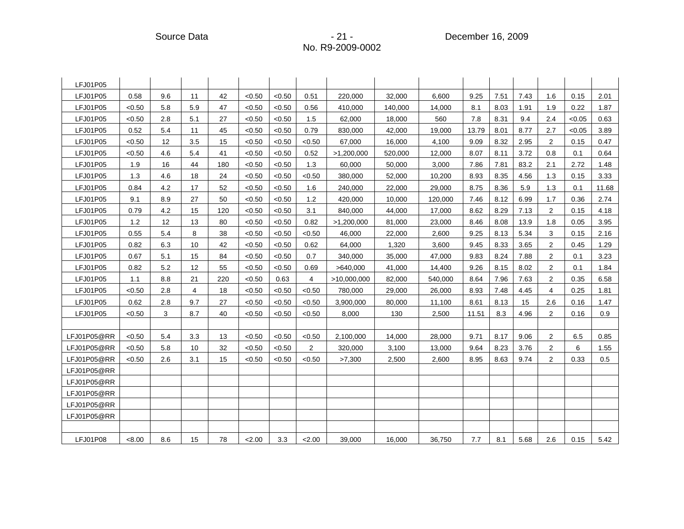| LFJ01P05    |        |     |                |     |        |        |        |             |         |         |       |      |      |                |        |         |
|-------------|--------|-----|----------------|-----|--------|--------|--------|-------------|---------|---------|-------|------|------|----------------|--------|---------|
| LFJ01P05    | 0.58   | 9.6 | 11             | 42  | < 0.50 | < 0.50 | 0.51   | 220,000     | 32,000  | 6,600   | 9.25  | 7.51 | 7.43 | 1.6            | 0.15   | 2.01    |
| LFJ01P05    | < 0.50 | 5.8 | 5.9            | 47  | < 0.50 | < 0.50 | 0.56   | 410,000     | 140,000 | 14,000  | 8.1   | 8.03 | 1.91 | 1.9            | 0.22   | 1.87    |
| LFJ01P05    | < 0.50 | 2.8 | 5.1            | 27  | < 0.50 | < 0.50 | 1.5    | 62,000      | 18,000  | 560     | 7.8   | 8.31 | 9.4  | 2.4            | < 0.05 | 0.63    |
| LFJ01P05    | 0.52   | 5.4 | 11             | 45  | < 0.50 | < 0.50 | 0.79   | 830,000     | 42,000  | 19.000  | 13.79 | 8.01 | 8.77 | 2.7            | < 0.05 | 3.89    |
| LFJ01P05    | < 0.50 | 12  | 3.5            | 15  | < 0.50 | < 0.50 | < 0.50 | 67,000      | 16,000  | 4,100   | 9.09  | 8.32 | 2.95 | $\overline{2}$ | 0.15   | 0.47    |
| LFJ01P05    | < 0.50 | 4.6 | 5.4            | 41  | < 0.50 | < 0.50 | 0.52   | >1,200,000  | 520,000 | 12,000  | 8.07  | 8.11 | 3.72 | 0.8            | 0.1    | 0.64    |
| LFJ01P05    | 1.9    | 16  | 44             | 180 | < 0.50 | < 0.50 | 1.3    | 60,000      | 50,000  | 3,000   | 7.86  | 7.81 | 83.2 | 2.1            | 2.72   | 1.48    |
| LFJ01P05    | 1.3    | 4.6 | 18             | 24  | < 0.50 | < 0.50 | < 0.50 | 380,000     | 52,000  | 10,200  | 8.93  | 8.35 | 4.56 | 1.3            | 0.15   | 3.33    |
| LFJ01P05    | 0.84   | 4.2 | 17             | 52  | < 0.50 | < 0.50 | 1.6    | 240,000     | 22,000  | 29,000  | 8.75  | 8.36 | 5.9  | 1.3            | 0.1    | 11.68   |
| LFJ01P05    | 9.1    | 8.9 | 27             | 50  | < 0.50 | < 0.50 | 1.2    | 420,000     | 10,000  | 120,000 | 7.46  | 8.12 | 6.99 | 1.7            | 0.36   | 2.74    |
| LFJ01P05    | 0.79   | 4.2 | 15             | 120 | < 0.50 | < 0.50 | 3.1    | 840,000     | 44,000  | 17,000  | 8.62  | 8.29 | 7.13 | 2              | 0.15   | 4.18    |
| LFJ01P05    | 1.2    | 12  | 13             | 80  | < 0.50 | < 0.50 | 0.82   | >1,200,000  | 81,000  | 23,000  | 8.46  | 8.08 | 13.9 | 1.8            | 0.05   | 3.95    |
| LFJ01P05    | 0.55   | 5.4 | 8              | 38  | < 0.50 | < 0.50 | < 0.50 | 46,000      | 22,000  | 2,600   | 9.25  | 8.13 | 5.34 | 3              | 0.15   | 2.16    |
| LFJ01P05    | 0.82   | 6.3 | 10             | 42  | < 0.50 | < 0.50 | 0.62   | 64,000      | 1,320   | 3,600   | 9.45  | 8.33 | 3.65 | $\overline{2}$ | 0.45   | 1.29    |
| LFJ01P05    | 0.67   | 5.1 | 15             | 84  | < 0.50 | < 0.50 | 0.7    | 340,000     | 35,000  | 47.000  | 9.83  | 8.24 | 7.88 | $\overline{2}$ | 0.1    | 3.23    |
| LFJ01P05    | 0.82   | 5.2 | 12             | 55  | < 0.50 | < 0.50 | 0.69   | >640,000    | 41,000  | 14,400  | 9.26  | 8.15 | 8.02 | $\overline{2}$ | 0.1    | 1.84    |
| LFJ01P05    | 1.1    | 8.8 | 21             | 220 | < 0.50 | 0.63   | 4      | >10,000,000 | 82,000  | 540,000 | 8.64  | 7.96 | 7.63 | 2              | 0.35   | 6.58    |
| LFJ01P05    | < 0.50 | 2.8 | $\overline{4}$ | 18  | < 0.50 | < 0.50 | < 0.50 | 780,000     | 29,000  | 26,000  | 8.93  | 7.48 | 4.45 | 4              | 0.25   | 1.81    |
| LFJ01P05    | 0.62   | 2.8 | 9.7            | 27  | < 0.50 | < 0.50 | < 0.50 | 3,900,000   | 80,000  | 11,100  | 8.61  | 8.13 | 15   | 2.6            | 0.16   | 1.47    |
| LFJ01P05    | < 0.50 | 3   | 8.7            | 40  | < 0.50 | < 0.50 | < 0.50 | 8,000       | 130     | 2,500   | 11.51 | 8.3  | 4.96 | 2              | 0.16   | 0.9     |
|             |        |     |                |     |        |        |        |             |         |         |       |      |      |                |        |         |
| LFJ01P05@RR | < 0.50 | 5.4 | 3.3            | 13  | < 0.50 | < 0.50 | < 0.50 | 2,100,000   | 14,000  | 28.000  | 9.71  | 8.17 | 9.06 | $\overline{2}$ | 6.5    | 0.85    |
| LFJ01P05@RR | < 0.50 | 5.8 | 10             | 32  | < 0.50 | < 0.50 | 2      | 320,000     | 3,100   | 13,000  | 9.64  | 8.23 | 3.76 | 2              | 6      | 1.55    |
| LFJ01P05@RR | < 0.50 | 2.6 | 3.1            | 15  | < 0.50 | < 0.50 | < 0.50 | >7,300      | 2,500   | 2,600   | 8.95  | 8.63 | 9.74 | $\overline{2}$ | 0.33   | $0.5\,$ |
| LFJ01P05@RR |        |     |                |     |        |        |        |             |         |         |       |      |      |                |        |         |
| LFJ01P05@RR |        |     |                |     |        |        |        |             |         |         |       |      |      |                |        |         |
| LFJ01P05@RR |        |     |                |     |        |        |        |             |         |         |       |      |      |                |        |         |
| LFJ01P05@RR |        |     |                |     |        |        |        |             |         |         |       |      |      |                |        |         |
| LFJ01P05@RR |        |     |                |     |        |        |        |             |         |         |       |      |      |                |        |         |
|             |        |     |                |     |        |        |        |             |         |         |       |      |      |                |        |         |
| LFJ01P08    | < 8.00 | 8.6 | 15             | 78  | 2.00   | 3.3    | < 2.00 | 39,000      | 16,000  | 36,750  | 7.7   | 8.1  | 5.68 | 2.6            | 0.15   | 5.42    |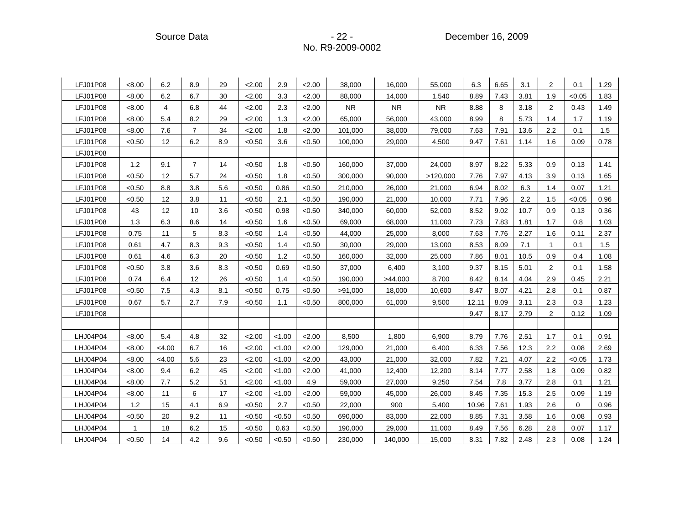Source Data - 22 - December 16, 2009

| LFJ01P08 | <8.00        | 6.2            | 8.9            | 29  | 2.00   | 2.9    | 2.00   | 38,000    | 16,000    | 55,000    | 6.3   | 6.65 | 3.1  | 2              | 0.1         | 1.29 |
|----------|--------------|----------------|----------------|-----|--------|--------|--------|-----------|-----------|-----------|-------|------|------|----------------|-------------|------|
| LFJ01P08 | <8.00        | 6.2            | 6.7            | 30  | 2.00   | 3.3    | 2.00   | 88,000    | 14,000    | 1,540     | 8.89  | 7.43 | 3.81 | 1.9            | < 0.05      | 1.83 |
| LFJ01P08 | < 8.00       | $\overline{4}$ | 6.8            | 44  | 2.00   | 2.3    | 2.00   | <b>NR</b> | <b>NR</b> | <b>NR</b> | 8.88  | 8    | 3.18 | $\overline{2}$ | 0.43        | 1.49 |
| LFJ01P08 | < 8.00       | 5.4            | 8.2            | 29  | 2.00   | 1.3    | 2.00   | 65,000    | 56,000    | 43,000    | 8.99  | 8    | 5.73 | 1.4            | 1.7         | 1.19 |
| LFJ01P08 | < 8.00       | 7.6            | $\overline{7}$ | 34  | 2.00   | 1.8    | 2.00   | 101,000   | 38,000    | 79,000    | 7.63  | 7.91 | 13.6 | 2.2            | 0.1         | 1.5  |
| LFJ01P08 | < 0.50       | 12             | 6.2            | 8.9 | < 0.50 | 3.6    | < 0.50 | 100,000   | 29,000    | 4,500     | 9.47  | 7.61 | 1.14 | 1.6            | 0.09        | 0.78 |
| LFJ01P08 |              |                |                |     |        |        |        |           |           |           |       |      |      |                |             |      |
| LFJ01P08 | 1.2          | 9.1            | $\overline{7}$ | 14  | < 0.50 | 1.8    | < 0.50 | 160,000   | 37,000    | 24,000    | 8.97  | 8.22 | 5.33 | 0.9            | 0.13        | 1.41 |
| LFJ01P08 | < 0.50       | 12             | 5.7            | 24  | < 0.50 | 1.8    | < 0.50 | 300,000   | 90,000    | >120,000  | 7.76  | 7.97 | 4.13 | 3.9            | 0.13        | 1.65 |
| LFJ01P08 | < 0.50       | 8.8            | 3.8            | 5.6 | < 0.50 | 0.86   | < 0.50 | 210,000   | 26,000    | 21,000    | 6.94  | 8.02 | 6.3  | 1.4            | 0.07        | 1.21 |
| LFJ01P08 | < 0.50       | 12             | 3.8            | 11  | < 0.50 | 2.1    | < 0.50 | 190,000   | 21,000    | 10,000    | 7.71  | 7.96 | 2.2  | 1.5            | < 0.05      | 0.96 |
| LFJ01P08 | 43           | 12             | 10             | 3.6 | < 0.50 | 0.98   | < 0.50 | 340,000   | 60,000    | 52,000    | 8.52  | 9.02 | 10.7 | 0.9            | 0.13        | 0.36 |
| LFJ01P08 | 1.3          | 6.3            | 8.6            | 14  | < 0.50 | 1.6    | < 0.50 | 69,000    | 68,000    | 11,000    | 7.73  | 7.83 | 1.81 | 1.7            | 0.8         | 1.03 |
| LFJ01P08 | 0.75         | 11             | 5              | 8.3 | < 0.50 | 1.4    | < 0.50 | 44,000    | 25,000    | 8,000     | 7.63  | 7.76 | 2.27 | 1.6            | 0.11        | 2.37 |
| LFJ01P08 | 0.61         | 4.7            | 8.3            | 9.3 | < 0.50 | 1.4    | < 0.50 | 30,000    | 29,000    | 13,000    | 8.53  | 8.09 | 7.1  | 1              | 0.1         | 1.5  |
| LFJ01P08 | 0.61         | 4.6            | 6.3            | 20  | < 0.50 | 1.2    | < 0.50 | 160,000   | 32,000    | 25,000    | 7.86  | 8.01 | 10.5 | 0.9            | 0.4         | 1.08 |
| LFJ01P08 | < 0.50       | 3.8            | 3.6            | 8.3 | < 0.50 | 0.69   | < 0.50 | 37,000    | 6,400     | 3,100     | 9.37  | 8.15 | 5.01 | $\overline{2}$ | 0.1         | 1.58 |
| LFJ01P08 | 0.74         | 6.4            | 12             | 26  | < 0.50 | 1.4    | < 0.50 | 190,000   | >44,000   | 8,700     | 8.42  | 8.14 | 4.04 | 2.9            | 0.45        | 2.21 |
| LFJ01P08 | < 0.50       | 7.5            | 4.3            | 8.1 | < 0.50 | 0.75   | < 0.50 | >91,000   | 18,000    | 10,600    | 8.47  | 8.07 | 4.21 | 2.8            | 0.1         | 0.87 |
| LFJ01P08 | 0.67         | 5.7            | 2.7            | 7.9 | < 0.50 | 1.1    | < 0.50 | 800,000   | 61,000    | 9,500     | 12.11 | 8.09 | 3.11 | 2.3            | 0.3         | 1.23 |
| LFJ01P08 |              |                |                |     |        |        |        |           |           |           | 9.47  | 8.17 | 2.79 | 2              | 0.12        | 1.09 |
|          |              |                |                |     |        |        |        |           |           |           |       |      |      |                |             |      |
| LHJ04P04 | < 8.00       | 5.4            | 4.8            | 32  | 2.00   | < 1.00 | 2.00   | 8,500     | 1,800     | 6,900     | 8.79  | 7.76 | 2.51 | 1.7            | 0.1         | 0.91 |
| LHJ04P04 | <8.00        | < 4.00         | 6.7            | 16  | 2.00   | < 1.00 | 2.00   | 129,000   | 21,000    | 6,400     | 6.33  | 7.56 | 12.3 | 2.2            | 0.08        | 2.69 |
| LHJ04P04 | < 8.00       | < 4.00         | 5.6            | 23  | 2.00   | < 1.00 | 2.00   | 43,000    | 21,000    | 32,000    | 7.82  | 7.21 | 4.07 | 2.2            | < 0.05      | 1.73 |
| LHJ04P04 | < 8.00       | 9.4            | 6.2            | 45  | 2.00   | < 1.00 | 2.00   | 41,000    | 12,400    | 12,200    | 8.14  | 7.77 | 2.58 | 1.8            | 0.09        | 0.82 |
| LHJ04P04 | <8.00        | 7.7            | 5.2            | 51  | 2.00   | < 1.00 | 4.9    | 59,000    | 27,000    | 9,250     | 7.54  | 7.8  | 3.77 | 2.8            | 0.1         | 1.21 |
| LHJ04P04 | < 8.00       | 11             | 6              | 17  | 2.00   | < 1.00 | 2.00   | 59,000    | 45,000    | 26,000    | 8.45  | 7.35 | 15.3 | 2.5            | 0.09        | 1.19 |
| LHJ04P04 | 1.2          | 15             | 4.1            | 6.9 | < 0.50 | 2.7    | < 0.50 | 22,000    | 900       | 5,400     | 10.96 | 7.61 | 1.93 | 2.6            | $\mathbf 0$ | 0.96 |
| LHJ04P04 | < 0.50       | 20             | 9.2            | 11  | < 0.50 | <0.50  | < 0.50 | 690,000   | 83,000    | 22,000    | 8.85  | 7.31 | 3.58 | 1.6            | 0.08        | 0.93 |
| LHJ04P04 | $\mathbf{1}$ | 18             | 6.2            | 15  | < 0.50 | 0.63   | < 0.50 | 190,000   | 29,000    | 11,000    | 8.49  | 7.56 | 6.28 | 2.8            | 0.07        | 1.17 |
| LHJ04P04 | < 0.50       | 14             | 4.2            | 9.6 | < 0.50 | <0.50  | < 0.50 | 230,000   | 140,000   | 15,000    | 8.31  | 7.82 | 2.48 | 2.3            | 0.08        | 1.24 |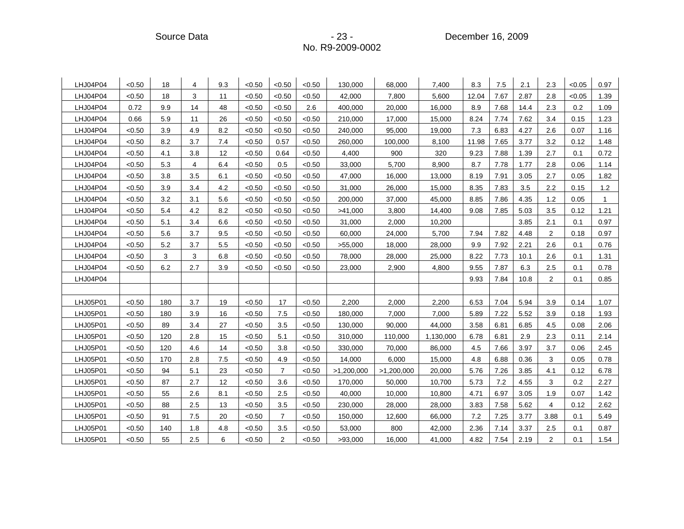Source Data **- 23 - Product America** - 23 - Product December 16, 2009

| LHJ04P04 | < 0.50 | 18  | 4              | 9.3 | < 0.50 | < 0.50         | < 0.50 | 130,000    | 68,000     | 7,400     | 8.3   | 7.5  | 2.1  | 2.3            | < 0.05 | 0.97           |
|----------|--------|-----|----------------|-----|--------|----------------|--------|------------|------------|-----------|-------|------|------|----------------|--------|----------------|
| LHJ04P04 | < 0.50 | 18  | 3              | 11  | < 0.50 | < 0.50         | < 0.50 | 42,000     | 7,800      | 5,600     | 12.04 | 7.67 | 2.87 | 2.8            | < 0.05 | 1.39           |
| LHJ04P04 | 0.72   | 9.9 | 14             | 48  | < 0.50 | < 0.50         | 2.6    | 400,000    | 20,000     | 16,000    | 8.9   | 7.68 | 14.4 | 2.3            | 0.2    | 1.09           |
| LHJ04P04 | 0.66   | 5.9 | 11             | 26  | < 0.50 | < 0.50         | < 0.50 | 210,000    | 17,000     | 15,000    | 8.24  | 7.74 | 7.62 | 3.4            | 0.15   | 1.23           |
| LHJ04P04 | < 0.50 | 3.9 | 4.9            | 8.2 | < 0.50 | < 0.50         | < 0.50 | 240,000    | 95,000     | 19,000    | 7.3   | 6.83 | 4.27 | 2.6            | 0.07   | 1.16           |
| LHJ04P04 | < 0.50 | 8.2 | 3.7            | 7.4 | < 0.50 | 0.57           | < 0.50 | 260,000    | 100,000    | 8,100     | 11.98 | 7.65 | 3.77 | 3.2            | 0.12   | 1.48           |
| LHJ04P04 | < 0.50 | 4.1 | 3.8            | 12  | < 0.50 | 0.64           | < 0.50 | 4,400      | 900        | 320       | 9.23  | 7.88 | 1.39 | 2.7            | 0.1    | 0.72           |
| LHJ04P04 | < 0.50 | 5.3 | $\overline{4}$ | 6.4 | < 0.50 | 0.5            | < 0.50 | 33,000     | 5,700      | 8,900     | 8.7   | 7.78 | 1.77 | 2.8            | 0.06   | 1.14           |
| LHJ04P04 | < 0.50 | 3.8 | 3.5            | 6.1 | < 0.50 | < 0.50         | < 0.50 | 47,000     | 16,000     | 13,000    | 8.19  | 7.91 | 3.05 | 2.7            | 0.05   | 1.82           |
| LHJ04P04 | < 0.50 | 3.9 | 3.4            | 4.2 | < 0.50 | < 0.50         | < 0.50 | 31,000     | 26,000     | 15,000    | 8.35  | 7.83 | 3.5  | 2.2            | 0.15   | 1.2            |
| LHJ04P04 | < 0.50 | 3.2 | 3.1            | 5.6 | < 0.50 | < 0.50         | < 0.50 | 200,000    | 37,000     | 45,000    | 8.85  | 7.86 | 4.35 | 1.2            | 0.05   | $\overline{1}$ |
| LHJ04P04 | < 0.50 | 5.4 | 4.2            | 8.2 | < 0.50 | < 0.50         | < 0.50 | >41,000    | 3,800      | 14,400    | 9.08  | 7.85 | 5.03 | 3.5            | 0.12   | 1.21           |
| LHJ04P04 | < 0.50 | 5.1 | 3.4            | 6.6 | < 0.50 | < 0.50         | < 0.50 | 31,000     | 2,000      | 10,200    |       |      | 3.85 | 2.1            | 0.1    | 0.97           |
| LHJ04P04 | < 0.50 | 5.6 | 3.7            | 9.5 | < 0.50 | < 0.50         | < 0.50 | 60,000     | 24,000     | 5,700     | 7.94  | 7.82 | 4.48 | $\overline{2}$ | 0.18   | 0.97           |
| LHJ04P04 | < 0.50 | 5.2 | 3.7            | 5.5 | < 0.50 | < 0.50         | < 0.50 | >55,000    | 18,000     | 28,000    | 9.9   | 7.92 | 2.21 | 2.6            | 0.1    | 0.76           |
| LHJ04P04 | < 0.50 | 3   | 3              | 6.8 | < 0.50 | < 0.50         | < 0.50 | 78,000     | 28,000     | 25,000    | 8.22  | 7.73 | 10.1 | 2.6            | 0.1    | 1.31           |
| LHJ04P04 | < 0.50 | 6.2 | 2.7            | 3.9 | < 0.50 | < 0.50         | < 0.50 | 23,000     | 2,900      | 4,800     | 9.55  | 7.87 | 6.3  | 2.5            | 0.1    | 0.78           |
| LHJ04P04 |        |     |                |     |        |                |        |            |            |           | 9.93  | 7.84 | 10.8 | $\overline{c}$ | 0.1    | 0.85           |
|          |        |     |                |     |        |                |        |            |            |           |       |      |      |                |        |                |
| LHJ05P01 | < 0.50 | 180 | 3.7            | 19  | < 0.50 | 17             | < 0.50 | 2,200      | 2,000      | 2,200     | 6.53  | 7.04 | 5.94 | 3.9            | 0.14   | 1.07           |
| LHJ05P01 | < 0.50 | 180 | 3.9            | 16  | < 0.50 | 7.5            | < 0.50 | 180,000    | 7,000      | 7,000     | 5.89  | 7.22 | 5.52 | 3.9            | 0.18   | 1.93           |
| LHJ05P01 | < 0.50 | 89  | 3.4            | 27  | < 0.50 | 3.5            | < 0.50 | 130,000    | 90,000     | 44,000    | 3.58  | 6.81 | 6.85 | 4.5            | 0.08   | 2.06           |
| LHJ05P01 | < 0.50 | 120 | 2.8            | 15  | < 0.50 | 5.1            | < 0.50 | 310,000    | 110,000    | 1,130,000 | 6.78  | 6.81 | 2.9  | 2.3            | 0.11   | 2.14           |
| LHJ05P01 | < 0.50 | 120 | 4.6            | 14  | < 0.50 | 3.8            | < 0.50 | 330,000    | 70,000     | 86,000    | 4.5   | 7.66 | 3.97 | 3.7            | 0.06   | 2.45           |
| LHJ05P01 | < 0.50 | 170 | 2.8            | 7.5 | < 0.50 | 4.9            | < 0.50 | 14,000     | 6,000      | 15,000    | 4.8   | 6.88 | 0.36 | 3              | 0.05   | 0.78           |
| LHJ05P01 | < 0.50 | 94  | 5.1            | 23  | < 0.50 | $\overline{7}$ | < 0.50 | >1,200,000 | >1,200,000 | 20,000    | 5.76  | 7.26 | 3.85 | 4.1            | 0.12   | 6.78           |
| LHJ05P01 | < 0.50 | 87  | 2.7            | 12  | < 0.50 | 3.6            | < 0.50 | 170,000    | 50,000     | 10,700    | 5.73  | 7.2  | 4.55 | 3              | 0.2    | 2.27           |
| LHJ05P01 | < 0.50 | 55  | 2.6            | 8.1 | < 0.50 | 2.5            | < 0.50 | 40,000     | 10,000     | 10,800    | 4.71  | 6.97 | 3.05 | 1.9            | 0.07   | 1.42           |
| LHJ05P01 | < 0.50 | 88  | 2.5            | 13  | < 0.50 | 3.5            | < 0.50 | 230,000    | 28,000     | 28,000    | 3.83  | 7.58 | 5.62 | $\overline{4}$ | 0.12   | 2.62           |
| LHJ05P01 | < 0.50 | 91  | 7.5            | 20  | < 0.50 | $\overline{7}$ | < 0.50 | 150,000    | 12,600     | 66,000    | 7.2   | 7.25 | 3.77 | 3.88           | 0.1    | 5.49           |
| LHJ05P01 | < 0.50 | 140 | 1.8            | 4.8 | < 0.50 | 3.5            | < 0.50 | 53,000     | 800        | 42,000    | 2.36  | 7.14 | 3.37 | 2.5            | 0.1    | 0.87           |
| LHJ05P01 | < 0.50 | 55  | 2.5            | 6   | < 0.50 | 2              | < 0.50 | >93,000    | 16,000     | 41,000    | 4.82  | 7.54 | 2.19 | $\overline{c}$ | 0.1    | 1.54           |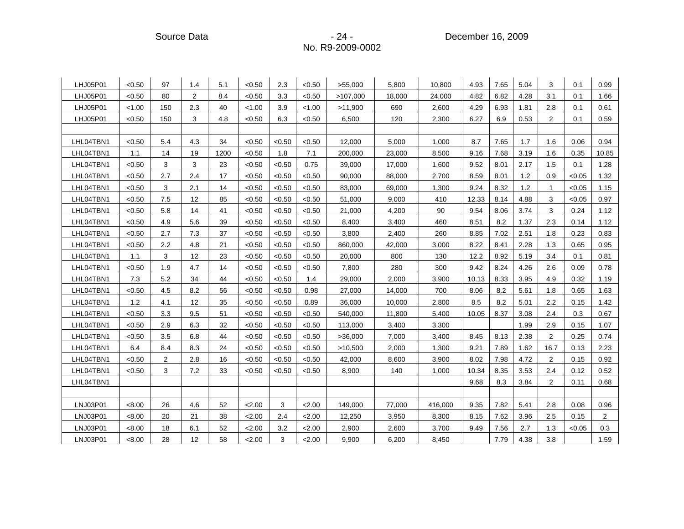Source Data **Contact Contact Contact Contact Contact Contact Contact Contact Contact Contact Contact Contact Contact Contact Contact Contact Contact Contact Contact Contact Contact Contact Contact Contact Contact Contact C** 

| LHJ05P01  | < 0.50 | 97  | 1.4            | 5.1  | < 0.50 | 2.3    | < 0.50 | >55,000  | 5,800  | 10,800  | 4.93  | 7.65 | 5.04 | 3              | 0.1    | 0.99           |
|-----------|--------|-----|----------------|------|--------|--------|--------|----------|--------|---------|-------|------|------|----------------|--------|----------------|
| LHJ05P01  | < 0.50 | 80  | $\overline{2}$ | 8.4  | < 0.50 | 3.3    | < 0.50 | >107,000 | 18,000 | 24,000  | 4.82  | 6.82 | 4.28 | 3.1            | 0.1    | 1.66           |
| LHJ05P01  | < 1.00 | 150 | 2.3            | 40   | < 1.00 | 3.9    | < 1.00 | >11,900  | 690    | 2,600   | 4.29  | 6.93 | 1.81 | 2.8            | 0.1    | 0.61           |
| LHJ05P01  | < 0.50 | 150 | 3              | 4.8  | < 0.50 | 6.3    | < 0.50 | 6,500    | 120    | 2,300   | 6.27  | 6.9  | 0.53 | $\overline{c}$ | 0.1    | 0.59           |
|           |        |     |                |      |        |        |        |          |        |         |       |      |      |                |        |                |
| LHL04TBN1 | < 0.50 | 5.4 | 4.3            | 34   | < 0.50 | < 0.50 | < 0.50 | 12,000   | 5,000  | 1.000   | 8.7   | 7.65 | 1.7  | 1.6            | 0.06   | 0.94           |
| LHL04TBN1 | 1.1    | 14  | 19             | 1200 | < 0.50 | 1.8    | 7.1    | 200,000  | 23,000 | 8,500   | 9.16  | 7.68 | 3.19 | 1.6            | 0.35   | 10.85          |
| LHL04TBN1 | < 0.50 | 3   | 3              | 23   | < 0.50 | < 0.50 | 0.75   | 39,000   | 17,000 | 1,600   | 9.52  | 8.01 | 2.17 | 1.5            | 0.1    | 1.28           |
| LHL04TBN1 | < 0.50 | 2.7 | 2.4            | 17   | < 0.50 | < 0.50 | < 0.50 | 90,000   | 88,000 | 2,700   | 8.59  | 8.01 | 1.2  | 0.9            | < 0.05 | 1.32           |
| LHL04TBN1 | < 0.50 | 3   | 2.1            | 14   | < 0.50 | < 0.50 | < 0.50 | 83,000   | 69,000 | 1,300   | 9.24  | 8.32 | 1.2  | $\mathbf{1}$   | < 0.05 | 1.15           |
| LHL04TBN1 | < 0.50 | 7.5 | 12             | 85   | < 0.50 | < 0.50 | < 0.50 | 51,000   | 9,000  | 410     | 12.33 | 8.14 | 4.88 | 3              | < 0.05 | 0.97           |
| LHL04TBN1 | < 0.50 | 5.8 | 14             | 41   | < 0.50 | < 0.50 | < 0.50 | 21,000   | 4,200  | 90      | 9.54  | 8.06 | 3.74 | 3              | 0.24   | 1.12           |
| LHL04TBN1 | < 0.50 | 4.9 | 5.6            | 39   | < 0.50 | < 0.50 | < 0.50 | 8,400    | 3,400  | 460     | 8.51  | 8.2  | 1.37 | 2.3            | 0.14   | 1.12           |
| LHL04TBN1 | < 0.50 | 2.7 | 7.3            | 37   | < 0.50 | < 0.50 | < 0.50 | 3,800    | 2,400  | 260     | 8.85  | 7.02 | 2.51 | 1.8            | 0.23   | 0.83           |
| LHL04TBN1 | < 0.50 | 2.2 | 4.8            | 21   | < 0.50 | < 0.50 | < 0.50 | 860,000  | 42,000 | 3,000   | 8.22  | 8.41 | 2.28 | 1.3            | 0.65   | 0.95           |
| LHL04TBN1 | 1.1    | 3   | 12             | 23   | < 0.50 | < 0.50 | < 0.50 | 20,000   | 800    | 130     | 12.2  | 8.92 | 5.19 | 3.4            | 0.1    | 0.81           |
| LHL04TBN1 | < 0.50 | 1.9 | 4.7            | 14   | < 0.50 | < 0.50 | < 0.50 | 7,800    | 280    | 300     | 9.42  | 8.24 | 4.26 | 2.6            | 0.09   | 0.78           |
| LHL04TBN1 | 7.3    | 5.2 | 34             | 44   | < 0.50 | < 0.50 | 1.4    | 29,000   | 2,000  | 3,900   | 10.13 | 8.33 | 3.95 | 4.9            | 0.32   | 1.19           |
| LHL04TBN1 | < 0.50 | 4.5 | 8.2            | 56   | < 0.50 | < 0.50 | 0.98   | 27,000   | 14,000 | 700     | 8.06  | 8.2  | 5.61 | 1.8            | 0.65   | 1.63           |
| LHL04TBN1 | 1.2    | 4.1 | 12             | 35   | < 0.50 | < 0.50 | 0.89   | 36,000   | 10,000 | 2,800   | 8.5   | 8.2  | 5.01 | 2.2            | 0.15   | 1.42           |
| LHL04TBN1 | < 0.50 | 3.3 | 9.5            | 51   | < 0.50 | < 0.50 | < 0.50 | 540,000  | 11,800 | 5,400   | 10.05 | 8.37 | 3.08 | 2.4            | 0.3    | 0.67           |
| LHL04TBN1 | < 0.50 | 2.9 | 6.3            | 32   | < 0.50 | < 0.50 | < 0.50 | 113,000  | 3,400  | 3,300   |       |      | 1.99 | 2.9            | 0.15   | 1.07           |
| LHL04TBN1 | < 0.50 | 3.5 | 6.8            | 44   | < 0.50 | < 0.50 | < 0.50 | >36,000  | 7,000  | 3,400   | 8.45  | 8.13 | 2.38 | $\overline{2}$ | 0.25   | 0.74           |
| LHL04TBN1 | 6.4    | 8.4 | 8.3            | 24   | < 0.50 | < 0.50 | < 0.50 | >10,500  | 2,000  | 1,300   | 9.21  | 7.89 | 1.62 | 16.7           | 0.13   | 2.23           |
| LHL04TBN1 | < 0.50 | 2   | 2.8            | 16   | < 0.50 | < 0.50 | < 0.50 | 42,000   | 8,600  | 3,900   | 8.02  | 7.98 | 4.72 | 2              | 0.15   | 0.92           |
| LHL04TBN1 | < 0.50 | 3   | 7.2            | 33   | < 0.50 | < 0.50 | < 0.50 | 8,900    | 140    | 1,000   | 10.34 | 8.35 | 3.53 | 2.4            | 0.12   | 0.52           |
| LHL04TBN1 |        |     |                |      |        |        |        |          |        |         | 9.68  | 8.3  | 3.84 | $\overline{2}$ | 0.11   | 0.68           |
|           |        |     |                |      |        |        |        |          |        |         |       |      |      |                |        |                |
| LNJ03P01  | < 8.00 | 26  | 4.6            | 52   | 2.00   | 3      | 2.00   | 149,000  | 77,000 | 416,000 | 9.35  | 7.82 | 5.41 | 2.8            | 0.08   | 0.96           |
| LNJ03P01  | < 8.00 | 20  | 21             | 38   | 2.00   | 2.4    | 2.00   | 12,250   | 3,950  | 8,300   | 8.15  | 7.62 | 3.96 | 2.5            | 0.15   | $\overline{2}$ |
| LNJ03P01  | < 8.00 | 18  | 6.1            | 52   | 2.00   | 3.2    | 2.00   | 2,900    | 2,600  | 3,700   | 9.49  | 7.56 | 2.7  | 1.3            | < 0.05 | 0.3            |
| LNJ03P01  | < 8.00 | 28  | 12             | 58   | 2.00   | 3      | 2.00   | 9,900    | 6,200  | 8,450   |       | 7.79 | 4.38 | 3.8            |        | 1.59           |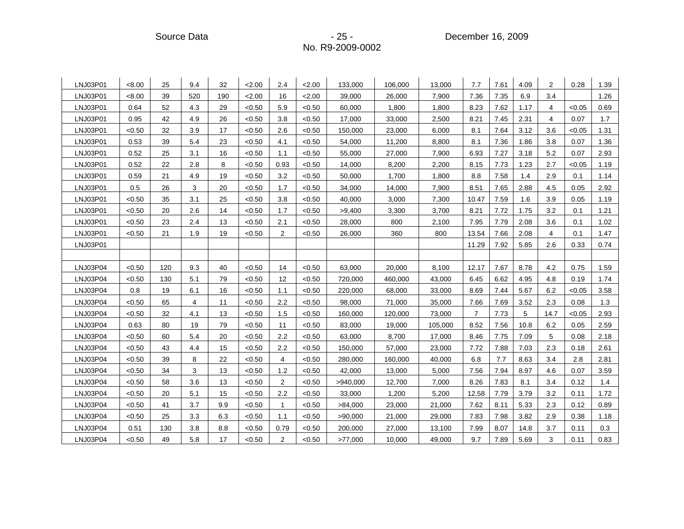Source Data **- 25 - Participate Source Data** - 25 - Participate December 16, 2009

| LNJ03P01 | < 8.00 | 25  | 9.4 | 32  | 2.00   | 2.4            | 2.00   | 133,000  | 106,000 | 13,000  | 7.7            | 7.61 | 4.09 | 2              | 0.28   | 1.39 |
|----------|--------|-----|-----|-----|--------|----------------|--------|----------|---------|---------|----------------|------|------|----------------|--------|------|
| LNJ03P01 | < 8.00 | 39  | 520 | 190 | 2.00   | 16             | 2.00   | 39,000   | 26,000  | 7,900   | 7.36           | 7.35 | 6.9  | 3.4            |        | 1.26 |
| LNJ03P01 | 0.64   | 52  | 4.3 | 29  | < 0.50 | 5.9            | < 0.50 | 60,000   | 1,800   | 1,800   | 8.23           | 7.62 | 1.17 | 4              | < 0.05 | 0.69 |
| LNJ03P01 | 0.95   | 42  | 4.9 | 26  | < 0.50 | 3.8            | < 0.50 | 17,000   | 33,000  | 2,500   | 8.21           | 7.45 | 2.31 | $\overline{4}$ | 0.07   | 1.7  |
| LNJ03P01 | < 0.50 | 32  | 3.9 | 17  | < 0.50 | 2.6            | < 0.50 | 150,000  | 23,000  | 6,000   | 8.1            | 7.64 | 3.12 | 3.6            | < 0.05 | 1.31 |
| LNJ03P01 | 0.53   | 39  | 5.4 | 23  | < 0.50 | 4.1            | < 0.50 | 54,000   | 11,200  | 8,800   | 8.1            | 7.36 | 1.86 | 3.8            | 0.07   | 1.36 |
| LNJ03P01 | 0.52   | 25  | 3.1 | 16  | < 0.50 | 1.1            | < 0.50 | 55,000   | 27,000  | 7,900   | 6.93           | 7.27 | 3.18 | 5.2            | 0.07   | 2.93 |
| LNJ03P01 | 0.52   | 22  | 2.8 | 8   | < 0.50 | 0.93           | < 0.50 | 14,000   | 8,200   | 2,200   | 8.15           | 7.73 | 1.23 | 2.7            | < 0.05 | 1.19 |
| LNJ03P01 | 0.59   | 21  | 4.9 | 19  | < 0.50 | 3.2            | < 0.50 | 50,000   | 1,700   | 1,800   | 8.8            | 7.58 | 1.4  | 2.9            | 0.1    | 1.14 |
| LNJ03P01 | 0.5    | 26  | 3   | 20  | < 0.50 | 1.7            | < 0.50 | 34,000   | 14,000  | 7,900   | 8.51           | 7.65 | 2.88 | 4.5            | 0.05   | 2.92 |
| LNJ03P01 | < 0.50 | 35  | 3.1 | 25  | < 0.50 | 3.8            | < 0.50 | 40,000   | 3,000   | 7,300   | 10.47          | 7.59 | 1.6  | 3.9            | 0.05   | 1.19 |
| LNJ03P01 | < 0.50 | 20  | 2.6 | 14  | < 0.50 | 1.7            | < 0.50 | >9,400   | 3,300   | 3,700   | 8.21           | 7.72 | 1.75 | 3.2            | 0.1    | 1.21 |
| LNJ03P01 | <0.50  | 23  | 2.4 | 13  | < 0.50 | 2.1            | < 0.50 | 28,000   | 800     | 2,100   | 7.95           | 7.79 | 2.08 | 3.6            | 0.1    | 1.02 |
| LNJ03P01 | < 0.50 | 21  | 1.9 | 19  | < 0.50 | $\overline{2}$ | < 0.50 | 26,000   | 360     | 800     | 13.54          | 7.66 | 2.08 | 4              | 0.1    | 1.47 |
| LNJ03P01 |        |     |     |     |        |                |        |          |         |         | 11.29          | 7.92 | 5.85 | 2.6            | 0.33   | 0.74 |
|          |        |     |     |     |        |                |        |          |         |         |                |      |      |                |        |      |
| LNJ03P04 | < 0.50 | 120 | 9.3 | 40  | < 0.50 | 14             | < 0.50 | 63,000   | 20,000  | 8,100   | 12.17          | 7.67 | 8.78 | 4.2            | 0.75   | 1.59 |
|          |        |     |     |     |        |                |        |          |         |         |                |      |      |                |        |      |
| LNJ03P04 | < 0.50 | 130 | 5.1 | 79  | < 0.50 | 12             | < 0.50 | 720,000  | 460,000 | 43,000  | 6.45           | 6.62 | 4.95 | 4.8            | 0.19   | 1.74 |
| LNJ03P04 | 0.8    | 19  | 6.1 | 16  | < 0.50 | 1.1            | < 0.50 | 220,000  | 68,000  | 33,000  | 8.69           | 7.44 | 5.67 | 6.2            | < 0.05 | 3.58 |
| LNJ03P04 | < 0.50 | 65  | 4   | 11  | < 0.50 | 2.2            | < 0.50 | 98,000   | 71,000  | 35,000  | 7.66           | 7.69 | 3.52 | 2.3            | 0.08   | 1.3  |
| LNJ03P04 | < 0.50 | 32  | 4.1 | 13  | < 0.50 | 1.5            | < 0.50 | 160,000  | 120,000 | 73,000  | $\overline{7}$ | 7.73 | 5    | 14.7           | < 0.05 | 2.93 |
| LNJ03P04 | 0.63   | 80  | 19  | 79  | < 0.50 | 11             | < 0.50 | 83,000   | 19,000  | 105,000 | 8.52           | 7.56 | 10.8 | 6.2            | 0.05   | 2.59 |
| LNJ03P04 | < 0.50 | 60  | 5.4 | 20  | < 0.50 | 2.2            | < 0.50 | 63,000   | 8,700   | 17,000  | 8.46           | 7.75 | 7.09 | 5              | 0.08   | 2.18 |
| LNJ03P04 | < 0.50 | 43  | 4.4 | 15  | < 0.50 | 2.2            | < 0.50 | 150,000  | 57,000  | 23,000  | 7.72           | 7.88 | 7.03 | 2.3            | 0.18   | 2.61 |
| LNJ03P04 | < 0.50 | 39  | 8   | 22  | < 0.50 | 4              | < 0.50 | 280,000  | 160,000 | 40,000  | 6.8            | 7.7  | 8.63 | 3.4            | 2.8    | 2.81 |
| LNJ03P04 | < 0.50 | 34  | 3   | 13  | < 0.50 | 1.2            | < 0.50 | 42,000   | 13,000  | 5,000   | 7.56           | 7.94 | 8.97 | 4.6            | 0.07   | 3.59 |
| LNJ03P04 | < 0.50 | 58  | 3.6 | 13  | < 0.50 | 2              | < 0.50 | >940,000 | 12,700  | 7,000   | 8.26           | 7.83 | 8.1  | 3.4            | 0.12   | 1.4  |
| LNJ03P04 | < 0.50 | 20  | 5.1 | 15  | < 0.50 | 2.2            | < 0.50 | 33,000   | 1,200   | 5,200   | 12.58          | 7.79 | 3.79 | 3.2            | 0.11   | 1.72 |
| LNJ03P04 | < 0.50 | 41  | 3.7 | 9.9 | < 0.50 | $\mathbf{1}$   | < 0.50 | >84,000  | 23,000  | 21,000  | 7.62           | 8.11 | 5.33 | 2.3            | 0.12   | 0.89 |
| LNJ03P04 | < 0.50 | 25  | 3.3 | 6.3 | < 0.50 | 1.1            | < 0.50 | >90,000  | 21,000  | 29,000  | 7.83           | 7.98 | 3.82 | 2.9            | 0.38   | 1.18 |
| LNJ03P04 | 0.51   | 130 | 3.8 | 8.8 | < 0.50 | 0.79           | < 0.50 | 200,000  | 27,000  | 13,100  | 7.99           | 8.07 | 14.8 | 3.7            | 0.11   | 0.3  |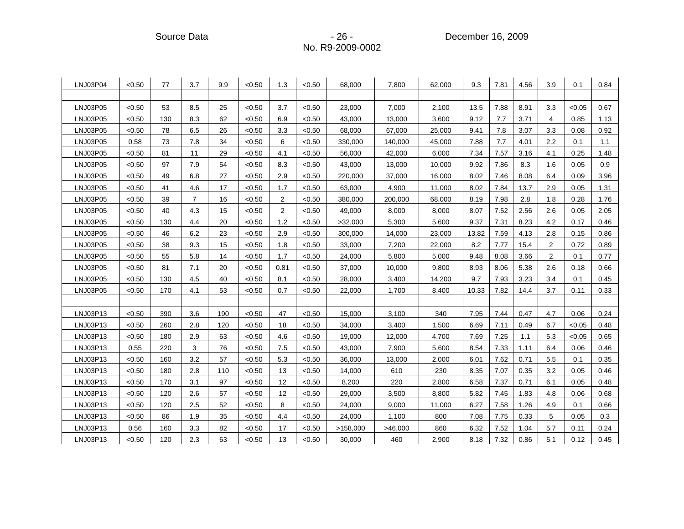Source Data **- 26 - Participate Source Data** - 26 - Participate December 16, 2009

| LNJ03P04 | < 0.50 | 77  | 3.7            | 9.9 | < 0.50 | 1.3            | < 0.50 | 68,000   | 7,800   | 62,000 | 9.3   | 7.81 | 4.56 | 3.9 | 0.1    | 0.84 |
|----------|--------|-----|----------------|-----|--------|----------------|--------|----------|---------|--------|-------|------|------|-----|--------|------|
|          |        |     |                |     |        |                |        |          |         |        |       |      |      |     |        |      |
| LNJ03P05 | < 0.50 | 53  | 8.5            | 25  | < 0.50 | 3.7            | < 0.50 | 23,000   | 7,000   | 2,100  | 13.5  | 7.88 | 8.91 | 3.3 | < 0.05 | 0.67 |
| LNJ03P05 | < 0.50 | 130 | 8.3            | 62  | < 0.50 | 6.9            | < 0.50 | 43,000   | 13,000  | 3,600  | 9.12  | 7.7  | 3.71 | 4   | 0.85   | 1.13 |
| LNJ03P05 | < 0.50 | 78  | 6.5            | 26  | < 0.50 | 3.3            | < 0.50 | 68,000   | 67,000  | 25,000 | 9.41  | 7.8  | 3.07 | 3.3 | 0.08   | 0.92 |
| LNJ03P05 | 0.58   | 73  | 7.8            | 34  | < 0.50 | 6              | < 0.50 | 330,000  | 140,000 | 45,000 | 7.88  | 7.7  | 4.01 | 2.2 | 0.1    | 1.1  |
| LNJ03P05 | < 0.50 | 81  | 11             | 29  | < 0.50 | 4.1            | < 0.50 | 56,000   | 42,000  | 6,000  | 7.34  | 7.57 | 3.16 | 4.1 | 0.25   | 1.48 |
| LNJ03P05 | < 0.50 | 97  | 7.9            | 54  | < 0.50 | 8.3            | < 0.50 | 43,000   | 13,000  | 10,000 | 9.92  | 7.86 | 8.3  | 1.6 | 0.05   | 0.9  |
| LNJ03P05 | < 0.50 | 49  | 6.8            | 27  | < 0.50 | 2.9            | < 0.50 | 220,000  | 37,000  | 16,000 | 8.02  | 7.46 | 8.08 | 6.4 | 0.09   | 3.96 |
| LNJ03P05 | < 0.50 | 41  | 4.6            | 17  | < 0.50 | 1.7            | < 0.50 | 63,000   | 4,900   | 11,000 | 8.02  | 7.84 | 13.7 | 2.9 | 0.05   | 1.31 |
| LNJ03P05 | < 0.50 | 39  | $\overline{7}$ | 16  | < 0.50 | $\overline{2}$ | < 0.50 | 380,000  | 200,000 | 68,000 | 8.19  | 7.98 | 2.8  | 1.8 | 0.28   | 1.76 |
| LNJ03P05 | < 0.50 | 40  | 4.3            | 15  | < 0.50 | $\overline{2}$ | < 0.50 | 49,000   | 8,000   | 8,000  | 8.07  | 7.52 | 2.56 | 2.6 | 0.05   | 2.05 |
| LNJ03P05 | < 0.50 | 130 | 4.4            | 20  | < 0.50 | 1.2            | < 0.50 | >32,000  | 5,300   | 5,600  | 9.37  | 7.31 | 8.23 | 4.2 | 0.17   | 0.46 |
| LNJ03P05 | < 0.50 | 46  | 6.2            | 23  | < 0.50 | 2.9            | < 0.50 | 300,000  | 14,000  | 23,000 | 13.82 | 7.59 | 4.13 | 2.8 | 0.15   | 0.86 |
| LNJ03P05 | < 0.50 | 38  | 9.3            | 15  | < 0.50 | 1.8            | < 0.50 | 33,000   | 7,200   | 22,000 | 8.2   | 7.77 | 15.4 | 2   | 0.72   | 0.89 |
| LNJ03P05 | < 0.50 | 55  | 5.8            | 14  | < 0.50 | 1.7            | < 0.50 | 24,000   | 5,800   | 5,000  | 9.48  | 8.08 | 3.66 | 2   | 0.1    | 0.77 |
| LNJ03P05 | < 0.50 | 81  | 7.1            | 20  | < 0.50 | 0.81           | < 0.50 | 37,000   | 10,000  | 9,800  | 8.93  | 8.06 | 5.38 | 2.6 | 0.18   | 0.66 |
| LNJ03P05 | < 0.50 | 130 | 4.5            | 40  | < 0.50 | 8.1            | < 0.50 | 28,000   | 3,400   | 14,200 | 9.7   | 7.93 | 3.23 | 3.4 | 0.1    | 0.45 |
| LNJ03P05 | < 0.50 | 170 | 4.1            | 53  | < 0.50 | 0.7            | < 0.50 | 22,000   | 1,700   | 8,400  | 10.33 | 7.82 | 14.4 | 3.7 | 0.11   | 0.33 |
|          |        |     |                |     |        |                |        |          |         |        |       |      |      |     |        |      |
| LNJ03P13 | < 0.50 | 390 | 3.6            | 190 | < 0.50 | 47             | < 0.50 | 15,000   | 3,100   | 340    | 7.95  | 7.44 | 0.47 | 4.7 | 0.06   | 0.24 |
| LNJ03P13 | < 0.50 | 260 | 2.8            | 120 | < 0.50 | 18             | < 0.50 | 34,000   | 3,400   | 1,500  | 6.69  | 7.11 | 0.49 | 6.7 | < 0.05 | 0.48 |
| LNJ03P13 | < 0.50 | 180 | 2.9            | 63  | < 0.50 | 4.6            | < 0.50 | 19,000   | 12,000  | 4,700  | 7.69  | 7.25 | 1.1  | 5.3 | < 0.05 | 0.65 |
| LNJ03P13 | 0.55   | 220 | 3              | 76  | < 0.50 | 7.5            | < 0.50 | 43,000   | 7,900   | 5,600  | 8.54  | 7.33 | 1.11 | 6.4 | 0.06   | 0.46 |
| LNJ03P13 | < 0.50 | 160 | 3.2            | 57  | < 0.50 | 5.3            | < 0.50 | 36,000   | 13,000  | 2,000  | 6.01  | 7.62 | 0.71 | 5.5 | 0.1    | 0.35 |
| LNJ03P13 | < 0.50 | 180 | 2.8            | 110 | < 0.50 | 13             | < 0.50 | 14,000   | 610     | 230    | 8.35  | 7.07 | 0.35 | 3.2 | 0.05   | 0.46 |
| LNJ03P13 | < 0.50 | 170 | 3.1            | 97  | < 0.50 | 12             | < 0.50 | 8,200    | 220     | 2,800  | 6.58  | 7.37 | 0.71 | 6.1 | 0.05   | 0.48 |
| LNJ03P13 | < 0.50 | 120 | 2.6            | 57  | < 0.50 | 12             | < 0.50 | 29,000   | 3,500   | 8,800  | 5.82  | 7.45 | 1.83 | 4.8 | 0.06   | 0.68 |
| LNJ03P13 | < 0.50 | 120 | 2.5            | 52  | < 0.50 | 8              | < 0.50 | 24,000   | 9,000   | 11,000 | 6.27  | 7.58 | 1.26 | 4.9 | 0.1    | 0.66 |
| LNJ03P13 | < 0.50 | 86  | 1.9            | 35  | < 0.50 | 4.4            | < 0.50 | 24,000   | 1,100   | 800    | 7.08  | 7.75 | 0.33 | 5   | 0.05   | 0.3  |
| LNJ03P13 | 0.56   | 160 | 3.3            | 82  | < 0.50 | 17             | < 0.50 | >158,000 | >46,000 | 860    | 6.32  | 7.52 | 1.04 | 5.7 | 0.11   | 0.24 |
| LNJ03P13 | < 0.50 | 120 | 2.3            | 63  | < 0.50 | 13             | < 0.50 | 30,000   | 460     | 2,900  | 8.18  | 7.32 | 0.86 | 5.1 | 0.12   | 0.45 |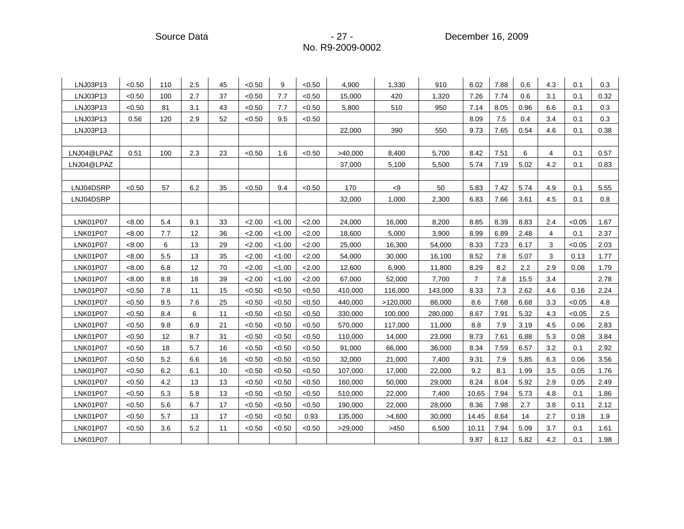Source Data - 27 - 27 - 27 - December 16, 2009

| LNJ03P13        | < 0.50 | 110 | 2.5 | 45 | < 0.50 | 9      | < 0.50 | 4,900   | 1,330    | 910     | 6.02           | 7.88 | 0.6  | 4.3 | 0.1    | 0.3  |
|-----------------|--------|-----|-----|----|--------|--------|--------|---------|----------|---------|----------------|------|------|-----|--------|------|
| LNJ03P13        | < 0.50 | 100 | 2.7 | 37 | < 0.50 | 7.7    | < 0.50 | 15,000  | 420      | 1,320   | 7.26           | 7.74 | 0.6  | 3.1 | 0.1    | 0.32 |
| LNJ03P13        | < 0.50 | 81  | 3.1 | 43 | < 0.50 | 7.7    | < 0.50 | 5,800   | 510      | 950     | 7.14           | 8.05 | 0.96 | 6.6 | 0.1    | 0.3  |
| LNJ03P13        | 0.56   | 120 | 2.9 | 52 | < 0.50 | 9.5    | < 0.50 |         |          |         | 8.09           | 7.5  | 0.4  | 3.4 | 0.1    | 0.3  |
| LNJ03P13        |        |     |     |    |        |        |        | 22,000  | 390      | 550     | 9.73           | 7.65 | 0.54 | 4.6 | 0.1    | 0.38 |
|                 |        |     |     |    |        |        |        |         |          |         |                |      |      |     |        |      |
| LNJ04@LPAZ      | 0.51   | 100 | 2.3 | 23 | < 0.50 | 1.6    | < 0.50 | >40,000 | 8,400    | 5,700   | 8.42           | 7.51 | 6    | 4   | 0.1    | 0.57 |
| LNJ04@LPAZ      |        |     |     |    |        |        |        | 37,000  | 5,100    | 5,500   | 5.74           | 7.19 | 5.02 | 4.2 | 0.1    | 0.83 |
|                 |        |     |     |    |        |        |        |         |          |         |                |      |      |     |        |      |
| LNJ04DSRP       | < 0.50 | 57  | 6.2 | 35 | < 0.50 | 9.4    | < 0.50 | 170     | < 9      | 50      | 5.83           | 7.42 | 5.74 | 4.9 | 0.1    | 5.55 |
| LNJ04DSRP       |        |     |     |    |        |        |        | 32,000  | 1,000    | 2,300   | 6.83           | 7.66 | 3.61 | 4.5 | 0.1    | 0.8  |
|                 |        |     |     |    |        |        |        |         |          |         |                |      |      |     |        |      |
| <b>LNK01P07</b> | < 8.00 | 5.4 | 9.1 | 33 | 2.00   | < 1.00 | 2.00   | 24,000  | 16,000   | 8,200   | 8.85           | 8.39 | 8.83 | 2.4 | < 0.05 | 1.67 |
| <b>LNK01P07</b> | < 8.00 | 7.7 | 12  | 36 | 2.00   | < 1.00 | 2.00   | 18,600  | 5,000    | 3,900   | 8.99           | 6.89 | 2.48 | 4   | 0.1    | 2.37 |
| <b>LNK01P07</b> | < 8.00 | 6   | 13  | 29 | 2.00   | < 1.00 | 2.00   | 25,000  | 16,300   | 54,000  | 8.33           | 7.23 | 6.17 | 3   | < 0.05 | 2.03 |
| <b>LNK01P07</b> | < 8.00 | 5.5 | 13  | 35 | 2.00   | < 1.00 | 2.00   | 54,000  | 30,000   | 16,100  | 8.52           | 7.8  | 5.07 | 3   | 0.13   | 1.77 |
| <b>LNK01P07</b> | < 8.00 | 6.8 | 12  | 70 | 2.00   | < 1.00 | 2.00   | 12,600  | 6,900    | 11,800  | 8.29           | 8.2  | 2.2  | 2.9 | 0.08   | 1.79 |
| <b>LNK01P07</b> | < 8.00 | 8.8 | 18  | 39 | 2.00   | < 1.00 | 2.00   | 67,000  | 52,000   | 7,700   | $\overline{7}$ | 7.8  | 15.5 | 3.4 |        | 2.78 |
| <b>LNK01P07</b> | < 0.50 | 7.8 | 11  | 15 | < 0.50 | < 0.50 | < 0.50 | 410,000 | 116,000  | 143,000 | 8.33           | 7.3  | 2.62 | 4.6 | 0.16   | 2.24 |
| <b>LNK01P07</b> | < 0.50 | 9.5 | 7.6 | 25 | < 0.50 | < 0.50 | < 0.50 | 440,000 | >120,000 | 86,000  | 8.6            | 7.68 | 6.68 | 3.3 | < 0.05 | 4.8  |
| <b>LNK01P07</b> | < 0.50 | 8.4 | 6   | 11 | < 0.50 | < 0.50 | < 0.50 | 330,000 | 100,000  | 280,000 | 8.67           | 7.91 | 5.32 | 4.3 | < 0.05 | 2.5  |
| <b>LNK01P07</b> | < 0.50 | 9.8 | 6.9 | 21 | < 0.50 | < 0.50 | < 0.50 | 570,000 | 117,000  | 11,000  | 8.8            | 7.9  | 3.19 | 4.5 | 0.06   | 2.83 |
| <b>LNK01P07</b> | < 0.50 | 12  | 8.7 | 31 | < 0.50 | < 0.50 | < 0.50 | 110,000 | 14,000   | 23,000  | 8.73           | 7.61 | 6.88 | 5.3 | 0.08   | 3.84 |
| <b>LNK01P07</b> | <0.50  | 18  | 5.7 | 16 | < 0.50 | < 0.50 | <0.50  | 91,000  | 66,000   | 36,000  | 8.34           | 7.59 | 6.57 | 3.2 | 0.1    | 2.92 |
| <b>LNK01P07</b> | < 0.50 | 5.2 | 6.6 | 16 | < 0.50 | < 0.50 | < 0.50 | 32,000  | 21,000   | 7,400   | 9.31           | 7.9  | 5.85 | 6.3 | 0.06   | 3.56 |
| <b>LNK01P07</b> | < 0.50 | 6.2 | 6.1 | 10 | < 0.50 | < 0.50 | < 0.50 | 107,000 | 17,000   | 22,000  | 9.2            | 8.1  | 1.99 | 3.5 | 0.05   | 1.76 |
| <b>LNK01P07</b> | < 0.50 | 4.2 | 13  | 13 | < 0.50 | < 0.50 | < 0.50 | 160,000 | 50,000   | 29,000  | 8.24           | 8.04 | 5.92 | 2.9 | 0.05   | 2.49 |
| <b>LNK01P07</b> | < 0.50 | 5.3 | 5.8 | 13 | < 0.50 | < 0.50 | < 0.50 | 510,000 | 22,000   | 7,400   | 10.65          | 7.94 | 5.73 | 4.8 | 0.1    | 1.86 |
| <b>LNK01P07</b> | < 0.50 | 5.6 | 6.7 | 17 | < 0.50 | < 0.50 | < 0.50 | 190,000 | 22,000   | 28,000  | 8.36           | 7.98 | 2.7  | 3.8 | 0.11   | 2.12 |
| <b>LNK01P07</b> | < 0.50 | 5.7 | 13  | 17 | < 0.50 | < 0.50 | 0.93   | 135,000 | >4,600   | 30,000  | 14.45          | 8.64 | 14   | 2.7 | 0.18   | 1.9  |
| <b>LNK01P07</b> | < 0.50 | 3.6 | 5.2 | 11 | < 0.50 | < 0.50 | < 0.50 | >29,000 | >450     | 6,500   | 10.11          | 7.94 | 5.09 | 3.7 | 0.1    | 1.61 |
| <b>LNK01P07</b> |        |     |     |    |        |        |        |         |          |         | 9.87           | 8.12 | 5.82 | 4.2 | 0.1    | 1.98 |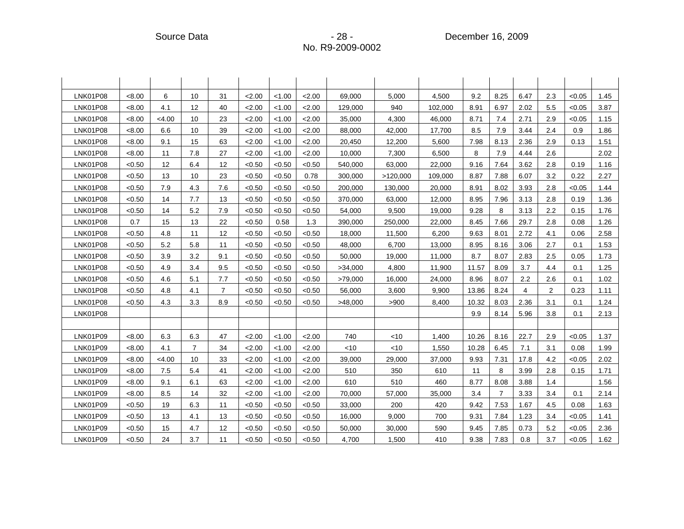| <b>LNK01P08</b> | < 8.00 | 6                 | 10             | 31                | 2.00   | < 1.00 | 2.00   | 69,000  | 5,000    | 4,500   | 9.2   | 8.25           | 6.47           | 2.3            | < 0.05 | 1.45 |
|-----------------|--------|-------------------|----------------|-------------------|--------|--------|--------|---------|----------|---------|-------|----------------|----------------|----------------|--------|------|
| <b>LNK01P08</b> | < 8.00 | 4.1               | 12             | 40                | 2.00   | < 1.00 | 2.00   | 129,000 | 940      | 102,000 | 8.91  | 6.97           | 2.02           | 5.5            | < 0.05 | 3.87 |
| <b>LNK01P08</b> | <8.00  | < 4.00            | 10             | 23                | 2.00   | < 1.00 | 2.00   | 35,000  | 4,300    | 46,000  | 8.71  | 7.4            | 2.71           | 2.9            | < 0.05 | 1.15 |
| <b>LNK01P08</b> | < 8.00 | 6.6               | 10             | 39                | 2.00   | < 1.00 | 2.00   | 88,000  | 42,000   | 17,700  | 8.5   | 7.9            | 3.44           | 2.4            | 0.9    | 1.86 |
| <b>LNK01P08</b> | < 8.00 | 9.1               | 15             | 63                | 2.00   | < 1.00 | 2.00   | 20,450  | 12,200   | 5,600   | 7.98  | 8.13           | 2.36           | 2.9            | 0.13   | 1.51 |
| <b>LNK01P08</b> | < 8.00 | 11                | 7.8            | 27                | 2.00   | < 1.00 | 2.00   | 10,000  | 7,300    | 6,500   | 8     | 7.9            | 4.44           | 2.6            |        | 2.02 |
| <b>LNK01P08</b> | < 0.50 | $12 \overline{ }$ | 6.4            | $12 \overline{ }$ | < 0.50 | < 0.50 | < 0.50 | 540,000 | 63,000   | 22,000  | 9.16  | 7.64           | 3.62           | 2.8            | 0.19   | 1.16 |
| <b>LNK01P08</b> | < 0.50 | 13                | 10             | 23                | < 0.50 | < 0.50 | 0.78   | 300,000 | >120,000 | 109,000 | 8.87  | 7.88           | 6.07           | 3.2            | 0.22   | 2.27 |
| LNK01P08        | < 0.50 | 7.9               | 4.3            | 7.6               | < 0.50 | < 0.50 | < 0.50 | 200,000 | 130,000  | 20,000  | 8.91  | 8.02           | 3.93           | 2.8            | < 0.05 | 1.44 |
| <b>LNK01P08</b> | < 0.50 | 14                | 7.7            | 13                | < 0.50 | < 0.50 | < 0.50 | 370,000 | 63,000   | 12,000  | 8.95  | 7.96           | 3.13           | 2.8            | 0.19   | 1.36 |
| <b>LNK01P08</b> | < 0.50 | 14                | 5.2            | 7.9               | < 0.50 | < 0.50 | < 0.50 | 54,000  | 9,500    | 19,000  | 9.28  | 8              | 3.13           | 2.2            | 0.15   | 1.76 |
| <b>LNK01P08</b> | 0.7    | 15                | 13             | 22                | < 0.50 | 0.58   | 1.3    | 390,000 | 250,000  | 22,000  | 8.45  | 7.66           | 29.7           | 2.8            | 0.08   | 1.26 |
| LNK01P08        | <0.50  | 4.8               | 11             | 12                | < 0.50 | < 0.50 | < 0.50 | 18,000  | 11,500   | 6,200   | 9.63  | 8.01           | 2.72           | 4.1            | 0.06   | 2.58 |
| LNK01P08        | < 0.50 | 5.2               | 5.8            | 11                | < 0.50 | < 0.50 | < 0.50 | 48,000  | 6,700    | 13,000  | 8.95  | 8.16           | 3.06           | 2.7            | 0.1    | 1.53 |
| <b>LNK01P08</b> | < 0.50 | 3.9               | 3.2            | 9.1               | < 0.50 | < 0.50 | < 0.50 | 50,000  | 19,000   | 11,000  | 8.7   | 8.07           | 2.83           | 2.5            | 0.05   | 1.73 |
| <b>LNK01P08</b> | < 0.50 | 4.9               | 3.4            | 9.5               | < 0.50 | < 0.50 | < 0.50 | >34,000 | 4.800    | 11,900  | 11.57 | 8.09           | 3.7            | 4.4            | 0.1    | 1.25 |
| <b>LNK01P08</b> | < 0.50 | 4.6               | 5.1            | 7.7               | < 0.50 | < 0.50 | < 0.50 | >79,000 | 16,000   | 24,000  | 8.96  | 8.07           | 2.2            | 2.6            | 0.1    | 1.02 |
| <b>LNK01P08</b> | < 0.50 | 4.8               | 4.1            | $\overline{7}$    | < 0.50 | < 0.50 | < 0.50 | 56,000  | 3,600    | 9,900   | 13.86 | 8.24           | $\overline{4}$ | $\overline{2}$ | 0.23   | 1.11 |
| LNK01P08        | < 0.50 | 4.3               | 3.3            | 8.9               | < 0.50 | < 0.50 | < 0.50 | >48,000 | >900     | 8,400   | 10.32 | 8.03           | 2.36           | 3.1            | 0.1    | 1.24 |
| LNK01P08        |        |                   |                |                   |        |        |        |         |          |         | 9.9   | 8.14           | 5.96           | 3.8            | 0.1    | 2.13 |
|                 |        |                   |                |                   |        |        |        |         |          |         |       |                |                |                |        |      |
| LNK01P09        | < 8.00 | 6.3               | 6.3            | 47                | 2.00   | < 1.00 | 2.00   | 740     | $<$ 10   | 1,400   | 10.26 | 8.16           | 22.7           | 2.9            | < 0.05 | 1.37 |
| LNK01P09        | <8.00  | 4.1               | $\overline{7}$ | 34                | 2.00   | < 1.00 | 2.00   | $<$ 10  | $<$ 10   | 1,550   | 10.28 | 6.45           | 7.1            | 3.1            | 0.08   | 1.99 |
| LNK01P09        | < 8.00 | < 4.00            | 10             | 33                | 2.00   | < 1.00 | 2.00   | 39,000  | 29,000   | 37,000  | 9.93  | 7.31           | 17.8           | 4.2            | < 0.05 | 2.02 |
| LNK01P09        | < 8.00 | 7.5               | 5.4            | 41                | 2.00   | < 1.00 | 2.00   | 510     | 350      | 610     | 11    | 8              | 3.99           | 2.8            | 0.15   | 1.71 |
| LNK01P09        | < 8.00 | 9.1               | 6.1            | 63                | 2.00   | < 1.00 | 2.00   | 610     | 510      | 460     | 8.77  | 8.08           | 3.88           | 1.4            |        | 1.56 |
| LNK01P09        | < 8.00 | 8.5               | 14             | 32                | 2.00   | < 1.00 | 2.00   | 70,000  | 57,000   | 35,000  | 3.4   | $\overline{7}$ | 3.33           | 3.4            | 0.1    | 2.14 |
| LNK01P09        | < 0.50 | 19                | 6.3            | 11                | < 0.50 | < 0.50 | < 0.50 | 33,000  | 200      | 420     | 9.42  | 7.53           | 1.67           | 4.5            | 0.08   | 1.63 |
| LNK01P09        | < 0.50 | 13                | 4.1            | 13                | < 0.50 | < 0.50 | < 0.50 | 16,000  | 9,000    | 700     | 9.31  | 7.84           | 1.23           | 3.4            | < 0.05 | 1.41 |
| LNK01P09        | < 0.50 | 15                | 4.7            | 12                | < 0.50 | < 0.50 | < 0.50 | 50,000  | 30,000   | 590     | 9.45  | 7.85           | 0.73           | 5.2            | < 0.05 | 2.36 |
| LNK01P09        | < 0.50 | 24                | 3.7            | 11                | < 0.50 | < 0.50 | <0.50  | 4,700   | 1,500    | 410     | 9.38  | 7.83           | 0.8            | 3.7            | < 0.05 | 1.62 |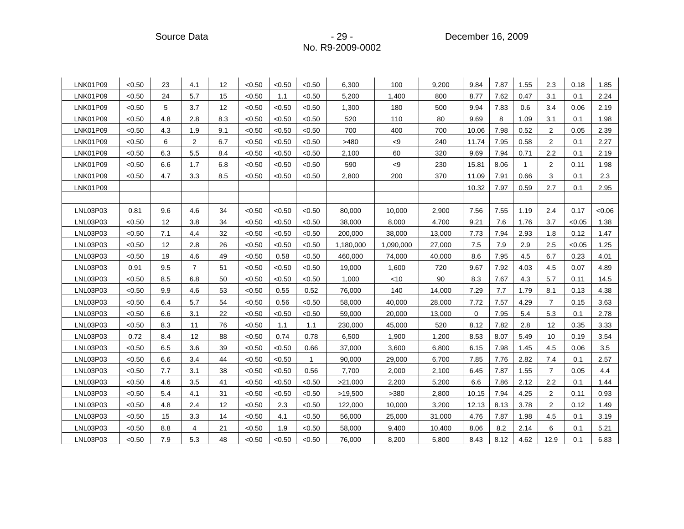Source Data - 29 - 29 - 29 - 29 - December 16, 2009

| LNK01P09 | < 0.50 | 23  | 4.1            | 12  | < 0.50 | < 0.50 | < 0.50      | 6,300     | 100       | 9,200  | 9.84        | 7.87 | 1.55         | 2.3            | 0.18   | 1.85  |
|----------|--------|-----|----------------|-----|--------|--------|-------------|-----------|-----------|--------|-------------|------|--------------|----------------|--------|-------|
| LNK01P09 | < 0.50 | 24  | 5.7            | 15  | < 0.50 | 1.1    | < 0.50      | 5,200     | 1,400     | 800    | 8.77        | 7.62 | 0.47         | 3.1            | 0.1    | 2.24  |
| LNK01P09 | < 0.50 | 5   | 3.7            | 12  | < 0.50 | < 0.50 | < 0.50      | 1,300     | 180       | 500    | 9.94        | 7.83 | 0.6          | 3.4            | 0.06   | 2.19  |
| LNK01P09 | < 0.50 | 4.8 | 2.8            | 8.3 | < 0.50 | < 0.50 | < 0.50      | 520       | 110       | 80     | 9.69        | 8    | 1.09         | 3.1            | 0.1    | 1.98  |
| LNK01P09 | < 0.50 | 4.3 | 1.9            | 9.1 | < 0.50 | < 0.50 | < 0.50      | 700       | 400       | 700    | 10.06       | 7.98 | 0.52         | $\overline{2}$ | 0.05   | 2.39  |
| LNK01P09 | < 0.50 | 6   | $\overline{2}$ | 6.7 | < 0.50 | < 0.50 | < 0.50      | >480      | < 9       | 240    | 11.74       | 7.95 | 0.58         | 2              | 0.1    | 2.27  |
| LNK01P09 | < 0.50 | 6.3 | 5.5            | 8.4 | < 0.50 | < 0.50 | < 0.50      | 2,100     | 60        | 320    | 9.69        | 7.94 | 0.71         | 2.2            | 0.1    | 2.19  |
| LNK01P09 | < 0.50 | 6.6 | 1.7            | 6.8 | < 0.50 | < 0.50 | < 0.50      | 590       | < 9       | 230    | 15.81       | 8.06 | $\mathbf{1}$ | $\overline{2}$ | 0.11   | 1.98  |
| LNK01P09 | < 0.50 | 4.7 | 3.3            | 8.5 | < 0.50 | < 0.50 | < 0.50      | 2,800     | 200       | 370    | 11.09       | 7.91 | 0.66         | 3              | 0.1    | 2.3   |
| LNK01P09 |        |     |                |     |        |        |             |           |           |        | 10.32       | 7.97 | 0.59         | 2.7            | 0.1    | 2.95  |
|          |        |     |                |     |        |        |             |           |           |        |             |      |              |                |        |       |
| LNL03P03 | 0.81   | 9.6 | 4.6            | 34  | < 0.50 | < 0.50 | < 0.50      | 80,000    | 10,000    | 2,900  | 7.56        | 7.55 | 1.19         | 2.4            | 0.17   | <0.06 |
| LNL03P03 | < 0.50 | 12  | 3.8            | 34  | < 0.50 | < 0.50 | < 0.50      | 38,000    | 8,000     | 4,700  | 9.21        | 7.6  | 1.76         | 3.7            | < 0.05 | 1.38  |
| LNL03P03 | < 0.50 | 7.1 | 4.4            | 32  | < 0.50 | < 0.50 | < 0.50      | 200,000   | 38,000    | 13,000 | 7.73        | 7.94 | 2.93         | 1.8            | 0.12   | 1.47  |
| LNL03P03 | < 0.50 | 12  | 2.8            | 26  | < 0.50 | < 0.50 | < 0.50      | 1,180,000 | 1,090,000 | 27,000 | 7.5         | 7.9  | 2.9          | 2.5            | < 0.05 | 1.25  |
| LNL03P03 | < 0.50 | 19  | 4.6            | 49  | < 0.50 | 0.58   | < 0.50      | 460,000   | 74,000    | 40,000 | 8.6         | 7.95 | 4.5          | 6.7            | 0.23   | 4.01  |
| LNL03P03 | 0.91   | 9.5 | $\overline{7}$ | 51  | < 0.50 | < 0.50 | < 0.50      | 19,000    | 1,600     | 720    | 9.67        | 7.92 | 4.03         | 4.5            | 0.07   | 4.89  |
| LNL03P03 | < 0.50 | 8.5 | 6.8            | 50  | < 0.50 | < 0.50 | < 0.50      | 1,000     | $<$ 10    | 90     | 8.3         | 7.67 | 4.3          | 5.7            | 0.11   | 14.5  |
| LNL03P03 | < 0.50 | 9.9 | 4.6            | 53  | < 0.50 | 0.55   | 0.52        | 76,000    | 140       | 14,000 | 7.29        | 7.7  | 1.79         | 8.1            | 0.13   | 4.38  |
| LNL03P03 | < 0.50 | 6.4 | 5.7            | 54  | < 0.50 | 0.56   | < 0.50      | 58,000    | 40,000    | 28,000 | 7.72        | 7.57 | 4.29         | $\overline{7}$ | 0.15   | 3.63  |
| LNL03P03 | < 0.50 | 6.6 | 3.1            | 22  | < 0.50 | < 0.50 | < 0.50      | 59,000    | 20,000    | 13,000 | $\mathbf 0$ | 7.95 | 5.4          | 5.3            | 0.1    | 2.78  |
| LNL03P03 | < 0.50 | 8.3 | 11             | 76  | < 0.50 | 1.1    | 1.1         | 230,000   | 45,000    | 520    | 8.12        | 7.82 | 2.8          | 12             | 0.35   | 3.33  |
| LNL03P03 | 0.72   | 8.4 | 12             | 88  | < 0.50 | 0.74   | 0.78        | 6,500     | 1,900     | 1,200  | 8.53        | 8.07 | 5.49         | 10             | 0.19   | 3.54  |
| LNL03P03 | <0.50  | 6.5 | 3.6            | 39  | < 0.50 | < 0.50 | 0.66        | 37,000    | 3,600     | 6,800  | 6.15        | 7.98 | 1.45         | 4.5            | 0.06   | 3.5   |
| LNL03P03 | < 0.50 | 6.6 | 3.4            | 44  | < 0.50 | < 0.50 | $\mathbf 1$ | 90,000    | 29,000    | 6,700  | 7.85        | 7.76 | 2.82         | 7.4            | 0.1    | 2.57  |
| LNL03P03 | < 0.50 | 7.7 | 3.1            | 38  | < 0.50 | < 0.50 | 0.56        | 7,700     | 2,000     | 2,100  | 6.45        | 7.87 | 1.55         | $\overline{7}$ | 0.05   | 4.4   |
| LNL03P03 | < 0.50 | 4.6 | 3.5            | 41  | < 0.50 | < 0.50 | < 0.50      | >21,000   | 2,200     | 5,200  | 6.6         | 7.86 | 2.12         | 2.2            | 0.1    | 1.44  |
| LNL03P03 | < 0.50 | 5.4 | 4.1            | 31  | < 0.50 | < 0.50 | < 0.50      | >19,500   | >380      | 2,800  | 10.15       | 7.94 | 4.25         | 2              | 0.11   | 0.93  |
| LNL03P03 | < 0.50 | 4.8 | 2.4            | 12  | < 0.50 | 2.3    | < 0.50      | 122,000   | 10,000    | 3,200  | 12.13       | 8.13 | 3.78         | $\overline{2}$ | 0.12   | 1.49  |
| LNL03P03 | < 0.50 | 15  | 3.3            | 14  | < 0.50 | 4.1    | < 0.50      | 56,000    | 25,000    | 31,000 | 4.76        | 7.87 | 1.98         | 4.5            | 0.1    | 3.19  |
| LNL03P03 | < 0.50 | 8.8 | 4              | 21  | < 0.50 | 1.9    | < 0.50      | 58,000    | 9,400     | 10,400 | 8.06        | 8.2  | 2.14         | 6              | 0.1    | 5.21  |
| LNL03P03 | <0.50  | 7.9 | 5.3            | 48  | < 0.50 | < 0.50 | < 0.50      | 76,000    | 8,200     | 5,800  | 8.43        | 8.12 | 4.62         | 12.9           | 0.1    | 6.83  |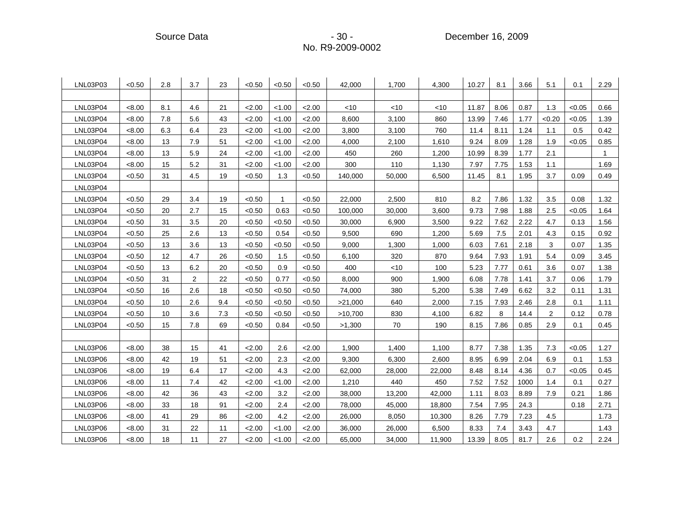| LNL03P03 | < 0.50 | 2.8 | 3.7            | 23  | < 0.50 | < 0.50       | < 0.50 | 42,000  | 1,700  | 4,300  | 10.27 | 8.1  | 3.66 | 5.1            | 0.1    | 2.29 |
|----------|--------|-----|----------------|-----|--------|--------------|--------|---------|--------|--------|-------|------|------|----------------|--------|------|
|          |        |     |                |     |        |              |        |         |        |        |       |      |      |                |        |      |
| LNL03P04 | < 8.00 | 8.1 | 4.6            | 21  | 2.00   | < 1.00       | 2.00   | < 10    | < 10   | <10    | 11.87 | 8.06 | 0.87 | 1.3            | < 0.05 | 0.66 |
| LNL03P04 | < 8.00 | 7.8 | 5.6            | 43  | 2.00   | < 1.00       | 2.00   | 8,600   | 3,100  | 860    | 13.99 | 7.46 | 1.77 | < 0.20         | < 0.05 | 1.39 |
| LNL03P04 | < 8.00 | 6.3 | 6.4            | 23  | 2.00   | < 1.00       | 2.00   | 3,800   | 3,100  | 760    | 11.4  | 8.11 | 1.24 | 1.1            | 0.5    | 0.42 |
| LNL03P04 | < 8.00 | 13  | 7.9            | 51  | 2.00   | < 1.00       | 2.00   | 4,000   | 2,100  | 1,610  | 9.24  | 8.09 | 1.28 | 1.9            | < 0.05 | 0.85 |
| LNL03P04 | < 8.00 | 13  | 5.9            | 24  | 2.00   | < 1.00       | 2.00   | 450     | 260    | 1,200  | 10.99 | 8.39 | 1.77 | 2.1            |        | -1   |
| LNL03P04 | < 8.00 | 15  | 5.2            | 31  | 2.00   | < 1.00       | 2.00   | 300     | 110    | 1,130  | 7.97  | 7.75 | 1.53 | 1.1            |        | 1.69 |
| LNL03P04 | < 0.50 | 31  | 4.5            | 19  | < 0.50 | 1.3          | < 0.50 | 140,000 | 50,000 | 6,500  | 11.45 | 8.1  | 1.95 | 3.7            | 0.09   | 0.49 |
| LNL03P04 |        |     |                |     |        |              |        |         |        |        |       |      |      |                |        |      |
| LNL03P04 | < 0.50 | 29  | 3.4            | 19  | < 0.50 | $\mathbf{1}$ | < 0.50 | 22,000  | 2,500  | 810    | 8.2   | 7.86 | 1.32 | 3.5            | 0.08   | 1.32 |
| LNL03P04 | < 0.50 | 20  | 2.7            | 15  | < 0.50 | 0.63         | < 0.50 | 100,000 | 30,000 | 3,600  | 9.73  | 7.98 | 1.88 | 2.5            | < 0.05 | 1.64 |
| LNL03P04 | < 0.50 | 31  | 3.5            | 20  | < 0.50 | < 0.50       | < 0.50 | 30,000  | 6,900  | 3,500  | 9.22  | 7.62 | 2.22 | 4.7            | 0.13   | 1.56 |
| LNL03P04 | < 0.50 | 25  | 2.6            | 13  | < 0.50 | 0.54         | < 0.50 | 9,500   | 690    | 1,200  | 5.69  | 7.5  | 2.01 | 4.3            | 0.15   | 0.92 |
| LNL03P04 | < 0.50 | 13  | 3.6            | 13  | < 0.50 | < 0.50       | < 0.50 | 9,000   | 1,300  | 1,000  | 6.03  | 7.61 | 2.18 | 3              | 0.07   | 1.35 |
| LNL03P04 | < 0.50 | 12  | 4.7            | 26  | < 0.50 | 1.5          | < 0.50 | 6,100   | 320    | 870    | 9.64  | 7.93 | 1.91 | 5.4            | 0.09   | 3.45 |
| LNL03P04 | < 0.50 | 13  | 6.2            | 20  | < 0.50 | 0.9          | < 0.50 | 400     | $<$ 10 | 100    | 5.23  | 7.77 | 0.61 | 3.6            | 0.07   | 1.38 |
| LNL03P04 | < 0.50 | 31  | $\overline{2}$ | 22  | < 0.50 | 0.77         | < 0.50 | 8,000   | 900    | 1,900  | 6.08  | 7.78 | 1.41 | 3.7            | 0.06   | 1.79 |
| LNL03P04 | < 0.50 | 16  | 2.6            | 18  | < 0.50 | < 0.50       | < 0.50 | 74,000  | 380    | 5,200  | 5.38  | 7.49 | 6.62 | 3.2            | 0.11   | 1.31 |
| LNL03P04 | < 0.50 | 10  | 2.6            | 9.4 | < 0.50 | < 0.50       | < 0.50 | >21,000 | 640    | 2,000  | 7.15  | 7.93 | 2.46 | 2.8            | 0.1    | 1.11 |
| LNL03P04 | < 0.50 | 10  | 3.6            | 7.3 | < 0.50 | < 0.50       | < 0.50 | >10,700 | 830    | 4,100  | 6.82  | 8    | 14.4 | $\overline{2}$ | 0.12   | 0.78 |
| LNL03P04 | < 0.50 | 15  | 7.8            | 69  | < 0.50 | 0.84         | < 0.50 | >1,300  | 70     | 190    | 8.15  | 7.86 | 0.85 | 2.9            | 0.1    | 0.45 |
|          |        |     |                |     |        |              |        |         |        |        |       |      |      |                |        |      |
| LNL03P06 | < 8.00 | 38  | 15             | 41  | 2.00   | 2.6          | 2.00   | 1,900   | 1,400  | 1,100  | 8.77  | 7.38 | 1.35 | 7.3            | < 0.05 | 1.27 |
| LNL03P06 | < 8.00 | 42  | 19             | 51  | 2.00   | 2.3          | 2.00   | 9,300   | 6,300  | 2,600  | 8.95  | 6.99 | 2.04 | 6.9            | 0.1    | 1.53 |
| LNL03P06 | < 8.00 | 19  | 6.4            | 17  | 2.00   | 4.3          | 2.00   | 62,000  | 28,000 | 22,000 | 8.48  | 8.14 | 4.36 | 0.7            | < 0.05 | 0.45 |
| LNL03P06 | <8.00  | 11  | 7.4            | 42  | 2.00   | < 1.00       | 2.00   | 1,210   | 440    | 450    | 7.52  | 7.52 | 1000 | 1.4            | 0.1    | 0.27 |
| LNL03P06 | <8.00  | 42  | 36             | 43  | 2.00   | 3.2          | 2.00   | 38,000  | 13,200 | 42,000 | 1.11  | 8.03 | 8.89 | 7.9            | 0.21   | 1.86 |
| LNL03P06 | < 8.00 | 33  | 18             | 91  | 2.00   | 2.4          | 2.00   | 78,000  | 45,000 | 18,800 | 7.54  | 7.95 | 24.3 |                | 0.18   | 2.71 |
| LNL03P06 | < 8.00 | 41  | 29             | 86  | 2.00   | 4.2          | 2.00   | 26,000  | 8,050  | 10,300 | 8.26  | 7.79 | 7.23 | 4.5            |        | 1.73 |
| LNL03P06 | < 8.00 | 31  | 22             | 11  | 2.00   | < 1.00       | 2.00   | 36,000  | 26,000 | 6,500  | 8.33  | 7.4  | 3.43 | 4.7            |        | 1.43 |
| LNL03P06 | < 8.00 | 18  | 11             | 27  | 2.00   | < 1.00       | 2.00   | 65,000  | 34,000 | 11,900 | 13.39 | 8.05 | 81.7 | 2.6            | 0.2    | 2.24 |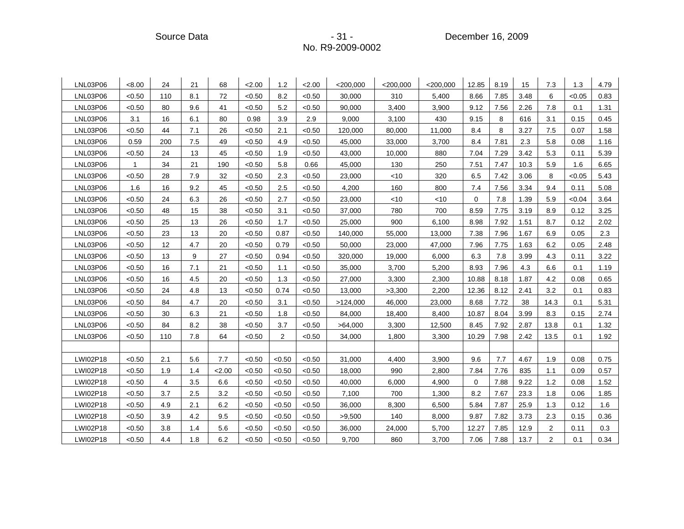Source Data - 31 - 31 - 31 - December 16, 2009

| LNL03P06 | < 8.00       | 24  | 21  | 68   | 2.00   | 1.2            | 2.00   | $<$ 200,000 | $<$ 200,000 | $<$ 200,000 | 12.85       | 8.19 | 15   | 7.3            | 1.3    | 4.79 |
|----------|--------------|-----|-----|------|--------|----------------|--------|-------------|-------------|-------------|-------------|------|------|----------------|--------|------|
| LNL03P06 | < 0.50       | 110 | 8.1 | 72   | < 0.50 | 8.2            | < 0.50 | 30,000      | 310         | 5,400       | 8.66        | 7.85 | 3.48 | 6              | < 0.05 | 0.83 |
| LNL03P06 | < 0.50       | 80  | 9.6 | 41   | < 0.50 | 5.2            | < 0.50 | 90,000      | 3,400       | 3,900       | 9.12        | 7.56 | 2.26 | 7.8            | 0.1    | 1.31 |
| LNL03P06 | 3.1          | 16  | 6.1 | 80   | 0.98   | 3.9            | 2.9    | 9,000       | 3,100       | 430         | 9.15        | 8    | 616  | 3.1            | 0.15   | 0.45 |
| LNL03P06 | < 0.50       | 44  | 7.1 | 26   | < 0.50 | 2.1            | < 0.50 | 120,000     | 80,000      | 11,000      | 8.4         | 8    | 3.27 | 7.5            | 0.07   | 1.58 |
| LNL03P06 | 0.59         | 200 | 7.5 | 49   | < 0.50 | 4.9            | < 0.50 | 45,000      | 33,000      | 3,700       | 8.4         | 7.81 | 2.3  | 5.8            | 0.08   | 1.16 |
| LNL03P06 | < 0.50       | 24  | 13  | 45   | < 0.50 | 1.9            | < 0.50 | 43,000      | 10,000      | 880         | 7.04        | 7.29 | 3.42 | 5.3            | 0.11   | 5.39 |
| LNL03P06 | $\mathbf{1}$ | 34  | 21  | 190  | < 0.50 | 5.8            | 0.66   | 45,000      | 130         | 250         | 7.51        | 7.47 | 10.3 | 5.9            | 1.6    | 6.65 |
| LNL03P06 | < 0.50       | 28  | 7.9 | 32   | < 0.50 | 2.3            | < 0.50 | 23,000      | $<$ 10      | 320         | 6.5         | 7.42 | 3.06 | 8              | < 0.05 | 5.43 |
| LNL03P06 | 1.6          | 16  | 9.2 | 45   | < 0.50 | 2.5            | < 0.50 | 4,200       | 160         | 800         | 7.4         | 7.56 | 3.34 | 9.4            | 0.11   | 5.08 |
| LNL03P06 | < 0.50       | 24  | 6.3 | 26   | < 0.50 | 2.7            | < 0.50 | 23,000      | $<$ 10      | $<$ 10      | $\mathbf 0$ | 7.8  | 1.39 | 5.9            | <0.04  | 3.64 |
| LNL03P06 | < 0.50       | 48  | 15  | 38   | < 0.50 | 3.1            | < 0.50 | 37,000      | 780         | 700         | 8.59        | 7.75 | 3.19 | 8.9            | 0.12   | 3.25 |
| LNL03P06 | < 0.50       | 25  | 13  | 26   | < 0.50 | 1.7            | < 0.50 | 25,000      | 900         | 6,100       | 8.98        | 7.92 | 1.51 | 8.7            | 0.12   | 2.02 |
| LNL03P06 | < 0.50       | 23  | 13  | 20   | < 0.50 | 0.87           | < 0.50 | 140,000     | 55,000      | 13,000      | 7.38        | 7.96 | 1.67 | 6.9            | 0.05   | 2.3  |
| LNL03P06 | < 0.50       | 12  | 4.7 | 20   | < 0.50 | 0.79           | < 0.50 | 50,000      | 23,000      | 47,000      | 7.96        | 7.75 | 1.63 | 6.2            | 0.05   | 2.48 |
| LNL03P06 | < 0.50       | 13  | 9   | 27   | < 0.50 | 0.94           | < 0.50 | 320,000     | 19,000      | 6,000       | 6.3         | 7.8  | 3.99 | 4.3            | 0.11   | 3.22 |
| LNL03P06 | < 0.50       | 16  | 7.1 | 21   | < 0.50 | 1.1            | < 0.50 | 35,000      | 3,700       | 5,200       | 8.93        | 7.96 | 4.3  | 6.6            | 0.1    | 1.19 |
| LNL03P06 | < 0.50       | 16  | 4.5 | 20   | < 0.50 | 1.3            | < 0.50 | 27,000      | 3,300       | 2,300       | 10.88       | 8.18 | 1.87 | 4.2            | 0.08   | 0.65 |
| LNL03P06 | < 0.50       | 24  | 4.8 | 13   | < 0.50 | 0.74           | < 0.50 | 13,000      | >3,300      | 2,200       | 12.36       | 8.12 | 2.41 | 3.2            | 0.1    | 0.83 |
| LNL03P06 | < 0.50       | 84  | 4.7 | 20   | < 0.50 | 3.1            | < 0.50 | >124,000    | 46,000      | 23,000      | 8.68        | 7.72 | 38   | 14.3           | 0.1    | 5.31 |
| LNL03P06 | < 0.50       | 30  | 6.3 | 21   | < 0.50 | 1.8            | < 0.50 | 84,000      | 18,400      | 8,400       | 10.87       | 8.04 | 3.99 | 8.3            | 0.15   | 2.74 |
| LNL03P06 | < 0.50       | 84  | 8.2 | 38   | < 0.50 | 3.7            | < 0.50 | >64,000     | 3,300       | 12,500      | 8.45        | 7.92 | 2.87 | 13.8           | 0.1    | 1.32 |
| LNL03P06 | < 0.50       | 110 | 7.8 | 64   | < 0.50 | $\overline{2}$ | < 0.50 | 34,000      | 1,800       | 3,300       | 10.29       | 7.98 | 2.42 | 13.5           | 0.1    | 1.92 |
|          |              |     |     |      |        |                |        |             |             |             |             |      |      |                |        |      |
| LWI02P18 | < 0.50       | 2.1 | 5.6 | 7.7  | < 0.50 | < 0.50         | < 0.50 | 31,000      | 4,400       | 3,900       | 9.6         | 7.7  | 4.67 | 1.9            | 0.08   | 0.75 |
| LWI02P18 | < 0.50       | 1.9 | 1.4 | 2.00 | < 0.50 | < 0.50         | < 0.50 | 18,000      | 990         | 2,800       | 7.84        | 7.76 | 835  | 1.1            | 0.09   | 0.57 |
| LWI02P18 | < 0.50       | 4   | 3.5 | 6.6  | < 0.50 | < 0.50         | < 0.50 | 40,000      | 6,000       | 4,900       | 0           | 7.88 | 9.22 | 1.2            | 0.08   | 1.52 |
| LWI02P18 | < 0.50       | 3.7 | 2.5 | 3.2  | < 0.50 | < 0.50         | < 0.50 | 7,100       | 700         | 1,300       | 8.2         | 7.67 | 23.3 | 1.8            | 0.06   | 1.85 |
| LWI02P18 | < 0.50       | 4.9 | 2.1 | 6.2  | < 0.50 | < 0.50         | < 0.50 | 36,000      | 8,300       | 6,500       | 5.84        | 7.87 | 25.9 | 1.3            | 0.12   | 1.6  |
| LWI02P18 | < 0.50       | 3.9 | 4.2 | 9.5  | < 0.50 | < 0.50         | < 0.50 | >9,500      | 140         | 8,000       | 9.87        | 7.82 | 3.73 | 2.3            | 0.15   | 0.36 |
| LWI02P18 | < 0.50       | 3.8 | 1.4 | 5.6  | < 0.50 | < 0.50         | < 0.50 | 36,000      | 24,000      | 5,700       | 12.27       | 7.85 | 12.9 | 2              | 0.11   | 0.3  |
| LWI02P18 | < 0.50       | 4.4 | 1.8 | 6.2  | < 0.50 | <0.50          | < 0.50 | 9,700       | 860         | 3,700       | 7.06        | 7.88 | 13.7 | $\overline{2}$ | 0.1    | 0.34 |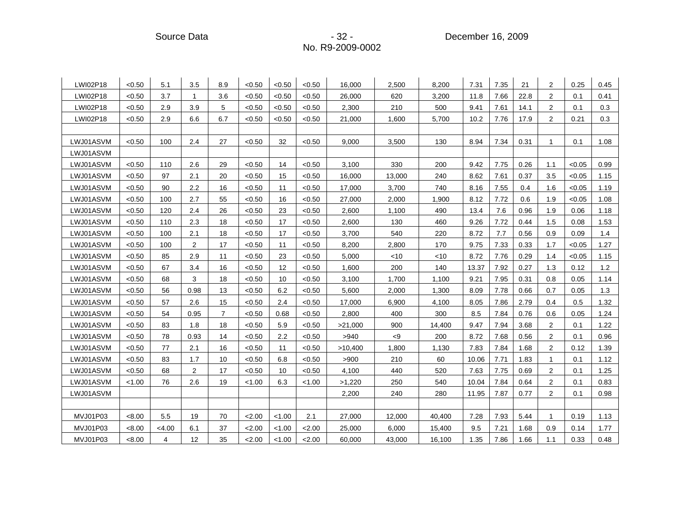Source Data **- 32 - Procedure 2009** - 32 - Procedure 2009

| LWI02P18  | < 0.50 | 5.1    | 3.5            | 8.9            | < 0.50 | < 0.50 | < 0.50 | 16,000  | 2,500  | 8,200  | 7.31  | 7.35 | 21   | 2              | 0.25   | 0.45 |
|-----------|--------|--------|----------------|----------------|--------|--------|--------|---------|--------|--------|-------|------|------|----------------|--------|------|
| LWI02P18  | < 0.50 | 3.7    | $\mathbf 1$    | 3.6            | < 0.50 | < 0.50 | < 0.50 | 26,000  | 620    | 3,200  | 11.8  | 7.66 | 22.8 | 2              | 0.1    | 0.41 |
| LWI02P18  | < 0.50 | 2.9    | 3.9            | 5              | < 0.50 | < 0.50 | < 0.50 | 2,300   | 210    | 500    | 9.41  | 7.61 | 14.1 | 2              | 0.1    | 0.3  |
| LWI02P18  | < 0.50 | 2.9    | 6.6            | 6.7            | < 0.50 | < 0.50 | < 0.50 | 21,000  | 1,600  | 5,700  | 10.2  | 7.76 | 17.9 | 2              | 0.21   | 0.3  |
|           |        |        |                |                |        |        |        |         |        |        |       |      |      |                |        |      |
| LWJ01ASVM | < 0.50 | 100    | 2.4            | 27             | < 0.50 | 32     | < 0.50 | 9.000   | 3,500  | 130    | 8.94  | 7.34 | 0.31 | $\mathbf{1}$   | 0.1    | 1.08 |
| LWJ01ASVM |        |        |                |                |        |        |        |         |        |        |       |      |      |                |        |      |
| LWJ01ASVM | < 0.50 | 110    | 2.6            | 29             | < 0.50 | 14     | < 0.50 | 3,100   | 330    | 200    | 9.42  | 7.75 | 0.26 | 1.1            | < 0.05 | 0.99 |
| LWJ01ASVM | < 0.50 | 97     | 2.1            | 20             | < 0.50 | 15     | < 0.50 | 16,000  | 13,000 | 240    | 8.62  | 7.61 | 0.37 | 3.5            | < 0.05 | 1.15 |
| LWJ01ASVM | < 0.50 | 90     | 2.2            | 16             | < 0.50 | 11     | <0.50  | 17,000  | 3,700  | 740    | 8.16  | 7.55 | 0.4  | 1.6            | < 0.05 | 1.19 |
| LWJ01ASVM | < 0.50 | 100    | 2.7            | 55             | < 0.50 | 16     | < 0.50 | 27,000  | 2,000  | 1,900  | 8.12  | 7.72 | 0.6  | 1.9            | < 0.05 | 1.08 |
| LWJ01ASVM | < 0.50 | 120    | 2.4            | 26             | < 0.50 | 23     | < 0.50 | 2,600   | 1,100  | 490    | 13.4  | 7.6  | 0.96 | 1.9            | 0.06   | 1.18 |
| LWJ01ASVM | < 0.50 | 110    | 2.3            | 18             | < 0.50 | 17     | < 0.50 | 2,600   | 130    | 460    | 9.26  | 7.72 | 0.44 | 1.5            | 0.08   | 1.53 |
| LWJ01ASVM | < 0.50 | 100    | 2.1            | 18             | < 0.50 | 17     | < 0.50 | 3,700   | 540    | 220    | 8.72  | 7.7  | 0.56 | 0.9            | 0.09   | 1.4  |
| LWJ01ASVM | < 0.50 | 100    | 2              | 17             | < 0.50 | 11     | < 0.50 | 8,200   | 2,800  | 170    | 9.75  | 7.33 | 0.33 | 1.7            | < 0.05 | 1.27 |
| LWJ01ASVM | < 0.50 | 85     | 2.9            | 11             | < 0.50 | 23     | < 0.50 | 5,000   | $<$ 10 | $<$ 10 | 8.72  | 7.76 | 0.29 | 1.4            | < 0.05 | 1.15 |
| LWJ01ASVM | < 0.50 | 67     | 3.4            | 16             | < 0.50 | 12     | < 0.50 | 1,600   | 200    | 140    | 13.37 | 7.92 | 0.27 | 1.3            | 0.12   | 1.2  |
| LWJ01ASVM | < 0.50 | 68     | 3              | 18             | < 0.50 | 10     | < 0.50 | 3,100   | 1,700  | 1,100  | 9.21  | 7.95 | 0.31 | 0.8            | 0.05   | 1.14 |
| LWJ01ASVM | < 0.50 | 56     | 0.98           | 13             | < 0.50 | 6.2    | < 0.50 | 5,600   | 2,000  | 1,300  | 8.09  | 7.78 | 0.66 | 0.7            | 0.05   | 1.3  |
| LWJ01ASVM | < 0.50 | 57     | 2.6            | 15             | < 0.50 | 2.4    | < 0.50 | 17,000  | 6,900  | 4,100  | 8.05  | 7.86 | 2.79 | 0.4            | 0.5    | 1.32 |
| LWJ01ASVM | < 0.50 | 54     | 0.95           | $\overline{7}$ | < 0.50 | 0.68   | <0.50  | 2,800   | 400    | 300    | 8.5   | 7.84 | 0.76 | 0.6            | 0.05   | 1.24 |
| LWJ01ASVM | < 0.50 | 83     | 1.8            | 18             | < 0.50 | 5.9    | < 0.50 | >21,000 | 900    | 14,400 | 9.47  | 7.94 | 3.68 | $\overline{2}$ | 0.1    | 1.22 |
| LWJ01ASVM | < 0.50 | 78     | 0.93           | 14             | < 0.50 | 2.2    | < 0.50 | >940    | < 9    | 200    | 8.72  | 7.68 | 0.56 | 2              | 0.1    | 0.96 |
| LWJ01ASVM | < 0.50 | 77     | 2.1            | 16             | < 0.50 | 11     | < 0.50 | >10,400 | 1,800  | 1,130  | 7.83  | 7.84 | 1.68 | 2              | 0.12   | 1.39 |
| LWJ01ASVM | < 0.50 | 83     | 1.7            | 10             | < 0.50 | 6.8    | < 0.50 | >900    | 210    | 60     | 10.06 | 7.71 | 1.83 | 1              | 0.1    | 1.12 |
| LWJ01ASVM | < 0.50 | 68     | $\overline{2}$ | 17             | < 0.50 | 10     | < 0.50 | 4,100   | 440    | 520    | 7.63  | 7.75 | 0.69 | 2              | 0.1    | 1.25 |
| LWJ01ASVM | < 1.00 | 76     | 2.6            | 19             | < 1.00 | 6.3    | < 1.00 | >1,220  | 250    | 540    | 10.04 | 7.84 | 0.64 | 2              | 0.1    | 0.83 |
| LWJ01ASVM |        |        |                |                |        |        |        | 2,200   | 240    | 280    | 11.95 | 7.87 | 0.77 | $\overline{2}$ | 0.1    | 0.98 |
|           |        |        |                |                |        |        |        |         |        |        |       |      |      |                |        |      |
| MVJ01P03  | < 8.00 | 5.5    | 19             | 70             | 2.00   | < 1.00 | 2.1    | 27,000  | 12,000 | 40,400 | 7.28  | 7.93 | 5.44 | $\mathbf{1}$   | 0.19   | 1.13 |
| MVJ01P03  | < 8.00 | < 4.00 | 6.1            | 37             | 2.00   | < 1.00 | 2.00   | 25,000  | 6,000  | 15,400 | 9.5   | 7.21 | 1.68 | 0.9            | 0.14   | 1.77 |
| MVJ01P03  | < 8.00 | 4      | 12             | 35             | 2.00   | < 1.00 | 2.00   | 60,000  | 43,000 | 16,100 | 1.35  | 7.86 | 1.66 | 1.1            | 0.33   | 0.48 |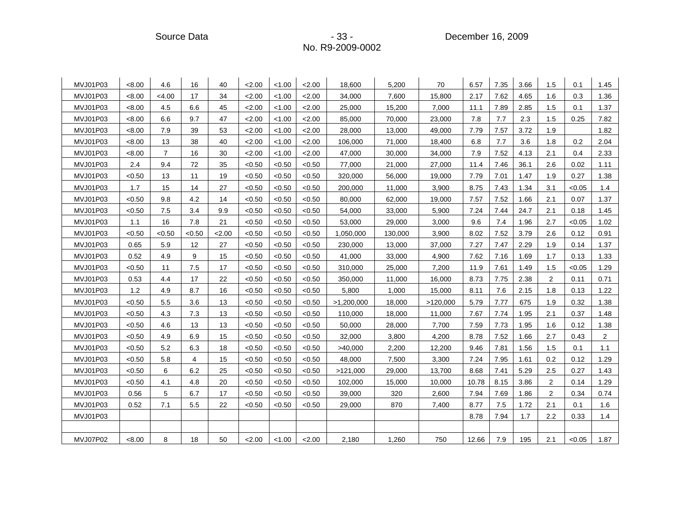Source Data **- 33 - Procedure 2009** - 33 - Procedure 2009

| MVJ01P03 | <8.00  | 4.6            | 16             | 40   | 2.00   | < 1.00 | 2.00   | 18,600     | 5,200   | 70       | 6.57  | 7.35 | 3.66 | 1.5 | 0.1    | 1.45           |
|----------|--------|----------------|----------------|------|--------|--------|--------|------------|---------|----------|-------|------|------|-----|--------|----------------|
| MVJ01P03 | <8.00  | <4.00          | 17             | 34   | 2.00   | < 1.00 | 2.00   | 34,000     | 7,600   | 15,800   | 2.17  | 7.62 | 4.65 | 1.6 | 0.3    | 1.36           |
| MVJ01P03 | < 8.00 | 4.5            | 6.6            | 45   | 2.00   | < 1.00 | 2.00   | 25,000     | 15,200  | 7,000    | 11.1  | 7.89 | 2.85 | 1.5 | 0.1    | 1.37           |
| MVJ01P03 | < 8.00 | 6.6            | 9.7            | 47   | 2.00   | < 1.00 | 2.00   | 85,000     | 70,000  | 23,000   | 7.8   | 7.7  | 2.3  | 1.5 | 0.25   | 7.82           |
| MVJ01P03 | < 8.00 | 7.9            | 39             | 53   | 2.00   | < 1.00 | 2.00   | 28,000     | 13,000  | 49,000   | 7.79  | 7.57 | 3.72 | 1.9 |        | 1.82           |
| MVJ01P03 | < 8.00 | 13             | 38             | 40   | 2.00   | < 1.00 | 2.00   | 106,000    | 71,000  | 18,400   | 6.8   | 7.7  | 3.6  | 1.8 | 0.2    | 2.04           |
| MVJ01P03 | < 8.00 | $\overline{7}$ | 16             | 30   | 2.00   | < 1.00 | 2.00   | 47,000     | 30,000  | 34,000   | 7.9   | 7.52 | 4.13 | 2.1 | 0.4    | 2.33           |
| MVJ01P03 | 2.4    | 9.4            | 72             | 35   | < 0.50 | < 0.50 | < 0.50 | 77,000     | 21,000  | 27,000   | 11.4  | 7.46 | 36.1 | 2.6 | 0.02   | 1.11           |
| MVJ01P03 | < 0.50 | 13             | 11             | 19   | < 0.50 | < 0.50 | < 0.50 | 320,000    | 56,000  | 19,000   | 7.79  | 7.01 | 1.47 | 1.9 | 0.27   | 1.38           |
| MVJ01P03 | 1.7    | 15             | 14             | 27   | < 0.50 | < 0.50 | < 0.50 | 200,000    | 11,000  | 3,900    | 8.75  | 7.43 | 1.34 | 3.1 | < 0.05 | 1.4            |
| MVJ01P03 | < 0.50 | 9.8            | 4.2            | 14   | < 0.50 | < 0.50 | < 0.50 | 80,000     | 62,000  | 19,000   | 7.57  | 7.52 | 1.66 | 2.1 | 0.07   | 1.37           |
| MVJ01P03 | < 0.50 | 7.5            | 3.4            | 9.9  | < 0.50 | < 0.50 | < 0.50 | 54,000     | 33,000  | 5,900    | 7.24  | 7.44 | 24.7 | 2.1 | 0.18   | 1.45           |
| MVJ01P03 | 1.1    | 16             | 7.8            | 21   | < 0.50 | < 0.50 | < 0.50 | 53,000     | 29,000  | 3,000    | 9.6   | 7.4  | 1.96 | 2.7 | < 0.05 | 1.02           |
| MVJ01P03 | < 0.50 | < 0.50         | < 0.50         | 2.00 | < 0.50 | < 0.50 | < 0.50 | 1,050,000  | 130,000 | 3,900    | 8.02  | 7.52 | 3.79 | 2.6 | 0.12   | 0.91           |
| MVJ01P03 | 0.65   | 5.9            | 12             | 27   | < 0.50 | < 0.50 | < 0.50 | 230,000    | 13,000  | 37,000   | 7.27  | 7.47 | 2.29 | 1.9 | 0.14   | 1.37           |
| MVJ01P03 | 0.52   | 4.9            | 9              | 15   | < 0.50 | < 0.50 | < 0.50 | 41,000     | 33,000  | 4,900    | 7.62  | 7.16 | 1.69 | 1.7 | 0.13   | 1.33           |
| MVJ01P03 | < 0.50 | 11             | 7.5            | 17   | < 0.50 | < 0.50 | < 0.50 | 310,000    | 25,000  | 7,200    | 11.9  | 7.61 | 1.49 | 1.5 | < 0.05 | 1.29           |
| MVJ01P03 | 0.53   | 4.4            | 17             | 22   | < 0.50 | < 0.50 | < 0.50 | 350,000    | 11,000  | 16,000   | 8.73  | 7.75 | 2.38 | 2   | 0.11   | 0.71           |
| MVJ01P03 | 1.2    | 4.9            | 8.7            | 16   | < 0.50 | < 0.50 | < 0.50 | 5,800      | 1,000   | 15,000   | 8.11  | 7.6  | 2.15 | 1.8 | 0.13   | 1.22           |
| MVJ01P03 | < 0.50 | 5.5            | 3.6            | 13   | < 0.50 | < 0.50 | < 0.50 | >1,200,000 | 18,000  | >120,000 | 5.79  | 7.77 | 675  | 1.9 | 0.32   | 1.38           |
| MVJ01P03 | < 0.50 | 4.3            | 7.3            | 13   | < 0.50 | < 0.50 | < 0.50 | 110,000    | 18,000  | 11,000   | 7.67  | 7.74 | 1.95 | 2.1 | 0.37   | 1.48           |
| MVJ01P03 | < 0.50 | 4.6            | 13             | 13   | < 0.50 | < 0.50 | < 0.50 | 50,000     | 28,000  | 7,700    | 7.59  | 7.73 | 1.95 | 1.6 | 0.12   | 1.38           |
| MVJ01P03 | < 0.50 | 4.9            | 6.9            | 15   | < 0.50 | < 0.50 | < 0.50 | 32,000     | 3,800   | 4,200    | 8.78  | 7.52 | 1.66 | 2.7 | 0.43   | $\overline{2}$ |
| MVJ01P03 | < 0.50 | 5.2            | 6.3            | 18   | < 0.50 | < 0.50 | < 0.50 | >40,000    | 2,200   | 12,200   | 9.46  | 7.81 | 1.56 | 1.5 | 0.1    | 1.1            |
| MVJ01P03 | < 0.50 | 5.8            | $\overline{4}$ | 15   | < 0.50 | < 0.50 | < 0.50 | 48,000     | 7,500   | 3,300    | 7.24  | 7.95 | 1.61 | 0.2 | 0.12   | 1.29           |
| MVJ01P03 | < 0.50 | 6              | 6.2            | 25   | < 0.50 | < 0.50 | < 0.50 | >121,000   | 29,000  | 13,700   | 8.68  | 7.41 | 5.29 | 2.5 | 0.27   | 1.43           |
| MVJ01P03 | < 0.50 | 4.1            | 4.8            | 20   | < 0.50 | < 0.50 | < 0.50 | 102,000    | 15,000  | 10,000   | 10.78 | 8.15 | 3.86 | 2   | 0.14   | 1.29           |
| MVJ01P03 | 0.56   | 5              | 6.7            | 17   | < 0.50 | < 0.50 | < 0.50 | 39,000     | 320     | 2,600    | 7.94  | 7.69 | 1.86 | 2   | 0.34   | 0.74           |
| MVJ01P03 | 0.52   | 7.1            | 5.5            | 22   | < 0.50 | < 0.50 | < 0.50 | 29,000     | 870     | 7,400    | 8.77  | 7.5  | 1.72 | 2.1 | 0.1    | 1.6            |
| MVJ01P03 |        |                |                |      |        |        |        |            |         |          | 8.78  | 7.94 | 1.7  | 2.2 | 0.33   | 1.4            |
|          |        |                |                |      |        |        |        |            |         |          |       |      |      |     |        |                |
| MVJ07P02 | < 8.00 | 8              | 18             | 50   | 2.00   | < 1.00 | 2.00   | 2,180      | 1,260   | 750      | 12.66 | 7.9  | 195  | 2.1 | < 0.05 | 1.87           |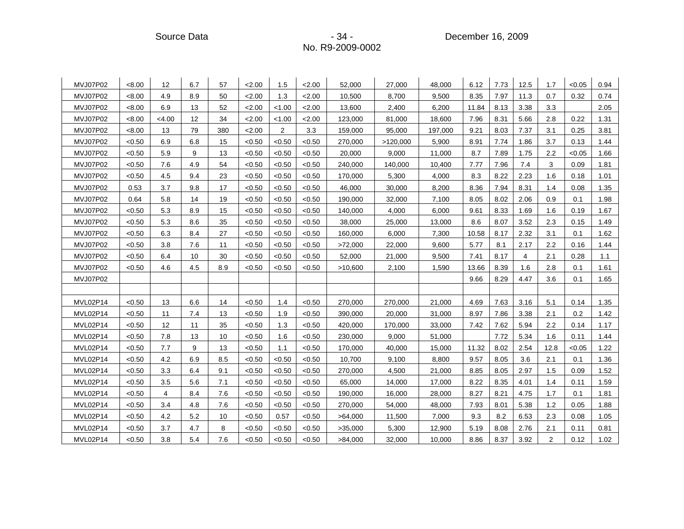Source Data - 34 - 34 - Source Data - Source Data - Source Data - Source Data - Source Data - Source D

| MVJ07P02 | < 8.00 | 12             | 6.7 | 57  | 2.00   | 1.5            | 2.00   | 52,000  | 27,000   | 48,000  | 6.12  | 7.73 | 12.5 | 1.7            | < 0.05 | 0.94 |
|----------|--------|----------------|-----|-----|--------|----------------|--------|---------|----------|---------|-------|------|------|----------------|--------|------|
| MVJ07P02 | < 8.00 | 4.9            | 8.9 | 50  | 2.00   | 1.3            | 2.00   | 10,500  | 8,700    | 9.500   | 8.35  | 7.97 | 11.3 | 0.7            | 0.32   | 0.74 |
| MVJ07P02 | < 8.00 | 6.9            | 13  | 52  | 2.00   | < 1.00         | 2.00   | 13,600  | 2,400    | 6,200   | 11.84 | 8.13 | 3.38 | 3.3            |        | 2.05 |
| MVJ07P02 | < 8.00 | <4.00          | 12  | 34  | 2.00   | < 1.00         | 2.00   | 123,000 | 81,000   | 18,600  | 7.96  | 8.31 | 5.66 | 2.8            | 0.22   | 1.31 |
| MVJ07P02 | < 8.00 | 13             | 79  | 380 | 2.00   | $\overline{2}$ | 3.3    | 159,000 | 95,000   | 197,000 | 9.21  | 8.03 | 7.37 | 3.1            | 0.25   | 3.81 |
| MVJ07P02 | < 0.50 | 6.9            | 6.8 | 15  | < 0.50 | < 0.50         | < 0.50 | 270,000 | >120,000 | 5,900   | 8.91  | 7.74 | 1.86 | 3.7            | 0.13   | 1.44 |
| MVJ07P02 | < 0.50 | 5.9            | 9   | 13  | < 0.50 | < 0.50         | < 0.50 | 20,000  | 9,000    | 11,000  | 8.7   | 7.89 | 1.75 | 2.2            | < 0.05 | 1.66 |
| MVJ07P02 | < 0.50 | 7.6            | 4.9 | 54  | < 0.50 | < 0.50         | < 0.50 | 240,000 | 140,000  | 10,400  | 7.77  | 7.96 | 7.4  | 3              | 0.09   | 1.81 |
| MVJ07P02 | < 0.50 | 4.5            | 9.4 | 23  | < 0.50 | < 0.50         | < 0.50 | 170,000 | 5,300    | 4,000   | 8.3   | 8.22 | 2.23 | 1.6            | 0.18   | 1.01 |
| MVJ07P02 | 0.53   | 3.7            | 9.8 | 17  | < 0.50 | < 0.50         | < 0.50 | 46,000  | 30,000   | 8,200   | 8.36  | 7.94 | 8.31 | 1.4            | 0.08   | 1.35 |
| MVJ07P02 | 0.64   | 5.8            | 14  | 19  | < 0.50 | < 0.50         | < 0.50 | 190,000 | 32,000   | 7,100   | 8.05  | 8.02 | 2.06 | 0.9            | 0.1    | 1.98 |
| MVJ07P02 | < 0.50 | 5.3            | 8.9 | 15  | < 0.50 | < 0.50         | < 0.50 | 140,000 | 4,000    | 6,000   | 9.61  | 8.33 | 1.69 | 1.6            | 0.19   | 1.67 |
| MVJ07P02 | < 0.50 | 5.3            | 8.6 | 35  | < 0.50 | < 0.50         | < 0.50 | 38,000  | 25,000   | 13,000  | 8.6   | 8.07 | 3.52 | 2.3            | 0.15   | 1.49 |
| MVJ07P02 | < 0.50 | 6.3            | 8.4 | 27  | < 0.50 | < 0.50         | < 0.50 | 160,000 | 6,000    | 7,300   | 10.58 | 8.17 | 2.32 | 3.1            | 0.1    | 1.62 |
| MVJ07P02 | < 0.50 | 3.8            | 7.6 | 11  | < 0.50 | < 0.50         | < 0.50 | >72,000 | 22,000   | 9,600   | 5.77  | 8.1  | 2.17 | 2.2            | 0.16   | 1.44 |
| MVJ07P02 | < 0.50 | 6.4            | 10  | 30  | < 0.50 | < 0.50         | < 0.50 | 52,000  | 21,000   | 9,500   | 7.41  | 8.17 | 4    | 2.1            | 0.28   | 1.1  |
| MVJ07P02 | < 0.50 | 4.6            | 4.5 | 8.9 | < 0.50 | < 0.50         | < 0.50 | >10,600 | 2,100    | 1,590   | 13.66 | 8.39 | 1.6  | 2.8            | 0.1    | 1.61 |
| MVJ07P02 |        |                |     |     |        |                |        |         |          |         | 9.66  | 8.29 | 4.47 | 3.6            | 0.1    | 1.65 |
|          |        |                |     |     |        |                |        |         |          |         |       |      |      |                |        |      |
| MVL02P14 | < 0.50 | 13             | 6.6 | 14  | < 0.50 | 1.4            | < 0.50 | 270,000 | 270,000  | 21,000  | 4.69  | 7.63 | 3.16 | 5.1            | 0.14   | 1.35 |
| MVL02P14 | < 0.50 | 11             | 7.4 | 13  | < 0.50 | 1.9            | < 0.50 | 390,000 | 20,000   | 31,000  | 8.97  | 7.86 | 3.38 | 2.1            | 0.2    | 1.42 |
| MVL02P14 | < 0.50 | 12             | 11  | 35  | < 0.50 | 1.3            | < 0.50 | 420,000 | 170,000  | 33,000  | 7.42  | 7.62 | 5.94 | 2.2            | 0.14   | 1.17 |
| MVL02P14 | < 0.50 | 7.8            | 13  | 10  | < 0.50 | 1.6            | < 0.50 | 230,000 | 9,000    | 51,000  |       | 7.72 | 5.34 | 1.6            | 0.11   | 1.44 |
| MVL02P14 | <0.50  | 7.7            | 9   | 13  | < 0.50 | 1.1            | <0.50  | 170,000 | 40,000   | 15,000  | 11.32 | 8.02 | 2.54 | 12.8           | < 0.05 | 1.22 |
| MVL02P14 | < 0.50 | 4.2            | 6.9 | 8.5 | < 0.50 | < 0.50         | < 0.50 | 10,700  | 9,100    | 8,800   | 9.57  | 8.05 | 3.6  | 2.1            | 0.1    | 1.36 |
| MVL02P14 | < 0.50 | 3.3            | 6.4 | 9.1 | < 0.50 | < 0.50         | < 0.50 | 270,000 | 4,500    | 21,000  | 8.85  | 8.05 | 2.97 | 1.5            | 0.09   | 1.52 |
| MVL02P14 | < 0.50 | 3.5            | 5.6 | 7.1 | < 0.50 | < 0.50         | < 0.50 | 65,000  | 14,000   | 17,000  | 8.22  | 8.35 | 4.01 | 1.4            | 0.11   | 1.59 |
| MVL02P14 | < 0.50 | $\overline{4}$ | 8.4 | 7.6 | < 0.50 | < 0.50         | < 0.50 | 190,000 | 16,000   | 28,000  | 8.27  | 8.21 | 4.75 | 1.7            | 0.1    | 1.81 |
| MVL02P14 | < 0.50 | 3.4            | 4.8 | 7.6 | < 0.50 | < 0.50         | < 0.50 | 270,000 | 54,000   | 48,000  | 7.93  | 8.01 | 5.38 | 1.2            | 0.05   | 1.88 |
| MVL02P14 | < 0.50 | 4.2            | 5.2 | 10  | < 0.50 | 0.57           | < 0.50 | >64,000 | 11,500   | 7,000   | 9.3   | 8.2  | 6.53 | 2.3            | 0.08   | 1.05 |
| MVL02P14 | < 0.50 | 3.7            | 4.7 | 8   | < 0.50 | < 0.50         | < 0.50 | >35,000 | 5,300    | 12,900  | 5.19  | 8.08 | 2.76 | 2.1            | 0.11   | 0.81 |
| MVL02P14 | <0.50  | 3.8            | 5.4 | 7.6 | < 0.50 | < 0.50         | < 0.50 | >84,000 | 32,000   | 10,000  | 8.86  | 8.37 | 3.92 | $\overline{2}$ | 0.12   | 1.02 |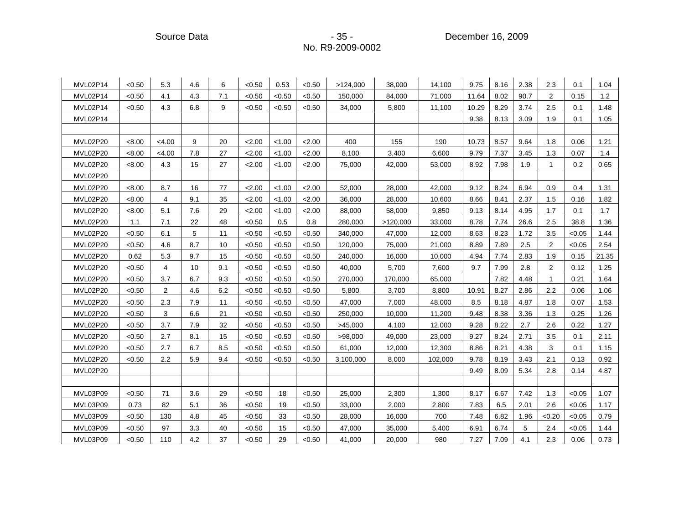Source Data **- 35 - Procedure 2009** - 35 - Procedure 2009

| MVL02P14 | < 0.50 | 5.3            | 4.6 | 6   | < 0.50 | 0.53   | < 0.50 | >124,000  | 38,000   | 14,100  | 9.75  | 8.16 | 2.38 | 2.3          | 0.1    | 1.04  |
|----------|--------|----------------|-----|-----|--------|--------|--------|-----------|----------|---------|-------|------|------|--------------|--------|-------|
| MVL02P14 | < 0.50 | 4.1            | 4.3 | 7.1 | < 0.50 | < 0.50 | < 0.50 | 150,000   | 84,000   | 71,000  | 11.64 | 8.02 | 90.7 | 2            | 0.15   | 1.2   |
| MVL02P14 | < 0.50 | 4.3            | 6.8 | 9   | < 0.50 | < 0.50 | < 0.50 | 34,000    | 5,800    | 11,100  | 10.29 | 8.29 | 3.74 | 2.5          | 0.1    | 1.48  |
| MVL02P14 |        |                |     |     |        |        |        |           |          |         | 9.38  | 8.13 | 3.09 | 1.9          | 0.1    | 1.05  |
|          |        |                |     |     |        |        |        |           |          |         |       |      |      |              |        |       |
| MVL02P20 | < 8.00 | < 4.00         | 9   | 20  | 2.00   | < 1.00 | 2.00   | 400       | 155      | 190     | 10.73 | 8.57 | 9.64 | 1.8          | 0.06   | 1.21  |
| MVL02P20 | < 8.00 | <4.00          | 7.8 | 27  | 2.00   | 1.00   | 2.00   | 8,100     | 3,400    | 6,600   | 9.79  | 7.37 | 3.45 | 1.3          | 0.07   | 1.4   |
| MVL02P20 | < 8.00 | 4.3            | 15  | 27  | 2.00   | < 1.00 | 2.00   | 75,000    | 42,000   | 53,000  | 8.92  | 7.98 | 1.9  | $\mathbf{1}$ | 0.2    | 0.65  |
| MVL02P20 |        |                |     |     |        |        |        |           |          |         |       |      |      |              |        |       |
| MVL02P20 | < 8.00 | 8.7            | 16  | 77  | 2.00   | < 1.00 | 2.00   | 52,000    | 28,000   | 42,000  | 9.12  | 8.24 | 6.94 | 0.9          | 0.4    | 1.31  |
| MVL02P20 | < 8.00 | 4              | 9.1 | 35  | 2.00   | < 1.00 | 2.00   | 36,000    | 28,000   | 10,600  | 8.66  | 8.41 | 2.37 | 1.5          | 0.16   | 1.82  |
| MVL02P20 | < 8.00 | 5.1            | 7.6 | 29  | 2.00   | < 1.00 | 2.00   | 88,000    | 58,000   | 9,850   | 9.13  | 8.14 | 4.95 | 1.7          | 0.1    | 1.7   |
| MVL02P20 | 1.1    | 7.1            | 22  | 48  | < 0.50 | 0.5    | 0.8    | 280,000   | >120,000 | 33,000  | 8.78  | 7.74 | 26.6 | 2.5          | 38.8   | 1.36  |
| MVL02P20 | < 0.50 | 6.1            | 5   | 11  | < 0.50 | < 0.50 | < 0.50 | 340,000   | 47,000   | 12,000  | 8.63  | 8.23 | 1.72 | 3.5          | < 0.05 | 1.44  |
| MVL02P20 | < 0.50 | 4.6            | 8.7 | 10  | < 0.50 | < 0.50 | < 0.50 | 120,000   | 75,000   | 21,000  | 8.89  | 7.89 | 2.5  | 2            | < 0.05 | 2.54  |
| MVL02P20 | 0.62   | 5.3            | 9.7 | 15  | < 0.50 | < 0.50 | < 0.50 | 240,000   | 16,000   | 10,000  | 4.94  | 7.74 | 2.83 | 1.9          | 0.15   | 21.35 |
| MVL02P20 | < 0.50 | $\overline{4}$ | 10  | 9.1 | < 0.50 | < 0.50 | < 0.50 | 40,000    | 5,700    | 7,600   | 9.7   | 7.99 | 2.8  | $\mathbf{2}$ | 0.12   | 1.25  |
| MVL02P20 | < 0.50 | 3.7            | 6.7 | 9.3 | < 0.50 | < 0.50 | < 0.50 | 270,000   | 170,000  | 65,000  |       | 7.82 | 4.48 | $\mathbf{1}$ | 0.21   | 1.64  |
| MVL02P20 | < 0.50 | $\overline{2}$ | 4.6 | 6.2 | < 0.50 | <0.50  | < 0.50 | 5,800     | 3,700    | 8,800   | 10.91 | 8.27 | 2.86 | 2.2          | 0.06   | 1.06  |
| MVL02P20 | < 0.50 | 2.3            | 7.9 | 11  | < 0.50 | < 0.50 | < 0.50 | 47,000    | 7,000    | 48,000  | 8.5   | 8.18 | 4.87 | 1.8          | 0.07   | 1.53  |
| MVL02P20 | < 0.50 | 3              | 6.6 | 21  | < 0.50 | < 0.50 | < 0.50 | 250,000   | 10,000   | 11,200  | 9.48  | 8.38 | 3.36 | 1.3          | 0.25   | 1.26  |
| MVL02P20 | < 0.50 | 3.7            | 7.9 | 32  | < 0.50 | <0.50  | < 0.50 | >45,000   | 4,100    | 12,000  | 9.28  | 8.22 | 2.7  | 2.6          | 0.22   | 1.27  |
| MVL02P20 | < 0.50 | 2.7            | 8.1 | 15  | < 0.50 | < 0.50 | < 0.50 | >98,000   | 49,000   | 23,000  | 9.27  | 8.24 | 2.71 | 3.5          | 0.1    | 2.11  |
| MVL02P20 | < 0.50 | 2.7            | 6.7 | 8.5 | < 0.50 | < 0.50 | < 0.50 | 61,000    | 12,000   | 12,300  | 8.86  | 8.21 | 4.38 | 3            | 0.1    | 1.15  |
| MVL02P20 | < 0.50 | 2.2            | 5.9 | 9.4 | < 0.50 | <0.50  | < 0.50 | 3,100,000 | 8,000    | 102,000 | 9.78  | 8.19 | 3.43 | 2.1          | 0.13   | 0.92  |
| MVL02P20 |        |                |     |     |        |        |        |           |          |         | 9.49  | 8.09 | 5.34 | 2.8          | 0.14   | 4.87  |
|          |        |                |     |     |        |        |        |           |          |         |       |      |      |              |        |       |
| MVL03P09 | < 0.50 | 71             | 3.6 | 29  | < 0.50 | 18     | < 0.50 | 25,000    | 2,300    | 1,300   | 8.17  | 6.67 | 7.42 | 1.3          | < 0.05 | 1.07  |
| MVL03P09 | 0.73   | 82             | 5.1 | 36  | < 0.50 | 19     | < 0.50 | 33,000    | 2,000    | 2,800   | 7.83  | 6.5  | 2.01 | 2.6          | < 0.05 | 1.17  |
| MVL03P09 | < 0.50 | 130            | 4.8 | 45  | < 0.50 | 33     | < 0.50 | 28,000    | 16,000   | 700     | 7.48  | 6.82 | 1.96 | < 0.20       | < 0.05 | 0.79  |
| MVL03P09 | < 0.50 | 97             | 3.3 | 40  | < 0.50 | 15     | < 0.50 | 47,000    | 35,000   | 5,400   | 6.91  | 6.74 | 5    | 2.4          | < 0.05 | 1.44  |
| MVL03P09 | < 0.50 | 110            | 4.2 | 37  | < 0.50 | 29     | < 0.50 | 41,000    | 20,000   | 980     | 7.27  | 7.09 | 4.1  | 2.3          | 0.06   | 0.73  |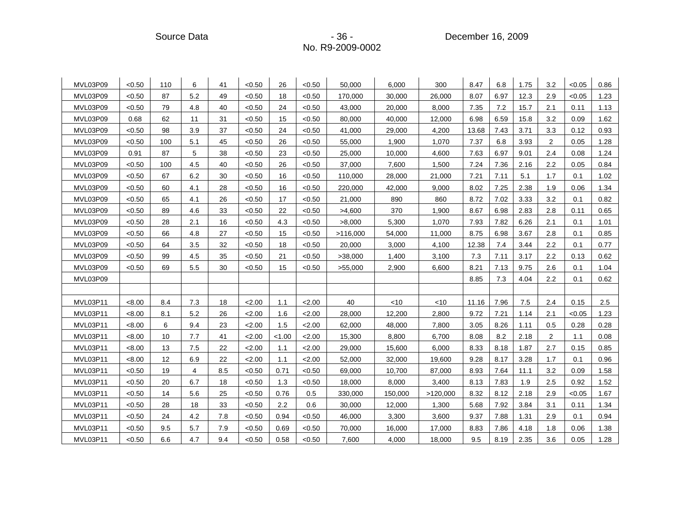Source Data **- 36 - Participate Source Data** - 36 - Participate 2009

| MVL03P09 | < 0.50 | 110 | 6              | 41  | < 0.50 | 26     | < 0.50 | 50,000   | 6,000   | 300      | 8.47  | 6.8  | 1.75 | 3.2            | < 0.05 | 0.86 |
|----------|--------|-----|----------------|-----|--------|--------|--------|----------|---------|----------|-------|------|------|----------------|--------|------|
| MVL03P09 | < 0.50 | 87  | 5.2            | 49  | < 0.50 | 18     | < 0.50 | 170,000  | 30,000  | 26,000   | 8.07  | 6.97 | 12.3 | 2.9            | < 0.05 | 1.23 |
| MVL03P09 | < 0.50 | 79  | 4.8            | 40  | < 0.50 | 24     | < 0.50 | 43,000   | 20,000  | 8,000    | 7.35  | 7.2  | 15.7 | 2.1            | 0.11   | 1.13 |
| MVL03P09 | 0.68   | 62  | 11             | 31  | < 0.50 | 15     | < 0.50 | 80,000   | 40,000  | 12,000   | 6.98  | 6.59 | 15.8 | 3.2            | 0.09   | 1.62 |
| MVL03P09 | < 0.50 | 98  | 3.9            | 37  | < 0.50 | 24     | < 0.50 | 41,000   | 29,000  | 4,200    | 13.68 | 7.43 | 3.71 | 3.3            | 0.12   | 0.93 |
| MVL03P09 | < 0.50 | 100 | 5.1            | 45  | < 0.50 | 26     | < 0.50 | 55,000   | 1,900   | 1,070    | 7.37  | 6.8  | 3.93 | $\overline{2}$ | 0.05   | 1.28 |
| MVL03P09 | 0.91   | 87  | 5              | 38  | < 0.50 | 23     | < 0.50 | 25,000   | 10,000  | 4,600    | 7.63  | 6.97 | 9.01 | 2.4            | 0.08   | 1.24 |
| MVL03P09 | < 0.50 | 100 | 4.5            | 40  | < 0.50 | 26     | < 0.50 | 37,000   | 7,600   | 1,500    | 7.24  | 7.36 | 2.16 | 2.2            | 0.05   | 0.84 |
| MVL03P09 | < 0.50 | 67  | 6.2            | 30  | < 0.50 | 16     | < 0.50 | 110,000  | 28,000  | 21,000   | 7.21  | 7.11 | 5.1  | 1.7            | 0.1    | 1.02 |
| MVL03P09 | < 0.50 | 60  | 4.1            | 28  | < 0.50 | 16     | < 0.50 | 220,000  | 42,000  | 9,000    | 8.02  | 7.25 | 2.38 | 1.9            | 0.06   | 1.34 |
| MVL03P09 | < 0.50 | 65  | 4.1            | 26  | < 0.50 | 17     | < 0.50 | 21,000   | 890     | 860      | 8.72  | 7.02 | 3.33 | 3.2            | 0.1    | 0.82 |
| MVL03P09 | < 0.50 | 89  | 4.6            | 33  | < 0.50 | 22     | < 0.50 | >4,600   | 370     | 1,900    | 8.67  | 6.98 | 2.83 | 2.8            | 0.11   | 0.65 |
| MVL03P09 | < 0.50 | 28  | 2.1            | 16  | < 0.50 | 4.3    | < 0.50 | >8,000   | 5,300   | 1,070    | 7.93  | 7.82 | 6.26 | 2.1            | 0.1    | 1.01 |
| MVL03P09 | < 0.50 | 66  | 4.8            | 27  | < 0.50 | 15     | < 0.50 | >116,000 | 54,000  | 11,000   | 8.75  | 6.98 | 3.67 | 2.8            | 0.1    | 0.85 |
| MVL03P09 | < 0.50 | 64  | 3.5            | 32  | < 0.50 | 18     | < 0.50 | 20,000   | 3,000   | 4,100    | 12.38 | 7.4  | 3.44 | 2.2            | 0.1    | 0.77 |
| MVL03P09 | < 0.50 | 99  | 4.5            | 35  | < 0.50 | 21     | < 0.50 | >38,000  | 1,400   | 3,100    | 7.3   | 7.11 | 3.17 | 2.2            | 0.13   | 0.62 |
| MVL03P09 | < 0.50 | 69  | 5.5            | 30  | < 0.50 | 15     | < 0.50 | >55,000  | 2,900   | 6,600    | 8.21  | 7.13 | 9.75 | 2.6            | 0.1    | 1.04 |
| MVL03P09 |        |     |                |     |        |        |        |          |         |          | 8.85  | 7.3  | 4.04 | 2.2            | 0.1    | 0.62 |
|          |        |     |                |     |        |        |        |          |         |          |       |      |      |                |        |      |
| MVL03P11 | < 8.00 | 8.4 | 7.3            | 18  | 2.00   | 1.1    | 2.00   | 40       | $<$ 10  | < 10     | 11.16 | 7.96 | 7.5  | 2.4            | 0.15   | 2.5  |
| MVL03P11 | < 8.00 | 8.1 | 5.2            | 26  | 2.00   | 1.6    | 2.00   | 28,000   | 12,200  | 2,800    | 9.72  | 7.21 | 1.14 | 2.1            | < 0.05 | 1.23 |
| MVL03P11 | < 8.00 | 6   | 9.4            | 23  | 2.00   | 1.5    | 2.00   | 62,000   | 48,000  | 7,800    | 3.05  | 8.26 | 1.11 | 0.5            | 0.28   | 0.28 |
| MVL03P11 | < 8.00 | 10  | 7.7            | 41  | 2.00   | < 1.00 | 2.00   | 15,300   | 8,800   | 6,700    | 8.08  | 8.2  | 2.18 | $\overline{c}$ | 1.1    | 0.08 |
| MVL03P11 | < 8.00 | 13  | 7.5            | 22  | 2.00   | 1.1    | 2.00   | 29,000   | 15,600  | 6,000    | 8.33  | 8.18 | 1.87 | 2.7            | 0.15   | 0.85 |
| MVL03P11 | < 8.00 | 12  | 6.9            | 22  | 2.00   | 1.1    | 2.00   | 52,000   | 32,000  | 19,600   | 9.28  | 8.17 | 3.28 | 1.7            | 0.1    | 0.96 |
| MVL03P11 | < 0.50 | 19  | $\overline{4}$ | 8.5 | < 0.50 | 0.71   | < 0.50 | 69,000   | 10,700  | 87,000   | 8.93  | 7.64 | 11.1 | 3.2            | 0.09   | 1.58 |
| MVL03P11 | < 0.50 | 20  | 6.7            | 18  | < 0.50 | 1.3    | < 0.50 | 18,000   | 8,000   | 3,400    | 8.13  | 7.83 | 1.9  | 2.5            | 0.92   | 1.52 |
| MVL03P11 | < 0.50 | 14  | 5.6            | 25  | < 0.50 | 0.76   | 0.5    | 330,000  | 150,000 | >120,000 | 8.32  | 8.12 | 2.18 | 2.9            | < 0.05 | 1.67 |
| MVL03P11 | < 0.50 | 28  | 18             | 33  | < 0.50 | 2.2    | 0.6    | 30,000   | 12,000  | 1,300    | 5.68  | 7.92 | 3.84 | 3.1            | 0.11   | 1.34 |
| MVL03P11 | < 0.50 | 24  | 4.2            | 7.8 | < 0.50 | 0.94   | < 0.50 | 46,000   | 3,300   | 3,600    | 9.37  | 7.88 | 1.31 | 2.9            | 0.1    | 0.94 |
| MVL03P11 | < 0.50 | 9.5 | 5.7            | 7.9 | < 0.50 | 0.69   | < 0.50 | 70,000   | 16,000  | 17,000   | 8.83  | 7.86 | 4.18 | 1.8            | 0.06   | 1.38 |
| MVL03P11 | < 0.50 | 6.6 | 4.7            | 9.4 | < 0.50 | 0.58   | < 0.50 | 7,600    | 4,000   | 18,000   | 9.5   | 8.19 | 2.35 | 3.6            | 0.05   | 1.28 |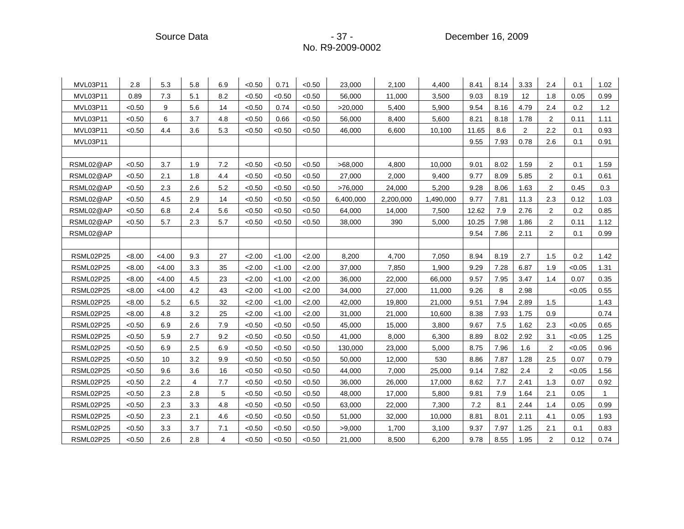Source Data **- 37 - Procedure 2009** - 37 - Procedure 2009

| MVL03P11  | 2.8    | 5.3      | 5.8            | 6.9 | < 0.50 | 0.71   | < 0.50 | 23,000    | 2,100     | 4,400     | 8.41  | 8.14 | 3.33           | 2.4            | 0.1    | 1.02 |
|-----------|--------|----------|----------------|-----|--------|--------|--------|-----------|-----------|-----------|-------|------|----------------|----------------|--------|------|
| MVL03P11  | 0.89   | 7.3      | 5.1            | 8.2 | < 0.50 | < 0.50 | < 0.50 | 56,000    | 11,000    | 3,500     | 9.03  | 8.19 | 12             | 1.8            | 0.05   | 0.99 |
| MVL03P11  | < 0.50 | 9        | 5.6            | 14  | < 0.50 | 0.74   | < 0.50 | >20,000   | 5,400     | 5,900     | 9.54  | 8.16 | 4.79           | 2.4            | 0.2    | 1.2  |
| MVL03P11  | < 0.50 | 6        | 3.7            | 4.8 | < 0.50 | 0.66   | < 0.50 | 56,000    | 8,400     | 5,600     | 8.21  | 8.18 | 1.78           | 2              | 0.11   | 1.11 |
| MVL03P11  | < 0.50 | 4.4      | 3.6            | 5.3 | < 0.50 | < 0.50 | < 0.50 | 46,000    | 6,600     | 10,100    | 11.65 | 8.6  | $\overline{2}$ | 2.2            | 0.1    | 0.93 |
| MVL03P11  |        |          |                |     |        |        |        |           |           |           | 9.55  | 7.93 | 0.78           | 2.6            | 0.1    | 0.91 |
|           |        |          |                |     |        |        |        |           |           |           |       |      |                |                |        |      |
| RSML02@AP | < 0.50 | 3.7      | 1.9            | 7.2 | < 0.50 | < 0.50 | < 0.50 | >68,000   | 4,800     | 10,000    | 9.01  | 8.02 | 1.59           | $\overline{2}$ | 0.1    | 1.59 |
| RSML02@AP | < 0.50 | 2.1      | 1.8            | 4.4 | < 0.50 | < 0.50 | < 0.50 | 27,000    | 2,000     | 9,400     | 9.77  | 8.09 | 5.85           | $\overline{2}$ | 0.1    | 0.61 |
| RSML02@AP | < 0.50 | 2.3      | 2.6            | 5.2 | < 0.50 | < 0.50 | < 0.50 | >76,000   | 24,000    | 5,200     | 9.28  | 8.06 | 1.63           | 2              | 0.45   | 0.3  |
| RSML02@AP | < 0.50 | 4.5      | 2.9            | 14  | < 0.50 | < 0.50 | < 0.50 | 6,400,000 | 2,200,000 | 1,490,000 | 9.77  | 7.81 | 11.3           | 2.3            | 0.12   | 1.03 |
| RSML02@AP | < 0.50 | 6.8      | 2.4            | 5.6 | < 0.50 | < 0.50 | < 0.50 | 64,000    | 14,000    | 7,500     | 12.62 | 7.9  | 2.76           | 2              | 0.2    | 0.85 |
| RSML02@AP | < 0.50 | 5.7      | 2.3            | 5.7 | < 0.50 | < 0.50 | < 0.50 | 38,000    | 390       | 5,000     | 10.25 | 7.98 | 1.86           | 2              | 0.11   | 1.12 |
| RSML02@AP |        |          |                |     |        |        |        |           |           |           | 9.54  | 7.86 | 2.11           | $\overline{2}$ | 0.1    | 0.99 |
|           |        |          |                |     |        |        |        |           |           |           |       |      |                |                |        |      |
| RSML02P25 | < 8.00 | $<$ 4.00 | 9.3            | 27  | 2.00   | < 1.00 | 2.00   | 8,200     | 4,700     | 7,050     | 8.94  | 8.19 | 2.7            | 1.5            | 0.2    | 1.42 |
| RSML02P25 | < 8.00 | < 4.00   | 3.3            | 35  | 2.00   | < 1.00 | 2.00   | 37,000    | 7,850     | 1,900     | 9.29  | 7.28 | 6.87           | 1.9            | < 0.05 | 1.31 |
| RSML02P25 | < 8.00 | < 4.00   | 4.5            | 23  | 2.00   | < 1.00 | 2.00   | 36,000    | 22,000    | 66,000    | 9.57  | 7.95 | 3.47           | 1.4            | 0.07   | 0.35 |
| RSML02P25 | < 8.00 | < 4.00   | 4.2            | 43  | 2.00   | < 1.00 | 2.00   | 34,000    | 27,000    | 11,000    | 9.26  | 8    | 2.98           |                | < 0.05 | 0.55 |
| RSML02P25 | < 8.00 | 5.2      | 6.5            | 32  | 2.00   | < 1.00 | 2.00   | 42,000    | 19,800    | 21,000    | 9.51  | 7.94 | 2.89           | 1.5            |        | 1.43 |
| RSML02P25 | < 8.00 | 4.8      | 3.2            | 25  | 2.00   | < 1.00 | 2.00   | 31,000    | 21,000    | 10,600    | 8.38  | 7.93 | 1.75           | 0.9            |        | 0.74 |
| RSML02P25 | < 0.50 | 6.9      | 2.6            | 7.9 | < 0.50 | < 0.50 | < 0.50 | 45,000    | 15,000    | 3,800     | 9.67  | 7.5  | 1.62           | 2.3            | < 0.05 | 0.65 |
| RSML02P25 | < 0.50 | 5.9      | 2.7            | 9.2 | < 0.50 | < 0.50 | < 0.50 | 41,000    | 8,000     | 6,300     | 8.89  | 8.02 | 2.92           | 3.1            | < 0.05 | 1.25 |
| RSML02P25 | < 0.50 | 6.9      | 2.5            | 6.9 | < 0.50 | < 0.50 | < 0.50 | 130,000   | 23,000    | 5,000     | 8.75  | 7.96 | 1.6            | 2              | < 0.05 | 0.96 |
| RSML02P25 | < 0.50 | 10       | 3.2            | 9.9 | < 0.50 | < 0.50 | < 0.50 | 50,000    | 12,000    | 530       | 8.86  | 7.87 | 1.28           | 2.5            | 0.07   | 0.79 |
| RSML02P25 | < 0.50 | 9.6      | 3.6            | 16  | < 0.50 | < 0.50 | < 0.50 | 44,000    | 7,000     | 25,000    | 9.14  | 7.82 | 2.4            | $\overline{2}$ | < 0.05 | 1.56 |
| RSML02P25 | < 0.50 | 2.2      | $\overline{4}$ | 7.7 | < 0.50 | < 0.50 | < 0.50 | 36,000    | 26,000    | 17,000    | 8.62  | 7.7  | 2.41           | 1.3            | 0.07   | 0.92 |
| RSML02P25 | < 0.50 | 2.3      | 2.8            | 5   | < 0.50 | < 0.50 | < 0.50 | 48,000    | 17,000    | 5,800     | 9.81  | 7.9  | 1.64           | 2.1            | 0.05   | -1   |
| RSML02P25 | < 0.50 | 2.3      | 3.3            | 4.8 | < 0.50 | < 0.50 | < 0.50 | 63,000    | 22,000    | 7,300     | 7.2   | 8.1  | 2.44           | 1.4            | 0.05   | 0.99 |
| RSML02P25 | < 0.50 | 2.3      | 2.1            | 4.6 | < 0.50 | < 0.50 | < 0.50 | 51,000    | 32,000    | 10,000    | 8.81  | 8.01 | 2.11           | 4.1            | 0.05   | 1.93 |
| RSML02P25 | < 0.50 | 3.3      | 3.7            | 7.1 | < 0.50 | <0.50  | < 0.50 | >9,000    | 1,700     | 3,100     | 9.37  | 7.97 | 1.25           | 2.1            | 0.1    | 0.83 |
| RSML02P25 | < 0.50 | 2.6      | 2.8            | 4   | < 0.50 | < 0.50 | < 0.50 | 21,000    | 8,500     | 6,200     | 9.78  | 8.55 | 1.95           | $\overline{c}$ | 0.12   | 0.74 |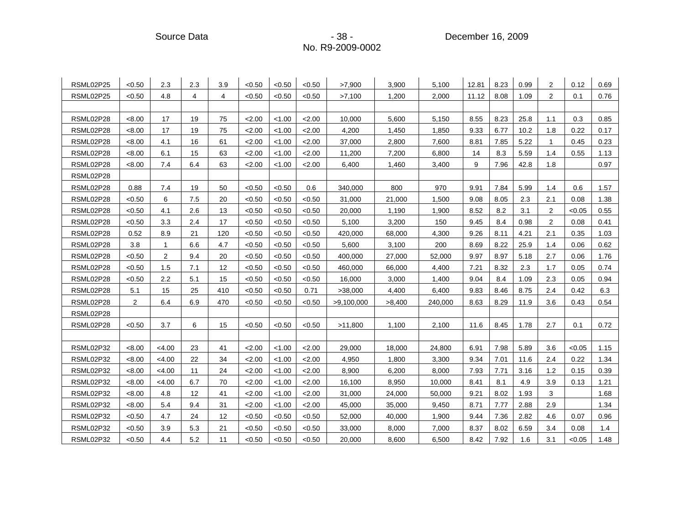Source Data **- 38 - Product Source Data** - 38 - Product December 16, 2009

| RSML02P25 | < 0.50         | 2.3          | 2.3 | 3.9 | < 0.50 | < 0.50 | < 0.50 | >7,900     | 3,900  | 5,100   | 12.81 | 8.23 | 0.99 | 2            | 0.12   | 0.69 |
|-----------|----------------|--------------|-----|-----|--------|--------|--------|------------|--------|---------|-------|------|------|--------------|--------|------|
| RSML02P25 | < 0.50         | 4.8          | 4   | 4   | < 0.50 | < 0.50 | < 0.50 | >7,100     | 1,200  | 2,000   | 11.12 | 8.08 | 1.09 | 2            | 0.1    | 0.76 |
|           |                |              |     |     |        |        |        |            |        |         |       |      |      |              |        |      |
| RSML02P28 | <8.00          | 17           | 19  | 75  | 2.00   | < 1.00 | 2.00   | 10,000     | 5,600  | 5,150   | 8.55  | 8.23 | 25.8 | 1.1          | 0.3    | 0.85 |
| RSML02P28 | < 8.00         | 17           | 19  | 75  | 2.00   | < 1.00 | 2.00   | 4,200      | 1,450  | 1,850   | 9.33  | 6.77 | 10.2 | 1.8          | 0.22   | 0.17 |
| RSML02P28 | < 8.00         | 4.1          | 16  | 61  | 2.00   | < 1.00 | 2.00   | 37,000     | 2,800  | 7,600   | 8.81  | 7.85 | 5.22 | $\mathbf{1}$ | 0.45   | 0.23 |
| RSML02P28 | < 8.00         | 6.1          | 15  | 63  | 2.00   | < 1.00 | 2.00   | 11,200     | 7,200  | 6,800   | 14    | 8.3  | 5.59 | 1.4          | 0.55   | 1.13 |
| RSML02P28 | < 8.00         | 7.4          | 6.4 | 63  | 2.00   | < 1.00 | 2.00   | 6,400      | 1,460  | 3,400   | 9     | 7.96 | 42.8 | 1.8          |        | 0.97 |
| RSML02P28 |                |              |     |     |        |        |        |            |        |         |       |      |      |              |        |      |
| RSML02P28 | 0.88           | 7.4          | 19  | 50  | < 0.50 | < 0.50 | 0.6    | 340,000    | 800    | 970     | 9.91  | 7.84 | 5.99 | 1.4          | 0.6    | 1.57 |
| RSML02P28 | < 0.50         | 6            | 7.5 | 20  | < 0.50 | < 0.50 | < 0.50 | 31,000     | 21,000 | 1,500   | 9.08  | 8.05 | 2.3  | 2.1          | 0.08   | 1.38 |
| RSML02P28 | < 0.50         | 4.1          | 2.6 | 13  | < 0.50 | < 0.50 | < 0.50 | 20,000     | 1,190  | 1,900   | 8.52  | 8.2  | 3.1  | 2            | < 0.05 | 0.55 |
| RSML02P28 | < 0.50         | 3.3          | 2.4 | 17  | < 0.50 | < 0.50 | <0.50  | 5,100      | 3,200  | 150     | 9.45  | 8.4  | 0.98 | 2            | 0.08   | 0.41 |
| RSML02P28 | 0.52           | 8.9          | 21  | 120 | < 0.50 | < 0.50 | < 0.50 | 420,000    | 68,000 | 4,300   | 9.26  | 8.11 | 4.21 | 2.1          | 0.35   | 1.03 |
| RSML02P28 | 3.8            | $\mathbf{1}$ | 6.6 | 4.7 | < 0.50 | < 0.50 | < 0.50 | 5,600      | 3,100  | 200     | 8.69  | 8.22 | 25.9 | 1.4          | 0.06   | 0.62 |
| RSML02P28 | < 0.50         | 2            | 9.4 | 20  | < 0.50 | < 0.50 | <0.50  | 400,000    | 27,000 | 52,000  | 9.97  | 8.97 | 5.18 | 2.7          | 0.06   | 1.76 |
| RSML02P28 | < 0.50         | 1.5          | 7.1 | 12  | < 0.50 | < 0.50 | < 0.50 | 460,000    | 66,000 | 4,400   | 7.21  | 8.32 | 2.3  | 1.7          | 0.05   | 0.74 |
| RSML02P28 | < 0.50         | 2.2          | 5.1 | 15  | < 0.50 | < 0.50 | < 0.50 | 16,000     | 3,000  | 1,400   | 9.04  | 8.4  | 1.09 | 2.3          | 0.05   | 0.94 |
| RSML02P28 | 5.1            | 15           | 25  | 410 | < 0.50 | < 0.50 | 0.71   | >38,000    | 4,400  | 6,400   | 9.83  | 8.46 | 8.75 | 2.4          | 0.42   | 6.3  |
| RSML02P28 | $\overline{2}$ | 6.4          | 6.9 | 470 | < 0.50 | < 0.50 | < 0.50 | >9,100,000 | >8,400 | 240,000 | 8.63  | 8.29 | 11.9 | 3.6          | 0.43   | 0.54 |
| RSML02P28 |                |              |     |     |        |        |        |            |        |         |       |      |      |              |        |      |
| RSML02P28 | < 0.50         | 3.7          | 6   | 15  | < 0.50 | < 0.50 | < 0.50 | >11,800    | 1,100  | 2,100   | 11.6  | 8.45 | 1.78 | 2.7          | 0.1    | 0.72 |
|           |                |              |     |     |        |        |        |            |        |         |       |      |      |              |        |      |
| RSML02P32 | < 8.00         | < 4.00       | 23  | 41  | 2.00   | < 1.00 | 2.00   | 29,000     | 18,000 | 24,800  | 6.91  | 7.98 | 5.89 | 3.6          | < 0.05 | 1.15 |
| RSML02P32 | <8.00          | < 4.00       | 22  | 34  | 2.00   | < 1.00 | 2.00   | 4,950      | 1,800  | 3,300   | 9.34  | 7.01 | 11.6 | 2.4          | 0.22   | 1.34 |
| RSML02P32 | < 8.00         | < 4.00       | 11  | 24  | 2.00   | < 1.00 | 2.00   | 8,900      | 6,200  | 8,000   | 7.93  | 7.71 | 3.16 | 1.2          | 0.15   | 0.39 |
| RSML02P32 | < 8.00         | <4.00        | 6.7 | 70  | 2.00   | < 1.00 | 2.00   | 16,100     | 8,950  | 10,000  | 8.41  | 8.1  | 4.9  | 3.9          | 0.13   | 1.21 |
| RSML02P32 | <8.00          | 4.8          | 12  | 41  | 2.00   | < 1.00 | 2.00   | 31,000     | 24,000 | 50,000  | 9.21  | 8.02 | 1.93 | 3            |        | 1.68 |
| RSML02P32 | < 8.00         | 5.4          | 9.4 | 31  | 2.00   | < 1.00 | 2.00   | 45,000     | 35,000 | 9,450   | 8.71  | 7.77 | 2.88 | 2.9          |        | 1.34 |
| RSML02P32 | < 0.50         | 4.7          | 24  | 12  | < 0.50 | < 0.50 | < 0.50 | 52,000     | 40,000 | 1,900   | 9.44  | 7.36 | 2.82 | 4.6          | 0.07   | 0.96 |
| RSML02P32 | < 0.50         | 3.9          | 5.3 | 21  | < 0.50 | < 0.50 | < 0.50 | 33,000     | 8,000  | 7,000   | 8.37  | 8.02 | 6.59 | 3.4          | 0.08   | 1.4  |
| RSML02P32 | < 0.50         | 4.4          | 5.2 | 11  | < 0.50 | < 0.50 | < 0.50 | 20,000     | 8,600  | 6,500   | 8.42  | 7.92 | 1.6  | 3.1          | < 0.05 | 1.48 |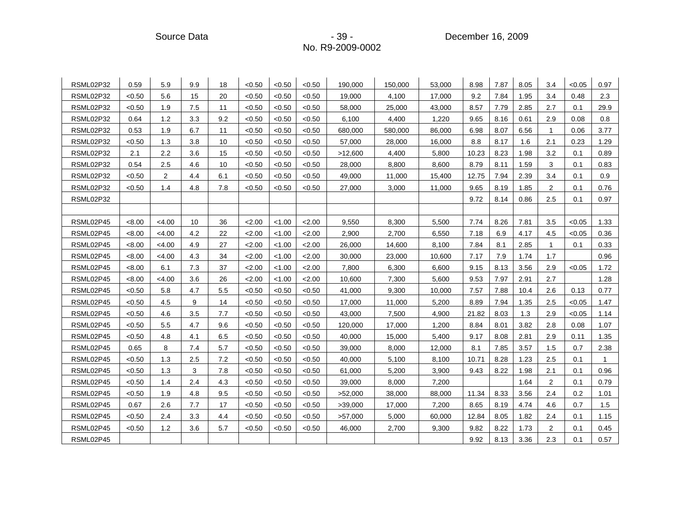| RSML02P32 | 0.59   | 5.9    | 9.9 | 18  | < 0.50 | < 0.50 | < 0.50 | 190.000 | 150.000 | 53.000 | 8.98  | 7.87 | 8.05 | 3.4          | < 0.05 | 0.97           |
|-----------|--------|--------|-----|-----|--------|--------|--------|---------|---------|--------|-------|------|------|--------------|--------|----------------|
| RSML02P32 | < 0.50 | 5.6    | 15  | 20  | < 0.50 | < 0.50 | < 0.50 | 19,000  | 4,100   | 17,000 | 9.2   | 7.84 | 1.95 | 3.4          | 0.48   | 2.3            |
| RSML02P32 | < 0.50 | 1.9    | 7.5 | 11  | < 0.50 | < 0.50 | < 0.50 | 58,000  | 25,000  | 43,000 | 8.57  | 7.79 | 2.85 | 2.7          | 0.1    | 29.9           |
| RSML02P32 | 0.64   | 1.2    | 3.3 | 9.2 | < 0.50 | < 0.50 | < 0.50 | 6,100   | 4,400   | 1,220  | 9.65  | 8.16 | 0.61 | 2.9          | 0.08   | 0.8            |
| RSML02P32 | 0.53   | 1.9    | 6.7 | 11  | < 0.50 | < 0.50 | < 0.50 | 680,000 | 580,000 | 86,000 | 6.98  | 8.07 | 6.56 | $\mathbf{1}$ | 0.06   | 3.77           |
| RSML02P32 | <0.50  | 1.3    | 3.8 | 10  | < 0.50 | < 0.50 | < 0.50 | 57,000  | 28,000  | 16,000 | 8.8   | 8.17 | 1.6  | 2.1          | 0.23   | 1.29           |
| RSML02P32 | 2.1    | 2.2    | 3.6 | 15  | < 0.50 | < 0.50 | < 0.50 | >12,600 | 4,400   | 5,800  | 10.23 | 8.23 | 1.98 | 3.2          | 0.1    | 0.89           |
| RSML02P32 | 0.54   | 2.5    | 4.6 | 10  | < 0.50 | < 0.50 | < 0.50 | 28,000  | 8,800   | 8,600  | 8.79  | 8.11 | 1.59 | 3            | 0.1    | 0.83           |
| RSML02P32 | < 0.50 | 2      | 4.4 | 6.1 | < 0.50 | < 0.50 | < 0.50 | 49,000  | 11,000  | 15,400 | 12.75 | 7.94 | 2.39 | 3.4          | 0.1    | 0.9            |
| RSML02P32 | < 0.50 | 1.4    | 4.8 | 7.8 | < 0.50 | < 0.50 | < 0.50 | 27,000  | 3,000   | 11,000 | 9.65  | 8.19 | 1.85 | 2            | 0.1    | 0.76           |
| RSML02P32 |        |        |     |     |        |        |        |         |         |        | 9.72  | 8.14 | 0.86 | 2.5          | 0.1    | 0.97           |
|           |        |        |     |     |        |        |        |         |         |        |       |      |      |              |        |                |
| RSML02P45 | < 8.00 | < 4.00 | 10  | 36  | 2.00   | < 1.00 | 2.00   | 9,550   | 8,300   | 5,500  | 7.74  | 8.26 | 7.81 | 3.5          | < 0.05 | 1.33           |
| RSML02P45 | < 8.00 | <4.00  | 4.2 | 22  | 2.00   | < 1.00 | 2.00   | 2,900   | 2,700   | 6,550  | 7.18  | 6.9  | 4.17 | 4.5          | < 0.05 | 0.36           |
| RSML02P45 | < 8.00 | < 4.00 | 4.9 | 27  | 2.00   | < 1.00 | 2.00   | 26,000  | 14,600  | 8,100  | 7.84  | 8.1  | 2.85 | $\mathbf{1}$ | 0.1    | 0.33           |
| RSML02P45 | < 8.00 | < 4.00 | 4.3 | 34  | 2.00   | < 1.00 | 2.00   | 30,000  | 23,000  | 10,600 | 7.17  | 7.9  | 1.74 | 1.7          |        | 0.96           |
| RSML02P45 | <8.00  | 6.1    | 7.3 | 37  | 2.00   | < 1.00 | 2.00   | 7,800   | 6,300   | 6,600  | 9.15  | 8.13 | 3.56 | 2.9          | < 0.05 | 1.72           |
| RSML02P45 | < 8.00 | < 4.00 | 3.6 | 26  | 2.00   | < 1.00 | 2.00   | 10,600  | 7,300   | 5,600  | 9.53  | 7.97 | 2.91 | 2.7          |        | 1.28           |
| RSML02P45 | < 0.50 | 5.8    | 4.7 | 5.5 | < 0.50 | < 0.50 | < 0.50 | 41,000  | 9,300   | 10,000 | 7.57  | 7.88 | 10.4 | 2.6          | 0.13   | 0.77           |
| RSML02P45 | < 0.50 | 4.5    | 9   | 14  | < 0.50 | < 0.50 | < 0.50 | 17,000  | 11,000  | 5,200  | 8.89  | 7.94 | 1.35 | 2.5          | < 0.05 | 1.47           |
| RSML02P45 | < 0.50 | 4.6    | 3.5 | 7.7 | < 0.50 | < 0.50 | < 0.50 | 43,000  | 7,500   | 4,900  | 21.82 | 8.03 | 1.3  | 2.9          | < 0.05 | 1.14           |
| RSML02P45 | < 0.50 | 5.5    | 4.7 | 9.6 | < 0.50 | < 0.50 | < 0.50 | 120,000 | 17,000  | 1,200  | 8.84  | 8.01 | 3.82 | 2.8          | 0.08   | 1.07           |
| RSML02P45 | < 0.50 | 4.8    | 4.1 | 6.5 | < 0.50 | < 0.50 | < 0.50 | 40,000  | 15,000  | 5,400  | 9.17  | 8.08 | 2.81 | 2.9          | 0.11   | 1.35           |
| RSML02P45 | 0.65   | 8      | 7.4 | 5.7 | < 0.50 | < 0.50 | < 0.50 | 39,000  | 8,000   | 12,000 | 8.1   | 7.85 | 3.57 | 1.5          | 0.7    | 2.38           |
| RSML02P45 | < 0.50 | 1.3    | 2.5 | 7.2 | < 0.50 | < 0.50 | < 0.50 | 40,000  | 5,100   | 8,100  | 10.71 | 8.28 | 1.23 | 2.5          | 0.1    | $\overline{1}$ |
| RSML02P45 | < 0.50 | 1.3    | 3   | 7.8 | < 0.50 | < 0.50 | < 0.50 | 61,000  | 5,200   | 3,900  | 9.43  | 8.22 | 1.98 | 2.1          | 0.1    | 0.96           |
| RSML02P45 | < 0.50 | 1.4    | 2.4 | 4.3 | < 0.50 | < 0.50 | < 0.50 | 39,000  | 8,000   | 7,200  |       |      | 1.64 | 2            | 0.1    | 0.79           |
| RSML02P45 | < 0.50 | 1.9    | 4.8 | 9.5 | < 0.50 | < 0.50 | < 0.50 | >52,000 | 38,000  | 88,000 | 11.34 | 8.33 | 3.56 | 2.4          | 0.2    | 1.01           |
| RSML02P45 | 0.67   | 2.6    | 7.7 | 17  | < 0.50 | < 0.50 | < 0.50 | >39,000 | 17,000  | 7,200  | 8.65  | 8.19 | 4.74 | 4.6          | 0.7    | 1.5            |
| RSML02P45 | < 0.50 | 2.4    | 3.3 | 4.4 | < 0.50 | < 0.50 | < 0.50 | >57,000 | 5,000   | 60,000 | 12.84 | 8.05 | 1.82 | 2.4          | 0.1    | 1.15           |
| RSML02P45 | < 0.50 | 1.2    | 3.6 | 5.7 | < 0.50 | < 0.50 | < 0.50 | 46,000  | 2,700   | 9,300  | 9.82  | 8.22 | 1.73 | 2            | 0.1    | 0.45           |
| RSML02P45 |        |        |     |     |        |        |        |         |         |        | 9.92  | 8.13 | 3.36 | 2.3          | 0.1    | 0.57           |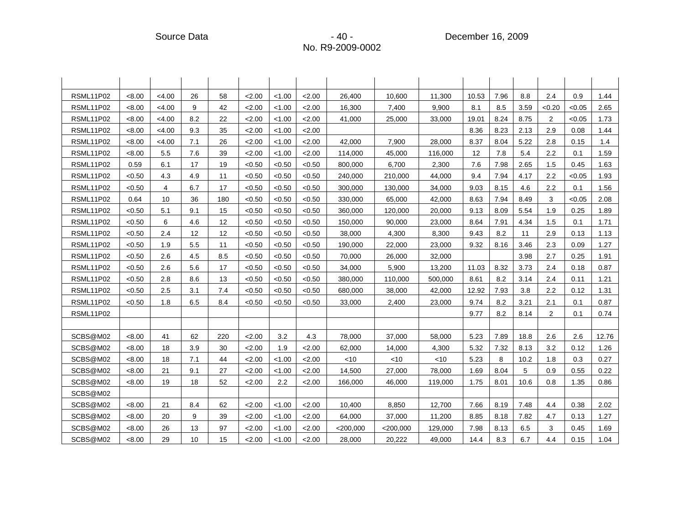| RSML11P02        | < 8.00 | < 4.00 | 26  | 58  | 2.00   | < 1.00 | 2.00   | 26,400      | 10,600      | 11,300  | 10.53 | 7.96 | 8.8  | 2.4            | 0.9    | 1.44  |
|------------------|--------|--------|-----|-----|--------|--------|--------|-------------|-------------|---------|-------|------|------|----------------|--------|-------|
| RSML11P02        | < 8.00 | < 4.00 | 9   | 42  | 2.00   | < 1.00 | 2.00   | 16,300      | 7,400       | 9,900   | 8.1   | 8.5  | 3.59 | < 0.20         | < 0.05 | 2.65  |
| RSML11P02        | < 8.00 | < 4.00 | 8.2 | 22  | 2.00   | < 1.00 | 2.00   | 41,000      | 25,000      | 33,000  | 19.01 | 8.24 | 8.75 | 2              | < 0.05 | 1.73  |
| RSML11P02        | < 8.00 | < 4.00 | 9.3 | 35  | 2.00   | < 1.00 | 2.00   |             |             |         | 8.36  | 8.23 | 2.13 | 2.9            | 0.08   | 1.44  |
| RSML11P02        | < 8.00 | < 4.00 | 7.1 | 26  | 2.00   | < 1.00 | 2.00   | 42,000      | 7,900       | 28.000  | 8.37  | 8.04 | 5.22 | 2.8            | 0.15   | 1.4   |
| RSML11P02        | < 8.00 | 5.5    | 7.6 | 39  | 2.00   | < 1.00 | 2.00   | 114,000     | 45.000      | 116.000 | 12    | 7.8  | 5.4  | 2.2            | 0.1    | 1.59  |
| RSML11P02        | 0.59   | 6.1    | 17  | 19  | < 0.50 | < 0.50 | < 0.50 | 800,000     | 6,700       | 2,300   | 7.6   | 7.98 | 2.65 | 1.5            | 0.45   | 1.63  |
| RSML11P02        | < 0.50 | 4.3    | 4.9 | 11  | < 0.50 | < 0.50 | < 0.50 | 240,000     | 210,000     | 44,000  | 9.4   | 7.94 | 4.17 | 2.2            | < 0.05 | 1.93  |
| <b>RSML11P02</b> | < 0.50 | 4      | 6.7 | 17  | < 0.50 | < 0.50 | < 0.50 | 300,000     | 130,000     | 34,000  | 9.03  | 8.15 | 4.6  | 2.2            | 0.1    | 1.56  |
| RSML11P02        | 0.64   | 10     | 36  | 180 | < 0.50 | < 0.50 | < 0.50 | 330,000     | 65,000      | 42,000  | 8.63  | 7.94 | 8.49 | 3              | < 0.05 | 2.08  |
| RSML11P02        | < 0.50 | 5.1    | 9.1 | 15  | < 0.50 | < 0.50 | < 0.50 | 360,000     | 120,000     | 20,000  | 9.13  | 8.09 | 5.54 | 1.9            | 0.25   | 1.89  |
| RSML11P02        | < 0.50 | 6      | 4.6 | 12  | < 0.50 | < 0.50 | < 0.50 | 150,000     | 90,000      | 23,000  | 8.64  | 7.91 | 4.34 | 1.5            | 0.1    | 1.71  |
| RSML11P02        | < 0.50 | 2.4    | 12  | 12  | < 0.50 | < 0.50 | < 0.50 | 38,000      | 4,300       | 8,300   | 9.43  | 8.2  | 11   | 2.9            | 0.13   | 1.13  |
| RSML11P02        | < 0.50 | 1.9    | 5.5 | 11  | < 0.50 | < 0.50 | < 0.50 | 190,000     | 22,000      | 23,000  | 9.32  | 8.16 | 3.46 | 2.3            | 0.09   | 1.27  |
| RSML11P02        | < 0.50 | 2.6    | 4.5 | 8.5 | < 0.50 | < 0.50 | < 0.50 | 70,000      | 26,000      | 32,000  |       |      | 3.98 | 2.7            | 0.25   | 1.91  |
| RSML11P02        | < 0.50 | 2.6    | 5.6 | 17  | < 0.50 | < 0.50 | < 0.50 | 34,000      | 5,900       | 13,200  | 11.03 | 8.32 | 3.73 | 2.4            | 0.18   | 0.87  |
| RSML11P02        | < 0.50 | 2.8    | 8.6 | 13  | < 0.50 | < 0.50 | < 0.50 | 380,000     | 110,000     | 500,000 | 8.61  | 8.2  | 3.14 | 2.4            | 0.11   | 1.21  |
| RSML11P02        | < 0.50 | 2.5    | 3.1 | 7.4 | < 0.50 | < 0.50 | < 0.50 | 680,000     | 38,000      | 42,000  | 12.92 | 7.93 | 3.8  | 2.2            | 0.12   | 1.31  |
| RSML11P02        | < 0.50 | 1.8    | 6.5 | 8.4 | < 0.50 | < 0.50 | < 0.50 | 33,000      | 2,400       | 23,000  | 9.74  | 8.2  | 3.21 | 2.1            | 0.1    | 0.87  |
| RSML11P02        |        |        |     |     |        |        |        |             |             |         | 9.77  | 8.2  | 8.14 | $\overline{2}$ | 0.1    | 0.74  |
|                  |        |        |     |     |        |        |        |             |             |         |       |      |      |                |        |       |
| SCBS@M02         | < 8.00 | 41     | 62  | 220 | 2.00   | 3.2    | 4.3    | 78,000      | 37,000      | 58,000  | 5.23  | 7.89 | 18.8 | 2.6            | 2.6    | 12.76 |
| SCBS@M02         | < 8.00 | 18     | 3.9 | 30  | 2.00   | 1.9    | 2.00   | 62,000      | 14,000      | 4,300   | 5.32  | 7.32 | 8.13 | 3.2            | 0.12   | 1.26  |
| SCBS@M02         | <8.00  | 18     | 7.1 | 44  | 2.00   | < 1.00 | 2.00   | <10         | <10         | $<$ 10  | 5.23  | 8    | 10.2 | 1.8            | 0.3    | 0.27  |
| SCBS@M02         | <8.00  | 21     | 9.1 | 27  | 2.00   | < 1.00 | 2.00   | 14,500      | 27,000      | 78,000  | 1.69  | 8.04 | 5    | 0.9            | 0.55   | 0.22  |
| SCBS@M02         | < 8.00 | 19     | 18  | 52  | 2.00   | 2.2    | 2.00   | 166,000     | 46,000      | 119,000 | 1.75  | 8.01 | 10.6 | 0.8            | 1.35   | 0.86  |
| SCBS@M02         |        |        |     |     |        |        |        |             |             |         |       |      |      |                |        |       |
| SCBS@M02         | < 8.00 | 21     | 8.4 | 62  | 2.00   | < 1.00 | < 2.00 | 10.400      | 8.850       | 12.700  | 7.66  | 8.19 | 7.48 | 4.4            | 0.38   | 2.02  |
| SCBS@M02         | < 8.00 | 20     | 9   | 39  | 2.00   | < 1.00 | 2.00   | 64,000      | 37,000      | 11,200  | 8.85  | 8.18 | 7.82 | 4.7            | 0.13   | 1.27  |
| SCBS@M02         | < 8.00 | 26     | 13  | 97  | 2.00   | < 1.00 | 2.00   | $<$ 200,000 | $<$ 200,000 | 129,000 | 7.98  | 8.13 | 6.5  | 3              | 0.45   | 1.69  |
| SCBS@M02         | < 8.00 | 29     | 10  | 15  | 2.00   | < 1.00 | 2.00   | 28,000      | 20,222      | 49,000  | 14.4  | 8.3  | 6.7  | 4.4            | 0.15   | 1.04  |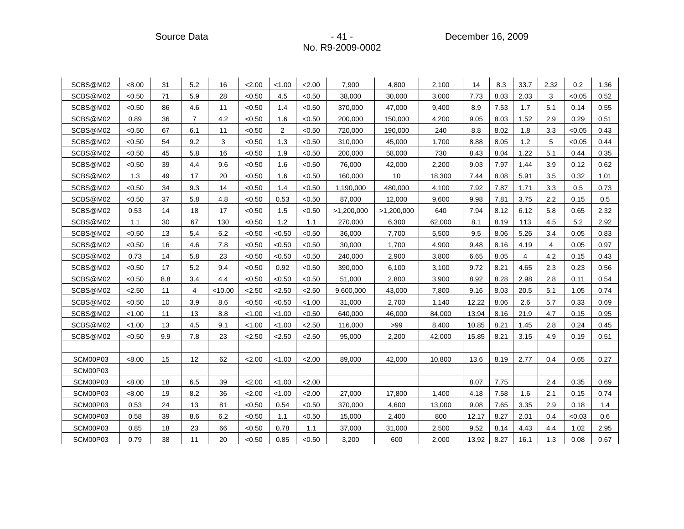Source Data - Andrew Source Data - 41 - Andrew December 16, 2009

| SCBS@M02 | <8.00  | 31  | 5.2            | 16      | 2.00   | < 1.00         | 2.00   | 7,900      | 4,800      | 2,100  | 14    | 8.3  | 33.7 | 2.32 | 0.2    | 1.36 |
|----------|--------|-----|----------------|---------|--------|----------------|--------|------------|------------|--------|-------|------|------|------|--------|------|
| SCBS@M02 | < 0.50 | 71  | 5.9            | 28      | < 0.50 | 4.5            | < 0.50 | 38,000     | 30,000     | 3,000  | 7.73  | 8.03 | 2.03 | 3    | < 0.05 | 0.52 |
| SCBS@M02 | < 0.50 | 86  | 4.6            | 11      | < 0.50 | 1.4            | < 0.50 | 370,000    | 47,000     | 9,400  | 8.9   | 7.53 | 1.7  | 5.1  | 0.14   | 0.55 |
| SCBS@M02 | 0.89   | 36  | 7              | 4.2     | < 0.50 | 1.6            | < 0.50 | 200,000    | 150,000    | 4,200  | 9.05  | 8.03 | 1.52 | 2.9  | 0.29   | 0.51 |
| SCBS@M02 | < 0.50 | 67  | 6.1            | 11      | < 0.50 | $\overline{2}$ | < 0.50 | 720,000    | 190,000    | 240    | 8.8   | 8.02 | 1.8  | 3.3  | < 0.05 | 0.43 |
| SCBS@M02 | < 0.50 | 54  | 9.2            | 3       | < 0.50 | 1.3            | < 0.50 | 310,000    | 45,000     | 1,700  | 8.88  | 8.05 | 1.2  | 5    | < 0.05 | 0.44 |
| SCBS@M02 | < 0.50 | 45  | 5.8            | 16      | < 0.50 | 1.9            | < 0.50 | 200,000    | 58,000     | 730    | 8.43  | 8.04 | 1.22 | 5.1  | 0.44   | 0.35 |
| SCBS@M02 | < 0.50 | 39  | 4.4            | 9.6     | < 0.50 | 1.6            | < 0.50 | 76,000     | 42,000     | 2,200  | 9.03  | 7.97 | 1.44 | 3.9  | 0.12   | 0.62 |
| SCBS@M02 | 1.3    | 49  | 17             | 20      | < 0.50 | 1.6            | < 0.50 | 160,000    | 10         | 18,300 | 7.44  | 8.08 | 5.91 | 3.5  | 0.32   | 1.01 |
| SCBS@M02 | < 0.50 | 34  | 9.3            | 14      | < 0.50 | 1.4            | < 0.50 | 1,190,000  | 480,000    | 4,100  | 7.92  | 7.87 | 1.71 | 3.3  | 0.5    | 0.73 |
| SCBS@M02 | < 0.50 | 37  | 5.8            | 4.8     | < 0.50 | 0.53           | < 0.50 | 87,000     | 12,000     | 9,600  | 9.98  | 7.81 | 3.75 | 2.2  | 0.15   | 0.5  |
| SCBS@M02 | 0.53   | 14  | 18             | 17      | < 0.50 | 1.5            | < 0.50 | >1,200,000 | >1,200,000 | 640    | 7.94  | 8.12 | 6.12 | 5.8  | 0.65   | 2.32 |
| SCBS@M02 | 1.1    | 30  | 67             | 130     | < 0.50 | 1.2            | 1.1    | 270,000    | 6,300      | 62,000 | 8.1   | 8.19 | 113  | 4.5  | 5.2    | 2.92 |
| SCBS@M02 | < 0.50 | 13  | 5.4            | 6.2     | < 0.50 | < 0.50         | < 0.50 | 36,000     | 7,700      | 5,500  | 9.5   | 8.06 | 5.26 | 3.4  | 0.05   | 0.83 |
| SCBS@M02 | < 0.50 | 16  | 4.6            | 7.8     | < 0.50 | < 0.50         | < 0.50 | 30,000     | 1,700      | 4,900  | 9.48  | 8.16 | 4.19 | 4    | 0.05   | 0.97 |
| SCBS@M02 | 0.73   | 14  | 5.8            | 23      | < 0.50 | < 0.50         | < 0.50 | 240,000    | 2,900      | 3,800  | 6.65  | 8.05 | 4    | 4.2  | 0.15   | 0.43 |
| SCBS@M02 | < 0.50 | 17  | 5.2            | 9.4     | < 0.50 | 0.92           | < 0.50 | 390,000    | 6,100      | 3,100  | 9.72  | 8.21 | 4.65 | 2.3  | 0.23   | 0.56 |
| SCBS@M02 | < 0.50 | 8.8 | 3.4            | 4.4     | < 0.50 | < 0.50         | < 0.50 | 51,000     | 2,800      | 3,900  | 8.92  | 8.28 | 2.98 | 2.8  | 0.11   | 0.54 |
| SCBS@M02 | 2.50   | 11  | $\overline{4}$ | < 10.00 | 2.50   | 2.50           | < 2.50 | 9,600,000  | 43,000     | 7,800  | 9.16  | 8.03 | 20.5 | 5.1  | 1.05   | 0.74 |
| SCBS@M02 | < 0.50 | 10  | 3.9            | 8.6     | < 0.50 | < 0.50         | < 1.00 | 31,000     | 2,700      | 1,140  | 12.22 | 8.06 | 2.6  | 5.7  | 0.33   | 0.69 |
| SCBS@M02 | < 1.00 | 11  | 13             | 8.8     | < 1.00 | < 1.00         | < 0.50 | 640,000    | 46,000     | 84,000 | 13.94 | 8.16 | 21.9 | 4.7  | 0.15   | 0.95 |
| SCBS@M02 | < 1.00 | 13  | 4.5            | 9.1     | < 1.00 | < 1.00         | 2.50   | 116,000    | >99        | 8,400  | 10.85 | 8.21 | 1.45 | 2.8  | 0.24   | 0.45 |
| SCBS@M02 | < 0.50 | 9.9 | 7.8            | 23      | 2.50   | < 2.50         | 2.50   | 95,000     | 2,200      | 42,000 | 15.85 | 8.21 | 3.15 | 4.9  | 0.19   | 0.51 |
|          |        |     |                |         |        |                |        |            |            |        |       |      |      |      |        |      |
| SCM00P03 | < 8.00 | 15  | 12             | 62      | 2.00   | < 1.00         | 2.00   | 89,000     | 42,000     | 10,800 | 13.6  | 8.19 | 2.77 | 0.4  | 0.65   | 0.27 |
| SCM00P03 |        |     |                |         |        |                |        |            |            |        |       |      |      |      |        |      |
| SCM00P03 | < 8.00 | 18  | 6.5            | 39      | 2.00   | < 1.00         | 2.00   |            |            |        | 8.07  | 7.75 |      | 2.4  | 0.35   | 0.69 |
| SCM00P03 | < 8.00 | 19  | 8.2            | 36      | 2.00   | < 1.00         | 2.00   | 27,000     | 17,800     | 1,400  | 4.18  | 7.58 | 1.6  | 2.1  | 0.15   | 0.74 |
| SCM00P03 | 0.53   | 24  | 13             | 81      | < 0.50 | 0.54           | < 0.50 | 370,000    | 4,600      | 13,000 | 9.08  | 7.65 | 3.35 | 2.9  | 0.18   | 1.4  |
| SCM00P03 | 0.58   | 39  | 8.6            | 6.2     | < 0.50 | 1.1            | < 0.50 | 15,000     | 2,400      | 800    | 12.17 | 8.27 | 2.01 | 0.4  | < 0.03 | 0.6  |
| SCM00P03 | 0.85   | 18  | 23             | 66      | < 0.50 | 0.78           | 1.1    | 37,000     | 31,000     | 2,500  | 9.52  | 8.14 | 4.43 | 4.4  | 1.02   | 2.95 |
| SCM00P03 | 0.79   | 38  | 11             | 20      | < 0.50 | 0.85           | < 0.50 | 3,200      | 600        | 2,000  | 13.92 | 8.27 | 16.1 | 1.3  | 0.08   | 0.67 |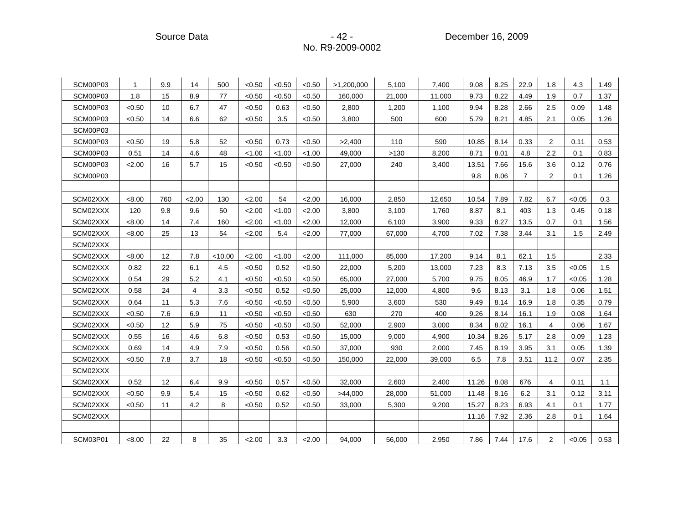Source Data - Andrew Source Data - 42 - All the December 16, 2009

| SCM00P03 | 1      | 9.9 | 14             | 500     | < 0.50 | < 0.50 | < 0.50 | >1,200,000 | 5,100  | 7,400  | 9.08  | 8.25 | 22.9           | 1.8  | 4.3    | 1.49 |
|----------|--------|-----|----------------|---------|--------|--------|--------|------------|--------|--------|-------|------|----------------|------|--------|------|
| SCM00P03 | 1.8    | 15  | 8.9            | 77      | < 0.50 | < 0.50 | < 0.50 | 160,000    | 21,000 | 11,000 | 9.73  | 8.22 | 4.49           | 1.9  | 0.7    | 1.37 |
| SCM00P03 | < 0.50 | 10  | 6.7            | 47      | < 0.50 | 0.63   | < 0.50 | 2,800      | 1,200  | 1,100  | 9.94  | 8.28 | 2.66           | 2.5  | 0.09   | 1.48 |
| SCM00P03 | < 0.50 | 14  | 6.6            | 62      | < 0.50 | 3.5    | < 0.50 | 3,800      | 500    | 600    | 5.79  | 8.21 | 4.85           | 2.1  | 0.05   | 1.26 |
| SCM00P03 |        |     |                |         |        |        |        |            |        |        |       |      |                |      |        |      |
| SCM00P03 | < 0.50 | 19  | 5.8            | 52      | < 0.50 | 0.73   | < 0.50 | >2,400     | 110    | 590    | 10.85 | 8.14 | 0.33           | 2    | 0.11   | 0.53 |
| SCM00P03 | 0.51   | 14  | 4.6            | 48      | < 1.00 | < 1.00 | < 1.00 | 49,000     | >130   | 8,200  | 8.71  | 8.01 | 4.8            | 2.2  | 0.1    | 0.83 |
| SCM00P03 | 2.00   | 16  | 5.7            | 15      | < 0.50 | < 0.50 | < 0.50 | 27,000     | 240    | 3,400  | 13.51 | 7.66 | 15.6           | 3.6  | 0.12   | 0.76 |
| SCM00P03 |        |     |                |         |        |        |        |            |        |        | 9.8   | 8.06 | $\overline{7}$ | 2    | 0.1    | 1.26 |
|          |        |     |                |         |        |        |        |            |        |        |       |      |                |      |        |      |
| SCM02XXX | < 8.00 | 760 | 2.00           | 130     | 2.00   | 54     | 2.00   | 16,000     | 2,850  | 12,650 | 10.54 | 7.89 | 7.82           | 6.7  | < 0.05 | 0.3  |
| SCM02XXX | 120    | 9.8 | 9.6            | 50      | 2.00   | < 1.00 | 2.00   | 3,800      | 3,100  | 1,760  | 8.87  | 8.1  | 403            | 1.3  | 0.45   | 0.18 |
| SCM02XXX | < 8.00 | 14  | 7.4            | 160     | 2.00   | < 1.00 | 2.00   | 12,000     | 6,100  | 3,900  | 9.33  | 8.27 | 13.5           | 0.7  | 0.1    | 1.56 |
| SCM02XXX | < 8.00 | 25  | 13             | 54      | 2.00   | 5.4    | 2.00   | 77,000     | 67,000 | 4,700  | 7.02  | 7.38 | 3.44           | 3.1  | 1.5    | 2.49 |
| SCM02XXX |        |     |                |         |        |        |        |            |        |        |       |      |                |      |        |      |
| SCM02XXX | < 8.00 | 12  | 7.8            | < 10.00 | 2.00   | < 1.00 | 2.00   | 111,000    | 85,000 | 17,200 | 9.14  | 8.1  | 62.1           | 1.5  |        | 2.33 |
| SCM02XXX | 0.82   | 22  | 6.1            | 4.5     | < 0.50 | 0.52   | < 0.50 | 22,000     | 5,200  | 13,000 | 7.23  | 8.3  | 7.13           | 3.5  | < 0.05 | 1.5  |
| SCM02XXX | 0.54   | 29  | 5.2            | 4.1     | < 0.50 | < 0.50 | < 0.50 | 65,000     | 27,000 | 5,700  | 9.75  | 8.05 | 46.9           | 1.7  | < 0.05 | 1.28 |
| SCM02XXX | 0.58   | 24  | $\overline{4}$ | 3.3     | < 0.50 | 0.52   | < 0.50 | 25,000     | 12,000 | 4,800  | 9.6   | 8.13 | 3.1            | 1.8  | 0.06   | 1.51 |
| SCM02XXX | 0.64   | 11  | 5.3            | 7.6     | < 0.50 | <0.50  | < 0.50 | 5,900      | 3,600  | 530    | 9.49  | 8.14 | 16.9           | 1.8  | 0.35   | 0.79 |
| SCM02XXX | < 0.50 | 7.6 | 6.9            | 11      | < 0.50 | < 0.50 | < 0.50 | 630        | 270    | 400    | 9.26  | 8.14 | 16.1           | 1.9  | 0.08   | 1.64 |
| SCM02XXX | < 0.50 | 12  | 5.9            | 75      | < 0.50 | < 0.50 | < 0.50 | 52,000     | 2,900  | 3,000  | 8.34  | 8.02 | 16.1           | 4    | 0.06   | 1.67 |
| SCM02XXX | 0.55   | 16  | 4.6            | 6.8     | < 0.50 | 0.53   | < 0.50 | 15,000     | 9,000  | 4,900  | 10.34 | 8.26 | 5.17           | 2.8  | 0.09   | 1.23 |
| SCM02XXX | 0.69   | 14  | 4.9            | 7.9     | < 0.50 | 0.56   | < 0.50 | 37,000     | 930    | 2,000  | 7.45  | 8.19 | 3.95           | 3.1  | 0.05   | 1.39 |
| SCM02XXX | < 0.50 | 7.8 | 3.7            | 18      | < 0.50 | < 0.50 | < 0.50 | 150,000    | 22,000 | 39,000 | 6.5   | 7.8  | 3.51           | 11.2 | 0.07   | 2.35 |
| SCM02XXX |        |     |                |         |        |        |        |            |        |        |       |      |                |      |        |      |
| SCM02XXX | 0.52   | 12  | 6.4            | 9.9     | < 0.50 | 0.57   | < 0.50 | 32,000     | 2,600  | 2,400  | 11.26 | 8.08 | 676            | 4    | 0.11   | 1.1  |
| SCM02XXX | < 0.50 | 9.9 | 5.4            | 15      | < 0.50 | 0.62   | < 0.50 | >44,000    | 28,000 | 51,000 | 11.48 | 8.16 | 6.2            | 3.1  | 0.12   | 3.11 |
| SCM02XXX | < 0.50 | 11  | 4.2            | 8       | < 0.50 | 0.52   | < 0.50 | 33,000     | 5,300  | 9,200  | 15.27 | 8.23 | 6.93           | 4.1  | 0.1    | 1.77 |
| SCM02XXX |        |     |                |         |        |        |        |            |        |        | 11.16 | 7.92 | 2.36           | 2.8  | 0.1    | 1.64 |
|          |        |     |                |         |        |        |        |            |        |        |       |      |                |      |        |      |
| SCM03P01 | < 8.00 | 22  | 8              | 35      | 2.00   | 3.3    | < 2.00 | 94,000     | 56,000 | 2,950  | 7.86  | 7.44 | 17.6           | 2    | < 0.05 | 0.53 |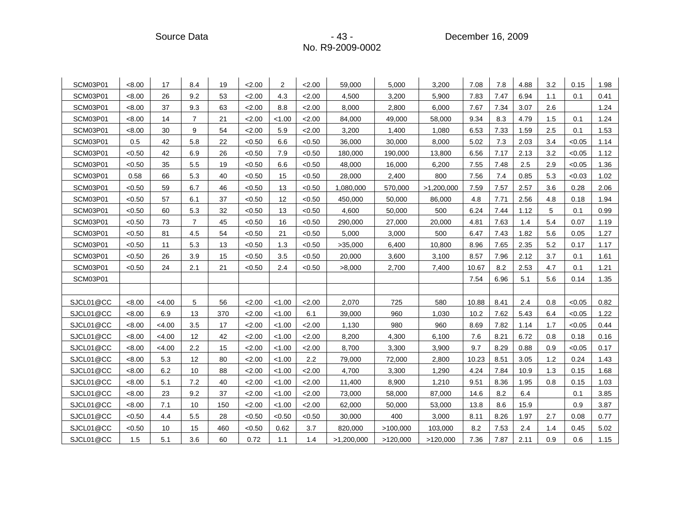Source Data **- 43 - Product America** - 43 - Product December 16, 2009

| SCM03P01  | < 8.00 | 17     | 8.4            | 19  | 2.00   | 2      | 2.00   | 59,000     | 5,000    | 3,200      | 7.08  | 7.8  | 4.88 | 3.2 | 0.15   | 1.98 |
|-----------|--------|--------|----------------|-----|--------|--------|--------|------------|----------|------------|-------|------|------|-----|--------|------|
| SCM03P01  | < 8.00 | 26     | 9.2            | 53  | 2.00   | 4.3    | 2.00   | 4,500      | 3,200    | 5,900      | 7.83  | 7.47 | 6.94 | 1.1 | 0.1    | 0.41 |
| SCM03P01  | < 8.00 | 37     | 9.3            | 63  | 2.00   | 8.8    | 2.00   | 8,000      | 2,800    | 6,000      | 7.67  | 7.34 | 3.07 | 2.6 |        | 1.24 |
| SCM03P01  | < 8.00 | 14     | 7              | 21  | 2.00   | < 1.00 | 2.00   | 84,000     | 49,000   | 58,000     | 9.34  | 8.3  | 4.79 | 1.5 | 0.1    | 1.24 |
| SCM03P01  | < 8.00 | 30     | 9              | 54  | 2.00   | 5.9    | 2.00   | 3,200      | 1,400    | 1,080      | 6.53  | 7.33 | 1.59 | 2.5 | 0.1    | 1.53 |
| SCM03P01  | 0.5    | 42     | 5.8            | 22  | < 0.50 | 6.6    | < 0.50 | 36,000     | 30,000   | 8,000      | 5.02  | 7.3  | 2.03 | 3.4 | < 0.05 | 1.14 |
| SCM03P01  | < 0.50 | 42     | 6.9            | 26  | < 0.50 | 7.9    | < 0.50 | 180,000    | 190,000  | 13,800     | 6.56  | 7.17 | 2.13 | 3.2 | < 0.05 | 1.12 |
| SCM03P01  | < 0.50 | 35     | 5.5            | 19  | < 0.50 | 6.6    | < 0.50 | 48,000     | 16,000   | 6,200      | 7.55  | 7.48 | 2.5  | 2.9 | < 0.05 | 1.36 |
| SCM03P01  | 0.58   | 66     | 5.3            | 40  | < 0.50 | 15     | < 0.50 | 28,000     | 2,400    | 800        | 7.56  | 7.4  | 0.85 | 5.3 | < 0.03 | 1.02 |
| SCM03P01  | < 0.50 | 59     | 6.7            | 46  | < 0.50 | 13     | < 0.50 | 1,080,000  | 570,000  | >1,200,000 | 7.59  | 7.57 | 2.57 | 3.6 | 0.28   | 2.06 |
| SCM03P01  | < 0.50 | 57     | 6.1            | 37  | < 0.50 | 12     | < 0.50 | 450,000    | 50,000   | 86,000     | 4.8   | 7.71 | 2.56 | 4.8 | 0.18   | 1.94 |
| SCM03P01  | < 0.50 | 60     | 5.3            | 32  | < 0.50 | 13     | < 0.50 | 4,600      | 50,000   | 500        | 6.24  | 7.44 | 1.12 | 5   | 0.1    | 0.99 |
| SCM03P01  | < 0.50 | 73     | $\overline{7}$ | 45  | < 0.50 | 16     | < 0.50 | 290,000    | 27,000   | 20,000     | 4.81  | 7.63 | 1.4  | 5.4 | 0.07   | 1.19 |
| SCM03P01  | < 0.50 | 81     | 4.5            | 54  | < 0.50 | 21     | < 0.50 | 5,000      | 3,000    | 500        | 6.47  | 7.43 | 1.82 | 5.6 | 0.05   | 1.27 |
| SCM03P01  | < 0.50 | 11     | 5.3            | 13  | < 0.50 | 1.3    | < 0.50 | >35,000    | 6,400    | 10,800     | 8.96  | 7.65 | 2.35 | 5.2 | 0.17   | 1.17 |
| SCM03P01  | < 0.50 | 26     | 3.9            | 15  | < 0.50 | 3.5    | < 0.50 | 20,000     | 3,600    | 3,100      | 8.57  | 7.96 | 2.12 | 3.7 | 0.1    | 1.61 |
| SCM03P01  | < 0.50 | 24     | 2.1            | 21  | < 0.50 | 2.4    | < 0.50 | >8,000     | 2,700    | 7,400      | 10.67 | 8.2  | 2.53 | 4.7 | 0.1    | 1.21 |
| SCM03P01  |        |        |                |     |        |        |        |            |          |            | 7.54  | 6.96 | 5.1  | 5.6 | 0.14   | 1.35 |
|           |        |        |                |     |        |        |        |            |          |            |       |      |      |     |        |      |
| SJCL01@CC | <8.00  | < 4.00 | 5              | 56  | 2.00   | < 1.00 | 2.00   | 2,070      | 725      | 580        | 10.88 | 8.41 | 2.4  | 0.8 | < 0.05 | 0.82 |
| SJCL01@CC | <8.00  | 6.9    | 13             | 370 | 2.00   | < 1.00 | 6.1    | 39,000     | 960      | 1,030      | 10.2  | 7.62 | 5.43 | 6.4 | < 0.05 | 1.22 |
| SJCL01@CC | < 8.00 | < 4.00 | 3.5            | 17  | 2.00   | < 1.00 | 2.00   | 1,130      | 980      | 960        | 8.69  | 7.82 | 1.14 | 1.7 | < 0.05 | 0.44 |
| SJCL01@CC | < 8.00 | < 4.00 | 12             | 42  | 2.00   | 1.00   | 2.00   | 8,200      | 4,300    | 6,100      | 7.6   | 8.21 | 6.72 | 0.8 | 0.18   | 0.16 |
| SJCL01@CC | <8.00  | < 4.00 | 2.2            | 15  | 2.00   | < 1.00 | 2.00   | 8,700      | 3,300    | 3,900      | 9.7   | 8.29 | 0.88 | 0.9 | < 0.05 | 0.17 |
| SJCL01@CC | <8.00  | 5.3    | 12             | 80  | 2.00   | < 1.00 | 2.2    | 79,000     | 72,000   | 2,800      | 10.23 | 8.51 | 3.05 | 1.2 | 0.24   | 1.43 |
| SJCL01@CC | < 8.00 | 6.2    | 10             | 88  | 2.00   | < 1.00 | 2.00   | 4,700      | 3,300    | 1,290      | 4.24  | 7.84 | 10.9 | 1.3 | 0.15   | 1.68 |
| SJCL01@CC | <8.00  | 5.1    | 7.2            | 40  | 2.00   | < 1.00 | 2.00   | 11,400     | 8,900    | 1,210      | 9.51  | 8.36 | 1.95 | 0.8 | 0.15   | 1.03 |
| SJCL01@CC | < 8.00 | 23     | 9.2            | 37  | 2.00   | < 1.00 | 2.00   | 73,000     | 58,000   | 87,000     | 14.6  | 8.2  | 6.4  |     | 0.1    | 3.85 |
| SJCL01@CC | < 8.00 | 7.1    | 10             | 150 | 2.00   | < 1.00 | 2.00   | 62,000     | 50,000   | 53,000     | 13.8  | 8.6  | 15.9 |     | 0.9    | 3.87 |
| SJCL01@CC | < 0.50 | 4.4    | 5.5            | 28  | < 0.50 | < 0.50 | < 0.50 | 30,000     | 400      | 3,000      | 8.11  | 8.26 | 1.97 | 2.7 | 0.08   | 0.77 |
| SJCL01@CC | < 0.50 | 10     | 15             | 460 | < 0.50 | 0.62   | 3.7    | 820,000    | >100,000 | 103,000    | 8.2   | 7.53 | 2.4  | 1.4 | 0.45   | 5.02 |
| SJCL01@CC | 1.5    | 5.1    | 3.6            | 60  | 0.72   | 1.1    | 1.4    | >1,200,000 | >120,000 | >120,000   | 7.36  | 7.87 | 2.11 | 0.9 | 0.6    | 1.15 |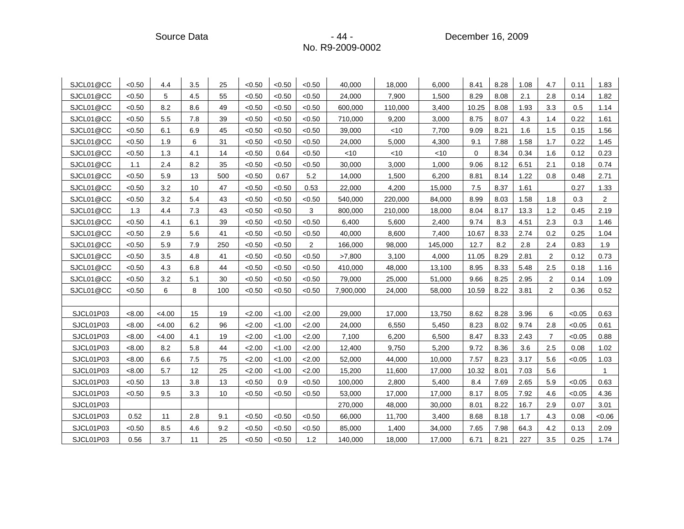Source Data **- 44 -** December 16, 2009

| SJCL01@CC | < 0.50 | 4.4    | 3.5     | 25  | < 0.50 | < 0.50 | < 0.50         | 40,000    | 18,000  | 6,000   | 8.41  | 8.28 | 1.08 | 4.7            | 0.11   | 1.83           |
|-----------|--------|--------|---------|-----|--------|--------|----------------|-----------|---------|---------|-------|------|------|----------------|--------|----------------|
| SJCL01@CC | < 0.50 | 5      | 4.5     | 55  | < 0.50 | < 0.50 | < 0.50         | 24,000    | 7,900   | 1,500   | 8.29  | 8.08 | 2.1  | 2.8            | 0.14   | 1.82           |
| SJCL01@CC | < 0.50 | 8.2    | 8.6     | 49  | < 0.50 | < 0.50 | < 0.50         | 600,000   | 110,000 | 3,400   | 10.25 | 8.08 | 1.93 | 3.3            | 0.5    | 1.14           |
| SJCL01@CC | < 0.50 | 5.5    | 7.8     | 39  | < 0.50 | < 0.50 | < 0.50         | 710,000   | 9,200   | 3,000   | 8.75  | 8.07 | 4.3  | 1.4            | 0.22   | 1.61           |
| SJCL01@CC | < 0.50 | 6.1    | 6.9     | 45  | < 0.50 | < 0.50 | < 0.50         | 39,000    | <10     | 7,700   | 9.09  | 8.21 | 1.6  | 1.5            | 0.15   | 1.56           |
| SJCL01@CC | < 0.50 | 1.9    | 6       | 31  | < 0.50 | < 0.50 | < 0.50         | 24,000    | 5,000   | 4,300   | 9.1   | 7.88 | 1.58 | 1.7            | 0.22   | 1.45           |
| SJCL01@CC | < 0.50 | 1.3    | 4.1     | 14  | < 0.50 | 0.64   | < 0.50         | $<$ 10    | <10     | $<$ 10  | 0     | 8.34 | 0.34 | 1.6            | 0.12   | 0.23           |
| SJCL01@CC | 1.1    | 2.4    | 8.2     | 35  | < 0.50 | < 0.50 | < 0.50         | 30,000    | 3,000   | 1,000   | 9.06  | 8.12 | 6.51 | 2.1            | 0.18   | 0.74           |
| SJCL01@CC | < 0.50 | 5.9    | 13      | 500 | < 0.50 | 0.67   | 5.2            | 14,000    | 1,500   | 6,200   | 8.81  | 8.14 | 1.22 | 0.8            | 0.48   | 2.71           |
| SJCL01@CC | < 0.50 | 3.2    | 10      | 47  | < 0.50 | < 0.50 | 0.53           | 22,000    | 4,200   | 15,000  | 7.5   | 8.37 | 1.61 |                | 0.27   | 1.33           |
| SJCL01@CC | < 0.50 | 3.2    | 5.4     | 43  | < 0.50 | < 0.50 | <0.50          | 540,000   | 220,000 | 84,000  | 8.99  | 8.03 | 1.58 | 1.8            | 0.3    | $\overline{2}$ |
| SJCL01@CC | 1.3    | 4.4    | 7.3     | 43  | < 0.50 | < 0.50 | 3              | 800,000   | 210,000 | 18,000  | 8.04  | 8.17 | 13.3 | 1.2            | 0.45   | 2.19           |
| SJCL01@CC | < 0.50 | 4.1    | 6.1     | 39  | < 0.50 | < 0.50 | < 0.50         | 6,400     | 5,600   | 2,400   | 9.74  | 8.3  | 4.51 | 2.3            | 0.3    | 1.46           |
| SJCL01@CC | < 0.50 | 2.9    | 5.6     | 41  | < 0.50 | < 0.50 | < 0.50         | 40,000    | 8,600   | 7,400   | 10.67 | 8.33 | 2.74 | 0.2            | 0.25   | 1.04           |
| SJCL01@CC | < 0.50 | 5.9    | 7.9     | 250 | < 0.50 | < 0.50 | $\overline{2}$ | 166,000   | 98,000  | 145,000 | 12.7  | 8.2  | 2.8  | 2.4            | 0.83   | 1.9            |
| SJCL01@CC | < 0.50 | 3.5    | 4.8     | 41  | < 0.50 | < 0.50 | < 0.50         | >7,800    | 3,100   | 4,000   | 11.05 | 8.29 | 2.81 | $\overline{2}$ | 0.12   | 0.73           |
| SJCL01@CC | <0.50  | 4.3    | 6.8     | 44  | < 0.50 | < 0.50 | < 0.50         | 410,000   | 48,000  | 13,100  | 8.95  | 8.33 | 5.48 | 2.5            | 0.18   | 1.16           |
| SJCL01@CC | < 0.50 | 3.2    | 5.1     | 30  | < 0.50 | < 0.50 | < 0.50         | 79,000    | 25,000  | 51,000  | 9.66  | 8.25 | 2.95 | $\overline{2}$ | 0.14   | 1.09           |
| SJCL01@CC | < 0.50 | 6      | 8       | 100 | < 0.50 | < 0.50 | < 0.50         | 7,900,000 | 24,000  | 58,000  | 10.59 | 8.22 | 3.81 | $\overline{2}$ | 0.36   | 0.52           |
|           |        |        |         |     |        |        |                |           |         |         |       |      |      |                |        |                |
| SJCL01P03 | < 8.00 | <4.00  | 15      | 19  | 2.00   | < 1.00 | 2.00           | 29,000    | 17,000  | 13,750  | 8.62  | 8.28 | 3.96 | 6              | < 0.05 | 0.63           |
| SJCL01P03 | < 8.00 | < 4.00 | $6.2\,$ | 96  | 2.00   | < 1.00 | 2.00           | 24,000    | 6,550   | 5,450   | 8.23  | 8.02 | 9.74 | 2.8            | < 0.05 | 0.61           |
| SJCL01P03 | < 8.00 | < 4.00 | 4.1     | 19  | 2.00   | < 1.00 | 2.00           | 7,100     | 6,200   | 6,500   | 8.47  | 8.33 | 2.43 | $\overline{7}$ | < 0.05 | 0.88           |
| SJCL01P03 | < 8.00 | 8.2    | 5.8     | 44  | 2.00   | < 1.00 | 2.00           | 12,400    | 9,750   | 5,200   | 9.72  | 8.36 | 3.6  | 2.5            | 0.08   | 1.02           |
| SJCL01P03 | < 8.00 | 6.6    | 7.5     | 75  | 2.00   | < 1.00 | 2.00           | 52,000    | 44,000  | 10,000  | 7.57  | 8.23 | 3.17 | 5.6            | < 0.05 | 1.03           |
| SJCL01P03 | < 8.00 | 5.7    | 12      | 25  | 2.00   | < 1.00 | 2.00           | 15,200    | 11,600  | 17,000  | 10.32 | 8.01 | 7.03 | 5.6            |        | $\mathbf{1}$   |
| SJCL01P03 | < 0.50 | 13     | 3.8     | 13  | < 0.50 | 0.9    | <0.50          | 100,000   | 2,800   | 5,400   | 8.4   | 7.69 | 2.65 | 5.9            | < 0.05 | 0.63           |
| SJCL01P03 | < 0.50 | 9.5    | 3.3     | 10  | < 0.50 | < 0.50 | < 0.50         | 53,000    | 17,000  | 17,000  | 8.17  | 8.05 | 7.92 | 4.6            | < 0.05 | 4.36           |
| SJCL01P03 |        |        |         |     |        |        |                | 270,000   | 48,000  | 30,000  | 8.01  | 8.22 | 16.7 | 2.9            | 0.07   | 3.01           |
| SJCL01P03 | 0.52   | 11     | 2.8     | 9.1 | < 0.50 | < 0.50 | < 0.50         | 66,000    | 11,700  | 3,400   | 8.68  | 8.18 | 1.7  | 4.3            | 0.08   | <0.06          |
| SJCL01P03 | < 0.50 | 8.5    | 4.6     | 9.2 | < 0.50 | < 0.50 | < 0.50         | 85,000    | 1,400   | 34,000  | 7.65  | 7.98 | 64.3 | 4.2            | 0.13   | 2.09           |
| SJCL01P03 | 0.56   | 3.7    | 11      | 25  | < 0.50 | < 0.50 | 1.2            | 140,000   | 18,000  | 17,000  | 6.71  | 8.21 | 227  | 3.5            | 0.25   | 1.74           |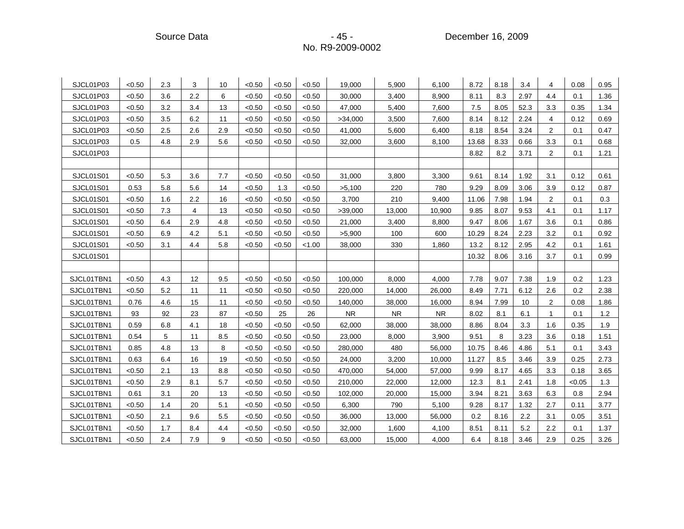Source Data - Andrew Communication - 45 - Andrew Chember 16, 2009

| SJCL01P03        | < 0.50 | 2.3 | 3              | 10  | < 0.50 | < 0.50 | < 0.50 | 19.000    | 5.900     | 6.100     | 8.72  | 8.18 | 3.4  | 4              | 0.08   | 0.95 |
|------------------|--------|-----|----------------|-----|--------|--------|--------|-----------|-----------|-----------|-------|------|------|----------------|--------|------|
| SJCL01P03        | < 0.50 | 3.6 | 2.2            | 6   | < 0.50 | < 0.50 | < 0.50 | 30,000    | 3,400     | 8,900     | 8.11  | 8.3  | 2.97 | 4.4            | 0.1    | 1.36 |
| SJCL01P03        | < 0.50 | 3.2 | 3.4            | 13  | < 0.50 | < 0.50 | < 0.50 | 47,000    | 5,400     | 7,600     | 7.5   | 8.05 | 52.3 | 3.3            | 0.35   | 1.34 |
| SJCL01P03        | <0.50  | 3.5 | 6.2            | 11  | < 0.50 | < 0.50 | < 0.50 | >34,000   | 3,500     | 7,600     | 8.14  | 8.12 | 2.24 | 4              | 0.12   | 0.69 |
| SJCL01P03        | < 0.50 | 2.5 | 2.6            | 2.9 | < 0.50 | < 0.50 | < 0.50 | 41,000    | 5,600     | 6,400     | 8.18  | 8.54 | 3.24 | 2              | 0.1    | 0.47 |
| SJCL01P03        | 0.5    | 4.8 | 2.9            | 5.6 | < 0.50 | < 0.50 | < 0.50 | 32,000    | 3,600     | 8,100     | 13.68 | 8.33 | 0.66 | 3.3            | 0.1    | 0.68 |
| SJCL01P03        |        |     |                |     |        |        |        |           |           |           | 8.82  | 8.2  | 3.71 | $\overline{2}$ | 0.1    | 1.21 |
|                  |        |     |                |     |        |        |        |           |           |           |       |      |      |                |        |      |
| SJCL01S01        | < 0.50 | 5.3 | 3.6            | 7.7 | < 0.50 | < 0.50 | < 0.50 | 31,000    | 3,800     | 3,300     | 9.61  | 8.14 | 1.92 | 3.1            | 0.12   | 0.61 |
| SJCL01S01        | 0.53   | 5.8 | 5.6            | 14  | < 0.50 | 1.3    | < 0.50 | >5,100    | 220       | 780       | 9.29  | 8.09 | 3.06 | 3.9            | 0.12   | 0.87 |
| SJCL01S01        | < 0.50 | 1.6 | 2.2            | 16  | < 0.50 | < 0.50 | < 0.50 | 3,700     | 210       | 9,400     | 11.06 | 7.98 | 1.94 | 2              | 0.1    | 0.3  |
| SJCL01S01        | < 0.50 | 7.3 | $\overline{4}$ | 13  | < 0.50 | < 0.50 | < 0.50 | >39,000   | 13,000    | 10,900    | 9.85  | 8.07 | 9.53 | 4.1            | 0.1    | 1.17 |
| SJCL01S01        | < 0.50 | 6.4 | 2.9            | 4.8 | < 0.50 | < 0.50 | < 0.50 | 21,000    | 3,400     | 8,800     | 9.47  | 8.06 | 1.67 | 3.6            | 0.1    | 0.86 |
| SJCL01S01        | < 0.50 | 6.9 | 4.2            | 5.1 | < 0.50 | < 0.50 | < 0.50 | >5,900    | 100       | 600       | 10.29 | 8.24 | 2.23 | 3.2            | 0.1    | 0.92 |
| <b>SJCL01S01</b> | < 0.50 | 3.1 | 4.4            | 5.8 | < 0.50 | < 0.50 | < 1.00 | 38,000    | 330       | 1,860     | 13.2  | 8.12 | 2.95 | 4.2            | 0.1    | 1.61 |
| SJCL01S01        |        |     |                |     |        |        |        |           |           |           | 10.32 | 8.06 | 3.16 | 3.7            | 0.1    | 0.99 |
|                  |        |     |                |     |        |        |        |           |           |           |       |      |      |                |        |      |
| SJCL01TBN1       | < 0.50 | 4.3 | 12             | 9.5 | < 0.50 | < 0.50 | < 0.50 | 100,000   | 8,000     | 4,000     | 7.78  | 9.07 | 7.38 | 1.9            | 0.2    | 1.23 |
| SJCL01TBN1       | <0.50  | 5.2 | 11             | 11  | < 0.50 | < 0.50 | < 0.50 | 220,000   | 14,000    | 26,000    | 8.49  | 7.71 | 6.12 | 2.6            | 0.2    | 2.38 |
| SJCL01TBN1       | 0.76   | 4.6 | 15             | 11  | < 0.50 | < 0.50 | < 0.50 | 140,000   | 38,000    | 16,000    | 8.94  | 7.99 | 10   | 2              | 0.08   | 1.86 |
| SJCL01TBN1       | 93     | 92  | 23             | 87  | < 0.50 | 25     | 26     | <b>NR</b> | <b>NR</b> | <b>NR</b> | 8.02  | 8.1  | 6.1  | 1              | 0.1    | 1.2  |
| SJCL01TBN1       | 0.59   | 6.8 | 4.1            | 18  | < 0.50 | < 0.50 | < 0.50 | 62,000    | 38,000    | 38,000    | 8.86  | 8.04 | 3.3  | 1.6            | 0.35   | 1.9  |
| SJCL01TBN1       | 0.54   | 5   | 11             | 8.5 | < 0.50 | < 0.50 | < 0.50 | 23,000    | 8,000     | 3,900     | 9.51  | 8    | 3.23 | 3.6            | 0.18   | 1.51 |
| SJCL01TBN1       | 0.85   | 4.8 | 13             | 8   | < 0.50 | < 0.50 | < 0.50 | 280,000   | 480       | 56,000    | 10.75 | 8.46 | 4.86 | 5.1            | 0.1    | 3.43 |
| SJCL01TBN1       | 0.63   | 6.4 | 16             | 19  | < 0.50 | < 0.50 | < 0.50 | 24,000    | 3,200     | 10,000    | 11.27 | 8.5  | 3.46 | 3.9            | 0.25   | 2.73 |
| SJCL01TBN1       | <0.50  | 2.1 | 13             | 8.8 | < 0.50 | < 0.50 | < 0.50 | 470,000   | 54,000    | 57,000    | 9.99  | 8.17 | 4.65 | 3.3            | 0.18   | 3.65 |
| SJCL01TBN1       | < 0.50 | 2.9 | 8.1            | 5.7 | < 0.50 | < 0.50 | < 0.50 | 210,000   | 22,000    | 12,000    | 12.3  | 8.1  | 2.41 | 1.8            | < 0.05 | 1.3  |
| SJCL01TBN1       | 0.61   | 3.1 | 20             | 13  | < 0.50 | < 0.50 | < 0.50 | 102,000   | 20,000    | 15,000    | 3.94  | 8.21 | 3.63 | 6.3            | 0.8    | 2.94 |
| SJCL01TBN1       | < 0.50 | 1.4 | 20             | 5.1 | < 0.50 | < 0.50 | < 0.50 | 6,300     | 790       | 5,100     | 9.28  | 8.17 | 1.32 | 2.7            | 0.11   | 3.77 |
| SJCL01TBN1       | < 0.50 | 2.1 | 9.6            | 5.5 | < 0.50 | < 0.50 | < 0.50 | 36,000    | 13,000    | 56,000    | 0.2   | 8.16 | 2.2  | 3.1            | 0.05   | 3.51 |
| SJCL01TBN1       | <0.50  | 1.7 | 8.4            | 4.4 | < 0.50 | < 0.50 | < 0.50 | 32,000    | 1,600     | 4,100     | 8.51  | 8.11 | 5.2  | 2.2            | 0.1    | 1.37 |
| SJCL01TBN1       | <0.50  | 2.4 | 7.9            | 9   | < 0.50 | < 0.50 | < 0.50 | 63,000    | 15,000    | 4,000     | 6.4   | 8.18 | 3.46 | 2.9            | 0.25   | 3.26 |